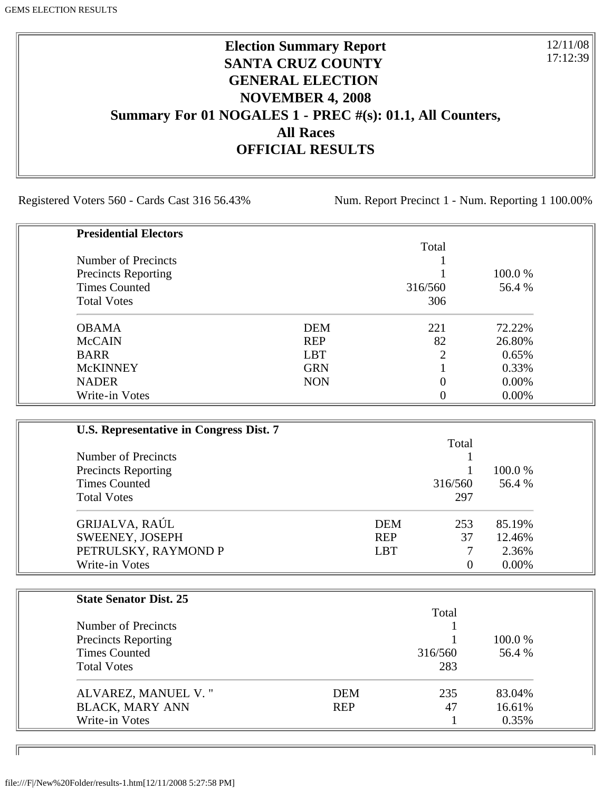# **Election Summary Report SANTA CRUZ COUNTY GENERAL ELECTION NOVEMBER 4, 2008 Summary For 01 NOGALES 1 - PREC #(s): 01.1, All Counters, All Races OFFICIAL RESULTS**

Registered Voters 560 - Cards Cast 316 56.43% Num. Report Precinct 1 - Num. Reporting 1 100.00%

12/11/08 17:12:39

٦I

| <b>Presidential Electors</b> |            |         |          |
|------------------------------|------------|---------|----------|
|                              |            | Total   |          |
| Number of Precincts          |            |         |          |
| <b>Precincts Reporting</b>   |            |         | 100.0 %  |
| <b>Times Counted</b>         |            | 316/560 | 56.4 %   |
| <b>Total Votes</b>           |            | 306     |          |
| <b>OBAMA</b>                 | <b>DEM</b> | 221     | 72.22%   |
| <b>McCAIN</b>                | <b>REP</b> | 82      | 26.80%   |
| <b>BARR</b>                  | <b>LBT</b> | 2       | 0.65%    |
| <b>McKINNEY</b>              | <b>GRN</b> |         | 0.33%    |
| <b>NADER</b>                 | <b>NON</b> |         | 0.00%    |
| Write-in Votes               |            |         | $0.00\%$ |

| U.S. Representative in Congress Dist. 7 |            |         |          |
|-----------------------------------------|------------|---------|----------|
|                                         |            | Total   |          |
| Number of Precincts                     |            |         |          |
| <b>Precincts Reporting</b>              |            |         | 100.0 %  |
| <b>Times Counted</b>                    |            | 316/560 | 56.4 %   |
| <b>Total Votes</b>                      |            | 297     |          |
| GRIJALVA, RAÚL                          | <b>DEM</b> | 253     | 85.19%   |
| SWEENEY, JOSEPH                         | <b>REP</b> | 37      | 12.46%   |
| PETRULSKY, RAYMOND P                    | <b>LBT</b> | 7       | 2.36%    |
| Write-in Votes                          |            | 0       | $0.00\%$ |

| <b>State Senator Dist. 25</b> |            |         |         |
|-------------------------------|------------|---------|---------|
|                               |            | Total   |         |
| Number of Precincts           |            |         |         |
| <b>Precincts Reporting</b>    |            |         | 100.0 % |
| <b>Times Counted</b>          |            | 316/560 | 56.4 %  |
| <b>Total Votes</b>            |            | 283     |         |
| ALVAREZ, MANUEL V."           | <b>DEM</b> | 235     | 83.04%  |
| <b>BLACK, MARY ANN</b>        | <b>REP</b> | 47      | 16.61%  |
| Write-in Votes                |            |         | 0.35%   |

ID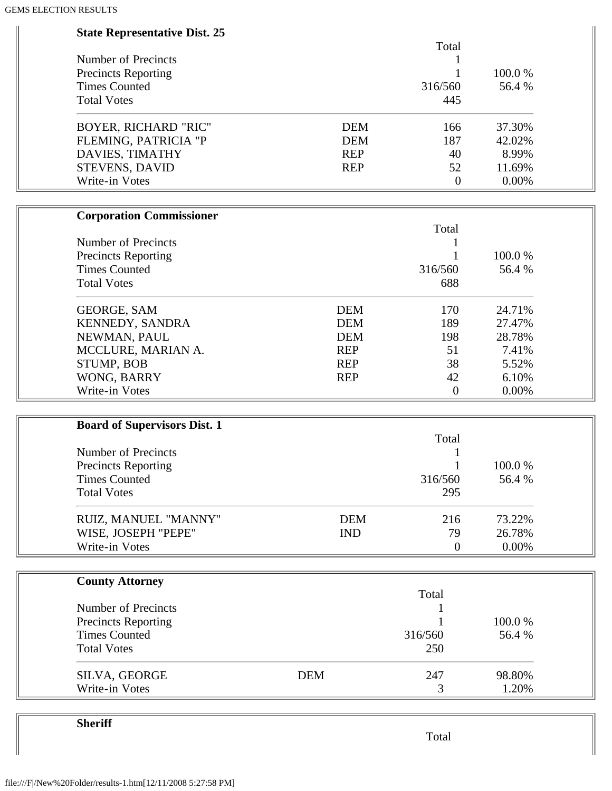| <b>State Representative Dist. 25</b> |                   |        |
|--------------------------------------|-------------------|--------|
|                                      | Total             |        |
| <b>Number of Precincts</b>           |                   |        |
| <b>Precincts Reporting</b>           |                   | 100.0% |
| <b>Times Counted</b>                 | 316/560           | 56.4 % |
| <b>Total Votes</b>                   | 445               |        |
| <b>BOYER, RICHARD "RIC"</b>          | <b>DEM</b><br>166 | 37.30% |
| FLEMING, PATRICIA "P                 | <b>DEM</b><br>187 | 42.02% |
| DAVIES, TIMATHY                      | <b>REP</b><br>40  | 8.99%  |
| <b>STEVENS, DAVID</b>                | 52<br><b>REP</b>  | 11.69% |
| Write-in Votes                       | $\overline{0}$    | 0.00%  |
| <b>Corporation Commissioner</b>      |                   |        |
|                                      | Total             |        |
| Number of Precincts                  |                   |        |
| <b>Precincts Reporting</b>           |                   | 100.0% |
| <b>Times Counted</b>                 | 316/560           | 56.4 % |
| <b>Total Votes</b>                   | 688               |        |
| <b>GEORGE, SAM</b>                   | <b>DEM</b><br>170 | 24.71% |
| KENNEDY, SANDRA                      | <b>DEM</b><br>189 | 27.47% |
| NEWMAN, PAUL                         | <b>DEM</b><br>198 | 28.78% |
| MCCLURE, MARIAN A.                   | <b>REP</b><br>51  | 7.41%  |
| STUMP, BOB                           | 38<br><b>REP</b>  | 5.52%  |
| WONG, BARRY                          | <b>REP</b><br>42  | 6.10%  |
| Write-in Votes                       | $\overline{0}$    | 0.00%  |
|                                      |                   |        |
| <b>Board of Supervisors Dist. 1</b>  | Total             |        |
| <b>Number of Precincts</b>           | 1                 |        |
| <b>Precincts Reporting</b>           | $\mathbf{1}$      | 100.0% |
| <b>Times Counted</b>                 | 316/560           | 56.4 % |
| <b>Total Votes</b>                   | 295               |        |
|                                      |                   |        |
| RUIZ, MANUEL "MANNY"                 | <b>DEM</b><br>216 | 73.22% |
| WISE, JOSEPH "PEPE"                  | <b>IND</b><br>79  | 26.78% |
| Write-in Votes                       | $\overline{0}$    | 0.00%  |
| <b>County Attorney</b>               |                   |        |
|                                      | Total             |        |
| Number of Precincts                  |                   |        |
| <b>Precincts Reporting</b>           |                   | 100.0% |
| <b>Times Counted</b>                 | 316/560           | 56.4 % |
| <b>Total Votes</b>                   | 250               |        |
| SILVA, GEORGE                        | <b>DEM</b><br>247 | 98.80% |
| Write-in Votes                       | 3                 | 1.20%  |

**Sheriff**

Total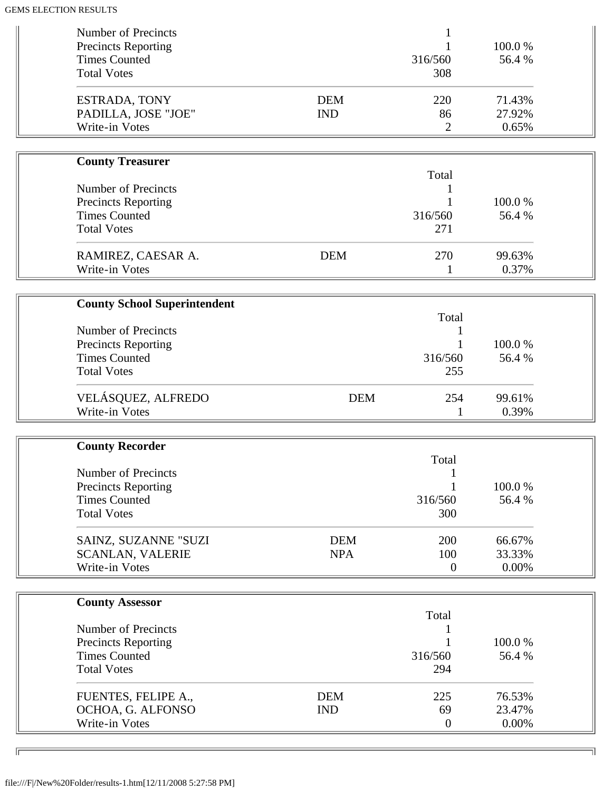| Number of Precincts<br><b>Precincts Reporting</b><br><b>Times Counted</b>                       |                          | 316/560                 | 100.0%<br>56.4 %          |
|-------------------------------------------------------------------------------------------------|--------------------------|-------------------------|---------------------------|
| <b>Total Votes</b>                                                                              |                          | 308                     |                           |
| ESTRADA, TONY<br>PADILLA, JOSE "JOE"<br>Write-in Votes                                          | <b>DEM</b><br><b>IND</b> | 220<br>86<br>2          | 71.43%<br>27.92%<br>0.65% |
|                                                                                                 |                          |                         |                           |
| <b>County Treasurer</b>                                                                         |                          |                         |                           |
| Number of Precincts<br><b>Precincts Reporting</b><br><b>Times Counted</b><br><b>Total Votes</b> |                          | Total<br>316/560<br>271 | 100.0%<br>56.4 %          |
| RAMIREZ, CAESAR A.<br>Write-in Votes                                                            | <b>DEM</b>               | 270<br>1                | 99.63%<br>0.37%           |
|                                                                                                 |                          |                         |                           |
| <b>County School Superintendent</b>                                                             |                          |                         |                           |
|                                                                                                 |                          | Total                   |                           |
| Number of Precincts<br><b>Precincts Reporting</b>                                               |                          |                         | 100.0%                    |
| <b>Times Counted</b>                                                                            |                          | 316/560                 | 56.4 %                    |
| <b>Total Votes</b>                                                                              |                          | 255                     |                           |
| VELÁSQUEZ, ALFREDO<br>Write-in Votes                                                            | <b>DEM</b>               | 254                     | 99.61%<br>0.39%           |
|                                                                                                 |                          |                         |                           |
| <b>County Recorder</b>                                                                          |                          | Total                   |                           |
| <b>Number of Precincts</b>                                                                      |                          |                         |                           |
| <b>Precincts Reporting</b>                                                                      |                          |                         | 100.0%                    |
| <b>Times Counted</b>                                                                            |                          | 316/560                 | 56.4 %                    |
| <b>Total Votes</b>                                                                              |                          | 300                     |                           |
| SAINZ, SUZANNE "SUZI                                                                            | <b>DEM</b>               | 200                     | 66.67%                    |
| <b>SCANLAN, VALERIE</b>                                                                         | <b>NPA</b>               | 100                     | 33.33%                    |
| Write-in Votes                                                                                  |                          | $\boldsymbol{0}$        | 0.00%                     |
|                                                                                                 |                          |                         |                           |
| <b>County Assessor</b>                                                                          |                          | Total                   |                           |
| Number of Precincts                                                                             |                          |                         |                           |
| <b>Precincts Reporting</b>                                                                      |                          |                         | 100.0%                    |
| <b>Times Counted</b><br><b>Total Votes</b>                                                      |                          | 316/560<br>294          | 56.4 %                    |
|                                                                                                 |                          |                         |                           |
| FUENTES, FELIPE A.,                                                                             | <b>DEM</b>               | 225                     | 76.53%                    |
| OCHOA, G. ALFONSO                                                                               | <b>IND</b>               | 69                      | 23.47%                    |
| Write-in Votes                                                                                  |                          | $\overline{0}$          | 0.00%                     |

╗

 $\overline{\phantom{0}}$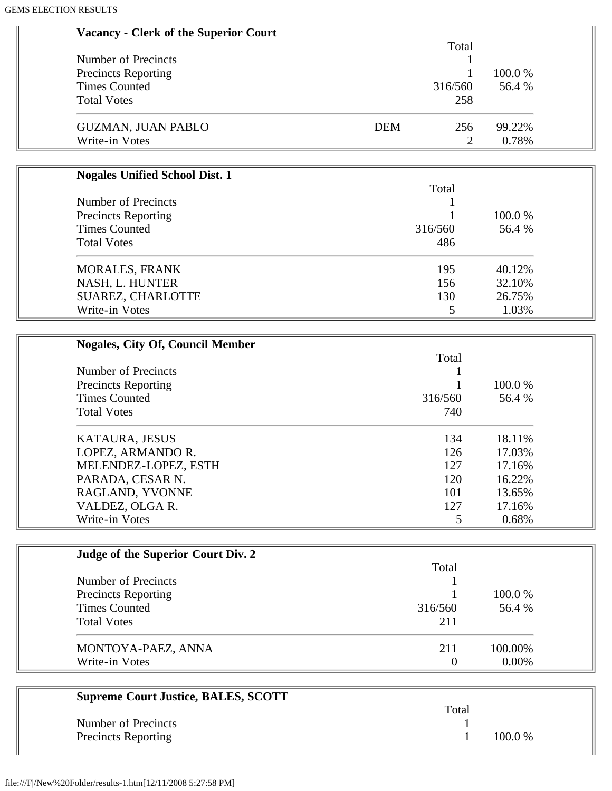| <b>Vacancy - Clerk of the Superior Court</b>       |                   |        |
|----------------------------------------------------|-------------------|--------|
| <b>Number of Precincts</b>                         | Total             |        |
|                                                    | 1<br>$\mathbf{1}$ | 100.0% |
| <b>Precincts Reporting</b><br><b>Times Counted</b> | 316/560           | 56.4 % |
| <b>Total Votes</b>                                 | 258               |        |
|                                                    |                   |        |
| <b>GUZMAN, JUAN PABLO</b>                          | <b>DEM</b><br>256 | 99.22% |
| Write-in Votes                                     | $\overline{2}$    | 0.78%  |
|                                                    |                   |        |
| <b>Nogales Unified School Dist. 1</b>              |                   |        |
|                                                    | Total             |        |
| Number of Precincts                                |                   |        |
| <b>Precincts Reporting</b>                         |                   | 100.0% |
| <b>Times Counted</b>                               | 316/560           | 56.4 % |
| <b>Total Votes</b>                                 | 486               |        |
| <b>MORALES, FRANK</b>                              | 195               | 40.12% |
| NASH, L. HUNTER                                    | 156               | 32.10% |
| SUAREZ, CHARLOTTE                                  | 130               | 26.75% |
| Write-in Votes                                     | 5                 | 1.03%  |
|                                                    |                   |        |
| <b>Nogales, City Of, Council Member</b>            |                   |        |
|                                                    | Total             |        |
| <b>Number of Precincts</b>                         | 1                 |        |
| <b>Precincts Reporting</b>                         |                   | 100.0% |
| <b>Times Counted</b>                               | 316/560           | 56.4 % |
| <b>Total Votes</b>                                 | 740               |        |
|                                                    |                   |        |
| KATAURA, JESUS                                     | 134               | 18.11% |
| LOPEZ, ARMANDO R.                                  | 126               | 17.03% |
| MELENDEZ-LOPEZ, ESTH                               | 127               | 17.16% |
| PARADA, CESAR N.                                   | 120               | 16.22% |
| RAGLAND, YVONNE                                    | 101               | 13.65% |
| VALDEZ, OLGA R.                                    | 127               | 17.16% |
| Write-in Votes                                     | 5                 | 0.68%  |
|                                                    |                   |        |
| Judge of the Superior Court Div. 2                 |                   |        |
|                                                    | Total             |        |
| Number of Precincts                                |                   |        |
| <b>Precincts Reporting</b>                         |                   | 100.0% |
| <b>Times Counted</b>                               | 316/560           | 56.4 % |
| <b>Total Votes</b>                                 | 211               |        |

| MONTOYA-PAEZ, ANNA | 100.00%  |
|--------------------|----------|
| Write-in Votes     | $0.00\%$ |

| <b>Supreme Court Justice, BALES, SCOTT</b> |       |           |
|--------------------------------------------|-------|-----------|
|                                            | Total |           |
| Number of Precincts                        |       |           |
| <b>Precincts Reporting</b>                 |       | $100.0\%$ |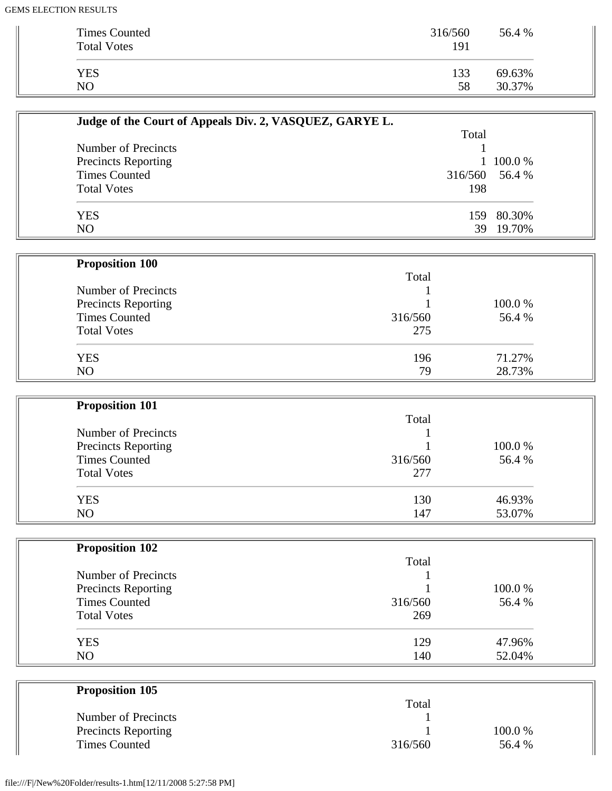| <b>Times Counted</b><br><b>Total Votes</b> | 316/560<br>191 | 56.4 % |
|--------------------------------------------|----------------|--------|
| <b>YES</b>                                 | 133            | 69.63% |
| NO                                         | 58             | 30.37% |

| Judge of the Court of Appeals Div. 2, VASQUEZ, GARYE L. |                |            |
|---------------------------------------------------------|----------------|------------|
|                                                         | Total          |            |
| Number of Precincts                                     |                |            |
| <b>Precincts Reporting</b>                              |                | 1 100.0 %  |
| <b>Times Counted</b>                                    | 316/560 56.4 % |            |
| <b>Total Votes</b>                                      | 198            |            |
| <b>YES</b>                                              |                | 159 80.30% |
| N <sub>O</sub>                                          | 39             | 19.70%     |

| <b>Proposition 100</b>     |         |        |
|----------------------------|---------|--------|
|                            | Total   |        |
| Number of Precincts        |         |        |
| <b>Precincts Reporting</b> |         | 100.0% |
| <b>Times Counted</b>       | 316/560 | 56.4 % |
| <b>Total Votes</b>         | 275     |        |
| <b>YES</b>                 | 196     | 71.27% |
| N <sub>O</sub>             | 79      | 28.73% |

| <b>Proposition 101</b> |         |        |  |
|------------------------|---------|--------|--|
|                        | Total   |        |  |
| Number of Precincts    |         |        |  |
| Precincts Reporting    |         | 100.0% |  |
| <b>Times Counted</b>   | 316/560 | 56.4 % |  |
| <b>Total Votes</b>     | 277     |        |  |
| <b>YES</b>             | 130     | 46.93% |  |
| NO                     | 147     | 53.07% |  |

| <b>Proposition 102</b>     |         |        |
|----------------------------|---------|--------|
|                            | Total   |        |
| Number of Precincts        |         |        |
| <b>Precincts Reporting</b> |         | 100.0% |
| <b>Times Counted</b>       | 316/560 | 56.4 % |
| <b>Total Votes</b>         | 269     |        |
| <b>YES</b>                 | 129     | 47.96% |
| N <sub>O</sub>             | 140     | 52.04% |

| <b>Proposition 105</b>     |         |         |
|----------------------------|---------|---------|
|                            | Total   |         |
| Number of Precincts        |         |         |
| <b>Precincts Reporting</b> |         | 100.0 % |
| <b>Times Counted</b>       | 316/560 | 56.4 %  |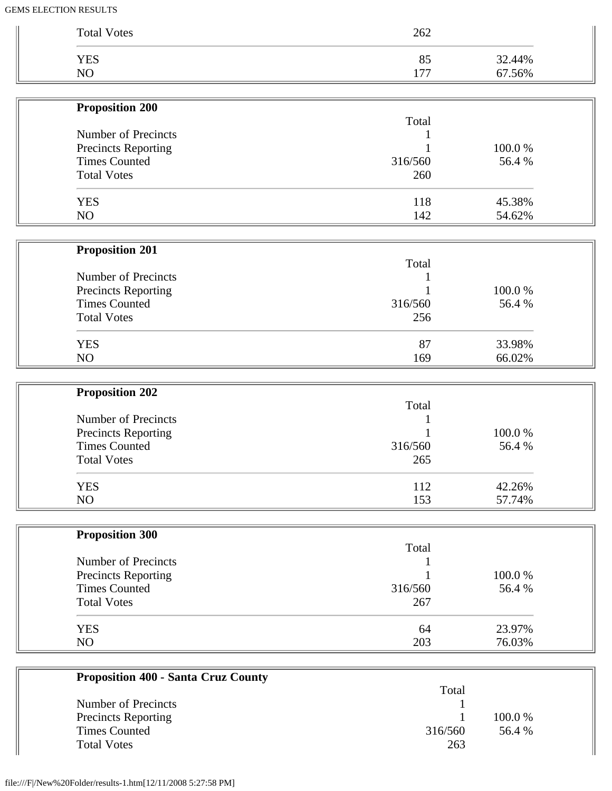| <b>Total Votes</b>         | 262     |        |
|----------------------------|---------|--------|
| <b>YES</b>                 | 85      | 32.44% |
| NO                         | 177     | 67.56% |
| <b>Proposition 200</b>     |         |        |
|                            | Total   |        |
| Number of Precincts        |         |        |
| <b>Precincts Reporting</b> |         | 100.0% |
| <b>Times Counted</b>       | 316/560 | 56.4 % |
| <b>Total Votes</b>         | 260     |        |
| <b>YES</b>                 | 118     | 45.38% |
| NO                         | 142     | 54.62% |
|                            |         |        |
| <b>Proposition 201</b>     | Total   |        |
| Number of Precincts        |         |        |
| <b>Precincts Reporting</b> |         | 100.0% |
| <b>Times Counted</b>       | 316/560 | 56.4 % |
| <b>Total Votes</b>         | 256     |        |
| <b>YES</b>                 | 87      | 33.98% |
| NO                         | 169     | 66.02% |
|                            |         |        |
| <b>Proposition 202</b>     | Total   |        |
| Number of Precincts        |         |        |
| Precincts Reporting        |         | 100.0% |
| <b>Times Counted</b>       | 316/560 | 56.4%  |
| <b>Total Votes</b>         | 265     |        |
| <b>YES</b>                 | 112     | 42.26% |
| NO                         | 153     | 57.74% |
|                            |         |        |
| <b>Proposition 300</b>     | Total   |        |
| Number of Precincts        |         |        |
| Precincts Reporting        |         | 100.0% |
| <b>Times Counted</b>       | 316/560 | 56.4 % |
| <b>Total Votes</b>         | 267     |        |
| <b>YES</b>                 | 64      | 23.97% |
|                            |         |        |

| Total   |         |
|---------|---------|
|         |         |
|         | 100.0 % |
| 316/560 | 56.4 %  |
| 263     |         |
|         |         |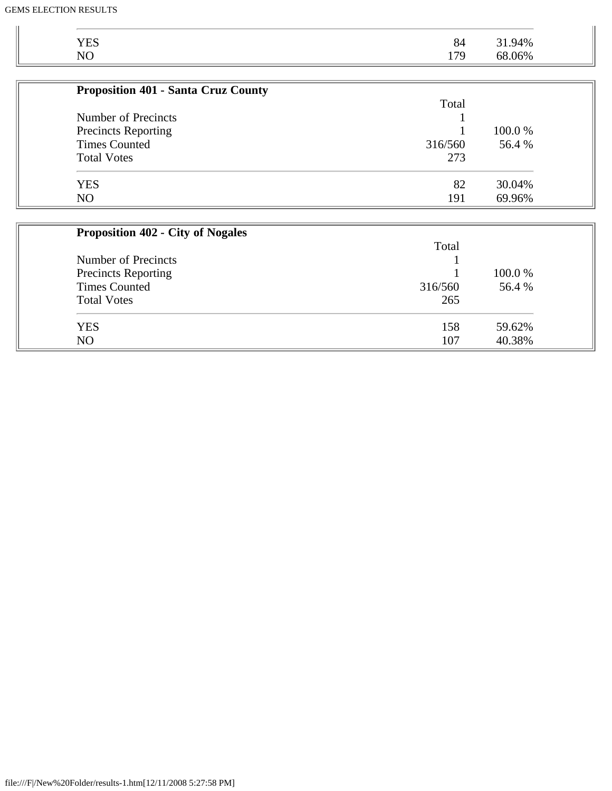| YES<br>NO<br>31.94%<br>68.06%<br>84<br>179 |
|--------------------------------------------|
|--------------------------------------------|

| <b>Proposition 401 - Santa Cruz County</b> |         |         |
|--------------------------------------------|---------|---------|
|                                            | Total   |         |
| Number of Precincts                        |         |         |
| <b>Precincts Reporting</b>                 |         | 100.0 % |
| <b>Times Counted</b>                       | 316/560 | 56.4 %  |
| <b>Total Votes</b>                         | 273     |         |
| <b>YES</b>                                 | 82      | 30.04%  |
| N <sub>O</sub>                             | 191     | 69.96%  |

| <b>Proposition 402 - City of Nogales</b> |         |         |
|------------------------------------------|---------|---------|
|                                          | Total   |         |
| Number of Precincts                      |         |         |
| <b>Precincts Reporting</b>               |         | 100.0 % |
| <b>Times Counted</b>                     | 316/560 | 56.4 %  |
| <b>Total Votes</b>                       | 265     |         |
| <b>YES</b>                               | 158     | 59.62%  |
| N <sub>O</sub>                           | 107     | 40.38%  |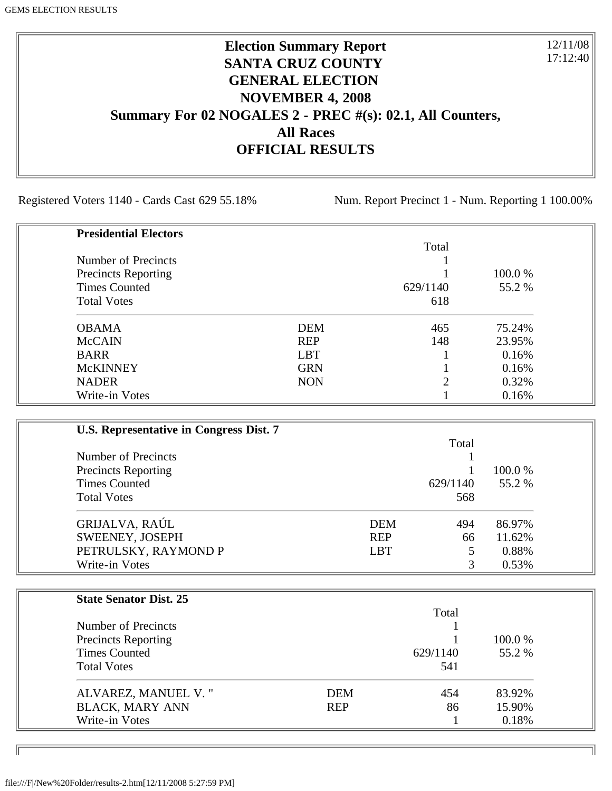# **Election Summary Report SANTA CRUZ COUNTY GENERAL ELECTION NOVEMBER 4, 2008 Summary For 02 NOGALES 2 - PREC #(s): 02.1, All Counters, All Races OFFICIAL RESULTS**

Registered Voters 1140 - Cards Cast 629 55.18% Num. Report Precinct 1 - Num. Reporting 1 100.00%

12/11/08 17:12:40

٦I

| <b>Presidential Electors</b> |            |                |         |
|------------------------------|------------|----------------|---------|
|                              |            | Total          |         |
| Number of Precincts          |            |                |         |
| <b>Precincts Reporting</b>   |            |                | 100.0 % |
| <b>Times Counted</b>         |            | 629/1140       | 55.2 %  |
| <b>Total Votes</b>           |            | 618            |         |
| <b>OBAMA</b>                 | <b>DEM</b> | 465            | 75.24%  |
| <b>McCAIN</b>                | <b>REP</b> | 148            | 23.95%  |
| <b>BARR</b>                  | <b>LBT</b> |                | 0.16%   |
| <b>McKINNEY</b>              | <b>GRN</b> |                | 0.16%   |
| <b>NADER</b>                 | <b>NON</b> | $\overline{2}$ | 0.32%   |
| Write-in Votes               |            |                | 0.16%   |

| U.S. Representative in Congress Dist. 7 |            |          |         |
|-----------------------------------------|------------|----------|---------|
|                                         |            | Total    |         |
| Number of Precincts                     |            |          |         |
| <b>Precincts Reporting</b>              |            |          | 100.0 % |
| <b>Times Counted</b>                    |            | 629/1140 | 55.2 %  |
| <b>Total Votes</b>                      |            | 568      |         |
| GRIJALVA, RAÚL                          | DEM        | 494      | 86.97%  |
| SWEENEY, JOSEPH                         | <b>REP</b> | 66       | 11.62%  |
| PETRULSKY, RAYMOND P                    | <b>LBT</b> | 5        | 0.88%   |
| Write-in Votes                          |            | 3        | 0.53%   |

| <b>State Senator Dist. 25</b> |            |          |         |
|-------------------------------|------------|----------|---------|
|                               |            | Total    |         |
| Number of Precincts           |            |          |         |
| <b>Precincts Reporting</b>    |            |          | 100.0 % |
| <b>Times Counted</b>          |            | 629/1140 | 55.2 %  |
| <b>Total Votes</b>            |            | 541      |         |
| ALVAREZ, MANUEL V."           | <b>DEM</b> | 454      | 83.92%  |
| <b>BLACK, MARY ANN</b>        | <b>REP</b> | 86       | 15.90%  |
| Write-in Votes                |            |          | 0.18%   |

ID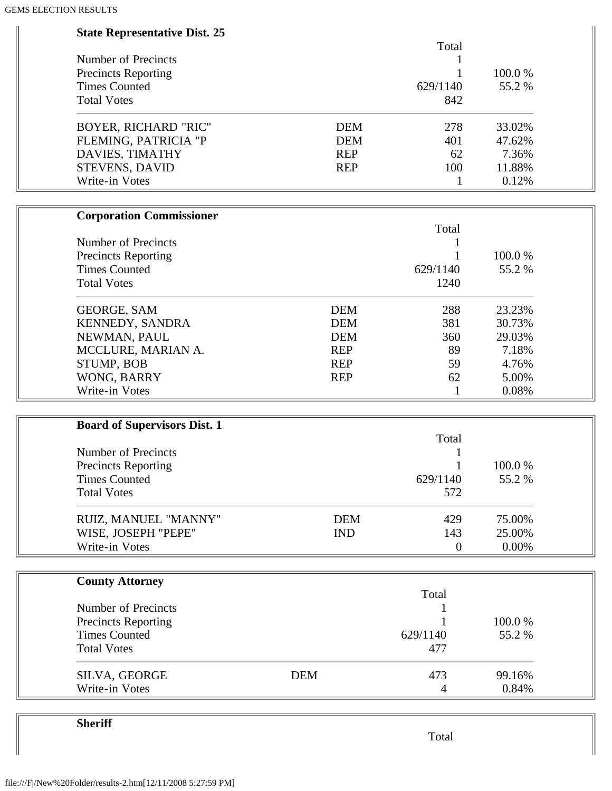| <b>State Representative Dist. 25</b><br>Total<br>Number of Precincts<br>1<br>100.0%<br><b>Precincts Reporting</b><br><b>Times Counted</b><br>55.2%<br>629/1140 |  |
|----------------------------------------------------------------------------------------------------------------------------------------------------------------|--|
|                                                                                                                                                                |  |
|                                                                                                                                                                |  |
|                                                                                                                                                                |  |
|                                                                                                                                                                |  |
| <b>Total Votes</b><br>842                                                                                                                                      |  |
| <b>BOYER, RICHARD "RIC"</b><br><b>DEM</b><br>278<br>33.02%                                                                                                     |  |
| FLEMING, PATRICIA "P<br><b>DEM</b><br>401<br>47.62%                                                                                                            |  |
| DAVIES, TIMATHY<br><b>REP</b><br>7.36%<br>62                                                                                                                   |  |
| STEVENS, DAVID<br>100<br>11.88%<br><b>REP</b>                                                                                                                  |  |
| Write-in Votes<br>0.12%<br>$\mathbf{1}$                                                                                                                        |  |
| <b>Corporation Commissioner</b>                                                                                                                                |  |
| Total                                                                                                                                                          |  |
| Number of Precincts                                                                                                                                            |  |
| 100.0%<br><b>Precincts Reporting</b>                                                                                                                           |  |
| <b>Times Counted</b><br>629/1140<br>55.2%                                                                                                                      |  |
| <b>Total Votes</b><br>1240                                                                                                                                     |  |
| <b>DEM</b><br>288<br>23.23%<br><b>GEORGE, SAM</b>                                                                                                              |  |
| KENNEDY, SANDRA<br><b>DEM</b><br>381<br>30.73%                                                                                                                 |  |
| NEWMAN, PAUL<br><b>DEM</b><br>360<br>29.03%                                                                                                                    |  |
| 89<br>MCCLURE, MARIAN A.<br><b>REP</b><br>7.18%                                                                                                                |  |
| STUMP, BOB<br>59<br><b>REP</b><br>4.76%                                                                                                                        |  |
| WONG, BARRY<br>5.00%<br><b>REP</b><br>62                                                                                                                       |  |
| Write-in Votes<br>0.08%<br>$\mathbf{1}$                                                                                                                        |  |
|                                                                                                                                                                |  |
| <b>Board of Supervisors Dist. 1</b><br>Total                                                                                                                   |  |
| <b>Number of Precincts</b>                                                                                                                                     |  |
| <b>Precincts Reporting</b><br>100.0%<br>1                                                                                                                      |  |
| 629/1140<br><b>Times Counted</b><br>55.2%                                                                                                                      |  |
| <b>Total Votes</b><br>572                                                                                                                                      |  |
|                                                                                                                                                                |  |
| <b>DEM</b><br>75.00%<br>RUIZ, MANUEL "MANNY"<br>429                                                                                                            |  |
| WISE, JOSEPH "PEPE"<br><b>IND</b><br>143<br>25.00%                                                                                                             |  |
| Write-in Votes<br>0.00%<br>$\boldsymbol{0}$                                                                                                                    |  |
| <b>County Attorney</b>                                                                                                                                         |  |
| Total                                                                                                                                                          |  |
| Number of Precincts                                                                                                                                            |  |
| 100.0%<br><b>Precincts Reporting</b>                                                                                                                           |  |
| <b>Times Counted</b><br>629/1140<br>55.2%                                                                                                                      |  |
| <b>Total Votes</b><br>477                                                                                                                                      |  |
| <b>DEM</b><br>473<br>SILVA, GEORGE<br>99.16%                                                                                                                   |  |
| Write-in Votes<br>0.84%<br>4                                                                                                                                   |  |

**Sheriff**

Total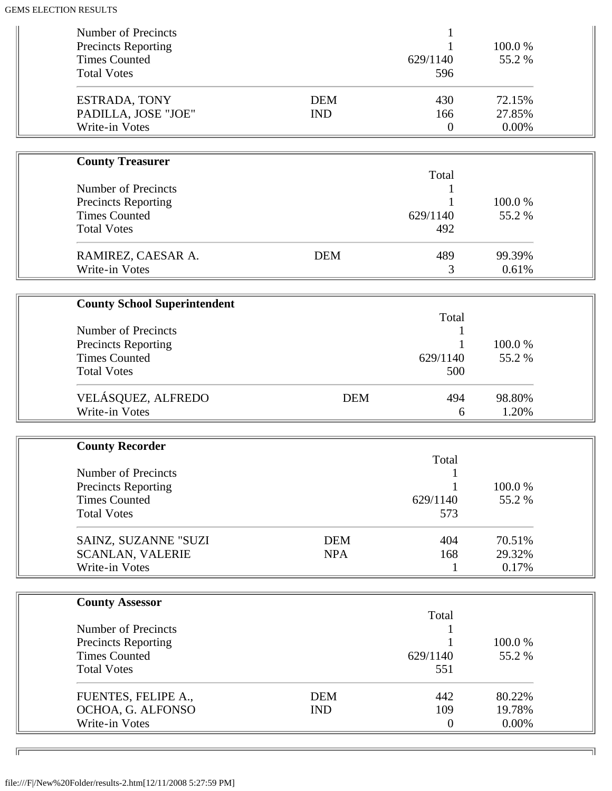| Number of Precincts                                |            |                  |                 |  |
|----------------------------------------------------|------------|------------------|-----------------|--|
| <b>Precincts Reporting</b><br><b>Times Counted</b> |            | 629/1140         | 100.0%<br>55.2% |  |
| <b>Total Votes</b>                                 |            | 596              |                 |  |
|                                                    |            |                  |                 |  |
| ESTRADA, TONY                                      | <b>DEM</b> | 430              | 72.15%          |  |
| PADILLA, JOSE "JOE"                                | <b>IND</b> | 166              | 27.85%          |  |
| Write-in Votes                                     |            | $\boldsymbol{0}$ | 0.00%           |  |
|                                                    |            |                  |                 |  |
| <b>County Treasurer</b>                            |            | Total            |                 |  |
| <b>Number of Precincts</b>                         |            |                  |                 |  |
| <b>Precincts Reporting</b>                         |            |                  | 100.0%          |  |
| <b>Times Counted</b>                               |            | 629/1140         | 55.2 %          |  |
| <b>Total Votes</b>                                 |            | 492              |                 |  |
|                                                    |            |                  |                 |  |
| RAMIREZ, CAESAR A.                                 | <b>DEM</b> | 489              | 99.39%          |  |
| Write-in Votes                                     |            | 3                | 0.61%           |  |
|                                                    |            |                  |                 |  |
| <b>County School Superintendent</b>                |            | Total            |                 |  |
| <b>Number of Precincts</b>                         |            |                  |                 |  |
| <b>Precincts Reporting</b>                         |            |                  | 100.0%          |  |
| <b>Times Counted</b>                               |            | 629/1140         | 55.2%           |  |
| <b>Total Votes</b>                                 |            | 500              |                 |  |
|                                                    |            |                  | 98.80%          |  |
| VELÁSQUEZ, ALFREDO<br>Write-in Votes               | <b>DEM</b> | 494<br>6         | 1.20%           |  |
|                                                    |            |                  |                 |  |
| <b>County Recorder</b>                             |            |                  |                 |  |
|                                                    |            | Total            |                 |  |
| Number of Precincts                                |            |                  |                 |  |
| <b>Precincts Reporting</b>                         |            |                  | 100.0%          |  |
| <b>Times Counted</b>                               |            | 629/1140         | 55.2%           |  |
| <b>Total Votes</b>                                 |            | 573              |                 |  |
| SAINZ, SUZANNE "SUZI                               | <b>DEM</b> | 404              | 70.51%          |  |
| <b>SCANLAN, VALERIE</b>                            | <b>NPA</b> | 168              | 29.32%          |  |
| Write-in Votes                                     |            | 1                | 0.17%           |  |
|                                                    |            |                  |                 |  |
| <b>County Assessor</b>                             |            |                  |                 |  |
|                                                    |            | Total            |                 |  |
| Number of Precincts                                |            |                  |                 |  |
| <b>Precincts Reporting</b>                         |            |                  | 100.0%          |  |
| <b>Times Counted</b>                               |            | 629/1140         | 55.2%           |  |
| <b>Total Votes</b>                                 |            | 551              |                 |  |
| FUENTES, FELIPE A.,                                | <b>DEM</b> | 442              | 80.22%          |  |
| OCHOA, G. ALFONSO                                  | <b>IND</b> | 109              | 19.78%          |  |
| Write-in Votes                                     |            | $\boldsymbol{0}$ | 0.00%           |  |
|                                                    |            |                  |                 |  |

╗

 $\overline{\phantom{0}}$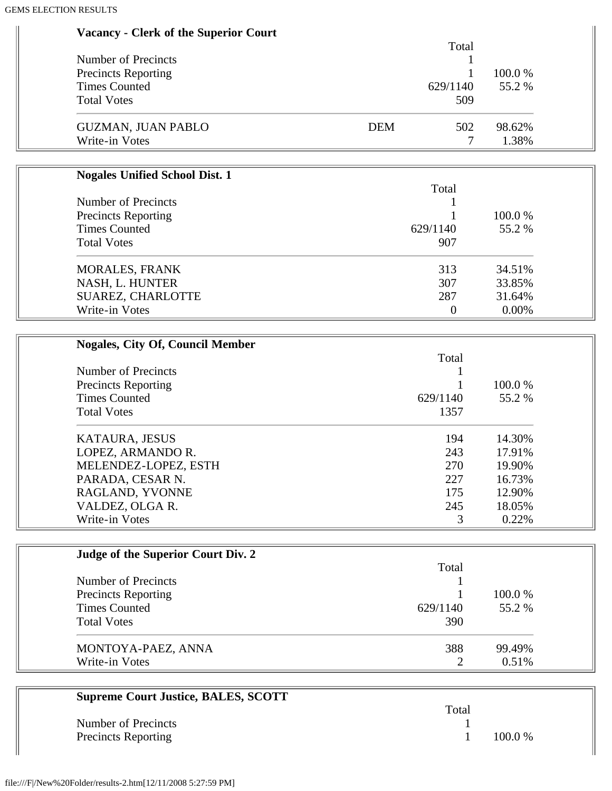| Vacancy - Clerk of the Superior Court |  |  |  |  |
|---------------------------------------|--|--|--|--|
|---------------------------------------|--|--|--|--|

|                            | Total             |           |
|----------------------------|-------------------|-----------|
| Number of Precincts        |                   |           |
| <b>Precincts Reporting</b> |                   | $100.0\%$ |
| <b>Times Counted</b>       | 629/1140          | 55.2 %    |
| <b>Total Votes</b>         | 509               |           |
| <b>GUZMAN, JUAN PABLO</b>  | 502<br><b>DEM</b> | 98.62%    |
| Write-in Votes             |                   | 1.38%     |

| <b>Nogales Unified School Dist. 1</b> |          |         |
|---------------------------------------|----------|---------|
|                                       | Total    |         |
| Number of Precincts                   |          |         |
| <b>Precincts Reporting</b>            |          | 100.0 % |
| <b>Times Counted</b>                  | 629/1140 | 55.2 %  |
| <b>Total Votes</b>                    | 907      |         |
| <b>MORALES, FRANK</b>                 | 313      | 34.51%  |
| NASH, L. HUNTER                       | 307      | 33.85%  |
| SUAREZ, CHARLOTTE                     | 287      | 31.64%  |
| Write-in Votes                        |          | 0.00%   |

| <b>Nogales, City Of, Council Member</b> |          |         |
|-----------------------------------------|----------|---------|
|                                         | Total    |         |
| Number of Precincts                     |          |         |
| <b>Precincts Reporting</b>              |          | 100.0 % |
| <b>Times Counted</b>                    | 629/1140 | 55.2 %  |
| <b>Total Votes</b>                      | 1357     |         |
| KATAURA, JESUS                          | 194      | 14.30%  |
| LOPEZ, ARMANDO R.                       | 243      | 17.91%  |
| MELENDEZ-LOPEZ, ESTH                    | 270      | 19.90%  |
| PARADA, CESAR N.                        | 227      | 16.73%  |
| RAGLAND, YVONNE                         | 175      | 12.90%  |
| VALDEZ, OLGA R.                         | 245      | 18.05%  |
| Write-in Votes                          | 3        | 0.22%   |

| Judge of the Superior Court Div. 2 |          |          |
|------------------------------------|----------|----------|
|                                    | Total    |          |
| Number of Precincts                |          |          |
| <b>Precincts Reporting</b>         |          | 100.0 %  |
| <b>Times Counted</b>               | 629/1140 | 55.2 %   |
| <b>Total Votes</b>                 | 390      |          |
| MONTOYA-PAEZ, ANNA                 | 388      | 99.49%   |
| Write-in Votes                     |          | $0.51\%$ |

| <b>Supreme Court Justice, BALES, SCOTT</b> |       |           |
|--------------------------------------------|-------|-----------|
|                                            | Total |           |
| Number of Precincts                        |       |           |
| <b>Precincts Reporting</b>                 |       | $100.0\%$ |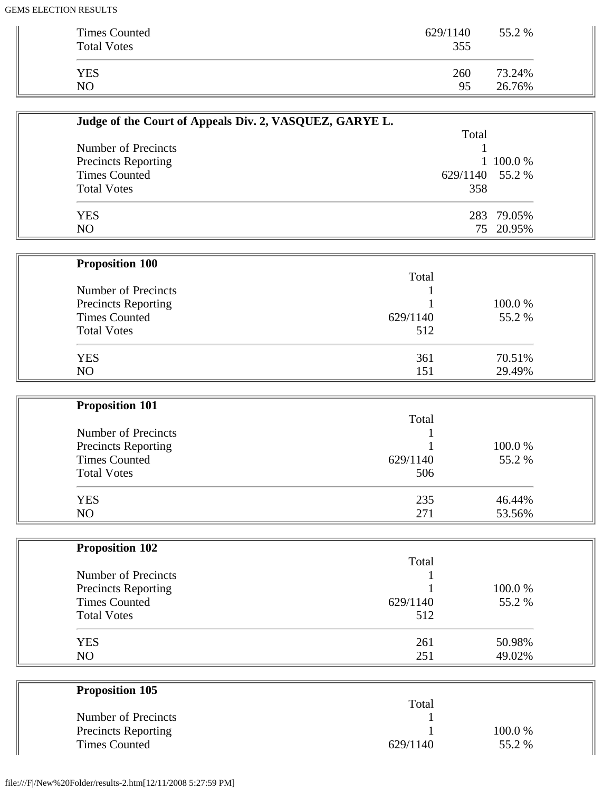| Times Counted<br><b>Total Votes</b> | 629/1140<br>355 | 55.2 % |
|-------------------------------------|-----------------|--------|
| <b>YES</b>                          | 260             | 73.24% |
| N <sub>O</sub>                      | 95              | 26.76% |

| Judge of the Court of Appeals Div. 2, VASQUEZ, GARYE L. |                 |            |
|---------------------------------------------------------|-----------------|------------|
|                                                         | Total           |            |
| Number of Precincts                                     |                 |            |
| <b>Precincts Reporting</b>                              |                 | 1 100.0 %  |
| <b>Times Counted</b>                                    | 629/1140 55.2 % |            |
| <b>Total Votes</b>                                      | 358             |            |
| <b>YES</b>                                              |                 | 283 79.05% |
| NO                                                      |                 | 75 20.95%  |

| <b>Proposition 100</b> |          |         |
|------------------------|----------|---------|
|                        | Total    |         |
| Number of Precincts    |          |         |
| Precincts Reporting    |          | 100.0 % |
| <b>Times Counted</b>   | 629/1140 | 55.2 %  |
| <b>Total Votes</b>     | 512      |         |
| <b>YES</b>             | 361      | 70.51%  |
| NO                     | 151      | 29.49%  |

| <b>Proposition 101</b>     |          |         |  |
|----------------------------|----------|---------|--|
|                            | Total    |         |  |
| Number of Precincts        |          |         |  |
| <b>Precincts Reporting</b> |          | 100.0 % |  |
| <b>Times Counted</b>       | 629/1140 | 55.2 %  |  |
| <b>Total Votes</b>         | 506      |         |  |
| <b>YES</b>                 | 235      | 46.44%  |  |
| N <sub>O</sub>             | 271      | 53.56%  |  |

| <b>Proposition 102</b> |          |        |
|------------------------|----------|--------|
|                        | Total    |        |
| Number of Precincts    |          |        |
| Precincts Reporting    |          | 100.0% |
| <b>Times Counted</b>   | 629/1140 | 55.2 % |
| <b>Total Votes</b>     | 512      |        |
| <b>YES</b>             | 261      | 50.98% |
| N <sub>O</sub>         | 251      | 49.02% |

| <b>Proposition 105</b>     |          |         |
|----------------------------|----------|---------|
|                            | Total    |         |
| Number of Precincts        |          |         |
| <b>Precincts Reporting</b> |          | 100.0 % |
| <b>Times Counted</b>       | 629/1140 | 55.2 %  |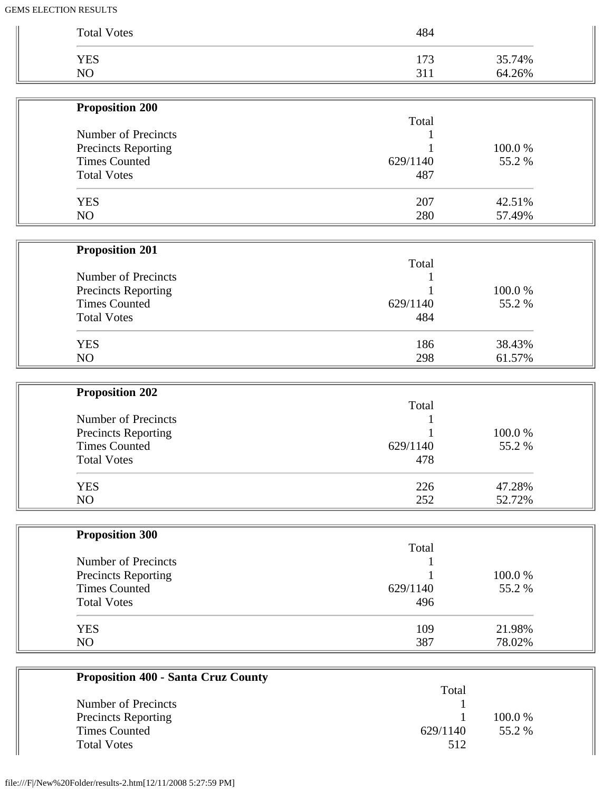| <b>YES</b><br>NO           | 173<br>311 | 35.74%<br>64.26% |
|----------------------------|------------|------------------|
|                            |            |                  |
| <b>Proposition 200</b>     |            |                  |
| Number of Precincts        | Total      |                  |
| Precincts Reporting        |            | 100.0%           |
| <b>Times Counted</b>       | 629/1140   | 55.2%            |
| <b>Total Votes</b>         | 487        |                  |
| <b>YES</b>                 | 207        | 42.51%           |
| NO                         | 280        | 57.49%           |
| <b>Proposition 201</b>     |            |                  |
|                            | Total      |                  |
| Number of Precincts        |            |                  |
| Precincts Reporting        |            | 100.0%           |
| <b>Times Counted</b>       | 629/1140   | 55.2%            |
| <b>Total Votes</b>         | 484        |                  |
| <b>YES</b>                 | 186        | 38.43%           |
| NO                         | 298        | 61.57%           |
| <b>Proposition 202</b>     |            |                  |
|                            | Total      |                  |
| Number of Precincts        |            |                  |
| Precincts Reporting        |            | 100.0%           |
| <b>Times Counted</b>       | 629/1140   | 55.2%            |
| <b>Total Votes</b>         | 478        |                  |
| <b>YES</b>                 | 226        | 47.28%           |
| NO                         | 252        | 52.72%           |
| <b>Proposition 300</b>     |            |                  |
|                            | Total      |                  |
| Number of Precincts        |            |                  |
| <b>Precincts Reporting</b> |            | 100.0%           |
| <b>Times Counted</b>       | 629/1140   | 55.2%            |
| <b>Total Votes</b>         | 496        |                  |
| <b>YES</b>                 | 109        | 21.98%           |
| NO                         | 387        | 78.02%           |

| Proposition 400 - Santa Cruz County |          |         |
|-------------------------------------|----------|---------|
|                                     | Total    |         |
| Number of Precincts                 |          |         |
| <b>Precincts Reporting</b>          |          | 100.0 % |
| Times Counted                       | 629/1140 | 55.2 %  |
| <b>Total Votes</b>                  | 512      |         |
|                                     |          |         |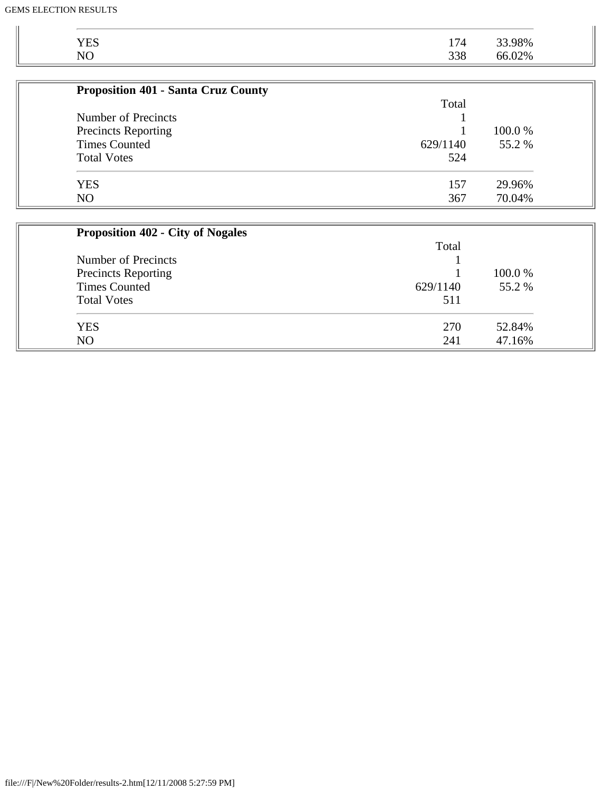| <b>YES</b>                                 | 174      | 33.98% |
|--------------------------------------------|----------|--------|
| NO                                         | 338      | 66.02% |
|                                            |          |        |
| <b>Proposition 401 - Santa Cruz County</b> |          |        |
|                                            | Total    |        |
| Number of Precincts                        |          |        |
| <b>Precincts Reporting</b>                 |          | 100.0% |
| <b>Times Counted</b>                       | 629/1140 | 55.2 % |
| <b>Total Votes</b>                         | 524      |        |
| <b>YES</b>                                 | 157      | 29.96% |
| N <sub>O</sub>                             | 367      | 70.04% |
|                                            |          |        |
| <b>Proposition 402 - City of Nogales</b>   |          |        |
|                                            | Total    |        |
| Number of Precincts                        |          |        |
| <b>Precincts Reporting</b>                 |          | 100.0% |
| <b>Times Counted</b>                       | 629/1140 | 55.2 % |
| <b>Total Votes</b>                         | 511      |        |
|                                            |          |        |

| TOMI TONG | 711        |        |
|-----------|------------|--------|
| YES       | חדר<br>210 | 52.84% |
| NΟ        | 211<br>241 | 6%     |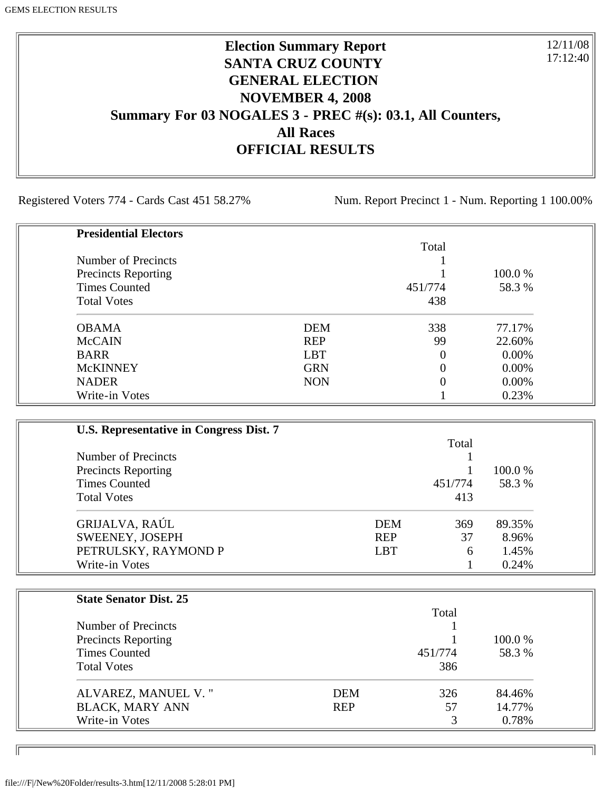# **Election Summary Report SANTA CRUZ COUNTY GENERAL ELECTION NOVEMBER 4, 2008 Summary For 03 NOGALES 3 - PREC #(s): 03.1, All Counters, All Races OFFICIAL RESULTS**

Registered Voters 774 - Cards Cast 451 58.27% Num. Report Precinct 1 - Num. Reporting 1 100.00%

12/11/08 17:12:40

| <b>Presidential Electors</b> |            |          |          |
|------------------------------|------------|----------|----------|
|                              |            | Total    |          |
| Number of Precincts          |            |          |          |
| <b>Precincts Reporting</b>   |            |          | 100.0 %  |
| <b>Times Counted</b>         |            | 451/774  | 58.3 %   |
| <b>Total Votes</b>           |            | 438      |          |
| <b>OBAMA</b>                 | <b>DEM</b> | 338      | 77.17%   |
| <b>McCAIN</b>                | <b>REP</b> | 99       | 22.60%   |
| <b>BARR</b>                  | <b>LBT</b> | $\Omega$ | $0.00\%$ |
| <b>McKINNEY</b>              | <b>GRN</b> |          | 0.00%    |
| <b>NADER</b>                 | <b>NON</b> |          | 0.00%    |
| Write-in Votes               |            |          | 0.23%    |

| U.S. Representative in Congress Dist. 7 |            |         |         |
|-----------------------------------------|------------|---------|---------|
|                                         |            | Total   |         |
| Number of Precincts                     |            |         |         |
| <b>Precincts Reporting</b>              |            |         | 100.0 % |
| <b>Times Counted</b>                    |            | 451/774 | 58.3 %  |
| <b>Total Votes</b>                      |            | 413     |         |
| GRIJALVA, RAÚL                          | <b>DEM</b> | 369     | 89.35%  |
| SWEENEY, JOSEPH                         | <b>REP</b> | 37      | 8.96%   |
| PETRULSKY, RAYMOND P                    | <b>LBT</b> | 6       | 1.45%   |
| Write-in Votes                          |            |         | 0.24%   |

| <b>State Senator Dist. 25</b> |            |         |         |
|-------------------------------|------------|---------|---------|
|                               |            | Total   |         |
| Number of Precincts           |            |         |         |
| <b>Precincts Reporting</b>    |            |         | 100.0 % |
| <b>Times Counted</b>          |            | 451/774 | 58.3 %  |
| <b>Total Votes</b>            |            | 386     |         |
| ALVAREZ, MANUEL V."           | DEM        | 326     | 84.46%  |
| <b>BLACK, MARY ANN</b>        | <b>REP</b> | 57      | 14.77%  |
| Write-in Votes                |            | 3       | 0.78%   |

ID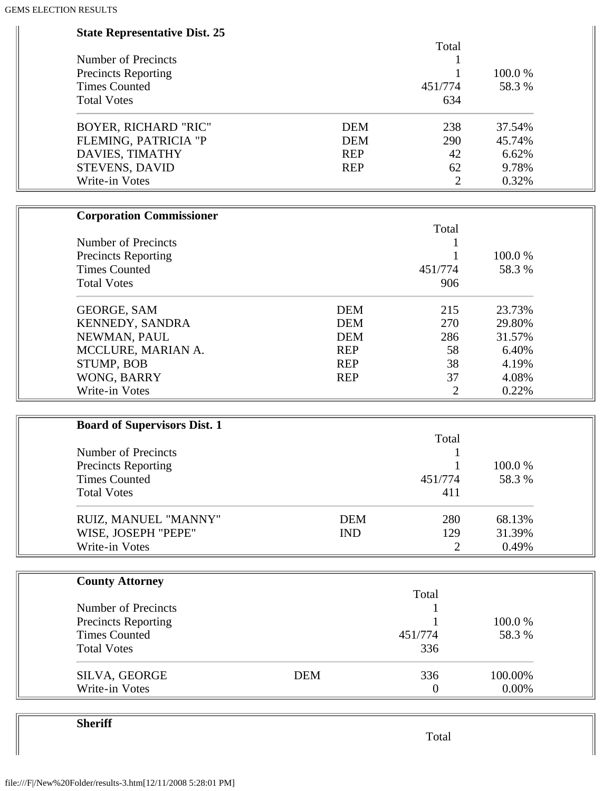| <b>State Representative Dist. 25</b> |            |            |                |         |  |
|--------------------------------------|------------|------------|----------------|---------|--|
|                                      |            |            | Total          |         |  |
| <b>Number of Precincts</b>           |            |            | 1              |         |  |
| <b>Precincts Reporting</b>           |            |            |                | 100.0%  |  |
| <b>Times Counted</b>                 |            |            | 451/774        | 58.3%   |  |
| <b>Total Votes</b>                   |            |            | 634            |         |  |
| <b>BOYER, RICHARD "RIC"</b>          |            | <b>DEM</b> | 238            | 37.54%  |  |
| FLEMING, PATRICIA "P                 |            | <b>DEM</b> | 290            | 45.74%  |  |
| DAVIES, TIMATHY                      |            | <b>REP</b> | 42             | 6.62%   |  |
| STEVENS, DAVID                       |            | <b>REP</b> | 62             | 9.78%   |  |
| Write-in Votes                       |            |            | $\overline{2}$ | 0.32%   |  |
| <b>Corporation Commissioner</b>      |            |            |                |         |  |
|                                      |            |            | Total          |         |  |
| Number of Precincts                  |            |            |                |         |  |
| <b>Precincts Reporting</b>           |            |            |                | 100.0%  |  |
| <b>Times Counted</b>                 |            |            | 451/774        | 58.3%   |  |
| <b>Total Votes</b>                   |            |            | 906            |         |  |
| <b>GEORGE, SAM</b>                   |            | <b>DEM</b> | 215            | 23.73%  |  |
| KENNEDY, SANDRA                      |            | <b>DEM</b> | 270            | 29.80%  |  |
| NEWMAN, PAUL                         |            | <b>DEM</b> | 286            | 31.57%  |  |
| MCCLURE, MARIAN A.                   |            | <b>REP</b> | 58             | 6.40%   |  |
| STUMP, BOB                           |            | <b>REP</b> | 38             | 4.19%   |  |
| WONG, BARRY                          |            | <b>REP</b> | 37             | 4.08%   |  |
| Write-in Votes                       |            |            | 2              | 0.22%   |  |
| <b>Board of Supervisors Dist. 1</b>  |            |            |                |         |  |
|                                      |            |            | Total          |         |  |
| <b>Number of Precincts</b>           |            |            |                |         |  |
| <b>Precincts Reporting</b>           |            |            | 1              | 100.0%  |  |
| <b>Times Counted</b>                 |            |            | 451/774        | 58.3%   |  |
| <b>Total Votes</b>                   |            |            | 411            |         |  |
|                                      |            |            |                |         |  |
| RUIZ, MANUEL "MANNY"                 |            | <b>DEM</b> | 280            | 68.13%  |  |
| WISE, JOSEPH "PEPE"                  |            | <b>IND</b> | 129            | 31.39%  |  |
| Write-in Votes                       |            |            | 2              | 0.49%   |  |
| <b>County Attorney</b>               |            |            |                |         |  |
|                                      |            |            | Total          |         |  |
| Number of Precincts                  |            |            |                |         |  |
| <b>Precincts Reporting</b>           |            |            |                | 100.0%  |  |
| <b>Times Counted</b>                 |            |            | 451/774        | 58.3%   |  |
| <b>Total Votes</b>                   |            |            | 336            |         |  |
| SILVA, GEORGE                        | <b>DEM</b> |            | 336            | 100.00% |  |
| Write-in Votes                       |            |            | $\overline{0}$ | 0.00%   |  |

**Sheriff**

Total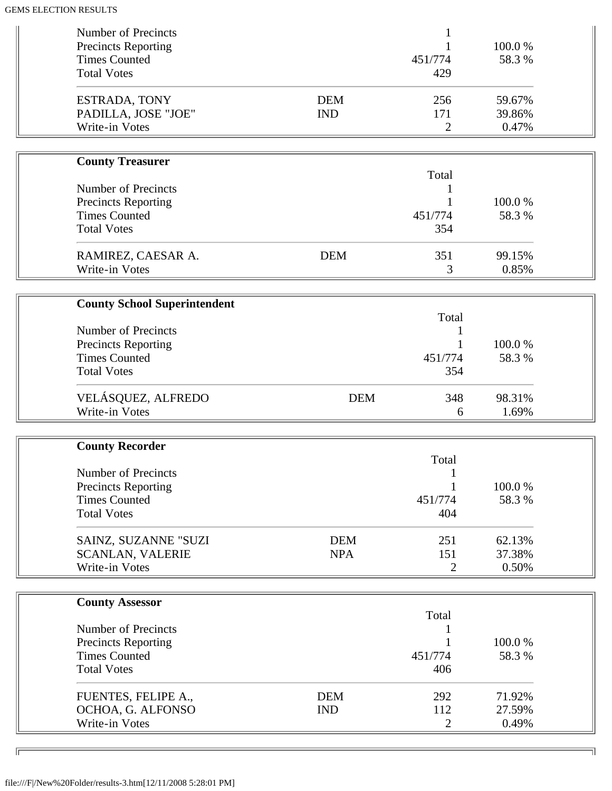| Number of Precincts<br><b>Precincts Reporting</b><br><b>Times Counted</b> |                          | 451/774                      | 100.0%<br>58.3%           |  |
|---------------------------------------------------------------------------|--------------------------|------------------------------|---------------------------|--|
| <b>Total Votes</b>                                                        |                          | 429                          |                           |  |
| ESTRADA, TONY<br>PADILLA, JOSE "JOE"<br>Write-in Votes                    | <b>DEM</b><br><b>IND</b> | 256<br>171<br>$\overline{2}$ | 59.67%<br>39.86%<br>0.47% |  |
|                                                                           |                          |                              |                           |  |
| <b>County Treasurer</b>                                                   |                          |                              |                           |  |
|                                                                           |                          | Total                        |                           |  |
| Number of Precincts                                                       |                          |                              |                           |  |
| <b>Precincts Reporting</b>                                                |                          |                              | 100.0%                    |  |
| <b>Times Counted</b>                                                      |                          | 451/774                      | 58.3%                     |  |
| <b>Total Votes</b>                                                        |                          | 354                          |                           |  |
| RAMIREZ, CAESAR A.                                                        | <b>DEM</b>               | 351                          | 99.15%                    |  |
| Write-in Votes                                                            |                          | 3                            | 0.85%                     |  |
|                                                                           |                          |                              |                           |  |
| <b>County School Superintendent</b>                                       |                          |                              |                           |  |
|                                                                           |                          | Total                        |                           |  |
| Number of Precincts                                                       |                          |                              |                           |  |
| <b>Precincts Reporting</b>                                                |                          |                              | 100.0%                    |  |
| <b>Times Counted</b>                                                      |                          | 451/774                      | 58.3%                     |  |
| <b>Total Votes</b>                                                        |                          | 354                          |                           |  |
| VELÁSQUEZ, ALFREDO                                                        | <b>DEM</b>               | 348                          | 98.31%                    |  |
| Write-in Votes                                                            |                          | 6                            | 1.69%                     |  |
|                                                                           |                          |                              |                           |  |
| <b>County Recorder</b>                                                    |                          |                              |                           |  |
|                                                                           |                          | Total                        |                           |  |
| <b>Number of Precincts</b>                                                |                          |                              |                           |  |
| <b>Precincts Reporting</b>                                                |                          |                              | 100.0%                    |  |
| <b>Times Counted</b>                                                      |                          | 451/774                      | 58.3%                     |  |
| <b>Total Votes</b>                                                        |                          | 404                          |                           |  |
| SAINZ, SUZANNE "SUZI                                                      | <b>DEM</b>               | 251                          | 62.13%                    |  |
| <b>SCANLAN, VALERIE</b>                                                   | <b>NPA</b>               | 151                          | 37.38%                    |  |
| Write-in Votes                                                            |                          | $\overline{2}$               | 0.50%                     |  |
|                                                                           |                          |                              |                           |  |
| <b>County Assessor</b>                                                    |                          |                              |                           |  |
|                                                                           |                          | Total                        |                           |  |
| Number of Precincts                                                       |                          |                              |                           |  |
| <b>Precincts Reporting</b>                                                |                          |                              | 100.0%                    |  |
| <b>Times Counted</b>                                                      |                          | 451/774                      | 58.3%                     |  |
| <b>Total Votes</b>                                                        |                          | 406                          |                           |  |
| FUENTES, FELIPE A.,                                                       | <b>DEM</b>               | 292                          | 71.92%                    |  |
| OCHOA, G. ALFONSO                                                         |                          |                              |                           |  |
|                                                                           |                          |                              |                           |  |
| Write-in Votes                                                            | <b>IND</b>               | 112<br>2                     | 27.59%<br>0.49%           |  |

╗

 $\overline{\phantom{0}}$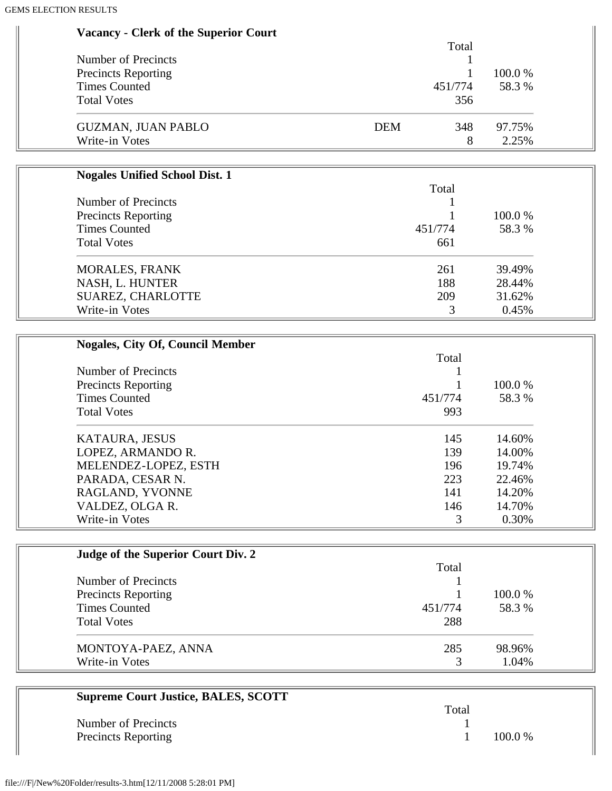| <b>Vacancy - Clerk of the Superior Court</b> |                   |            |
|----------------------------------------------|-------------------|------------|
|                                              | Total             |            |
| <b>Number of Precincts</b>                   | 1                 |            |
| <b>Precincts Reporting</b>                   | 1                 | 100.0%     |
| <b>Times Counted</b>                         | 451/774           | 58.3%      |
| <b>Total Votes</b>                           | 356               |            |
| <b>GUZMAN, JUAN PABLO</b>                    | <b>DEM</b><br>348 | 97.75%     |
| Write-in Votes                               | 8                 | 2.25%      |
| <b>Nogales Unified School Dist. 1</b>        |                   |            |
|                                              | Total             |            |
| <b>Number of Precincts</b>                   |                   |            |
| <b>Precincts Reporting</b>                   |                   | 100.0%     |
| <b>Times Counted</b>                         | 451/774           | 58.3%      |
| <b>Total Votes</b>                           | 661               |            |
| <b>MORALES, FRANK</b>                        | 261               | 39.49%     |
| NASH, L. HUNTER                              | 188               | 28.44%     |
| SUAREZ, CHARLOTTE                            | 209               | 31.62%     |
| Write-in Votes                               | 3                 | 0.45%      |
| <b>Nogales, City Of, Council Member</b>      |                   |            |
|                                              | Total             |            |
| Number of Precincts                          | 1                 |            |
| <b>Precincts Reporting</b>                   |                   | 100.0%     |
| <b>Times Counted</b>                         | 451/774           | 58.3%      |
| <b>Total Votes</b>                           | 993               |            |
| KATAURA, JESUS                               | 145               | 14.60%     |
| LOPEZ, ARMANDO R.                            | 139               | 14.00%     |
| MELENDEZ-LOPEZ, ESTH                         | 196               | 19.74%     |
| PARADA, CESAR N.                             | 223               | 22.46%     |
| RAGLAND, YVONNE                              | 141               | 14.20%     |
| VALDEZ, OLGA R.                              | 146               | 14.70%     |
| Write-in Votes                               | 3                 | 0.30%      |
| Judge of the Superior Court Div. 2           |                   |            |
|                                              | Total             |            |
| <b>Number of Precincts</b>                   | 1                 |            |
| <b>Precincts Reporting</b>                   |                   | $100.0~\%$ |

| _<br>Times Counted<br><b>Total Votes</b> | 451/774<br>288 | 58.3 % |
|------------------------------------------|----------------|--------|
| MONTOYA-PAEZ, ANNA                       | 285            | 98.96% |
| Write-in Votes                           |                | 1.04%  |

| <b>Supreme Court Justice, BALES, SCOTT</b> |       |           |
|--------------------------------------------|-------|-----------|
|                                            | Total |           |
| Number of Precincts                        |       |           |
| <b>Precincts Reporting</b>                 |       | $100.0\%$ |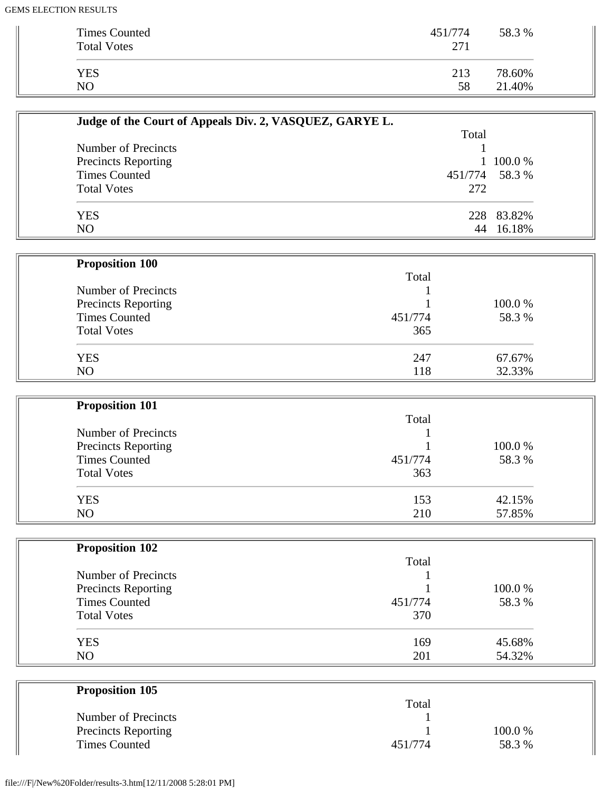| <b>Times Counted</b><br><b>Total Votes</b> | 451/774<br>271 | 58.3 % |
|--------------------------------------------|----------------|--------|
| <b>YES</b>                                 | 213            | 78.60% |
| NΟ                                         | 58             | 21.40% |

| Judge of the Court of Appeals Div. 2, VASQUEZ, GARYE L. |                |            |
|---------------------------------------------------------|----------------|------------|
|                                                         | Total          |            |
| Number of Precincts                                     |                |            |
| <b>Precincts Reporting</b>                              |                | 1 100.0 %  |
| <b>Times Counted</b>                                    | 451/774 58.3 % |            |
| <b>Total Votes</b>                                      | 272            |            |
| <b>YES</b>                                              |                | 228 83.82% |
| NO                                                      | 44             | 16.18%     |

| <b>Proposition 100</b> |         |         |
|------------------------|---------|---------|
|                        | Total   |         |
| Number of Precincts    |         |         |
| Precincts Reporting    |         | 100.0 % |
| <b>Times Counted</b>   | 451/774 | 58.3 %  |
| <b>Total Votes</b>     | 365     |         |
| <b>YES</b>             | 247     | 67.67%  |
| N <sub>O</sub>         | 118     | 32.33%  |

| <b>Proposition 101</b> |         |        |
|------------------------|---------|--------|
|                        | Total   |        |
| Number of Precincts    |         |        |
| Precincts Reporting    |         | 100.0% |
| <b>Times Counted</b>   | 451/774 | 58.3 % |
| <b>Total Votes</b>     | 363     |        |
| <b>YES</b>             | 153     | 42.15% |
| N <sub>O</sub>         | 210     | 57.85% |

| <b>Proposition 102</b>     |         |        |
|----------------------------|---------|--------|
|                            | Total   |        |
| Number of Precincts        |         |        |
| <b>Precincts Reporting</b> |         | 100.0% |
| <b>Times Counted</b>       | 451/774 | 58.3%  |
| <b>Total Votes</b>         | 370     |        |
| <b>YES</b>                 | 169     | 45.68% |
| N <sub>O</sub>             | 201     | 54.32% |

| <b>Proposition 105</b>     |         |         |
|----------------------------|---------|---------|
|                            | Total   |         |
| Number of Precincts        |         |         |
| <b>Precincts Reporting</b> |         | 100.0 % |
| <b>Times Counted</b>       | 451/774 | 58.3 %  |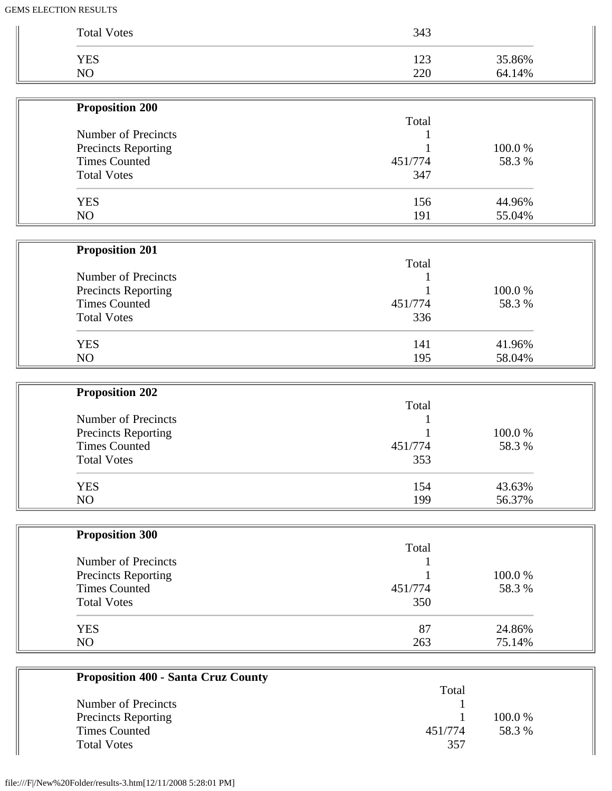| NO                         | 220     | 64.14% |
|----------------------------|---------|--------|
| <b>Proposition 200</b>     |         |        |
|                            | Total   |        |
| Number of Precincts        |         |        |
| Precincts Reporting        |         | 100.0% |
| <b>Times Counted</b>       | 451/774 | 58.3%  |
| <b>Total Votes</b>         | 347     |        |
| <b>YES</b>                 | 156     | 44.96% |
| NO                         | 191     | 55.04% |
|                            |         |        |
| <b>Proposition 201</b>     | Total   |        |
| Number of Precincts        |         |        |
| <b>Precincts Reporting</b> |         | 100.0% |
| <b>Times Counted</b>       | 451/774 | 58.3%  |
| <b>Total Votes</b>         | 336     |        |
| <b>YES</b>                 | 141     | 41.96% |
| NO                         | 195     | 58.04% |
|                            |         |        |
| <b>Proposition 202</b>     | Total   |        |
| Number of Precincts        |         |        |
| Precincts Reporting        |         | 100.0% |
| <b>Times Counted</b>       | 451/774 | 58.3%  |
| <b>Total Votes</b>         | 353     |        |
| <b>YES</b>                 | 154     | 43.63% |
| NO                         | 199     | 56.37% |
|                            |         |        |
| <b>Proposition 300</b>     | Total   |        |
| Number of Precincts        |         |        |
| <b>Precincts Reporting</b> |         | 100.0% |
| <b>Times Counted</b>       | 451/774 | 58.3%  |
| <b>Total Votes</b>         | 350     |        |
| <b>YES</b>                 | 87      | 24.86% |
| NO                         | 263     | 75.14% |

| <b>Proposition 400 - Santa Cruz County</b> |         |         |
|--------------------------------------------|---------|---------|
|                                            | Total   |         |
| Number of Precincts                        |         |         |
| <b>Precincts Reporting</b>                 |         | 100.0 % |
| Times Counted                              | 451/774 | 58.3 %  |
| <b>Total Votes</b>                         | 357     |         |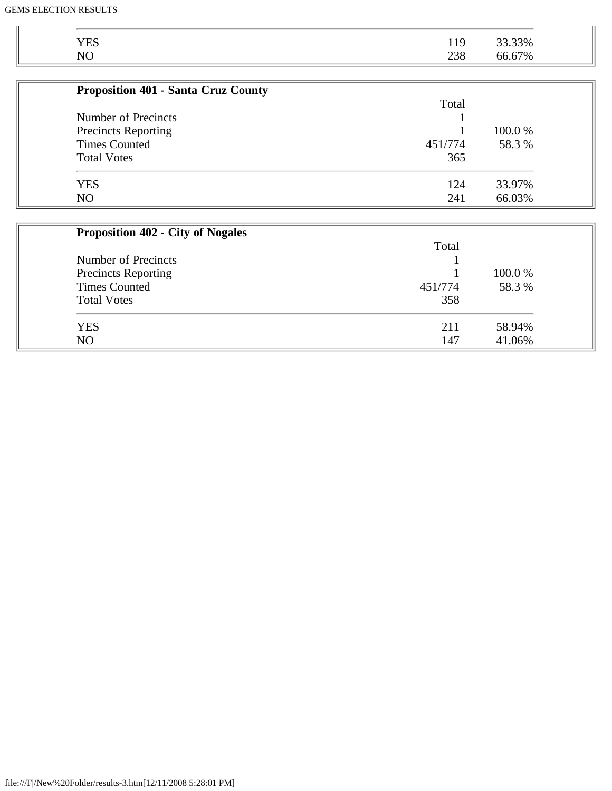| <b>YES</b>                                 | 119     | 33.33% |
|--------------------------------------------|---------|--------|
| N <sub>O</sub>                             | 238     | 66.67% |
|                                            |         |        |
| <b>Proposition 401 - Santa Cruz County</b> |         |        |
|                                            | Total   |        |
| Number of Precincts                        |         |        |
| <b>Precincts Reporting</b>                 |         | 100.0% |
| <b>Times Counted</b>                       | 451/774 | 58.3 % |
| <b>Total Votes</b>                         | 365     |        |
| <b>YES</b>                                 | 124     | 33.97% |
| NO                                         | 241     | 66.03% |
|                                            |         |        |
| <b>Proposition 402 - City of Nogales</b>   |         |        |
|                                            | Total   |        |
| <b>Number of Precincts</b>                 |         |        |
| <b>Precincts Reporting</b>                 |         | 100.0% |
| <b>Times Counted</b>                       | 451/774 | 58.3%  |
| <b>Total Votes</b>                         | 358     |        |
|                                            |         |        |

| TOMI I OLOJ    | - - - -    |                              |
|----------------|------------|------------------------------|
| VES<br>سند     | $\sim$ 1 1 | 94%<br>$\cup$ $\cup$ $\cdot$ |
| N <sub>O</sub> | 147        | 96%                          |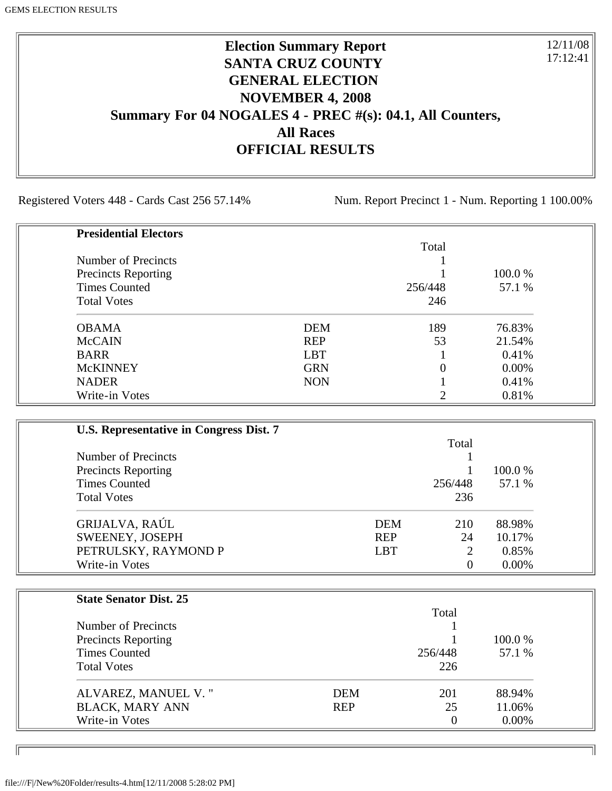# **Election Summary Report SANTA CRUZ COUNTY GENERAL ELECTION NOVEMBER 4, 2008 Summary For 04 NOGALES 4 - PREC #(s): 04.1, All Counters, All Races OFFICIAL RESULTS**

Registered Voters 448 - Cards Cast 256 57.14% Num. Report Precinct 1 - Num. Reporting 1 100.00%

12/11/08 17:12:41

٦I

| <b>Presidential Electors</b> |            |          |         |
|------------------------------|------------|----------|---------|
|                              |            | Total    |         |
| Number of Precincts          |            |          |         |
| <b>Precincts Reporting</b>   |            |          | 100.0 % |
| <b>Times Counted</b>         |            | 256/448  | 57.1 %  |
| <b>Total Votes</b>           |            | 246      |         |
| <b>OBAMA</b>                 | <b>DEM</b> | 189      | 76.83%  |
| <b>McCAIN</b>                | <b>REP</b> | 53       | 21.54%  |
| <b>BARR</b>                  | <b>LBT</b> |          | 0.41%   |
| <b>McKINNEY</b>              | <b>GRN</b> | $\Omega$ | 0.00%   |
| <b>NADER</b>                 | <b>NON</b> |          | 0.41%   |
| Write-in Votes               |            |          | 0.81%   |

| U.S. Representative in Congress Dist. 7 |            |          |          |
|-----------------------------------------|------------|----------|----------|
|                                         |            | Total    |          |
| Number of Precincts                     |            |          |          |
| <b>Precincts Reporting</b>              |            |          | 100.0 %  |
| <b>Times Counted</b>                    |            | 256/448  | 57.1 %   |
| <b>Total Votes</b>                      |            | 236      |          |
| GRIJALVA, RAÚL                          | <b>DEM</b> | 210      | 88.98%   |
| SWEENEY, JOSEPH                         | <b>REP</b> | 24       | 10.17%   |
| PETRULSKY, RAYMOND P                    | <b>LBT</b> | 2        | 0.85%    |
| Write-in Votes                          |            | $\theta$ | $0.00\%$ |

| <b>State Senator Dist. 25</b> |            |          |         |
|-------------------------------|------------|----------|---------|
|                               |            | Total    |         |
| Number of Precincts           |            |          |         |
| <b>Precincts Reporting</b>    |            |          | 100.0 % |
| <b>Times Counted</b>          |            | 256/448  | 57.1 %  |
| <b>Total Votes</b>            |            | 226      |         |
| ALVAREZ, MANUEL V."           | <b>DEM</b> | 201      | 88.94%  |
| <b>BLACK, MARY ANN</b>        | <b>REP</b> | 25       | 11.06%  |
| Write-in Votes                |            | $\theta$ | 0.00%   |

ID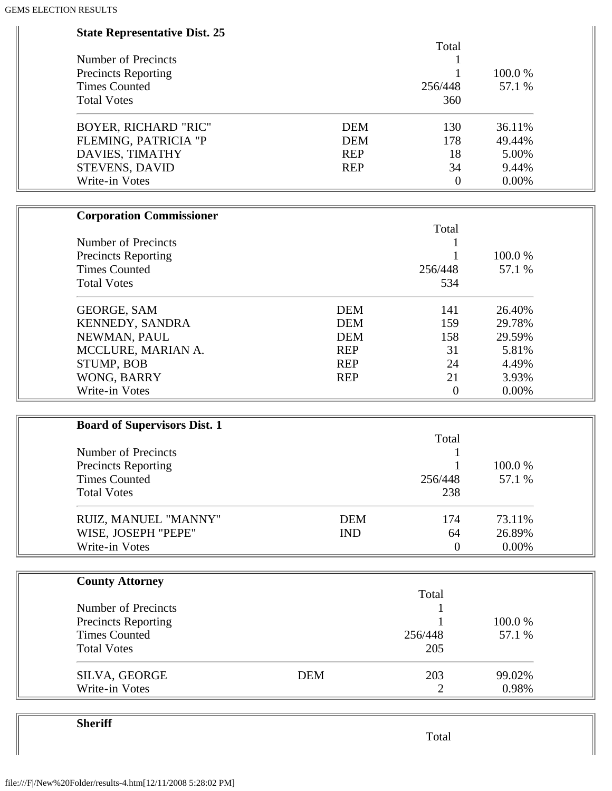| <b>State Representative Dist. 25</b> |            |            |                  |        |  |
|--------------------------------------|------------|------------|------------------|--------|--|
|                                      |            |            | Total            |        |  |
| Number of Precincts                  |            |            |                  |        |  |
| <b>Precincts Reporting</b>           |            |            |                  | 100.0% |  |
| <b>Times Counted</b>                 |            |            | 256/448          | 57.1 % |  |
| <b>Total Votes</b>                   |            |            | 360              |        |  |
| <b>BOYER, RICHARD "RIC"</b>          |            | <b>DEM</b> | 130              | 36.11% |  |
| FLEMING, PATRICIA "P                 |            | <b>DEM</b> | 178              | 49.44% |  |
| DAVIES, TIMATHY                      |            | <b>REP</b> | 18               | 5.00%  |  |
| <b>STEVENS, DAVID</b>                |            | <b>REP</b> | 34               | 9.44%  |  |
| Write-in Votes                       |            |            | $\overline{0}$   | 0.00%  |  |
| <b>Corporation Commissioner</b>      |            |            |                  |        |  |
|                                      |            |            | Total            |        |  |
| Number of Precincts                  |            |            |                  |        |  |
| <b>Precincts Reporting</b>           |            |            |                  | 100.0% |  |
| <b>Times Counted</b>                 |            |            | 256/448          | 57.1 % |  |
| <b>Total Votes</b>                   |            |            | 534              |        |  |
| <b>GEORGE, SAM</b>                   |            | <b>DEM</b> | 141              | 26.40% |  |
| KENNEDY, SANDRA                      |            | <b>DEM</b> | 159              | 29.78% |  |
| NEWMAN, PAUL                         |            | <b>DEM</b> | 158              | 29.59% |  |
| MCCLURE, MARIAN A.                   |            | <b>REP</b> | 31               | 5.81%  |  |
| <b>STUMP, BOB</b>                    |            | <b>REP</b> | 24               | 4.49%  |  |
| WONG, BARRY                          |            | <b>REP</b> | 21               | 3.93%  |  |
| Write-in Votes                       |            |            | $\overline{0}$   | 0.00%  |  |
|                                      |            |            |                  |        |  |
| <b>Board of Supervisors Dist. 1</b>  |            |            | Total            |        |  |
| <b>Number of Precincts</b>           |            |            |                  |        |  |
| <b>Precincts Reporting</b>           |            |            |                  | 100.0% |  |
| <b>Times Counted</b>                 |            |            | 256/448          | 57.1 % |  |
| <b>Total Votes</b>                   |            |            |                  |        |  |
|                                      |            |            | 238              |        |  |
| RUIZ, MANUEL "MANNY"                 |            | <b>DEM</b> | 174              | 73.11% |  |
| WISE, JOSEPH "PEPE"                  |            | <b>IND</b> | 64               | 26.89% |  |
| Write-in Votes                       |            |            | $\boldsymbol{0}$ | 0.00%  |  |
| <b>County Attorney</b>               |            |            |                  |        |  |
|                                      |            |            | Total            |        |  |
| Number of Precincts                  |            |            |                  |        |  |
| <b>Precincts Reporting</b>           |            |            |                  | 100.0% |  |
| <b>Times Counted</b>                 |            |            | 256/448          | 57.1 % |  |
| <b>Total Votes</b>                   |            |            | 205              |        |  |
| SILVA, GEORGE                        | <b>DEM</b> |            | 203              | 99.02% |  |
| Write-in Votes                       |            |            | 2                | 0.98%  |  |

**Sheriff**

Total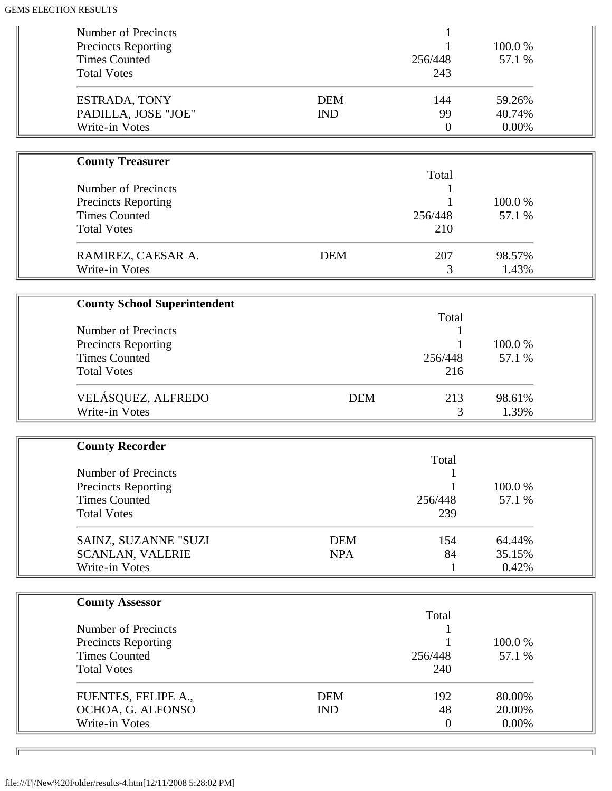| <b>Total Votes</b><br>243<br><b>DEM</b><br>144<br>59.26%<br>ESTRADA, TONY<br>PADILLA, JOSE "JOE"<br><b>IND</b><br>99<br>40.74%<br>Write-in Votes<br>0.00%<br>$\boldsymbol{0}$<br><b>County Treasurer</b><br>Total<br><b>Number of Precincts</b><br>100.0%<br><b>Precincts Reporting</b><br><b>Times Counted</b><br>256/448<br>57.1 %<br><b>Total Votes</b><br>210<br><b>DEM</b><br>207<br>98.57%<br>RAMIREZ, CAESAR A.<br>Write-in Votes<br>1.43%<br>3<br><b>County School Superintendent</b><br>Total<br>Number of Precincts<br><b>Precincts Reporting</b><br>100.0%<br><b>Times Counted</b><br>256/448<br>57.1 %<br><b>Total Votes</b><br>216<br>VELÁSQUEZ, ALFREDO<br><b>DEM</b><br>98.61%<br>213<br>Write-in Votes<br>3<br>1.39%<br><b>County Recorder</b><br>Total<br><b>Number of Precincts</b><br>100.0%<br><b>Precincts Reporting</b><br><b>Times Counted</b><br>57.1 %<br>256/448<br><b>Total Votes</b><br>239<br><b>DEM</b><br>SAINZ, SUZANNE "SUZI<br>154<br>64.44%<br><b>NPA</b><br>84<br>35.15%<br><b>SCANLAN, VALERIE</b><br>Write-in Votes<br>0.42%<br>1<br><b>County Assessor</b><br>Total<br>Number of Precincts<br>1<br>100.0%<br><b>Precincts Reporting</b><br><b>Times Counted</b><br>256/448<br>57.1 %<br><b>Total Votes</b><br>240<br>FUENTES, FELIPE A.,<br><b>DEM</b><br>192<br>80.00% | Number of Precincts<br><b>Precincts Reporting</b><br><b>Times Counted</b> |            | 256/448 | 100.0%<br>57.1 % |  |
|----------------------------------------------------------------------------------------------------------------------------------------------------------------------------------------------------------------------------------------------------------------------------------------------------------------------------------------------------------------------------------------------------------------------------------------------------------------------------------------------------------------------------------------------------------------------------------------------------------------------------------------------------------------------------------------------------------------------------------------------------------------------------------------------------------------------------------------------------------------------------------------------------------------------------------------------------------------------------------------------------------------------------------------------------------------------------------------------------------------------------------------------------------------------------------------------------------------------------------------------------------------------------------------------------------------|---------------------------------------------------------------------------|------------|---------|------------------|--|
|                                                                                                                                                                                                                                                                                                                                                                                                                                                                                                                                                                                                                                                                                                                                                                                                                                                                                                                                                                                                                                                                                                                                                                                                                                                                                                                |                                                                           |            |         |                  |  |
|                                                                                                                                                                                                                                                                                                                                                                                                                                                                                                                                                                                                                                                                                                                                                                                                                                                                                                                                                                                                                                                                                                                                                                                                                                                                                                                |                                                                           |            |         |                  |  |
|                                                                                                                                                                                                                                                                                                                                                                                                                                                                                                                                                                                                                                                                                                                                                                                                                                                                                                                                                                                                                                                                                                                                                                                                                                                                                                                |                                                                           |            |         |                  |  |
|                                                                                                                                                                                                                                                                                                                                                                                                                                                                                                                                                                                                                                                                                                                                                                                                                                                                                                                                                                                                                                                                                                                                                                                                                                                                                                                |                                                                           |            |         |                  |  |
|                                                                                                                                                                                                                                                                                                                                                                                                                                                                                                                                                                                                                                                                                                                                                                                                                                                                                                                                                                                                                                                                                                                                                                                                                                                                                                                |                                                                           |            |         |                  |  |
|                                                                                                                                                                                                                                                                                                                                                                                                                                                                                                                                                                                                                                                                                                                                                                                                                                                                                                                                                                                                                                                                                                                                                                                                                                                                                                                |                                                                           |            |         |                  |  |
|                                                                                                                                                                                                                                                                                                                                                                                                                                                                                                                                                                                                                                                                                                                                                                                                                                                                                                                                                                                                                                                                                                                                                                                                                                                                                                                |                                                                           |            |         |                  |  |
|                                                                                                                                                                                                                                                                                                                                                                                                                                                                                                                                                                                                                                                                                                                                                                                                                                                                                                                                                                                                                                                                                                                                                                                                                                                                                                                |                                                                           |            |         |                  |  |
|                                                                                                                                                                                                                                                                                                                                                                                                                                                                                                                                                                                                                                                                                                                                                                                                                                                                                                                                                                                                                                                                                                                                                                                                                                                                                                                |                                                                           |            |         |                  |  |
|                                                                                                                                                                                                                                                                                                                                                                                                                                                                                                                                                                                                                                                                                                                                                                                                                                                                                                                                                                                                                                                                                                                                                                                                                                                                                                                |                                                                           |            |         |                  |  |
|                                                                                                                                                                                                                                                                                                                                                                                                                                                                                                                                                                                                                                                                                                                                                                                                                                                                                                                                                                                                                                                                                                                                                                                                                                                                                                                |                                                                           |            |         |                  |  |
|                                                                                                                                                                                                                                                                                                                                                                                                                                                                                                                                                                                                                                                                                                                                                                                                                                                                                                                                                                                                                                                                                                                                                                                                                                                                                                                |                                                                           |            |         |                  |  |
|                                                                                                                                                                                                                                                                                                                                                                                                                                                                                                                                                                                                                                                                                                                                                                                                                                                                                                                                                                                                                                                                                                                                                                                                                                                                                                                |                                                                           |            |         |                  |  |
|                                                                                                                                                                                                                                                                                                                                                                                                                                                                                                                                                                                                                                                                                                                                                                                                                                                                                                                                                                                                                                                                                                                                                                                                                                                                                                                |                                                                           |            |         |                  |  |
|                                                                                                                                                                                                                                                                                                                                                                                                                                                                                                                                                                                                                                                                                                                                                                                                                                                                                                                                                                                                                                                                                                                                                                                                                                                                                                                |                                                                           |            |         |                  |  |
|                                                                                                                                                                                                                                                                                                                                                                                                                                                                                                                                                                                                                                                                                                                                                                                                                                                                                                                                                                                                                                                                                                                                                                                                                                                                                                                |                                                                           |            |         |                  |  |
|                                                                                                                                                                                                                                                                                                                                                                                                                                                                                                                                                                                                                                                                                                                                                                                                                                                                                                                                                                                                                                                                                                                                                                                                                                                                                                                |                                                                           |            |         |                  |  |
|                                                                                                                                                                                                                                                                                                                                                                                                                                                                                                                                                                                                                                                                                                                                                                                                                                                                                                                                                                                                                                                                                                                                                                                                                                                                                                                |                                                                           |            |         |                  |  |
|                                                                                                                                                                                                                                                                                                                                                                                                                                                                                                                                                                                                                                                                                                                                                                                                                                                                                                                                                                                                                                                                                                                                                                                                                                                                                                                |                                                                           |            |         |                  |  |
|                                                                                                                                                                                                                                                                                                                                                                                                                                                                                                                                                                                                                                                                                                                                                                                                                                                                                                                                                                                                                                                                                                                                                                                                                                                                                                                |                                                                           |            |         |                  |  |
|                                                                                                                                                                                                                                                                                                                                                                                                                                                                                                                                                                                                                                                                                                                                                                                                                                                                                                                                                                                                                                                                                                                                                                                                                                                                                                                |                                                                           |            |         |                  |  |
|                                                                                                                                                                                                                                                                                                                                                                                                                                                                                                                                                                                                                                                                                                                                                                                                                                                                                                                                                                                                                                                                                                                                                                                                                                                                                                                |                                                                           |            |         |                  |  |
|                                                                                                                                                                                                                                                                                                                                                                                                                                                                                                                                                                                                                                                                                                                                                                                                                                                                                                                                                                                                                                                                                                                                                                                                                                                                                                                |                                                                           |            |         |                  |  |
|                                                                                                                                                                                                                                                                                                                                                                                                                                                                                                                                                                                                                                                                                                                                                                                                                                                                                                                                                                                                                                                                                                                                                                                                                                                                                                                |                                                                           |            |         |                  |  |
|                                                                                                                                                                                                                                                                                                                                                                                                                                                                                                                                                                                                                                                                                                                                                                                                                                                                                                                                                                                                                                                                                                                                                                                                                                                                                                                |                                                                           |            |         |                  |  |
|                                                                                                                                                                                                                                                                                                                                                                                                                                                                                                                                                                                                                                                                                                                                                                                                                                                                                                                                                                                                                                                                                                                                                                                                                                                                                                                |                                                                           |            |         |                  |  |
|                                                                                                                                                                                                                                                                                                                                                                                                                                                                                                                                                                                                                                                                                                                                                                                                                                                                                                                                                                                                                                                                                                                                                                                                                                                                                                                |                                                                           |            |         |                  |  |
|                                                                                                                                                                                                                                                                                                                                                                                                                                                                                                                                                                                                                                                                                                                                                                                                                                                                                                                                                                                                                                                                                                                                                                                                                                                                                                                | OCHOA, G. ALFONSO                                                         | <b>IND</b> | 48      | 20.00%           |  |
| Write-in Votes<br>0.00%<br>$\overline{0}$                                                                                                                                                                                                                                                                                                                                                                                                                                                                                                                                                                                                                                                                                                                                                                                                                                                                                                                                                                                                                                                                                                                                                                                                                                                                      |                                                                           |            |         |                  |  |

╗

 $\sqrt{2}$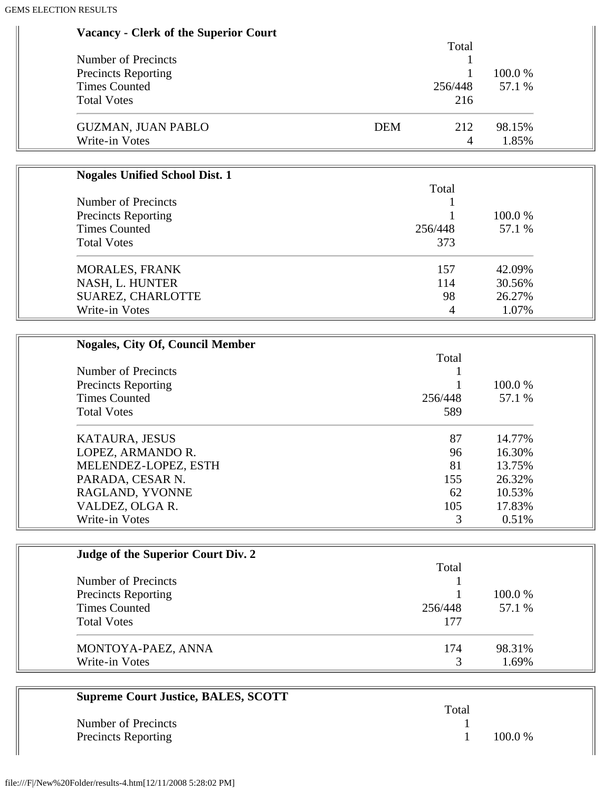|                                                    |            | Total          |        |
|----------------------------------------------------|------------|----------------|--------|
| Number of Precincts                                |            | 1              | 100.0% |
| <b>Precincts Reporting</b><br><b>Times Counted</b> |            | 1<br>256/448   | 57.1 % |
|                                                    |            |                |        |
| <b>Total Votes</b>                                 |            | 216            |        |
| <b>GUZMAN, JUAN PABLO</b>                          | <b>DEM</b> | 212            | 98.15% |
| Write-in Votes                                     |            | $\overline{4}$ | 1.85%  |
| <b>Nogales Unified School Dist. 1</b>              |            |                |        |
|                                                    |            | Total          |        |
| Number of Precincts                                |            |                |        |
| <b>Precincts Reporting</b>                         |            | 1              | 100.0% |
| <b>Times Counted</b>                               |            | 256/448        | 57.1 % |
| <b>Total Votes</b>                                 |            | 373            |        |
| MORALES, FRANK                                     |            | 157            | 42.09% |
| NASH, L. HUNTER                                    |            | 114            | 30.56% |
| SUAREZ, CHARLOTTE                                  |            | 98             | 26.27% |
| Write-in Votes                                     |            | 4              | 1.07%  |
| <b>Nogales, City Of, Council Member</b>            |            |                |        |
|                                                    |            | Total          |        |
| Number of Precincts                                |            |                |        |
| <b>Precincts Reporting</b>                         |            | 1              | 100.0% |
| <b>Times Counted</b>                               |            | 256/448        | 57.1 % |
| <b>Total Votes</b>                                 |            | 589            |        |
| KATAURA, JESUS                                     |            | 87             | 14.77% |
| LOPEZ, ARMANDO R.                                  |            | 96             | 16.30% |
| MELENDEZ-LOPEZ, ESTH                               |            | 81             | 13.75% |
| PARADA, CESAR N.                                   |            | 155            | 26.32% |
| RAGLAND, YVONNE                                    |            | 62             | 10.53% |
| VALDEZ, OLGA R.                                    |            | 105            | 17.83% |
| Write-in Votes                                     |            | 3              | 0.51%  |

| Judge of the Superior Court Div. 2 |         |         |
|------------------------------------|---------|---------|
|                                    | Total   |         |
| Number of Precincts                |         |         |
| <b>Precincts Reporting</b>         |         | 100.0 % |
| <b>Times Counted</b>               | 256/448 | 57.1 %  |
| <b>Total Votes</b>                 | 177     |         |
| MONTOYA-PAEZ, ANNA                 | 174     | 98.31%  |
| Write-in Votes                     |         | 1.69%   |

| <b>Supreme Court Justice, BALES, SCOTT</b> |       |           |
|--------------------------------------------|-------|-----------|
|                                            | Total |           |
| Number of Precincts                        |       |           |
| <b>Precincts Reporting</b>                 |       | $100.0\%$ |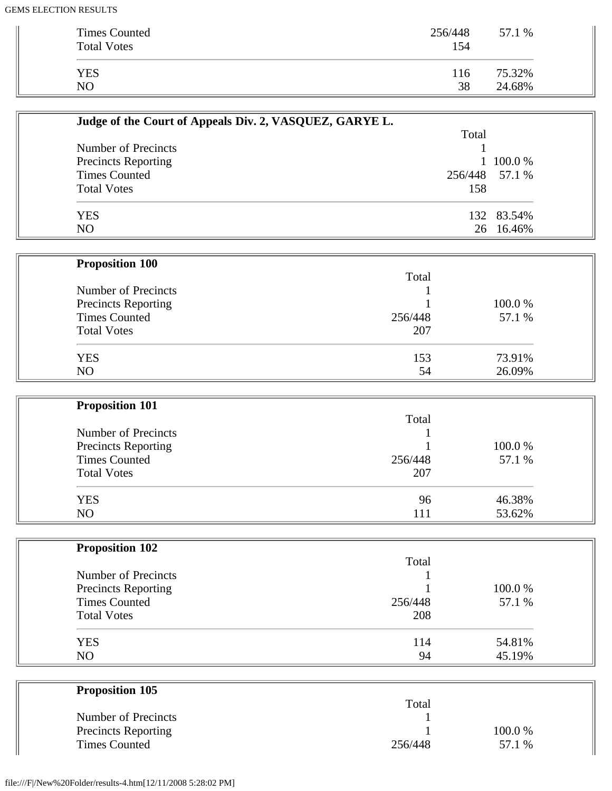| <b>Times Counted</b><br><b>Total Votes</b> | 256/448<br>154 | 57.1 % |
|--------------------------------------------|----------------|--------|
| <b>YES</b>                                 | 116            | 75.32% |
| NO                                         | 38             | 24.68% |

| Judge of the Court of Appeals Div. 2, VASQUEZ, GARYE L. |                |                |  |
|---------------------------------------------------------|----------------|----------------|--|
|                                                         | Total          |                |  |
| Number of Precincts                                     |                |                |  |
| <b>Precincts Reporting</b>                              |                | $1\,100.0\,\%$ |  |
| <b>Times Counted</b>                                    | 256/448 57.1 % |                |  |
| <b>Total Votes</b>                                      | 158            |                |  |
| <b>YES</b>                                              |                | 132 83.54%     |  |
| NO                                                      |                | 26 16.46%      |  |

| <b>Proposition 100</b>     |         |         |
|----------------------------|---------|---------|
|                            | Total   |         |
| Number of Precincts        |         |         |
| <b>Precincts Reporting</b> |         | 100.0 % |
| <b>Times Counted</b>       | 256/448 | 57.1 %  |
| <b>Total Votes</b>         | 207     |         |
| <b>YES</b>                 | 153     | 73.91%  |
| NO                         | 54      | 26.09%  |

| <b>Proposition 101</b>     |         |        |
|----------------------------|---------|--------|
|                            | Total   |        |
| Number of Precincts        |         |        |
| <b>Precincts Reporting</b> |         | 100.0% |
| <b>Times Counted</b>       | 256/448 | 57.1 % |
| <b>Total Votes</b>         | 207     |        |
| <b>YES</b>                 | 96      | 46.38% |
| NO                         | 111     | 53.62% |

| <b>Proposition 102</b> |         |        |
|------------------------|---------|--------|
|                        | Total   |        |
| Number of Precincts    |         |        |
| Precincts Reporting    |         | 100.0% |
| <b>Times Counted</b>   | 256/448 | 57.1 % |
| <b>Total Votes</b>     | 208     |        |
| <b>YES</b>             | 114     | 54.81% |
| N <sub>O</sub>         | 94      | 45.19% |

| <b>Proposition 105</b>     |         |        |
|----------------------------|---------|--------|
|                            | Total   |        |
| Number of Precincts        |         |        |
| <b>Precincts Reporting</b> |         | 100.0% |
| <b>Times Counted</b>       | 256/448 | 57.1 % |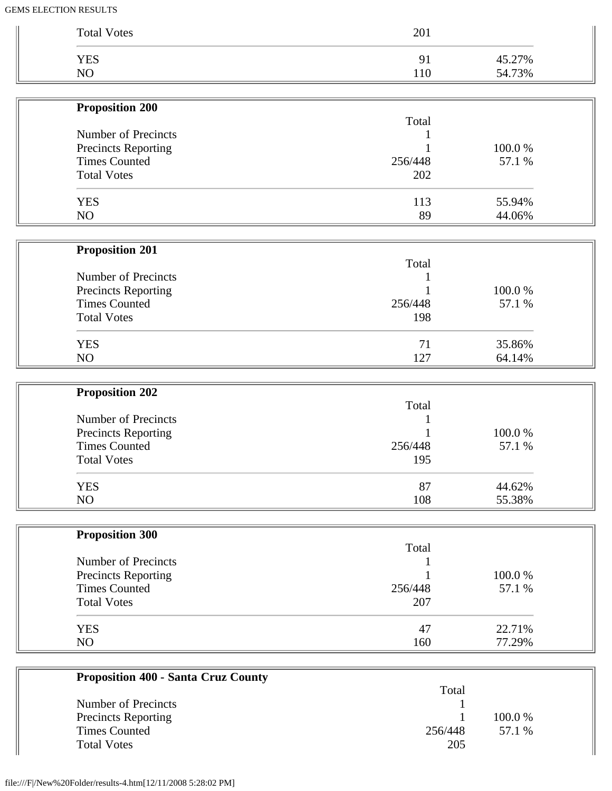| <b>Total Votes</b>         | 201     |        |
|----------------------------|---------|--------|
| <b>YES</b>                 | 91      | 45.27% |
| NO                         | 110     | 54.73% |
| <b>Proposition 200</b>     |         |        |
|                            | Total   |        |
| <b>Number of Precincts</b> |         |        |
| Precincts Reporting        |         | 100.0% |
| <b>Times Counted</b>       | 256/448 | 57.1 % |
| <b>Total Votes</b>         | 202     |        |
| <b>YES</b>                 | 113     | 55.94% |
| NO                         | 89      | 44.06% |
|                            |         |        |
| <b>Proposition 201</b>     | Total   |        |
| Number of Precincts        |         |        |
| Precincts Reporting        |         | 100.0% |
| <b>Times Counted</b>       | 256/448 | 57.1 % |
| <b>Total Votes</b>         | 198     |        |
| <b>YES</b>                 | 71      | 35.86% |
| NO                         | 127     | 64.14% |
| <b>Proposition 202</b>     |         |        |
|                            | Total   |        |
| Number of Precincts        |         |        |
| Precincts Reporting        |         | 100.0% |
| <b>Times Counted</b>       | 256/448 | 57.1 % |
| <b>Total Votes</b>         | 195     |        |
| <b>YES</b>                 | 87      | 44.62% |
| NO                         | 108     | 55.38% |
| <b>Proposition 300</b>     |         |        |
|                            | Total   |        |
| Number of Precincts        |         |        |
| <b>Precincts Reporting</b> |         | 100.0% |
| <b>Times Counted</b>       | 256/448 | 57.1 % |
| <b>Total Votes</b>         | 207     |        |
|                            | 47      | 22.71% |
| <b>YES</b>                 |         |        |

| <b>Proposition 400 - Santa Cruz County</b> | Total   |         |
|--------------------------------------------|---------|---------|
| Number of Precincts                        |         |         |
| <b>Precincts Reporting</b>                 |         | 100.0 % |
| <b>Times Counted</b>                       | 256/448 | 57.1 %  |
| <b>Total Votes</b>                         | 205     |         |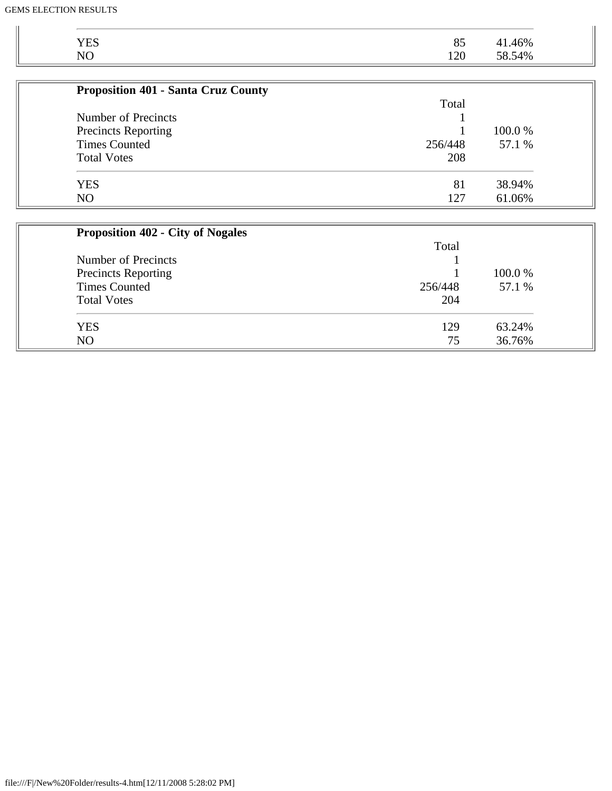| <b>Proposition 401 - Santa Cruz County</b> |         |         |
|--------------------------------------------|---------|---------|
|                                            | Total   |         |
| Number of Precincts                        |         |         |
| <b>Precincts Reporting</b>                 |         | 100.0 % |
| <b>Times Counted</b>                       | 256/448 | 57.1 %  |
| <b>Total Votes</b>                         | 208     |         |
| <b>YES</b>                                 | 81      | 38.94%  |
| N <sub>O</sub>                             | 127     | 61.06%  |

| <b>Proposition 402 - City of Nogales</b> |         |         |  |
|------------------------------------------|---------|---------|--|
|                                          | Total   |         |  |
| Number of Precincts                      |         |         |  |
| <b>Precincts Reporting</b>               |         | 100.0 % |  |
| <b>Times Counted</b>                     | 256/448 | 57.1 %  |  |
| <b>Total Votes</b>                       | 204     |         |  |
| <b>YES</b>                               | 129     | 63.24%  |  |
| N <sub>O</sub>                           | 75      | 36.76%  |  |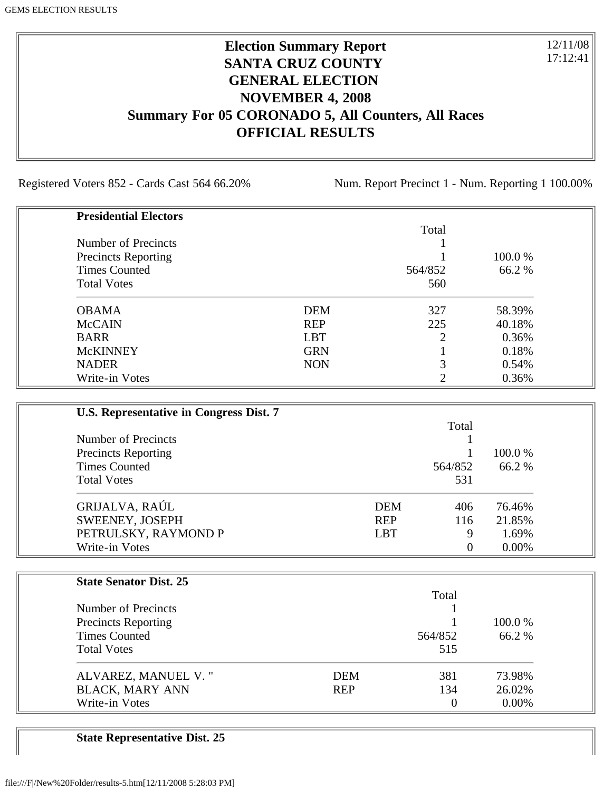### **Election Summary Report SANTA CRUZ COUNTY GENERAL ELECTION NOVEMBER 4, 2008 Summary For 05 CORONADO 5, All Counters, All Races OFFICIAL RESULTS**

Registered Voters 852 - Cards Cast 564 66.20% Num. Report Precinct 1 - Num. Reporting 1 100.00%

12/11/08 17:12:41

| <b>Presidential Electors</b> |            |         |         |
|------------------------------|------------|---------|---------|
|                              |            | Total   |         |
| Number of Precincts          |            |         |         |
| <b>Precincts Reporting</b>   |            |         | 100.0 % |
| <b>Times Counted</b>         |            | 564/852 | 66.2%   |
| <b>Total Votes</b>           |            | 560     |         |
| <b>OBAMA</b>                 | <b>DEM</b> | 327     | 58.39%  |
| <b>McCAIN</b>                | <b>REP</b> | 225     | 40.18%  |
| <b>BARR</b>                  | <b>LBT</b> | 2       | 0.36%   |
| <b>McKINNEY</b>              | <b>GRN</b> |         | 0.18%   |
| <b>NADER</b>                 | <b>NON</b> | 3       | 0.54%   |
| Write-in Votes               |            | ◠       | 0.36%   |

| U.S. Representative in Congress Dist. 7 |            |         |          |
|-----------------------------------------|------------|---------|----------|
|                                         |            | Total   |          |
| Number of Precincts                     |            |         |          |
| <b>Precincts Reporting</b>              |            |         | 100.0 %  |
| <b>Times Counted</b>                    |            | 564/852 | 66.2 %   |
| <b>Total Votes</b>                      |            | 531     |          |
| GRIJALVA, RAÚL                          | <b>DEM</b> | 406     | 76.46%   |
| SWEENEY, JOSEPH                         | <b>REP</b> | 116     | 21.85%   |
| PETRULSKY, RAYMOND P                    | <b>LBT</b> | 9       | 1.69%    |
| Write-in Votes                          |            | 0       | $0.00\%$ |

| <b>State Senator Dist. 25</b> |            |         |          |
|-------------------------------|------------|---------|----------|
|                               |            | Total   |          |
| Number of Precincts           |            |         |          |
| <b>Precincts Reporting</b>    |            |         | 100.0 %  |
| <b>Times Counted</b>          |            | 564/852 | 66.2 %   |
| <b>Total Votes</b>            |            | 515     |          |
| ALVAREZ, MANUEL V."           | <b>DEM</b> | 381     | 73.98%   |
| <b>BLACK, MARY ANN</b>        | <b>REP</b> | 134     | 26.02%   |
| Write-in Votes                |            | 0       | $0.00\%$ |

**State Representative Dist. 25**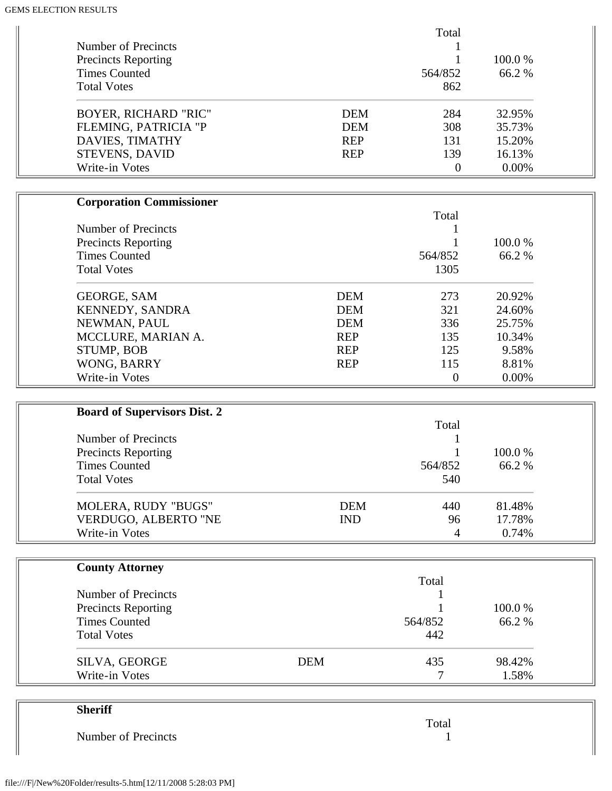| <b>Sheriff</b>                                     |            |                      |                 |  |
|----------------------------------------------------|------------|----------------------|-----------------|--|
|                                                    |            |                      |                 |  |
| SILVA, GEORGE<br>Write-in Votes                    | <b>DEM</b> | 435<br>7             | 98.42%<br>1.58% |  |
|                                                    |            |                      |                 |  |
| <b>Total Votes</b>                                 |            | 442                  |                 |  |
| <b>Precincts Reporting</b><br><b>Times Counted</b> |            | 564/852              | 66.2%           |  |
|                                                    |            |                      | 100.0%          |  |
| Number of Precincts                                |            | Total                |                 |  |
| <b>County Attorney</b>                             |            |                      |                 |  |
|                                                    |            |                      |                 |  |
| VERDUGO, ALBERTO "NE<br>Write-in Votes             | <b>IND</b> | 96<br>$\overline{4}$ | 17.78%<br>0.74% |  |
| MOLERA, RUDY "BUGS"                                | <b>DEM</b> | 440                  | 81.48%          |  |
|                                                    |            |                      |                 |  |
| <b>Total Votes</b>                                 |            | 540                  |                 |  |
| <b>Times Counted</b>                               |            | 564/852              | 66.2%           |  |
| <b>Precincts Reporting</b>                         |            |                      | 100.0%          |  |
| Number of Precincts                                |            | Total                |                 |  |
| <b>Board of Supervisors Dist. 2</b>                |            |                      |                 |  |
|                                                    |            |                      |                 |  |
| Write-in Votes                                     |            | $\theta$             | 0.00%           |  |
| WONG, BARRY                                        | <b>REP</b> | 115                  | 8.81%           |  |
| STUMP, BOB                                         | <b>REP</b> | 125                  | 9.58%           |  |
| MCCLURE, MARIAN A.                                 | <b>REP</b> | 135                  | 10.34%          |  |
| NEWMAN, PAUL                                       | <b>DEM</b> | 336                  | 25.75%          |  |
| KENNEDY, SANDRA                                    | <b>DEM</b> | 321                  | 24.60%          |  |
| <b>GEORGE, SAM</b>                                 | <b>DEM</b> | 273                  | 20.92%          |  |
| <b>Total Votes</b>                                 |            | 1305                 |                 |  |
| <b>Times Counted</b>                               |            | 564/852              | 66.2%           |  |
| <b>Precincts Reporting</b>                         |            |                      | 100.0%          |  |
| Number of Precincts                                |            | 1                    |                 |  |
|                                                    |            | Total                |                 |  |
| <b>Corporation Commissioner</b>                    |            |                      |                 |  |
|                                                    |            |                      |                 |  |
| Write-in Votes                                     |            | $\boldsymbol{0}$     | 0.00%           |  |
| <b>STEVENS, DAVID</b>                              | <b>REP</b> | 139                  | 16.13%          |  |
| DAVIES, TIMATHY                                    | <b>REP</b> | 131                  | 15.20%          |  |
| FLEMING, PATRICIA "P                               | <b>DEM</b> | 308                  | 35.73%          |  |
| <b>BOYER, RICHARD "RIC"</b>                        | <b>DEM</b> | 284                  | 32.95%          |  |
| <b>Total Votes</b>                                 |            | 862                  |                 |  |
| <b>Times Counted</b>                               |            | 564/852              | 66.2%           |  |
| <b>Precincts Reporting</b>                         |            | 1                    | 100.0%          |  |
| Number of Precincts                                |            |                      |                 |  |
|                                                    |            | Total                |                 |  |

|                     | Total |
|---------------------|-------|
| Number of Precincts |       |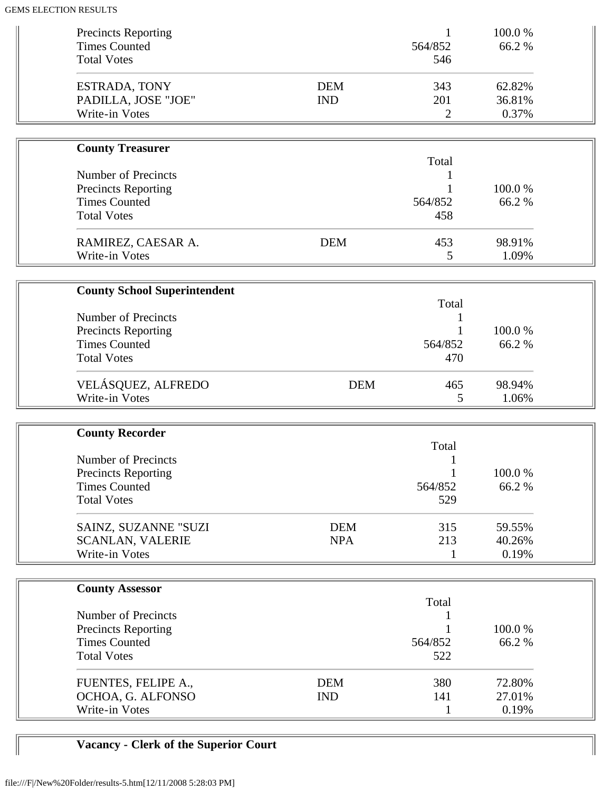| <b>Precincts Reporting</b><br><b>Times Counted</b><br><b>Total Votes</b>                                                         |                          | 1<br>564/852<br>546          | 100.0%<br>66.2%           |  |
|----------------------------------------------------------------------------------------------------------------------------------|--------------------------|------------------------------|---------------------------|--|
| ESTRADA, TONY<br>PADILLA, JOSE "JOE"<br>Write-in Votes                                                                           | <b>DEM</b><br><b>IND</b> | 343<br>201<br>$\overline{2}$ | 62.82%<br>36.81%<br>0.37% |  |
|                                                                                                                                  |                          |                              |                           |  |
| <b>County Treasurer</b>                                                                                                          |                          | Total                        |                           |  |
| Number of Precincts<br><b>Precincts Reporting</b><br><b>Times Counted</b><br><b>Total Votes</b>                                  |                          | 1<br>564/852<br>458          | 100.0%<br>66.2%           |  |
| RAMIREZ, CAESAR A.<br>Write-in Votes                                                                                             | <b>DEM</b>               | 453<br>5                     | 98.91%<br>1.09%           |  |
|                                                                                                                                  |                          |                              |                           |  |
| <b>County School Superintendent</b><br>Number of Precincts                                                                       |                          | Total                        |                           |  |
| <b>Precincts Reporting</b><br><b>Times Counted</b><br><b>Total Votes</b>                                                         |                          | 564/852<br>470               | 100.0%<br>66.2%           |  |
| VELÁSQUEZ, ALFREDO<br>Write-in Votes                                                                                             | <b>DEM</b>               | 465<br>5                     | 98.94%<br>1.06%           |  |
|                                                                                                                                  |                          |                              |                           |  |
| <b>County Recorder</b><br><b>Number of Precincts</b><br><b>Precincts Reporting</b><br><b>Times Counted</b><br><b>Total Votes</b> |                          | Total<br>564/852<br>529      | 100.0%<br>66.2%           |  |
| SAINZ, SUZANNE "SUZI<br><b>SCANLAN, VALERIE</b><br>Write-in Votes                                                                | <b>DEM</b><br><b>NPA</b> | 315<br>213<br>1              | 59.55%<br>40.26%<br>0.19% |  |
|                                                                                                                                  |                          |                              |                           |  |
| <b>County Assessor</b>                                                                                                           |                          |                              |                           |  |
| Number of Precincts<br><b>Precincts Reporting</b><br><b>Times Counted</b><br><b>Total Votes</b>                                  |                          | Total<br>1<br>564/852<br>522 | 100.0%<br>66.2%           |  |
| FUENTES, FELIPE A.,<br>OCHOA, G. ALFONSO<br>Write-in Votes                                                                       | <b>DEM</b><br><b>IND</b> | 380<br>141<br>1              | 72.80%<br>27.01%<br>0.19% |  |

# **Vacancy - Clerk of the Superior Court**

 $\mathbb{I}$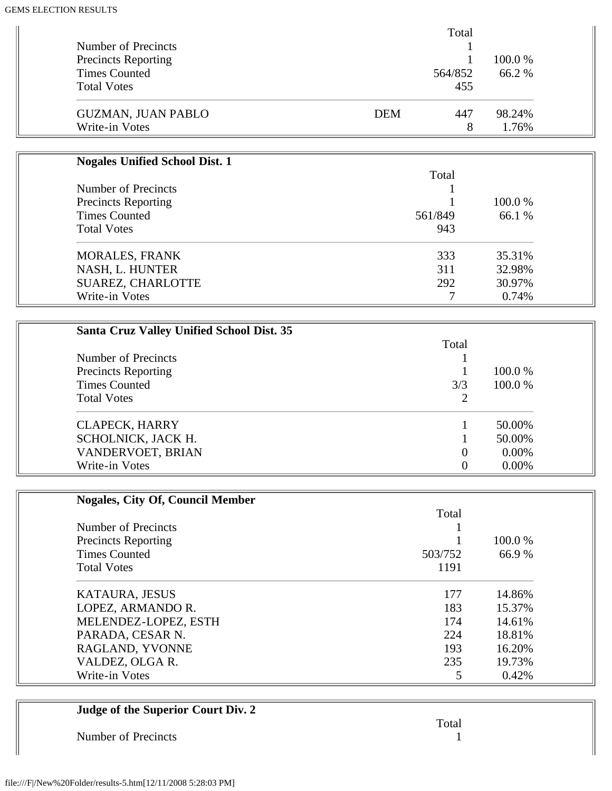|                            | Total      |         |
|----------------------------|------------|---------|
| Number of Precincts        |            |         |
| <b>Precincts Reporting</b> |            | 100.0 % |
| <b>Times Counted</b>       | 564/852    | 66.2 %  |
| <b>Total Votes</b>         | 455        |         |
| <b>GUZMAN, JUAN PABLO</b>  | 447<br>DEM | 98.24%  |
| Write-in Votes             | 8          | 1.76%   |

| <b>Nogales Unified School Dist. 1</b> |         |         |
|---------------------------------------|---------|---------|
|                                       | Total   |         |
| Number of Precincts                   |         | 100.0 % |
| <b>Precincts Reporting</b>            |         |         |
| <b>Times Counted</b>                  | 561/849 | 66.1 %  |
| <b>Total Votes</b>                    | 943     |         |
| <b>MORALES, FRANK</b>                 | 333     | 35.31%  |
| NASH, L. HUNTER                       | 311     | 32.98%  |
| <b>SUAREZ, CHARLOTTE</b>              | 292     | 30.97%  |
| Write-in Votes                        |         | 0.74%   |

| <b>Santa Cruz Valley Unified School Dist. 35</b> |       |          |
|--------------------------------------------------|-------|----------|
|                                                  | Total |          |
| Number of Precincts                              |       |          |
| <b>Precincts Reporting</b>                       |       | 100.0 %  |
| <b>Times Counted</b>                             | 3/3   | 100.0 %  |
| <b>Total Votes</b>                               |       |          |
| <b>CLAPECK, HARRY</b>                            |       | 50.00%   |
| SCHOLNICK, JACK H.                               |       | 50.00%   |
| VANDERVOET, BRIAN                                | 0     | $0.00\%$ |
| Write-in Votes                                   |       | $0.00\%$ |

| <b>Nogales, City Of, Council Member</b> |         |         |
|-----------------------------------------|---------|---------|
|                                         | Total   |         |
| Number of Precincts                     |         |         |
| <b>Precincts Reporting</b>              |         | 100.0 % |
| <b>Times Counted</b>                    | 503/752 | 66.9%   |
| <b>Total Votes</b>                      | 1191    |         |
| <b>KATAURA, JESUS</b>                   | 177     | 14.86%  |
| LOPEZ, ARMANDO R.                       | 183     | 15.37%  |
| MELENDEZ-LOPEZ, ESTH                    | 174     | 14.61%  |
| PARADA, CESAR N.                        | 224     | 18.81%  |
| RAGLAND, YVONNE                         | 193     | 16.20%  |
| VALDEZ, OLGA R.                         | 235     | 19.73%  |
| Write-in Votes                          | 5       | 0.42%   |

| Judge of the Superior Court Div. 2 |       |
|------------------------------------|-------|
|                                    | Total |
| Number of Precincts                |       |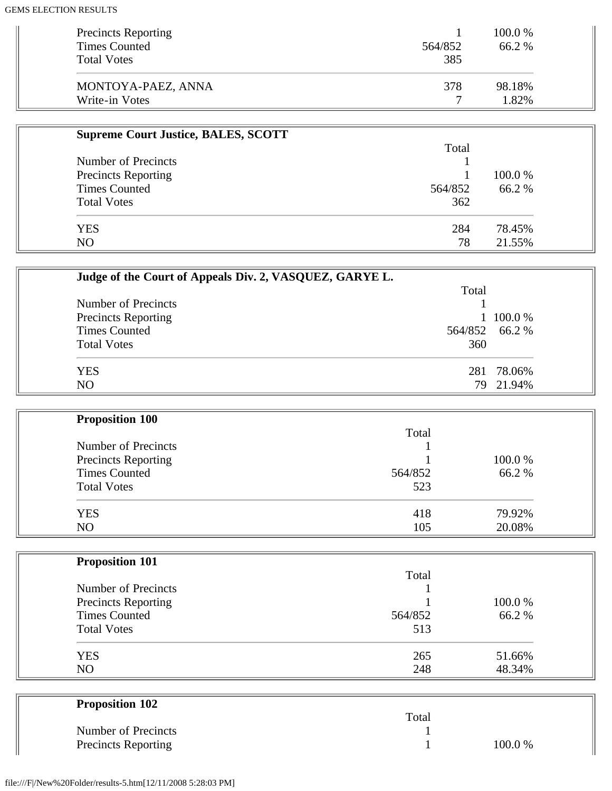| <b>Precincts Reporting</b><br><b>Times Counted</b> | 564/852 | 100.0 %<br>66.2 % |
|----------------------------------------------------|---------|-------------------|
| <b>Total Votes</b>                                 | 385     |                   |
| MONTOYA-PAEZ, ANNA                                 | 378     | 98.18%            |
| Write-in Votes                                     |         | 1.82%             |

| <b>Supreme Court Justice, BALES, SCOTT</b> |         |         |
|--------------------------------------------|---------|---------|
|                                            | Total   |         |
| Number of Precincts                        |         |         |
| <b>Precincts Reporting</b>                 |         | 100.0 % |
| <b>Times Counted</b>                       | 564/852 | 66.2 %  |
| <b>Total Votes</b>                         | 362     |         |
| <b>YES</b>                                 | 284     | 78.45%  |
| NO                                         | 78      | 21.55%  |

| Judge of the Court of Appeals Div. 2, VASQUEZ, GARYE L. |                |           |
|---------------------------------------------------------|----------------|-----------|
|                                                         | Total          |           |
| Number of Precincts                                     |                |           |
| <b>Precincts Reporting</b>                              |                | 1 100.0 % |
| <b>Times Counted</b>                                    | 564/852 66.2 % |           |
| <b>Total Votes</b>                                      | 360            |           |
| <b>YES</b>                                              | 281            | 78.06%    |
| N <sub>O</sub>                                          | 79.            | 21.94%    |

| <b>Proposition 100</b> |         |         |
|------------------------|---------|---------|
|                        | Total   |         |
| Number of Precincts    |         |         |
| Precincts Reporting    |         | 100.0 % |
| <b>Times Counted</b>   | 564/852 | 66.2%   |
| <b>Total Votes</b>     | 523     |         |
| <b>YES</b>             | 418     | 79.92%  |
| NO                     | 105     | 20.08%  |

| <b>Proposition 101</b> |         |         |
|------------------------|---------|---------|
|                        | Total   |         |
| Number of Precincts    |         |         |
| Precincts Reporting    |         | 100.0 % |
| <b>Times Counted</b>   | 564/852 | 66.2%   |
| <b>Total Votes</b>     | 513     |         |
| <b>YES</b>             | 265     | 51.66%  |
| N <sub>O</sub>         | 248     | 48.34%  |

| <b>Proposition 102</b>     |       |        |
|----------------------------|-------|--------|
|                            | Total |        |
| Number of Precincts        |       |        |
| <b>Precincts Reporting</b> |       | 100.0% |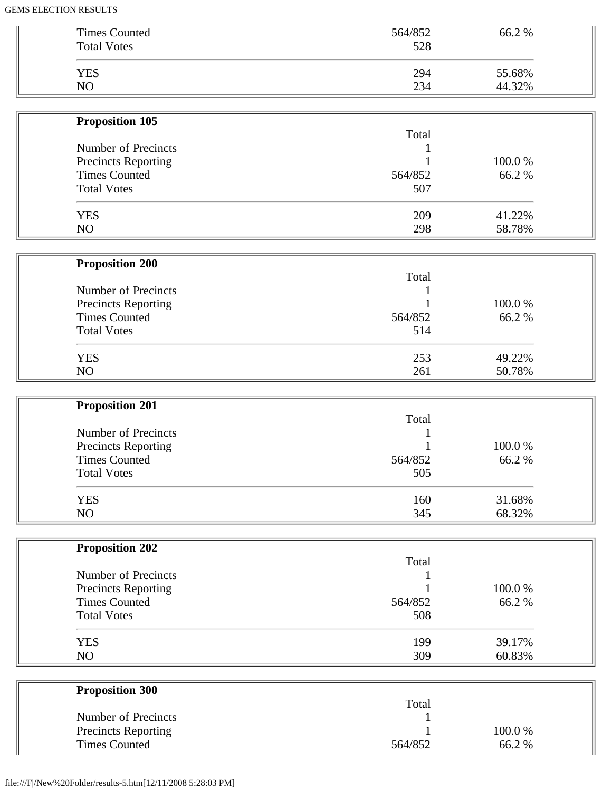| <b>Times Counted</b>                        | 564/852 | 66.2%           |  |
|---------------------------------------------|---------|-----------------|--|
| <b>Total Votes</b>                          | 528     |                 |  |
|                                             |         |                 |  |
| <b>YES</b>                                  | 294     | 55.68%          |  |
|                                             |         |                 |  |
| NO                                          | 234     | 44.32%          |  |
|                                             |         |                 |  |
| Proposition 105                             |         |                 |  |
|                                             | Total   |                 |  |
| Number of Precincts                         |         |                 |  |
| <b>Precincts Reporting</b>                  |         | 100.0%          |  |
| <b>Times Counted</b>                        | 564/852 | 66.2%           |  |
| <b>Total Votes</b>                          | 507     |                 |  |
|                                             |         |                 |  |
| <b>YES</b>                                  | 209     | 41.22%          |  |
|                                             |         |                 |  |
| NO                                          | 298     | 58.78%          |  |
|                                             |         |                 |  |
| <b>Proposition 200</b>                      |         |                 |  |
|                                             | Total   |                 |  |
| Number of Precincts                         |         |                 |  |
| Precincts Reporting                         |         | 100.0%          |  |
| <b>Times Counted</b>                        | 564/852 | 66.2%           |  |
| <b>Total Votes</b>                          | 514     |                 |  |
|                                             |         |                 |  |
| <b>YES</b>                                  | 253     | 49.22%          |  |
| NO                                          |         |                 |  |
|                                             | 261     | 50.78%          |  |
|                                             |         |                 |  |
|                                             |         |                 |  |
| <b>Proposition 201</b>                      |         |                 |  |
|                                             | Total   |                 |  |
| Number of Precincts                         |         |                 |  |
|                                             |         |                 |  |
| Precincts Reporting                         |         | 100.0%          |  |
| <b>Times Counted</b>                        | 564/852 | 66.2%           |  |
| <b>Total Votes</b>                          | 505     |                 |  |
|                                             |         |                 |  |
| <b>YES</b>                                  | 160     | 31.68%          |  |
| NO                                          | 345     | 68.32%          |  |
|                                             |         |                 |  |
|                                             |         |                 |  |
| <b>Proposition 202</b>                      |         |                 |  |
|                                             | Total   |                 |  |
| Number of Precincts                         |         |                 |  |
| Precincts Reporting                         |         | 100.0%          |  |
| <b>Times Counted</b>                        | 564/852 | 66.2%           |  |
| <b>Total Votes</b>                          | 508     |                 |  |
|                                             |         |                 |  |
| <b>YES</b>                                  | 199     | 39.17%          |  |
| NO                                          | 309     | 60.83%          |  |
|                                             |         |                 |  |
|                                             |         |                 |  |
| <b>Proposition 300</b>                      |         |                 |  |
|                                             | Total   |                 |  |
| Number of Precincts                         |         |                 |  |
| Precincts Reporting<br><b>Times Counted</b> | 564/852 | 100.0%<br>66.2% |  |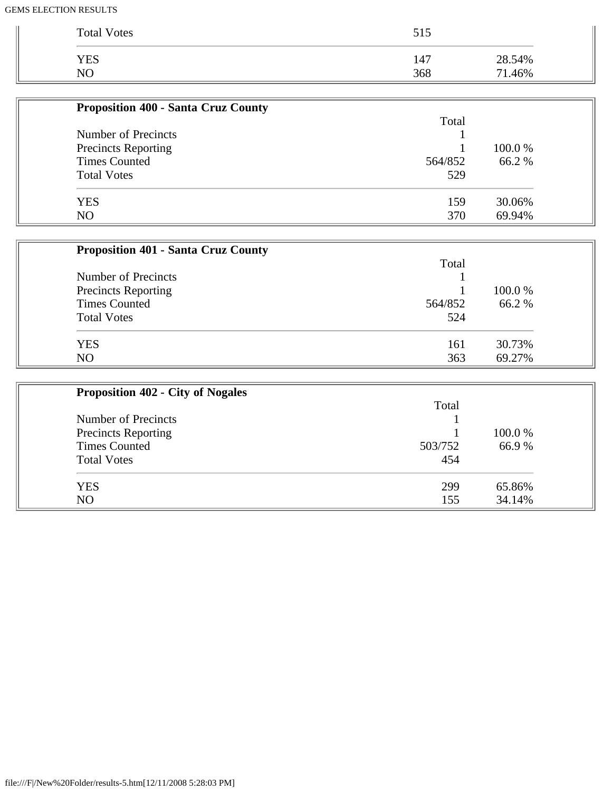| <b>Total Votes</b> | 515 |        |
|--------------------|-----|--------|
| <b>YES</b>         | 147 | 28.54% |
| N <sub>C</sub>     | 368 | 71.46% |

| <b>Proposition 400 - Santa Cruz County</b> |         |         |
|--------------------------------------------|---------|---------|
|                                            | Total   |         |
| Number of Precincts                        |         |         |
| <b>Precincts Reporting</b>                 |         | 100.0 % |
| <b>Times Counted</b>                       | 564/852 | 66.2%   |
| <b>Total Votes</b>                         | 529     |         |
| <b>YES</b>                                 | 159     | 30.06%  |
| N <sub>O</sub>                             | 370     | 69.94%  |

| <b>Proposition 401 - Santa Cruz County</b> |         |         |
|--------------------------------------------|---------|---------|
|                                            | Total   |         |
| Number of Precincts                        |         |         |
| Precincts Reporting                        |         | 100.0 % |
| <b>Times Counted</b>                       | 564/852 | 66.2 %  |
| <b>Total Votes</b>                         | 524     |         |
| <b>YES</b>                                 | 161     | 30.73%  |
| N <sub>O</sub>                             | 363     | 69.27%  |

| <b>Proposition 402 - City of Nogales</b> |         |         |
|------------------------------------------|---------|---------|
|                                          | Total   |         |
| Number of Precincts                      |         |         |
| <b>Precincts Reporting</b>               |         | 100.0 % |
| <b>Times Counted</b>                     | 503/752 | 66.9%   |
| <b>Total Votes</b>                       | 454     |         |
| <b>YES</b>                               | 299     | 65.86%  |
| NO                                       | 155     | 34.14%  |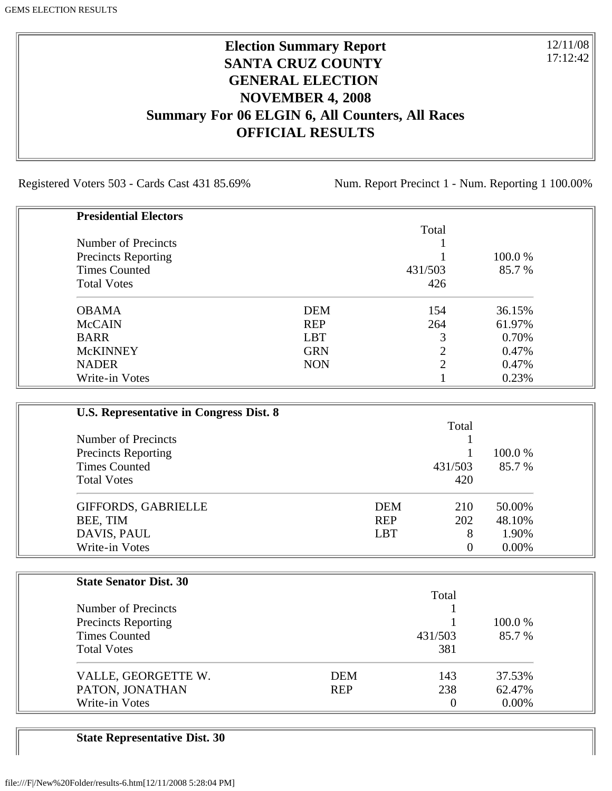### **Election Summary Report SANTA CRUZ COUNTY GENERAL ELECTION NOVEMBER 4, 2008 Summary For 06 ELGIN 6, All Counters, All Races OFFICIAL RESULTS**

Registered Voters 503 - Cards Cast 431 85.69% Num. Report Precinct 1 - Num. Reporting 1 100.00%

12/11/08 17:12:42

| <b>Presidential Electors</b> |            |         |         |
|------------------------------|------------|---------|---------|
|                              |            | Total   |         |
| Number of Precincts          |            |         |         |
| <b>Precincts Reporting</b>   |            |         | 100.0 % |
| <b>Times Counted</b>         |            | 431/503 | 85.7 %  |
| <b>Total Votes</b>           |            | 426     |         |
| <b>OBAMA</b>                 | <b>DEM</b> | 154     | 36.15%  |
| <b>McCAIN</b>                | <b>REP</b> | 264     | 61.97%  |
| <b>BARR</b>                  | <b>LBT</b> | 3       | 0.70%   |
| <b>McKINNEY</b>              | <b>GRN</b> | ↑       | 0.47%   |
| <b>NADER</b>                 | <b>NON</b> | ↑       | 0.47%   |
| Write-in Votes               |            |         | 0.23%   |

| U.S. Representative in Congress Dist. 8                                  |                            |                |                   |
|--------------------------------------------------------------------------|----------------------------|----------------|-------------------|
|                                                                          |                            |                |                   |
| Number of Precincts                                                      |                            |                |                   |
| <b>Precincts Reporting</b><br><b>Times Counted</b><br><b>Total Votes</b> |                            | 431/503        | 100.0 %<br>85.7 % |
|                                                                          |                            |                |                   |
|                                                                          | <b>GIFFORDS, GABRIELLE</b> | <b>DEM</b>     | 210               |
| BEE, TIM                                                                 | <b>REP</b>                 | 202            | 48.10%            |
| DAVIS, PAUL                                                              | <b>LBT</b>                 | 8              | 1.90%             |
| Write-in Votes                                                           |                            | $\overline{0}$ | $0.00\%$          |

| <b>State Senator Dist. 30</b> |            |          |          |
|-------------------------------|------------|----------|----------|
|                               |            | Total    |          |
| Number of Precincts           |            |          |          |
| <b>Precincts Reporting</b>    |            |          | 100.0 %  |
| <b>Times Counted</b>          |            | 431/503  | 85.7 %   |
| <b>Total Votes</b>            |            | 381      |          |
| VALLE, GEORGETTE W.           | <b>DEM</b> | 143      | 37.53%   |
| PATON, JONATHAN               | <b>REP</b> | 238      | 62.47%   |
| Write-in Votes                |            | $\theta$ | $0.00\%$ |

**State Representative Dist. 30**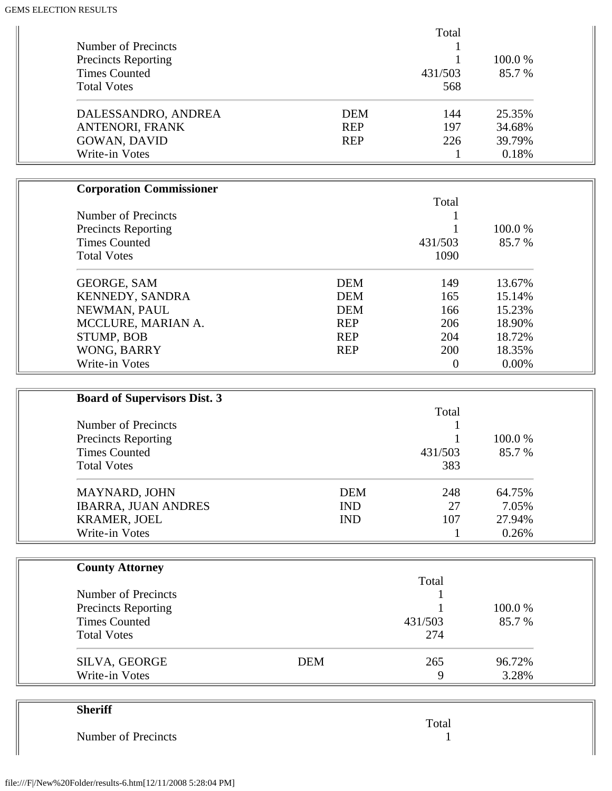|                            |            | Total   |         |
|----------------------------|------------|---------|---------|
| Number of Precincts        |            |         |         |
| <b>Precincts Reporting</b> |            |         | 100.0 % |
| <b>Times Counted</b>       |            | 431/503 | 85.7 %  |
| <b>Total Votes</b>         |            | 568     |         |
| DALESSANDRO, ANDREA        | <b>DEM</b> | 144     | 25.35%  |
| ANTENORI, FRANK            | <b>REP</b> | 197     | 34.68%  |
| <b>GOWAN, DAVID</b>        | <b>REP</b> | 226     | 39.79%  |
| Write-in Votes             |            |         | 0.18%   |

| <b>Corporation Commissioner</b> |            |            |         |
|---------------------------------|------------|------------|---------|
|                                 |            | Total      |         |
| Number of Precincts             |            |            |         |
| <b>Precincts Reporting</b>      |            |            | 100.0 % |
| <b>Times Counted</b>            |            | 431/503    | 85.7 %  |
| <b>Total Votes</b>              |            | 1090       |         |
| <b>GEORGE, SAM</b>              | <b>DEM</b> | 149        | 13.67%  |
| <b>KENNEDY, SANDRA</b>          | <b>DEM</b> | 165        | 15.14%  |
| NEWMAN, PAUL                    | <b>DEM</b> | 166        | 15.23%  |
| MCCLURE, MARIAN A.              | <b>REP</b> | 206        | 18.90%  |
| STUMP, BOB                      | <b>REP</b> | 204        | 18.72%  |
| WONG, BARRY                     | <b>REP</b> | <b>200</b> | 18.35%  |
| Write-in Votes                  |            | $\Omega$   | 0.00%   |

| <b>Board of Supervisors Dist. 3</b> |            |         |         |
|-------------------------------------|------------|---------|---------|
|                                     |            | Total   |         |
| Number of Precincts                 |            |         |         |
| <b>Precincts Reporting</b>          |            |         | 100.0 % |
| <b>Times Counted</b>                |            | 431/503 | 85.7 %  |
| <b>Total Votes</b>                  |            | 383     |         |
| <b>MAYNARD, JOHN</b>                | <b>DEM</b> | 248     | 64.75%  |
| <b>IBARRA, JUAN ANDRES</b>          | <b>IND</b> | 27      | 7.05%   |
| <b>KRAMER, JOEL</b>                 | <b>IND</b> | 107     | 27.94%  |
| Write-in Votes                      |            |         | 0.26%   |

| <b>County Attorney</b>     |            |         |         |
|----------------------------|------------|---------|---------|
|                            |            | Total   |         |
| Number of Precincts        |            |         |         |
| <b>Precincts Reporting</b> |            |         | 100.0 % |
| <b>Times Counted</b>       |            | 431/503 | 85.7 %  |
| <b>Total Votes</b>         |            | 274     |         |
| SILVA, GEORGE              | <b>DEM</b> | 265     | 96.72%  |
| Write-in Votes             |            | 9       | 3.28%   |

| <b>Sheriff</b>      |       |
|---------------------|-------|
|                     | Total |
| Number of Precincts |       |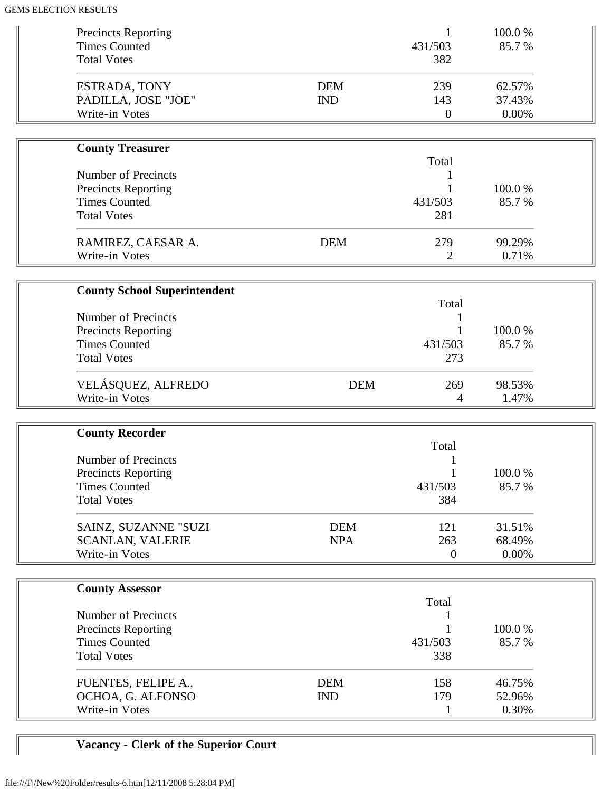| <b>Precincts Reporting</b><br><b>Times Counted</b><br><b>Total Votes</b> |                          | 1<br>431/503<br>382          | 100.0%<br>85.7%           |  |
|--------------------------------------------------------------------------|--------------------------|------------------------------|---------------------------|--|
| <b>ESTRADA, TONY</b><br>PADILLA, JOSE "JOE"<br>Write-in Votes            | <b>DEM</b><br><b>IND</b> | 239<br>143<br>$\overline{0}$ | 62.57%<br>37.43%<br>0.00% |  |
|                                                                          |                          |                              |                           |  |
| <b>County Treasurer</b>                                                  |                          | Total                        |                           |  |
| <b>Number of Precincts</b>                                               |                          | 1                            |                           |  |
| <b>Precincts Reporting</b>                                               |                          |                              | 100.0%                    |  |
| <b>Times Counted</b>                                                     |                          | 431/503                      | 85.7%                     |  |
| <b>Total Votes</b>                                                       |                          | 281                          |                           |  |
| RAMIREZ, CAESAR A.                                                       | <b>DEM</b>               | 279                          | 99.29%                    |  |
| Write-in Votes                                                           |                          | $\overline{2}$               | 0.71%                     |  |
|                                                                          |                          |                              |                           |  |
| <b>County School Superintendent</b>                                      |                          |                              |                           |  |
|                                                                          |                          | Total                        |                           |  |
| <b>Number of Precincts</b>                                               |                          |                              |                           |  |
| <b>Precincts Reporting</b>                                               |                          | 1                            | 100.0%                    |  |
| <b>Times Counted</b>                                                     |                          | 431/503                      | 85.7%                     |  |
| <b>Total Votes</b>                                                       |                          | 273                          |                           |  |
| VELÁSQUEZ, ALFREDO                                                       | <b>DEM</b>               | 269                          | 98.53%                    |  |
| Write-in Votes                                                           |                          | 4                            | 1.47%                     |  |
|                                                                          |                          |                              |                           |  |
| <b>County Recorder</b>                                                   |                          |                              |                           |  |
|                                                                          |                          | Total                        |                           |  |
| <b>Number of Precincts</b>                                               |                          |                              |                           |  |
| <b>Precincts Reporting</b>                                               |                          |                              | 100.0%                    |  |
| <b>Times Counted</b>                                                     |                          | 431/503                      | 85.7%                     |  |
| <b>Total Votes</b>                                                       |                          | 384                          |                           |  |
| SAINZ, SUZANNE "SUZI                                                     | <b>DEM</b>               | 121                          | 31.51%                    |  |
| <b>SCANLAN, VALERIE</b>                                                  | <b>NPA</b>               | 263                          | 68.49%                    |  |
| Write-in Votes                                                           |                          | $\boldsymbol{0}$             | 0.00%                     |  |
|                                                                          |                          |                              |                           |  |
| <b>County Assessor</b>                                                   |                          |                              |                           |  |
|                                                                          |                          | Total                        |                           |  |
| <b>Number of Precincts</b>                                               |                          | 1                            |                           |  |
| <b>Precincts Reporting</b>                                               |                          |                              | 100.0%                    |  |
| <b>Times Counted</b>                                                     |                          | 431/503                      | 85.7%                     |  |
| <b>Total Votes</b>                                                       |                          | 338                          |                           |  |
| FUENTES, FELIPE A.,                                                      | <b>DEM</b>               | 158                          | 46.75%                    |  |
| OCHOA, G. ALFONSO                                                        | <b>IND</b>               | 179                          | 52.96%                    |  |
| Write-in Votes                                                           |                          | 1                            | 0.30%                     |  |

# **Vacancy - Clerk of the Superior Court**

 $\blacksquare$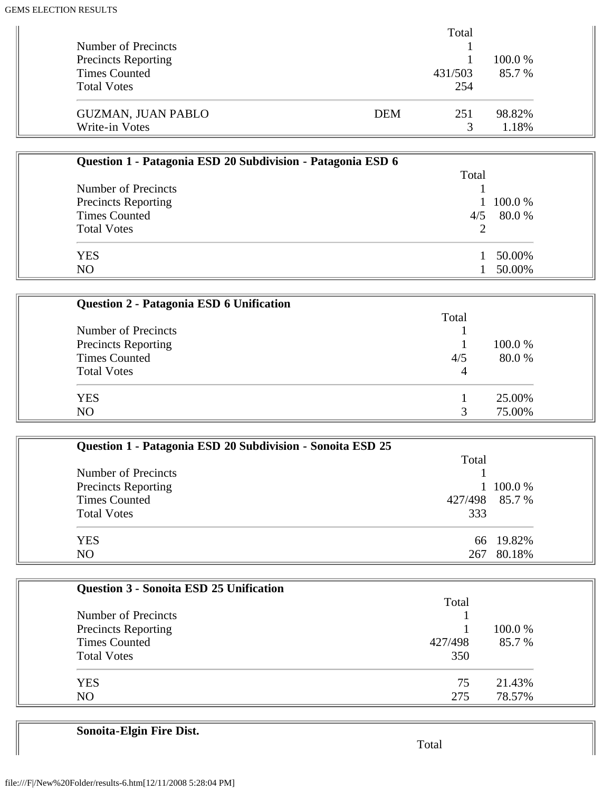|                            |     | Total        |         |
|----------------------------|-----|--------------|---------|
| Number of Precincts        |     |              |         |
| <b>Precincts Reporting</b> |     |              | 100.0 % |
| <b>Times Counted</b>       |     | 431/503      | 85.7 %  |
| <b>Total Votes</b>         |     | 254          |         |
| <b>GUZMAN, JUAN PABLO</b>  | DEM | 251          | 98.82%  |
| Write-in Votes             |     | $\mathbf{R}$ | 1.18%   |

| Question 1 - Patagonia ESD 20 Subdivision - Patagonia ESD 6 |       |        |
|-------------------------------------------------------------|-------|--------|
|                                                             | Total |        |
| Number of Precincts                                         |       |        |
| <b>Precincts Reporting</b>                                  |       | 100.0% |
| <b>Times Counted</b>                                        | 4/5   | 80.0 % |
| <b>Total Votes</b>                                          |       |        |
| <b>YES</b>                                                  |       | 50.00% |
| NO                                                          |       | 50.00% |

| Question 2 - Patagonia ESD 6 Unification |       |         |
|------------------------------------------|-------|---------|
|                                          | Total |         |
| Number of Precincts                      |       |         |
| Precincts Reporting                      |       | 100.0 % |
| <b>Times Counted</b>                     | 4/5   | 80.0 %  |
| <b>Total Votes</b>                       | 4     |         |
| <b>YES</b>                               |       | 25.00%  |
| N <sub>O</sub>                           |       | 75.00%  |

| Question 1 - Patagonia ESD 20 Subdivision - Sonoita ESD 25 |                |           |
|------------------------------------------------------------|----------------|-----------|
|                                                            | Total          |           |
| Number of Precincts                                        |                |           |
| <b>Precincts Reporting</b>                                 |                | 1 100.0 % |
| <b>Times Counted</b>                                       | 427/498 85.7 % |           |
| <b>Total Votes</b>                                         | 333            |           |
| <b>YES</b>                                                 |                | 66 19.82% |
| N <sub>O</sub>                                             | 267            | 80.18%    |

| <b>Question 3 - Sonoita ESD 25 Unification</b> |         |         |
|------------------------------------------------|---------|---------|
|                                                | Total   |         |
| Number of Precincts                            |         |         |
| <b>Precincts Reporting</b>                     |         | 100.0 % |
| <b>Times Counted</b>                           | 427/498 | 85.7%   |
| <b>Total Votes</b>                             | 350     |         |
| <b>YES</b>                                     | 75      | 21.43%  |
| NO                                             | 275     | 78.57%  |

**Sonoita-Elgin Fire Dist.**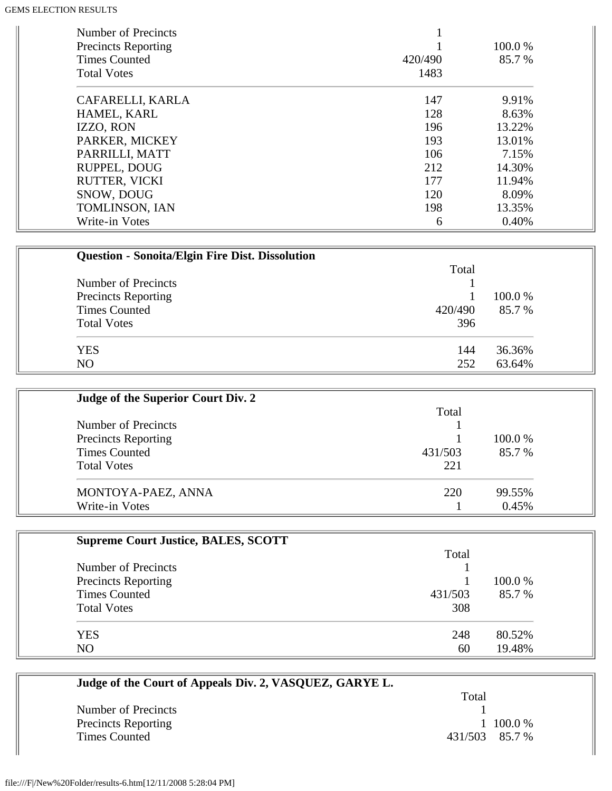| Number of Precincts<br><b>Precincts Reporting</b><br><b>Times Counted</b><br><b>Total Votes</b> | 420/490<br>1483 | 100.0 %<br>85.7 % |
|-------------------------------------------------------------------------------------------------|-----------------|-------------------|
| CAFARELLI, KARLA                                                                                | 147             | 9.91%             |
| HAMEL, KARL                                                                                     | 128             | 8.63%             |
| IZZO, RON                                                                                       | 196             | 13.22%            |
| PARKER, MICKEY                                                                                  | 193             | 13.01%            |
| PARRILLI, MATT                                                                                  | 106             | 7.15%             |
| RUPPEL, DOUG                                                                                    | 212             | 14.30%            |
| <b>RUTTER, VICKI</b>                                                                            | 177             | 11.94%            |
| SNOW, DOUG                                                                                      | 120             | 8.09%             |
| TOMLINSON, IAN                                                                                  | 198             | 13.35%            |
| Write-in Votes                                                                                  | 6               | 0.40%             |

| <b>Question - Sonoita/Elgin Fire Dist. Dissolution</b> |         |         |
|--------------------------------------------------------|---------|---------|
|                                                        | Total   |         |
| Number of Precincts                                    |         |         |
| Precincts Reporting                                    |         | 100.0 % |
| <b>Times Counted</b>                                   | 420/490 | 85.7 %  |
| <b>Total Votes</b>                                     | 396     |         |
| <b>YES</b>                                             | 144     | 36.36%  |
| NO                                                     | 252     | 63.64%  |

| Judge of the Superior Court Div. 2 |         |         |
|------------------------------------|---------|---------|
|                                    | Total   |         |
| Number of Precincts                |         |         |
| <b>Precincts Reporting</b>         |         | 100.0 % |
| <b>Times Counted</b>               | 431/503 | 85.7 %  |
| <b>Total Votes</b>                 | 221     |         |
| MONTOYA-PAEZ, ANNA                 | 220     | 99.55%  |
| Write-in Votes                     |         | 0.45%   |

| <b>Supreme Court Justice, BALES, SCOTT</b> |         |         |
|--------------------------------------------|---------|---------|
|                                            | Total   |         |
| Number of Precincts                        |         |         |
| <b>Precincts Reporting</b>                 |         | 100.0 % |
| <b>Times Counted</b>                       | 431/503 | 85.7 %  |
| <b>Total Votes</b>                         | 308     |         |
| <b>YES</b>                                 | 248     | 80.52%  |
| NO                                         | 60      | 19.48%  |

| Judge of the Court of Appeals Div. 2, VASQUEZ, GARYE L. |                |
|---------------------------------------------------------|----------------|
|                                                         | Total          |
| Number of Precincts                                     |                |
| <b>Precincts Reporting</b>                              | $100.0\%$      |
| <b>Times Counted</b>                                    | 431/503 85.7 % |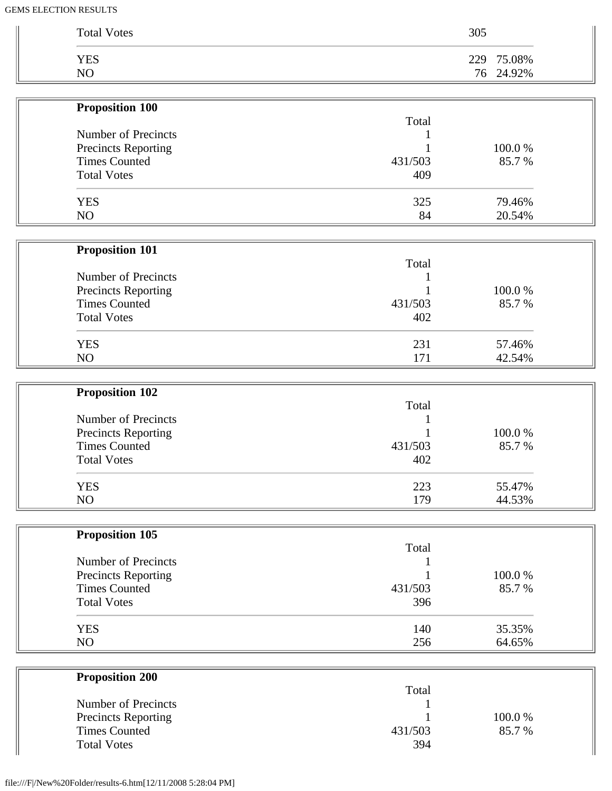| <b>Total Votes</b> | 305 |            |
|--------------------|-----|------------|
| <b>YES</b>         |     | 229 75.08% |
| NO                 |     | 76 24.92%  |

| <b>Traposition TAA</b>     |         |        |
|----------------------------|---------|--------|
| Number of Precincts        | Total   |        |
|                            |         |        |
| <b>Precincts Reporting</b> |         | 100.0% |
| <b>Times Counted</b>       | 431/503 | 85.7 % |
| <b>Total Votes</b>         | 409     |        |
| <b>YES</b>                 | 325     | 79.46% |
| N <sub>O</sub>             | 84      | 20.54% |
|                            |         |        |

| <b>Proposition 101</b>     |         |         |
|----------------------------|---------|---------|
|                            | Total   |         |
| Number of Precincts        |         |         |
| <b>Precincts Reporting</b> |         | 100.0 % |
| <b>Times Counted</b>       | 431/503 | 85.7 %  |
| <b>Total Votes</b>         | 402     |         |
| <b>YES</b>                 | 231     | 57.46%  |
| N <sub>O</sub>             | 171     | 42.54%  |

| <b>Proposition 102</b>     |         |        |
|----------------------------|---------|--------|
|                            | Total   |        |
| Number of Precincts        |         |        |
| <b>Precincts Reporting</b> |         | 100.0% |
| <b>Times Counted</b>       | 431/503 | 85.7 % |
| <b>Total Votes</b>         | 402     |        |
| <b>YES</b>                 | 223     | 55.47% |
| NO                         | 179     | 44.53% |

| <b>Proposition 105</b>     |         |         |
|----------------------------|---------|---------|
|                            | Total   |         |
| Number of Precincts        |         |         |
| <b>Precincts Reporting</b> |         | 100.0 % |
| <b>Times Counted</b>       | 431/503 | 85.7 %  |
| <b>Total Votes</b>         | 396     |         |
| <b>YES</b>                 | 140     | 35.35%  |
| NO                         | 256     | 64.65%  |

| Total   |         |
|---------|---------|
|         |         |
|         | 100.0 % |
| 431/503 | 85.7 %  |
| 394     |         |
|         |         |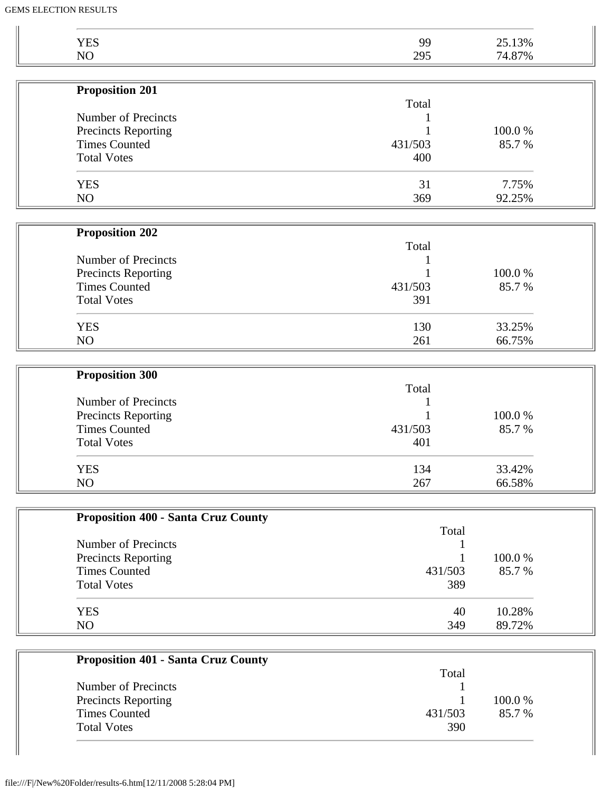| <b>YES</b><br>NO                            | 99      | 25.13%<br>74.87% |
|---------------------------------------------|---------|------------------|
|                                             | 295     |                  |
| <b>Proposition 201</b>                      |         |                  |
| Number of Precincts                         | Total   |                  |
|                                             |         | 100.0%           |
| Precincts Reporting<br><b>Times Counted</b> | 431/503 | 85.7%            |
| <b>Total Votes</b>                          | 400     |                  |
|                                             |         |                  |
| <b>YES</b>                                  | 31      | 7.75%            |
| NO                                          | 369     | 92.25%           |
| <b>Proposition 202</b>                      |         |                  |
|                                             | Total   |                  |
| Number of Precincts                         |         |                  |
| <b>Precincts Reporting</b>                  |         | 100.0%           |
| <b>Times Counted</b>                        | 431/503 | 85.7%            |
| <b>Total Votes</b>                          | 391     |                  |
| <b>YES</b>                                  | 130     | 33.25%           |
| NO                                          | 261     | 66.75%           |
|                                             |         |                  |
| <b>Proposition 300</b>                      | Total   |                  |
| Number of Precincts                         |         |                  |
| Precincts Reporting                         |         | 100.0%           |
| <b>Times Counted</b>                        | 431/503 | 85.7%            |
| <b>Total Votes</b>                          | 401     |                  |
| <b>YES</b>                                  | 134     | 33.42%           |
| NO                                          | 267     | 66.58%           |
|                                             |         |                  |
| <b>Proposition 400 - Santa Cruz County</b>  |         |                  |
| Number of Precincts                         | Total   |                  |
|                                             |         | 100.0%           |
| Precincts Reporting<br><b>Times Counted</b> | 431/503 | 85.7%            |
| <b>Total Votes</b>                          | 389     |                  |
|                                             |         |                  |
| <b>YES</b>                                  | 40      | 10.28%           |
| NO                                          | 349     | 89.72%           |

|                            | Total   |         |
|----------------------------|---------|---------|
| Number of Precincts        |         |         |
| <b>Precincts Reporting</b> |         | 100.0 % |
| <b>Times Counted</b>       | 431/503 | 85.7 %  |
| <b>Total Votes</b>         | 390     |         |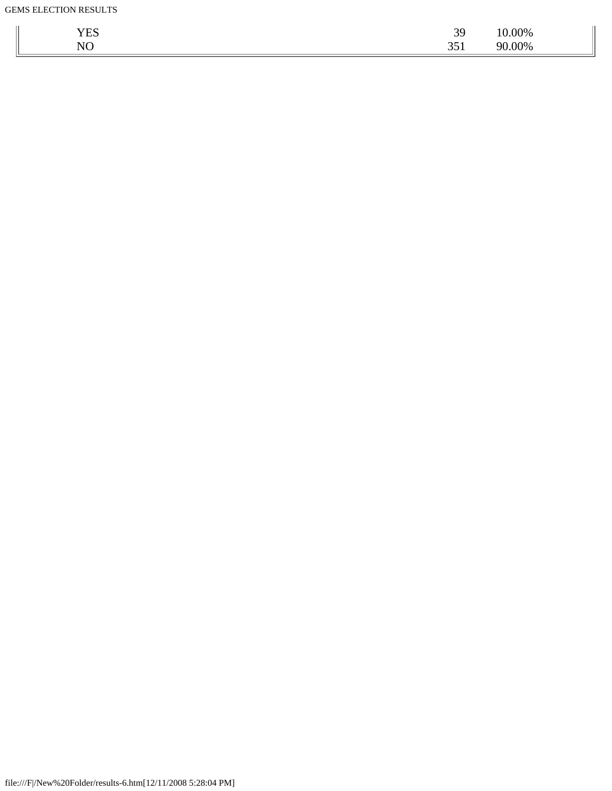| $\overline{ }$ $\overline{ }$ $\overline{ }$ $\overline{ }$ $\overline{ }$ $\overline{ }$ $\overline{ }$ $\overline{ }$ $\overline{ }$ $\overline{ }$ $\overline{ }$ $\overline{ }$ $\overline{ }$ $\overline{ }$ $\overline{ }$ $\overline{ }$ $\overline{ }$ $\overline{ }$ $\overline{ }$ $\overline{ }$ $\overline{ }$ $\overline{ }$ $\overline{ }$ $\overline{ }$ $\overline{ }$ $\overline{ }$ $\overline{ }$ $\overline{$<br>ь<br><b>TTD</b> | 39<br>رب | 00% |
|------------------------------------------------------------------------------------------------------------------------------------------------------------------------------------------------------------------------------------------------------------------------------------------------------------------------------------------------------------------------------------------------------------------------------------------------------|----------|-----|
| NO                                                                                                                                                                                                                                                                                                                                                                                                                                                   | JJ 1     | 00% |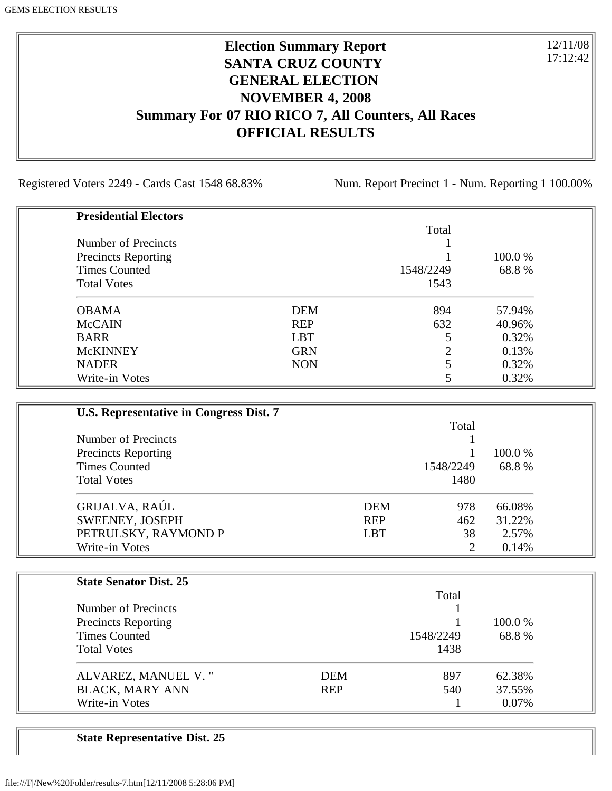### **Election Summary Report SANTA CRUZ COUNTY GENERAL ELECTION NOVEMBER 4, 2008 Summary For 07 RIO RICO 7, All Counters, All Races OFFICIAL RESULTS**

Registered Voters 2249 - Cards Cast 1548 68.83% Num. Report Precinct 1 - Num. Reporting 1 100.00%

12/11/08 17:12:42

| <b>Presidential Electors</b> |            |           |         |
|------------------------------|------------|-----------|---------|
|                              |            | Total     |         |
| Number of Precincts          |            |           |         |
| <b>Precincts Reporting</b>   |            |           | 100.0 % |
| <b>Times Counted</b>         |            | 1548/2249 | 68.8%   |
| <b>Total Votes</b>           |            | 1543      |         |
| <b>OBAMA</b>                 | <b>DEM</b> | 894       | 57.94%  |
| <b>McCAIN</b>                | <b>REP</b> | 632       | 40.96%  |
| <b>BARR</b>                  | <b>LBT</b> |           | 0.32%   |
| <b>McKINNEY</b>              | <b>GRN</b> | ∍         | 0.13%   |
| <b>NADER</b>                 | <b>NON</b> |           | 0.32%   |
| Write-in Votes               |            |           | 0.32%   |

| U.S. Representative in Congress Dist. 7 |            |           |         |
|-----------------------------------------|------------|-----------|---------|
|                                         |            | Total     |         |
| Number of Precincts                     |            |           |         |
| <b>Precincts Reporting</b>              |            |           | 100.0 % |
| <b>Times Counted</b>                    |            | 1548/2249 | 68.8%   |
| <b>Total Votes</b>                      |            | 1480      |         |
| GRIJALVA, RAÚL                          | <b>DEM</b> | 978       | 66.08%  |
| SWEENEY, JOSEPH                         | <b>REP</b> | 462       | 31.22%  |
| PETRULSKY, RAYMOND P                    | <b>LBT</b> | 38        | 2.57%   |
| Write-in Votes                          |            | 2         | 0.14%   |

| <b>State Senator Dist. 25</b> |            |           |         |
|-------------------------------|------------|-----------|---------|
|                               |            | Total     |         |
| Number of Precincts           |            |           |         |
| <b>Precincts Reporting</b>    |            |           | 100.0 % |
| <b>Times Counted</b>          |            | 1548/2249 | 68.8%   |
| <b>Total Votes</b>            |            | 1438      |         |
| ALVAREZ, MANUEL V."           | <b>DEM</b> | 897       | 62.38%  |
| <b>BLACK, MARY ANN</b>        | <b>REP</b> | 540       | 37.55%  |
| Write-in Votes                |            |           | 0.07%   |

**State Representative Dist. 25**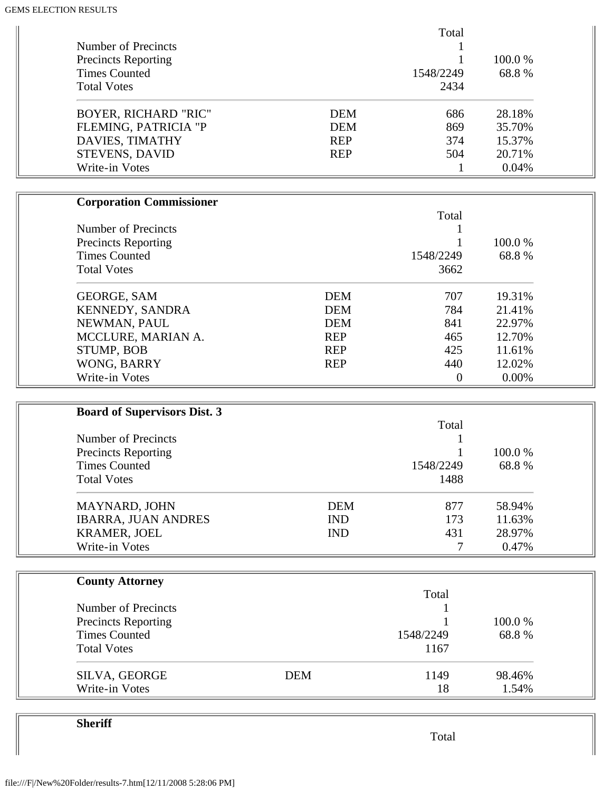|                                         | Total              |        |  |
|-----------------------------------------|--------------------|--------|--|
| Number of Precincts                     |                    |        |  |
| <b>Precincts Reporting</b>              |                    | 100.0% |  |
| <b>Times Counted</b>                    | 1548/2249          | 68.8%  |  |
| <b>Total Votes</b>                      | 2434               |        |  |
|                                         |                    |        |  |
| <b>BOYER, RICHARD "RIC"</b>             | <b>DEM</b><br>686  | 28.18% |  |
| FLEMING, PATRICIA "P                    | 869<br><b>DEM</b>  | 35.70% |  |
| DAVIES, TIMATHY                         | <b>REP</b><br>374  | 15.37% |  |
|                                         | <b>REP</b><br>504  | 20.71% |  |
| <b>STEVENS, DAVID</b><br>Write-in Votes |                    |        |  |
|                                         | $\mathbf{1}$       | 0.04%  |  |
|                                         |                    |        |  |
| <b>Corporation Commissioner</b>         |                    |        |  |
|                                         | Total              |        |  |
| Number of Precincts                     | 1                  |        |  |
| <b>Precincts Reporting</b>              | 1                  | 100.0% |  |
| <b>Times Counted</b>                    | 1548/2249          | 68.8%  |  |
| <b>Total Votes</b>                      | 3662               |        |  |
|                                         |                    |        |  |
| <b>GEORGE, SAM</b>                      | <b>DEM</b><br>707  | 19.31% |  |
| KENNEDY, SANDRA                         | <b>DEM</b><br>784  | 21.41% |  |
| NEWMAN, PAUL                            | <b>DEM</b><br>841  | 22.97% |  |
| MCCLURE, MARIAN A.                      | <b>REP</b><br>465  | 12.70% |  |
| STUMP, BOB                              | 425<br><b>REP</b>  | 11.61% |  |
|                                         |                    |        |  |
| WONG, BARRY                             | <b>REP</b><br>440  | 12.02% |  |
| Write-in Votes                          | $\boldsymbol{0}$   | 0.00%  |  |
|                                         |                    |        |  |
| <b>Board of Supervisors Dist. 3</b>     |                    |        |  |
|                                         | Total              |        |  |
| <b>Number of Precincts</b>              |                    |        |  |
| <b>Precincts Reporting</b>              |                    | 100.0% |  |
| <b>Times Counted</b>                    | 1548/2249          | 68.8%  |  |
| <b>Total Votes</b>                      | 1488               |        |  |
|                                         |                    |        |  |
| MAYNARD, JOHN                           | <b>DEM</b><br>877  | 58.94% |  |
| <b>IBARRA, JUAN ANDRES</b>              | <b>IND</b><br>173  | 11.63% |  |
| <b>KRAMER, JOEL</b>                     | <b>IND</b><br>431  | 28.97% |  |
| Write-in Votes                          | 7                  | 0.47%  |  |
|                                         |                    |        |  |
| <b>County Attorney</b>                  |                    |        |  |
|                                         | Total              |        |  |
| Number of Precincts                     |                    |        |  |
| <b>Precincts Reporting</b>              |                    | 100.0% |  |
| <b>Times Counted</b>                    | 1548/2249          | 68.8%  |  |
| <b>Total Votes</b>                      | 1167               |        |  |
|                                         |                    |        |  |
| SILVA, GEORGE                           | <b>DEM</b><br>1149 | 98.46% |  |
| Write-in Votes                          | 18                 | 1.54%  |  |

**Sheriff**

Total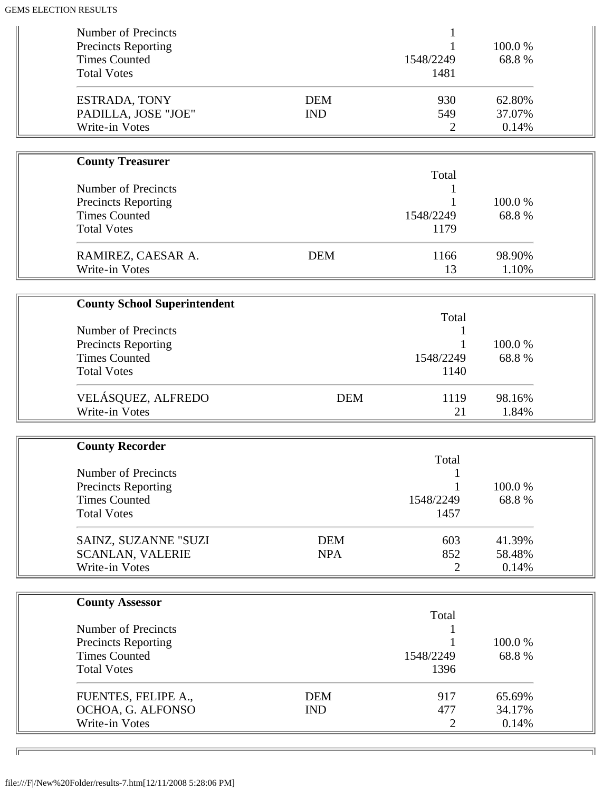| Number of Precincts<br><b>Precincts Reporting</b> |            |                | 100.0% |  |
|---------------------------------------------------|------------|----------------|--------|--|
| <b>Times Counted</b>                              |            | 1548/2249      | 68.8%  |  |
| <b>Total Votes</b>                                |            | 1481           |        |  |
| ESTRADA, TONY                                     | <b>DEM</b> | 930            | 62.80% |  |
| PADILLA, JOSE "JOE"                               | <b>IND</b> | 549            | 37.07% |  |
| Write-in Votes                                    |            | 2              | 0.14%  |  |
| <b>County Treasurer</b>                           |            |                |        |  |
|                                                   |            | Total          |        |  |
| <b>Number of Precincts</b>                        |            |                |        |  |
| <b>Precincts Reporting</b>                        |            |                | 100.0% |  |
| <b>Times Counted</b>                              |            | 1548/2249      | 68.8%  |  |
| <b>Total Votes</b>                                |            | 1179           |        |  |
| RAMIREZ, CAESAR A.                                | <b>DEM</b> | 1166           | 98.90% |  |
| Write-in Votes                                    |            | 13             | 1.10%  |  |
|                                                   |            |                |        |  |
| <b>County School Superintendent</b>               |            | Total          |        |  |
| <b>Number of Precincts</b>                        |            | 1              |        |  |
| <b>Precincts Reporting</b>                        |            |                | 100.0% |  |
| <b>Times Counted</b>                              |            | 1548/2249      | 68.8%  |  |
| <b>Total Votes</b>                                |            | 1140           |        |  |
|                                                   |            |                |        |  |
| VELÁSQUEZ, ALFREDO                                | <b>DEM</b> | 1119           | 98.16% |  |
| Write-in Votes                                    |            | 21             | 1.84%  |  |
|                                                   |            |                |        |  |
| <b>County Recorder</b>                            |            | Total          |        |  |
| Number of Precincts                               |            |                |        |  |
| <b>Precincts Reporting</b>                        |            |                | 100.0% |  |
| <b>Times Counted</b>                              |            | 1548/2249      | 68.8%  |  |
| <b>Total Votes</b>                                |            | 1457           |        |  |
|                                                   |            |                |        |  |
| SAINZ, SUZANNE "SUZI                              | <b>DEM</b> | 603            | 41.39% |  |
| <b>SCANLAN, VALERIE</b>                           | <b>NPA</b> | 852            | 58.48% |  |
| Write-in Votes                                    |            | $\overline{2}$ | 0.14%  |  |
|                                                   |            |                |        |  |
| <b>County Assessor</b>                            |            | Total          |        |  |
| Number of Precincts                               |            |                |        |  |
| <b>Precincts Reporting</b>                        |            |                | 100.0% |  |
| <b>Times Counted</b>                              |            | 1548/2249      | 68.8%  |  |
| <b>Total Votes</b>                                |            | 1396           |        |  |
| FUENTES, FELIPE A.,                               | <b>DEM</b> | 917            | 65.69% |  |
| OCHOA, G. ALFONSO                                 | <b>IND</b> | 477            | 34.17% |  |
| Write-in Votes                                    |            | $\overline{2}$ | 0.14%  |  |
|                                                   |            |                |        |  |

╗

 $\overline{\phantom{a}}$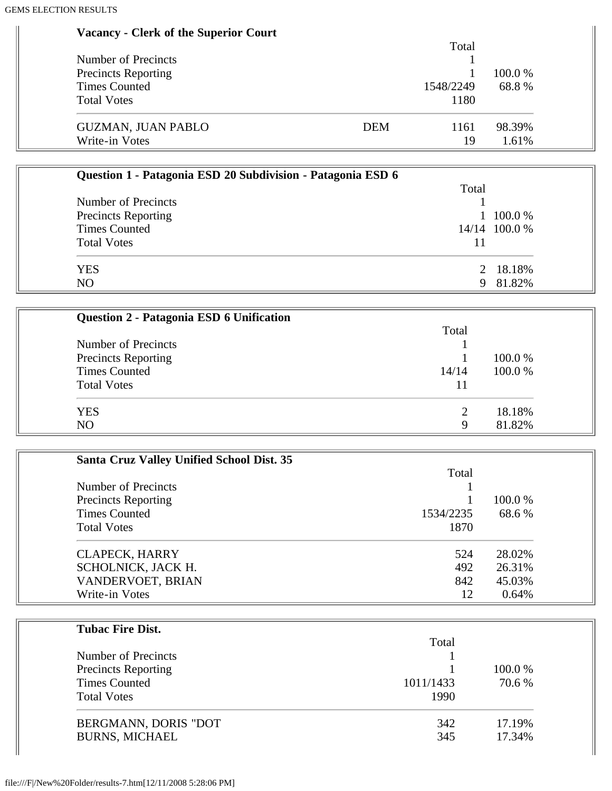#### **Vacancy - Clerk of the Superior Court**

|                            |     | Total     |         |
|----------------------------|-----|-----------|---------|
| Number of Precincts        |     |           |         |
| <b>Precincts Reporting</b> |     |           | 100.0 % |
| Times Counted              |     | 1548/2249 | 68.8%   |
| <b>Total Votes</b>         |     | 1180      |         |
| <b>GUZMAN, JUAN PABLO</b>  | DEM | 1161      | 98.39%  |
| Write-in Votes             |     | 19        | 1.61%   |

| Question 1 - Patagonia ESD 20 Subdivision - Patagonia ESD 6 |       |                |
|-------------------------------------------------------------|-------|----------------|
|                                                             | Total |                |
| Number of Precincts                                         |       |                |
| <b>Precincts Reporting</b>                                  |       | $1\,100.0\,\%$ |
| <b>Times Counted</b>                                        |       | 14/14 100.0 %  |
| <b>Total Votes</b>                                          |       |                |
| <b>YES</b>                                                  |       | 2 18.18%       |
| N <sub>O</sub>                                              | 9.    | 81.82%         |

| Question 2 - Patagonia ESD 6 Unification |               |         |
|------------------------------------------|---------------|---------|
|                                          | Total         |         |
| Number of Precincts                      |               |         |
| <b>Precincts Reporting</b>               |               | 100.0 % |
| <b>Times Counted</b>                     | 14/14         | 100.0%  |
| <b>Total Votes</b>                       |               |         |
| <b>YES</b>                               | $\mathcal{D}$ | 18.18%  |
| N <sub>O</sub>                           | Q             | 81.82%  |

| <b>Santa Cruz Valley Unified School Dist. 35</b>  |           |         |
|---------------------------------------------------|-----------|---------|
|                                                   | Total     |         |
| Number of Precincts<br><b>Precincts Reporting</b> |           | 100.0 % |
|                                                   |           |         |
| <b>Times Counted</b>                              | 1534/2235 | 68.6 %  |
| <b>Total Votes</b>                                | 1870      |         |
| <b>CLAPECK, HARRY</b>                             | 524       | 28.02%  |
| SCHOLNICK, JACK H.                                | 492       | 26.31%  |
| VANDERVOET, BRIAN                                 | 842       | 45.03%  |
| Write-in Votes                                    | 12        | 0.64%   |

| Total     |         |
|-----------|---------|
|           |         |
|           | 100.0 % |
| 1011/1433 | 70.6 %  |
| 1990      |         |
| 342       | 17.19%  |
| 345       | 17.34%  |
|           |         |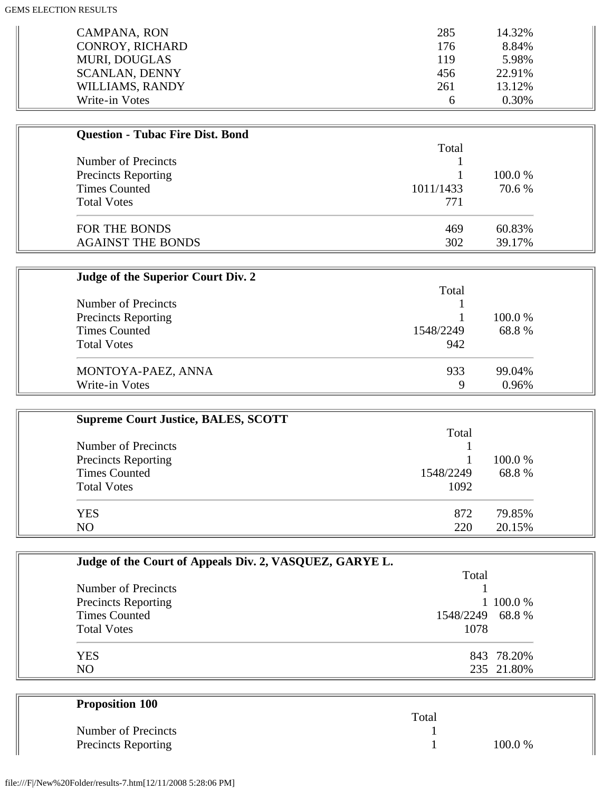| <b>CAMPANA, RON</b>    | 285 | 14.32% |
|------------------------|-----|--------|
| <b>CONROY, RICHARD</b> | 176 | 8.84%  |
| <b>MURI, DOUGLAS</b>   | 119 | 5.98%  |
| <b>SCANLAN, DENNY</b>  | 456 | 22.91% |
| WILLIAMS, RANDY        | 261 | 13.12% |
| Write-in Votes         | h   | 0.30%  |

| <b>Question - Tubac Fire Dist. Bond</b> |           |         |
|-----------------------------------------|-----------|---------|
|                                         | Total     |         |
| Number of Precincts                     |           |         |
| <b>Precincts Reporting</b>              |           | 100.0 % |
| <b>Times Counted</b>                    | 1011/1433 | 70.6 %  |
| <b>Total Votes</b>                      | 771       |         |
| FOR THE BONDS                           | 469       | 60.83%  |
| <b>AGAINST THE BONDS</b>                | 302       | 39.17%  |

| Judge of the Superior Court Div. 2 |           |         |
|------------------------------------|-----------|---------|
|                                    | Total     |         |
| Number of Precincts                |           |         |
| <b>Precincts Reporting</b>         |           | 100.0 % |
| <b>Times Counted</b>               | 1548/2249 | 68.8%   |
| <b>Total Votes</b>                 | 942       |         |
| MONTOYA-PAEZ, ANNA                 | 933       | 99.04%  |
| Write-in Votes                     | 9         | 0.96%   |

| <b>Supreme Court Justice, BALES, SCOTT</b> |           |         |
|--------------------------------------------|-----------|---------|
|                                            | Total     |         |
| Number of Precincts                        |           |         |
| <b>Precincts Reporting</b>                 |           | 100.0 % |
| <b>Times Counted</b>                       | 1548/2249 | 68.8%   |
| <b>Total Votes</b>                         | 1092      |         |
| <b>YES</b>                                 | 872       | 79.85%  |
| N <sub>O</sub>                             | 220       | 20.15%  |

| Judge of the Court of Appeals Div. 2, VASQUEZ, GARYE L. |                  |            |
|---------------------------------------------------------|------------------|------------|
|                                                         | Total            |            |
| Number of Precincts                                     |                  |            |
| <b>Precincts Reporting</b>                              |                  | 1 100.0 %  |
| <b>Times Counted</b>                                    | 1548/2249 68.8 % |            |
| <b>Total Votes</b>                                      | 1078             |            |
| <b>YES</b>                                              |                  | 843 78.20% |
| NO                                                      |                  | 235 21.80% |

| <b>Proposition 100</b>     |       |        |
|----------------------------|-------|--------|
|                            | Total |        |
| Number of Precincts        |       |        |
| <b>Precincts Reporting</b> |       | 100.0% |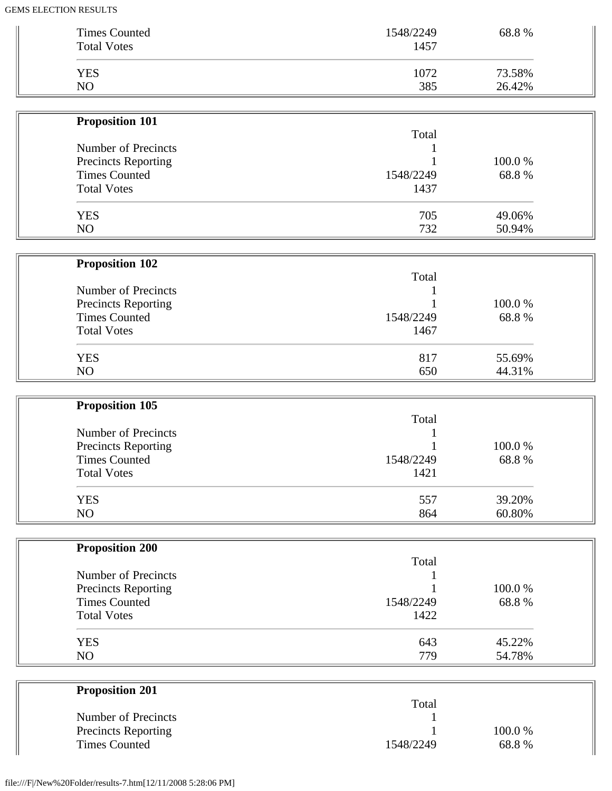| <b>Times Counted</b>                               | 1548/2249         | 68.8%           |  |
|----------------------------------------------------|-------------------|-----------------|--|
| <b>Total Votes</b>                                 | 1457              |                 |  |
| <b>YES</b>                                         | 1072              | 73.58%          |  |
| NO                                                 | 385               | 26.42%          |  |
|                                                    |                   |                 |  |
| <b>Proposition 101</b>                             |                   |                 |  |
|                                                    | Total             |                 |  |
| Number of Precincts                                |                   |                 |  |
| Precincts Reporting                                |                   | 100.0%          |  |
| <b>Times Counted</b><br><b>Total Votes</b>         | 1548/2249<br>1437 | 68.8%           |  |
|                                                    |                   |                 |  |
| <b>YES</b>                                         | 705               | 49.06%          |  |
| NO                                                 | 732               | 50.94%          |  |
|                                                    |                   |                 |  |
| <b>Proposition 102</b>                             |                   |                 |  |
| Number of Precincts                                | Total             |                 |  |
| <b>Precincts Reporting</b>                         |                   | 100.0%          |  |
| <b>Times Counted</b>                               | 1548/2249         | 68.8%           |  |
| <b>Total Votes</b>                                 | 1467              |                 |  |
|                                                    |                   |                 |  |
| <b>YES</b>                                         | 817               | 55.69%          |  |
| NO                                                 | 650               | 44.31%          |  |
|                                                    |                   |                 |  |
| <b>Proposition 105</b>                             | Total             |                 |  |
|                                                    |                   |                 |  |
|                                                    |                   |                 |  |
| Number of Precincts                                |                   |                 |  |
| Precincts Reporting<br><b>Times Counted</b>        | 1548/2249         | 100.0%<br>68.8% |  |
| <b>Total Votes</b>                                 | 1421              |                 |  |
|                                                    |                   |                 |  |
| <b>YES</b>                                         | 557               | 39.20%          |  |
| NO                                                 | 864               | 60.80%          |  |
|                                                    |                   |                 |  |
| <b>Proposition 200</b>                             |                   |                 |  |
| Number of Precincts                                | Total             |                 |  |
|                                                    |                   | 100.0%          |  |
| Precincts Reporting<br><b>Times Counted</b>        | 1548/2249         | 68.8%           |  |
| <b>Total Votes</b>                                 | 1422              |                 |  |
|                                                    |                   |                 |  |
| <b>YES</b>                                         | 643               | 45.22%          |  |
| NO                                                 | 779               | 54.78%          |  |
|                                                    |                   |                 |  |
| <b>Proposition 201</b>                             | Total             |                 |  |
| Number of Precincts                                | 1                 |                 |  |
| <b>Precincts Reporting</b><br><b>Times Counted</b> | 1548/2249         | 100.0%<br>68.8% |  |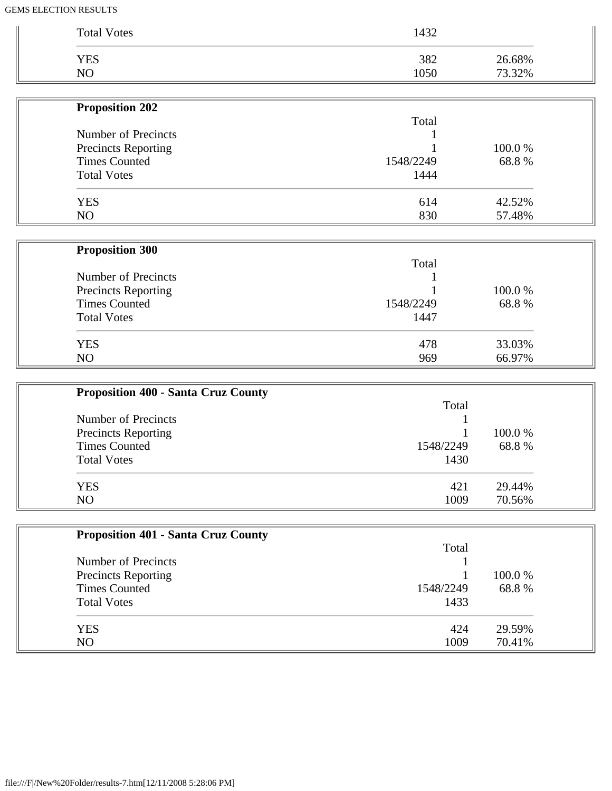| <b>Total Votes</b>         | 1432      |        |
|----------------------------|-----------|--------|
| <b>YES</b>                 | 382       | 26.68% |
| NO                         | 1050      | 73.32% |
| <b>Proposition 202</b>     |           |        |
|                            | Total     |        |
| Number of Precincts        |           |        |
| <b>Precincts Reporting</b> |           | 100.0% |
| <b>Times Counted</b>       | 1548/2249 | 68.8%  |
| <b>Total Votes</b>         | 1444      |        |
| <b>YES</b>                 | 614       | 42.52% |
| NO                         | 830       | 57.48% |
| <b>Proposition 300</b>     |           |        |
|                            | Total     |        |
| <b>Number of Precincts</b> |           |        |
| <b>Precincts Reporting</b> |           | 100.0% |
| <b>Times Counted</b>       | 1548/2249 | 68.8%  |
| <b>Total Votes</b>         | 1447      |        |
| <b>YES</b>                 | 478       | 33.03% |
| NO                         | 969       | 66.97% |

| <b>Proposition 400 - Santa Cruz County</b> |           |         |
|--------------------------------------------|-----------|---------|
|                                            | Total     |         |
| Number of Precincts                        |           |         |
| <b>Precincts Reporting</b>                 |           | 100.0 % |
| <b>Times Counted</b>                       | 1548/2249 | 68.8%   |
| <b>Total Votes</b>                         | 1430      |         |
| <b>YES</b>                                 | 421       | 29.44%  |
| N <sub>O</sub>                             | 1009      | 70.56%  |

| <b>Proposition 401 - Santa Cruz County</b> |           |         |
|--------------------------------------------|-----------|---------|
|                                            | Total     |         |
| Number of Precincts                        |           |         |
| <b>Precincts Reporting</b>                 |           | 100.0 % |
| <b>Times Counted</b>                       | 1548/2249 | 68.8%   |
| <b>Total Votes</b>                         | 1433      |         |
| <b>YES</b>                                 | 424       | 29.59%  |
| N <sub>O</sub>                             | 1009      | 70.41%  |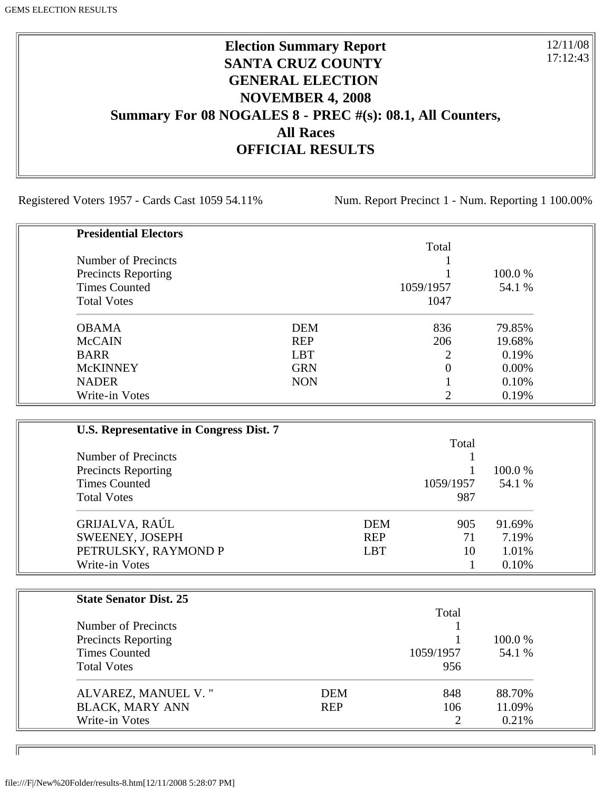# **Election Summary Report SANTA CRUZ COUNTY GENERAL ELECTION NOVEMBER 4, 2008 Summary For 08 NOGALES 8 - PREC #(s): 08.1, All Counters, All Races OFFICIAL RESULTS**

Registered Voters 1957 - Cards Cast 1059 54.11% Num. Report Precinct 1 - Num. Reporting 1 100.00%

12/11/08 17:12:43

| <b>Presidential Electors</b> |            |           |          |
|------------------------------|------------|-----------|----------|
|                              |            | Total     |          |
| Number of Precincts          |            |           |          |
| <b>Precincts Reporting</b>   |            |           | 100.0 %  |
| <b>Times Counted</b>         |            | 1059/1957 | 54.1 %   |
| <b>Total Votes</b>           |            | 1047      |          |
| <b>OBAMA</b>                 | <b>DEM</b> | 836       | 79.85%   |
| <b>McCAIN</b>                | <b>REP</b> | 206       | 19.68%   |
| <b>BARR</b>                  | <b>LBT</b> | 2         | 0.19%    |
| <b>McKINNEY</b>              | <b>GRN</b> | 0         | $0.00\%$ |
| <b>NADER</b>                 | <b>NON</b> |           | 0.10%    |
| Write-in Votes               |            | ◠         | 0.19%    |

| U.S. Representative in Congress Dist. 7 |            |           |         |
|-----------------------------------------|------------|-----------|---------|
|                                         |            | Total     |         |
| Number of Precincts                     |            |           |         |
| <b>Precincts Reporting</b>              |            |           | 100.0 % |
| <b>Times Counted</b>                    |            | 1059/1957 | 54.1 %  |
| <b>Total Votes</b>                      |            | 987       |         |
| GRIJALVA, RAÚL                          | <b>DEM</b> | 905       | 91.69%  |
| SWEENEY, JOSEPH                         | <b>REP</b> | 71        | 7.19%   |
| PETRULSKY, RAYMOND P                    | <b>LBT</b> | 10        | 1.01%   |
| Write-in Votes                          |            |           | 0.10%   |

| <b>State Senator Dist. 25</b> |            |           |         |
|-------------------------------|------------|-----------|---------|
|                               |            | Total     |         |
| Number of Precincts           |            |           |         |
| <b>Precincts Reporting</b>    |            |           | 100.0 % |
| <b>Times Counted</b>          |            | 1059/1957 | 54.1 %  |
| <b>Total Votes</b>            |            | 956       |         |
| ALVAREZ, MANUEL V."           | <b>DEM</b> | 848       | 88.70%  |
| <b>BLACK, MARY ANN</b>        | <b>REP</b> | 106       | 11.09%  |
| Write-in Votes                |            |           | 0.21%   |

ID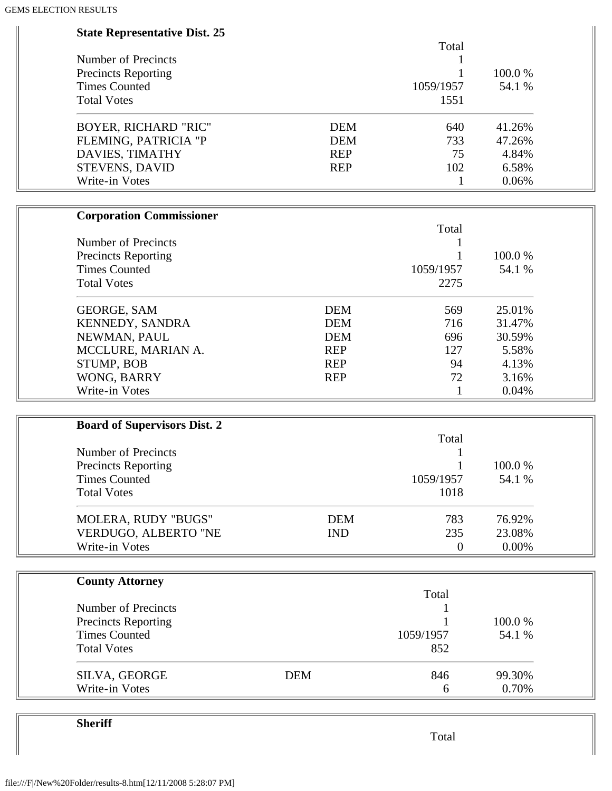| <b>State Representative Dist. 25</b> |            |                  |        |  |
|--------------------------------------|------------|------------------|--------|--|
|                                      |            | Total            |        |  |
| Number of Precincts                  |            | 1                |        |  |
| <b>Precincts Reporting</b>           |            | 1                | 100.0% |  |
| <b>Times Counted</b>                 |            | 1059/1957        | 54.1 % |  |
| <b>Total Votes</b>                   |            | 1551             |        |  |
| <b>BOYER, RICHARD "RIC"</b>          | <b>DEM</b> | 640              | 41.26% |  |
| FLEMING, PATRICIA "P                 | <b>DEM</b> | 733              | 47.26% |  |
| DAVIES, TIMATHY                      | <b>REP</b> | 75               | 4.84%  |  |
| STEVENS, DAVID                       | <b>REP</b> | 102              | 6.58%  |  |
| Write-in Votes                       |            | 1                | 0.06%  |  |
| <b>Corporation Commissioner</b>      |            |                  |        |  |
|                                      |            | Total            |        |  |
| Number of Precincts                  |            |                  |        |  |
| <b>Precincts Reporting</b>           |            | 1                | 100.0% |  |
| <b>Times Counted</b>                 |            | 1059/1957        | 54.1 % |  |
| <b>Total Votes</b>                   |            | 2275             |        |  |
| <b>GEORGE, SAM</b>                   | <b>DEM</b> | 569              | 25.01% |  |
| KENNEDY, SANDRA                      | <b>DEM</b> | 716              | 31.47% |  |
| NEWMAN, PAUL                         | <b>DEM</b> | 696              | 30.59% |  |
| MCCLURE, MARIAN A.                   | <b>REP</b> | 127              | 5.58%  |  |
| STUMP, BOB                           | <b>REP</b> | 94               | 4.13%  |  |
| WONG, BARRY                          | <b>REP</b> | 72               | 3.16%  |  |
| Write-in Votes                       |            | $\mathbf{1}$     | 0.04%  |  |
|                                      |            |                  |        |  |
| <b>Board of Supervisors Dist. 2</b>  |            | Total            |        |  |
| Number of Precincts                  |            |                  |        |  |
| <b>Precincts Reporting</b>           |            |                  | 100.0% |  |
| <b>Times Counted</b>                 |            | 1059/1957        | 54.1 % |  |
| <b>Total Votes</b>                   |            | 1018             |        |  |
|                                      |            |                  |        |  |
| MOLERA, RUDY "BUGS"                  | <b>DEM</b> | 783              | 76.92% |  |
| VERDUGO, ALBERTO "NE                 | <b>IND</b> | 235              | 23.08% |  |
| Write-in Votes                       |            | $\boldsymbol{0}$ | 0.00%  |  |
| <b>County Attorney</b>               |            |                  |        |  |
|                                      |            | Total            |        |  |
| Number of Precincts                  |            |                  |        |  |
| <b>Precincts Reporting</b>           |            |                  | 100.0% |  |
| <b>Times Counted</b>                 |            | 1059/1957        | 54.1 % |  |
| <b>Total Votes</b>                   |            | 852              |        |  |
| SILVA, GEORGE                        | <b>DEM</b> | 846              | 99.30% |  |
| Write-in Votes                       |            | 6                | 0.70%  |  |

**Sheriff**

Total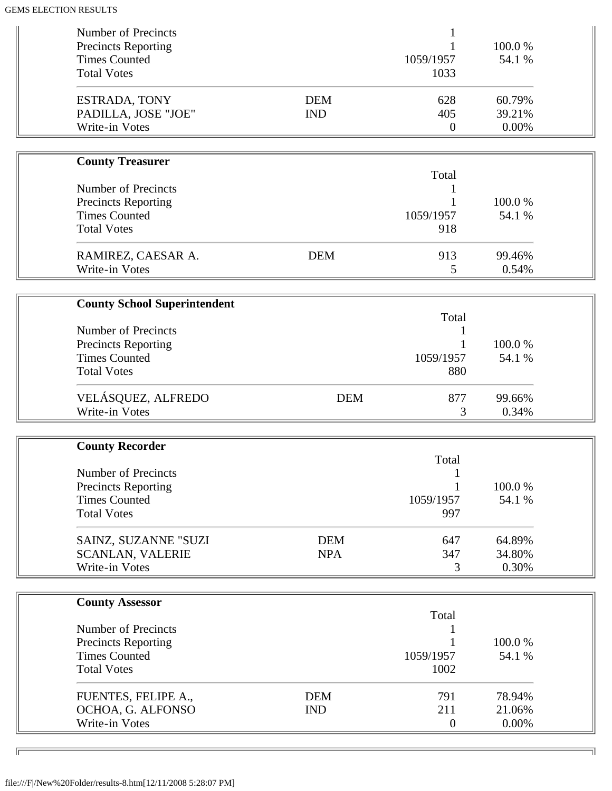| Number of Precincts<br><b>Precincts Reporting</b><br><b>Times Counted</b>                              |                          | 1059/1957                      | 100.0%<br>54.1 %          |
|--------------------------------------------------------------------------------------------------------|--------------------------|--------------------------------|---------------------------|
| <b>Total Votes</b>                                                                                     |                          | 1033                           |                           |
| <b>ESTRADA, TONY</b><br>PADILLA, JOSE "JOE"<br>Write-in Votes                                          | <b>DEM</b><br><b>IND</b> | 628<br>405<br>$\boldsymbol{0}$ | 60.79%<br>39.21%<br>0.00% |
|                                                                                                        |                          |                                |                           |
| <b>County Treasurer</b>                                                                                |                          | Total                          |                           |
| <b>Number of Precincts</b><br><b>Precincts Reporting</b><br><b>Times Counted</b><br><b>Total Votes</b> |                          | 1059/1957<br>918               | 100.0%<br>54.1 %          |
| RAMIREZ, CAESAR A.<br>Write-in Votes                                                                   | <b>DEM</b>               | 913<br>5                       | 99.46%<br>0.54%           |
|                                                                                                        |                          |                                |                           |
| <b>County School Superintendent</b>                                                                    |                          |                                |                           |
| <b>Number of Precincts</b>                                                                             |                          | Total<br>1                     |                           |
| <b>Precincts Reporting</b>                                                                             |                          |                                | 100.0%                    |
| <b>Times Counted</b>                                                                                   |                          | 1059/1957                      | 54.1 %                    |
| <b>Total Votes</b>                                                                                     |                          | 880                            |                           |
| VELÁSQUEZ, ALFREDO<br>Write-in Votes                                                                   | <b>DEM</b>               | 877<br>3                       | 99.66%<br>0.34%           |
|                                                                                                        |                          |                                |                           |
| <b>County Recorder</b>                                                                                 |                          |                                |                           |
| <b>Number of Precincts</b>                                                                             |                          | Total                          |                           |
| <b>Precincts Reporting</b>                                                                             |                          |                                | 100.0%                    |
| <b>Times Counted</b>                                                                                   |                          | 1059/1957                      | 54.1 %                    |
| <b>Total Votes</b>                                                                                     |                          | 997                            |                           |
| SAINZ, SUZANNE "SUZI                                                                                   | <b>DEM</b>               | 647                            | 64.89%                    |
| <b>SCANLAN, VALERIE</b>                                                                                | <b>NPA</b>               | 347                            | 34.80%                    |
| Write-in Votes                                                                                         |                          | 3                              | 0.30%                     |
|                                                                                                        |                          |                                |                           |
| <b>County Assessor</b>                                                                                 |                          | Total                          |                           |
| <b>Number of Precincts</b>                                                                             |                          |                                |                           |
| <b>Precincts Reporting</b>                                                                             |                          |                                | 100.0%                    |
| <b>Times Counted</b>                                                                                   |                          | 1059/1957                      | 54.1 %                    |
| <b>Total Votes</b>                                                                                     |                          | 1002                           |                           |
| FUENTES, FELIPE A.,                                                                                    | <b>DEM</b>               | 791                            | 78.94%                    |
| OCHOA, G. ALFONSO                                                                                      | <b>IND</b>               | 211                            | 21.06%                    |
| Write-in Votes                                                                                         |                          | $\boldsymbol{0}$               | 0.00%                     |

╗

 $\overline{\phantom{a}}$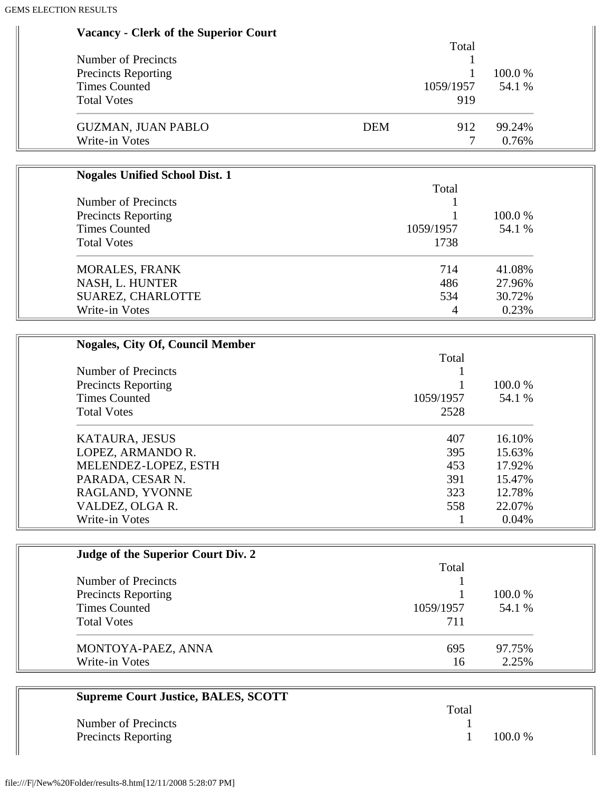|                           |            | Total |         |
|---------------------------|------------|-------|---------|
| Number of Precincts       |            |       |         |
| Precincts Reporting       |            |       | 100.0 % |
| <b>Times Counted</b>      | 1059/1957  |       | 54.1 %  |
| <b>Total Votes</b>        |            | 919   |         |
| <b>GUZMAN, JUAN PABLO</b> | <b>DEM</b> | 912   | 99.24%  |
| Write-in Votes            |            |       | 0.76%   |

| <b>Nogales Unified School Dist. 1</b>             |           |         |
|---------------------------------------------------|-----------|---------|
|                                                   | Total     |         |
| Number of Precincts<br><b>Precincts Reporting</b> |           |         |
|                                                   |           | 100.0 % |
| <b>Times Counted</b>                              | 1059/1957 | 54.1 %  |
| <b>Total Votes</b>                                | 1738      |         |
| <b>MORALES, FRANK</b>                             | 714       | 41.08%  |
| NASH, L. HUNTER                                   | 486       | 27.96%  |
| SUAREZ, CHARLOTTE                                 | 534       | 30.72%  |
| Write-in Votes                                    | 4         | 0.23%   |

| <b>Nogales, City Of, Council Member</b> |           |         |
|-----------------------------------------|-----------|---------|
|                                         | Total     |         |
| Number of Precincts                     |           |         |
| <b>Precincts Reporting</b>              |           | 100.0 % |
| <b>Times Counted</b>                    | 1059/1957 | 54.1 %  |
| <b>Total Votes</b>                      | 2528      |         |
| <b>KATAURA, JESUS</b>                   | 407       | 16.10%  |
| LOPEZ, ARMANDO R.                       | 395       | 15.63%  |
| MELENDEZ-LOPEZ, ESTH                    | 453       | 17.92%  |
| PARADA, CESAR N.                        | 391       | 15.47%  |
| RAGLAND, YVONNE                         | 323       | 12.78%  |
| VALDEZ, OLGA R.                         | 558       | 22.07%  |
| Write-in Votes                          |           | 0.04%   |

| Judge of the Superior Court Div. 2 |           |         |
|------------------------------------|-----------|---------|
|                                    | Total     |         |
| Number of Precincts                |           |         |
| <b>Precincts Reporting</b>         |           | 100.0 % |
| <b>Times Counted</b>               | 1059/1957 | 54.1 %  |
| <b>Total Votes</b>                 | 711       |         |
| MONTOYA-PAEZ, ANNA                 | 695       | 97.75%  |
| Write-in Votes                     | 16        | 2.25%   |

| <b>Supreme Court Justice, BALES, SCOTT</b> |       |           |
|--------------------------------------------|-------|-----------|
|                                            | Total |           |
| Number of Precincts                        |       |           |
| <b>Precincts Reporting</b>                 |       | $100.0\%$ |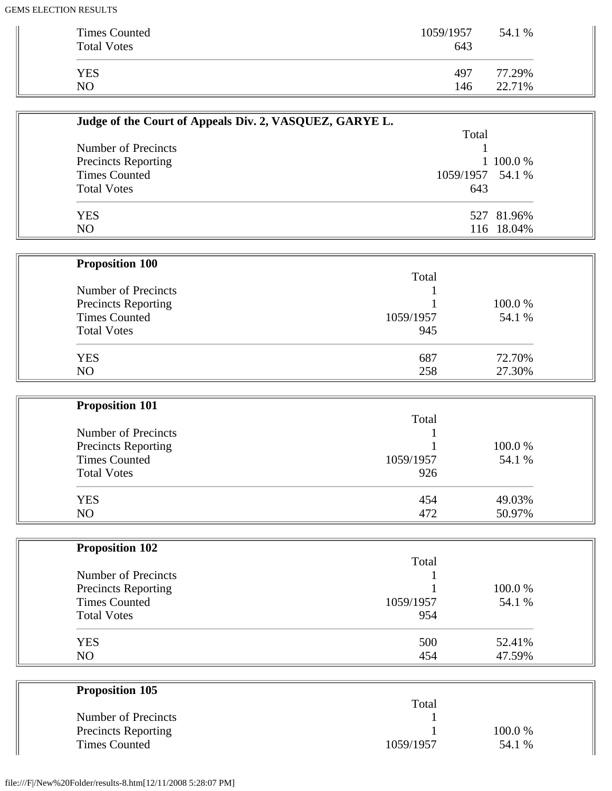۰

| Times Counted<br><b>Total Votes</b> | 1059/1957<br>643 | 54.1 % |
|-------------------------------------|------------------|--------|
| <b>YES</b>                          | 497              | 77.29% |
| N <sub>O</sub>                      | 146              | 22.71% |

| Judge of the Court of Appeals Div. 2, VASQUEZ, GARYE L. |                  |            |
|---------------------------------------------------------|------------------|------------|
|                                                         | Total            |            |
| Number of Precincts                                     |                  |            |
| <b>Precincts Reporting</b>                              |                  | 1 100.0 %  |
| <b>Times Counted</b>                                    | 1059/1957 54.1 % |            |
| <b>Total Votes</b>                                      | 643              |            |
| YES                                                     |                  | 527 81.96% |
| N <sub>O</sub>                                          |                  | 116 18.04% |

| <b>Proposition 100</b>     |           |        |  |
|----------------------------|-----------|--------|--|
|                            | Total     |        |  |
| Number of Precincts        |           |        |  |
| <b>Precincts Reporting</b> |           | 100.0% |  |
| <b>Times Counted</b>       | 1059/1957 | 54.1 % |  |
| <b>Total Votes</b>         | 945       |        |  |
| <b>YES</b>                 | 687       | 72.70% |  |
| NO                         | 258       | 27.30% |  |

| <b>Proposition 101</b>     |           |        |
|----------------------------|-----------|--------|
|                            | Total     |        |
| Number of Precincts        |           |        |
| <b>Precincts Reporting</b> |           | 100.0% |
| <b>Times Counted</b>       | 1059/1957 | 54.1 % |
| <b>Total Votes</b>         | 926       |        |
| <b>YES</b>                 | 454       | 49.03% |
| N <sub>O</sub>             | 472       | 50.97% |

| <b>Proposition 102</b> |           |        |
|------------------------|-----------|--------|
|                        | Total     |        |
| Number of Precincts    |           |        |
| Precincts Reporting    |           | 100.0% |
| <b>Times Counted</b>   | 1059/1957 | 54.1 % |
| <b>Total Votes</b>     | 954       |        |
| <b>YES</b>             | 500       | 52.41% |
| N <sub>O</sub>         | 454       | 47.59% |

| <b>Proposition 105</b>     |           |         |
|----------------------------|-----------|---------|
|                            | Total     |         |
| Number of Precincts        |           |         |
| <b>Precincts Reporting</b> |           | 100.0 % |
| <b>Times Counted</b>       | 1059/1957 | 54.1 %  |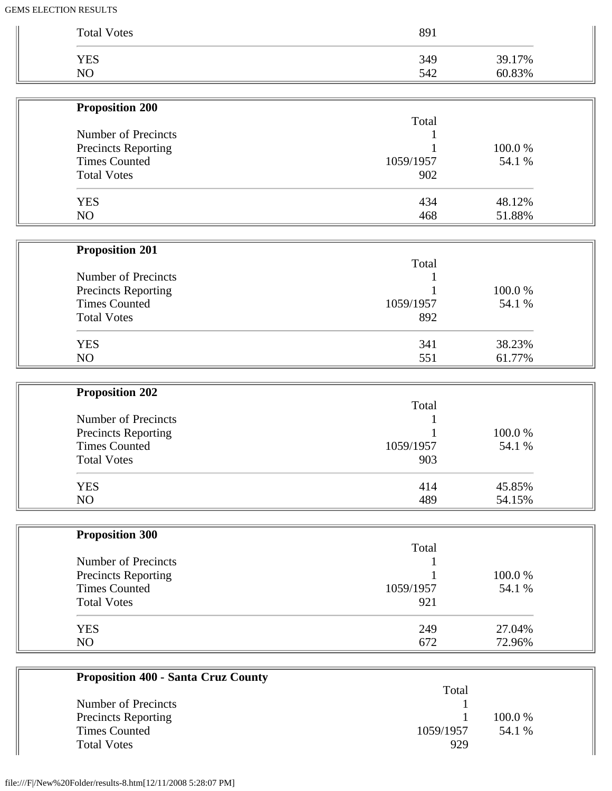| <b>Total Votes</b> | 891 |        |
|--------------------|-----|--------|
| YES                | 349 | 39.17% |
| NO                 | 542 | 60.83% |

| <b>Proposition 200</b>     |           |         |
|----------------------------|-----------|---------|
|                            | Total     |         |
| Number of Precincts        |           |         |
| <b>Precincts Reporting</b> |           | 100.0 % |
| <b>Times Counted</b>       | 1059/1957 | 54.1 %  |
| <b>Total Votes</b>         | 902       |         |
| <b>YES</b>                 | 434       | 48.12%  |
| NO.                        | 468       | 51.88%  |

| <b>Proposition 201</b>     |           |         |
|----------------------------|-----------|---------|
|                            | Total     |         |
| Number of Precincts        |           |         |
| <b>Precincts Reporting</b> |           | 100.0 % |
| <b>Times Counted</b>       | 1059/1957 | 54.1 %  |
| <b>Total Votes</b>         | 892       |         |
| <b>YES</b>                 | 341       | 38.23%  |
| NO.                        | 551       | 61.77%  |

 $\overline{1}$ 

| <b>Proposition 202</b> |           |        |
|------------------------|-----------|--------|
|                        | Total     |        |
| Number of Precincts    |           |        |
| Precincts Reporting    |           | 100.0% |
| <b>Times Counted</b>   | 1059/1957 | 54.1 % |
| <b>Total Votes</b>     | 903       |        |
| <b>YES</b>             | 414       | 45.85% |
| NO                     | 489       | 54.15% |

| <b>Proposition 300</b>     |           |         |
|----------------------------|-----------|---------|
|                            | Total     |         |
| Number of Precincts        |           |         |
| <b>Precincts Reporting</b> |           | 100.0 % |
| <b>Times Counted</b>       | 1059/1957 | 54.1 %  |
| <b>Total Votes</b>         | 921       |         |
| <b>YES</b>                 | 249       | 27.04%  |
| N <sub>O</sub>             | 672       | 72.96%  |

| <b>Proposition 400 - Santa Cruz County</b> |           |         |
|--------------------------------------------|-----------|---------|
|                                            | Total     |         |
| Number of Precincts                        |           |         |
| <b>Precincts Reporting</b>                 |           | 100.0 % |
| <b>Times Counted</b>                       | 1059/1957 | 54.1 %  |
| <b>Total Votes</b>                         | 929       |         |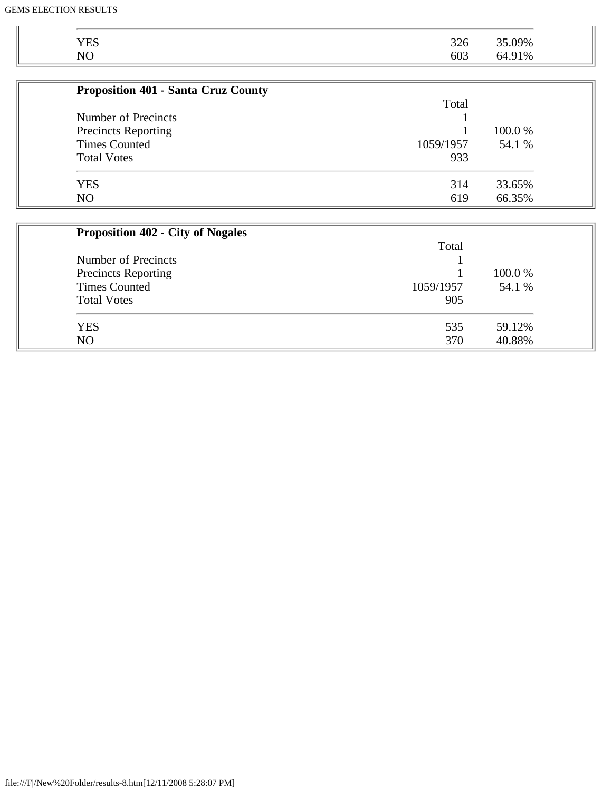| பல<br>∪∠ر<br>603<br>$\mathbf{M}$<br>91%<br>nΔ<br><b>NU</b> | VES |     |     |
|------------------------------------------------------------|-----|-----|-----|
|                                                            |     | 326 | 09% |
|                                                            |     |     |     |

| <b>Proposition 401 - Santa Cruz County</b> |           |         |
|--------------------------------------------|-----------|---------|
|                                            | Total     |         |
| Number of Precincts                        |           |         |
| <b>Precincts Reporting</b>                 |           | 100.0 % |
| <b>Times Counted</b>                       | 1059/1957 | 54.1 %  |
| <b>Total Votes</b>                         | 933       |         |
| <b>YES</b>                                 | 314       | 33.65%  |
| NO                                         | 619       | 66.35%  |

| <b>Proposition 402 - City of Nogales</b> |           |         |
|------------------------------------------|-----------|---------|
|                                          | Total     |         |
| Number of Precincts                      |           |         |
| Precincts Reporting                      |           | 100.0 % |
| <b>Times Counted</b>                     | 1059/1957 | 54.1 %  |
| <b>Total Votes</b>                       | 905       |         |
| <b>YES</b>                               | 535       | 59.12%  |
| N <sub>O</sub>                           | 370       | 40.88%  |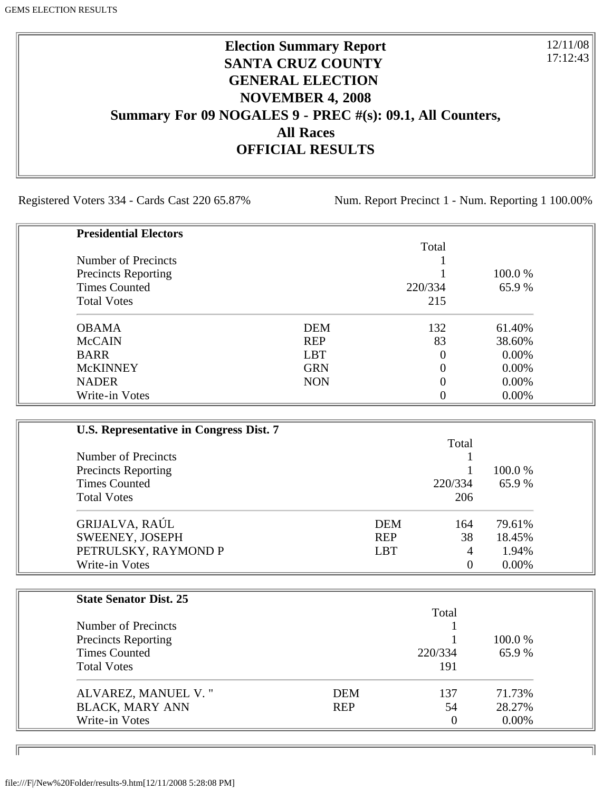# **Election Summary Report SANTA CRUZ COUNTY GENERAL ELECTION NOVEMBER 4, 2008 Summary For 09 NOGALES 9 - PREC #(s): 09.1, All Counters, All Races OFFICIAL RESULTS**

Registered Voters 334 - Cards Cast 220 65.87% Num. Report Precinct 1 - Num. Reporting 1 100.00%

12/11/08 17:12:43

٦I

| <b>Presidential Electors</b> |            |                |          |
|------------------------------|------------|----------------|----------|
|                              |            | Total          |          |
| Number of Precincts          |            |                |          |
| <b>Precincts Reporting</b>   |            |                | 100.0 %  |
| <b>Times Counted</b>         |            | 220/334        | 65.9%    |
| <b>Total Votes</b>           |            | 215            |          |
| <b>OBAMA</b>                 | <b>DEM</b> | 132            | 61.40%   |
| <b>McCAIN</b>                | <b>REP</b> | 83             | 38.60%   |
| <b>BARR</b>                  | <b>LBT</b> | $\overline{0}$ | $0.00\%$ |
| <b>McKINNEY</b>              | <b>GRN</b> | 0              | $0.00\%$ |
| <b>NADER</b>                 | <b>NON</b> | $\theta$       | $0.00\%$ |
| Write-in Votes               |            |                | 0.00%    |

| U.S. Representative in Congress Dist. 7 |            |          |          |
|-----------------------------------------|------------|----------|----------|
|                                         |            | Total    |          |
| Number of Precincts                     |            |          |          |
| <b>Precincts Reporting</b>              |            |          | 100.0 %  |
| <b>Times Counted</b>                    |            | 220/334  | 65.9%    |
| <b>Total Votes</b>                      |            | 206      |          |
| GRIJALVA, RAÚL                          | <b>DEM</b> | 164      | 79.61%   |
| SWEENEY, JOSEPH                         | <b>REP</b> | 38       | 18.45%   |
| PETRULSKY, RAYMOND P                    | <b>LBT</b> | 4        | 1.94%    |
| Write-in Votes                          |            | $\theta$ | $0.00\%$ |

| <b>State Senator Dist. 25</b> |            |                |          |
|-------------------------------|------------|----------------|----------|
|                               |            | Total          |          |
| Number of Precincts           |            |                |          |
| <b>Precincts Reporting</b>    |            |                | 100.0 %  |
| <b>Times Counted</b>          |            | 220/334        | 65.9%    |
| <b>Total Votes</b>            |            | 191            |          |
| ALVAREZ, MANUEL V."           | DEM        | 137            | 71.73%   |
| <b>BLACK, MARY ANN</b>        | <b>REP</b> | 54             | 28.27%   |
| Write-in Votes                |            | $\overline{0}$ | $0.00\%$ |

ID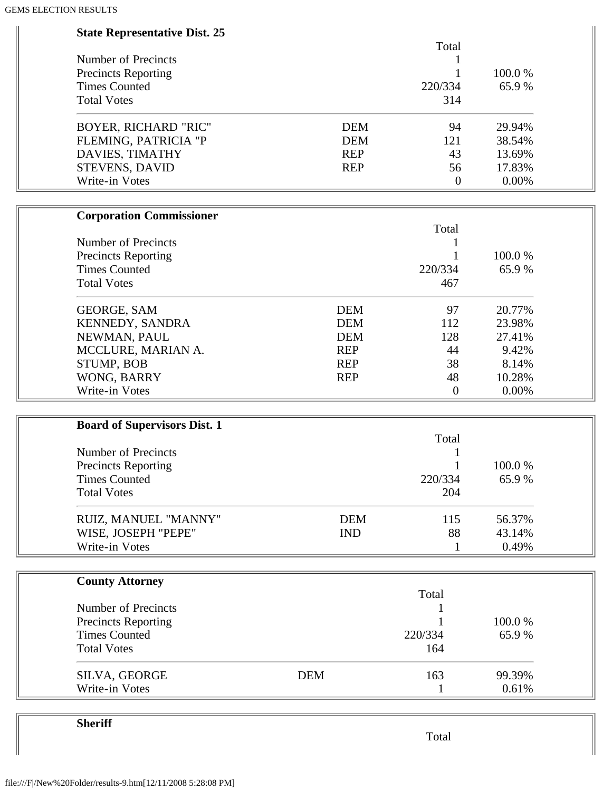| <b>State Representative Dist. 25</b> |            |                  |        |
|--------------------------------------|------------|------------------|--------|
|                                      |            | Total            |        |
| Number of Precincts                  |            | 1                |        |
| <b>Precincts Reporting</b>           |            |                  | 100.0% |
| <b>Times Counted</b>                 |            | 220/334          | 65.9%  |
| <b>Total Votes</b>                   |            | 314              |        |
| <b>BOYER, RICHARD "RIC"</b>          | <b>DEM</b> | 94               | 29.94% |
| FLEMING, PATRICIA "P                 | <b>DEM</b> | 121              | 38.54% |
| DAVIES, TIMATHY                      | <b>REP</b> | 43               | 13.69% |
| STEVENS, DAVID                       | <b>REP</b> | 56               | 17.83% |
| Write-in Votes                       |            | $\boldsymbol{0}$ | 0.00%  |
| <b>Corporation Commissioner</b>      |            |                  |        |
|                                      |            | Total            |        |
| Number of Precincts                  |            |                  |        |
| <b>Precincts Reporting</b>           |            |                  | 100.0% |
| <b>Times Counted</b>                 |            | 220/334          | 65.9%  |
| <b>Total Votes</b>                   |            | 467              |        |
| <b>GEORGE, SAM</b>                   | <b>DEM</b> | 97               | 20.77% |
| KENNEDY, SANDRA                      | <b>DEM</b> | 112              | 23.98% |
| NEWMAN, PAUL                         | <b>DEM</b> | 128              | 27.41% |
| MCCLURE, MARIAN A.                   | <b>REP</b> | 44               | 9.42%  |
| STUMP, BOB                           | <b>REP</b> | 38               | 8.14%  |
| WONG, BARRY                          | <b>REP</b> | 48               | 10.28% |
| Write-in Votes                       |            | $\boldsymbol{0}$ | 0.00%  |
| <b>Board of Supervisors Dist. 1</b>  |            |                  |        |
|                                      |            | Total            |        |
| Number of Precincts                  |            |                  |        |
| <b>Precincts Reporting</b>           |            |                  | 100.0% |
| <b>Times Counted</b>                 |            | 220/334          | 65.9%  |
| <b>Total Votes</b>                   |            | 204              |        |
|                                      |            |                  |        |
| RUIZ, MANUEL "MANNY"                 | <b>DEM</b> | 115              | 56.37% |
| WISE, JOSEPH "PEPE"                  | <b>IND</b> | 88               | 43.14% |
| Write-in Votes                       |            | 1                | 0.49%  |
| <b>County Attorney</b>               |            |                  |        |
|                                      |            | Total            |        |
| Number of Precincts                  |            |                  |        |
| <b>Precincts Reporting</b>           |            |                  | 100.0% |
| <b>Times Counted</b>                 |            | 220/334          | 65.9%  |
| <b>Total Votes</b>                   |            | 164              |        |
| SILVA, GEORGE                        | <b>DEM</b> | 163              | 99.39% |
| Write-in Votes                       |            | 1                | 0.61%  |

**Sheriff**

Total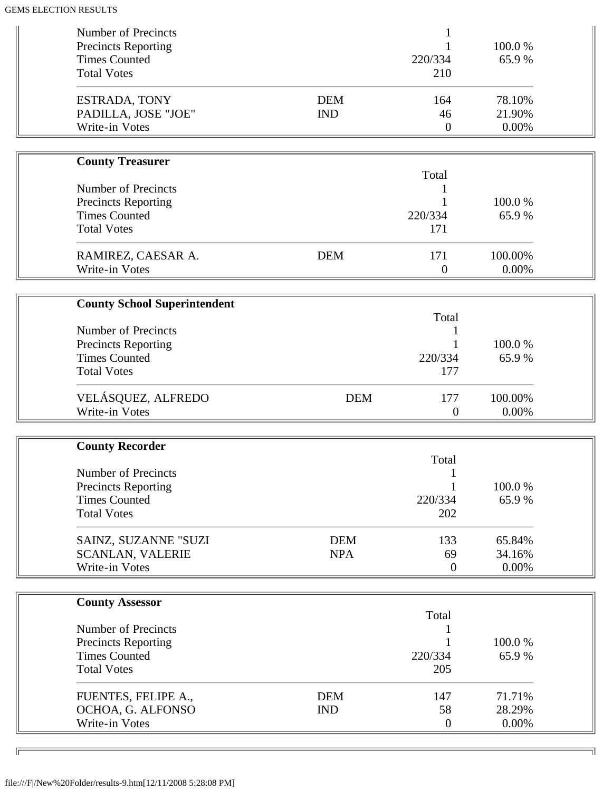| Number of Precincts<br>Precincts Reporting<br><b>Times Counted</b>                              |                          | 220/334                       | 100.0%<br>65.9%           |  |
|-------------------------------------------------------------------------------------------------|--------------------------|-------------------------------|---------------------------|--|
| <b>Total Votes</b>                                                                              |                          | 210                           |                           |  |
| ESTRADA, TONY<br>PADILLA, JOSE "JOE"<br>Write-in Votes                                          | <b>DEM</b><br><b>IND</b> | 164<br>46<br>$\boldsymbol{0}$ | 78.10%<br>21.90%<br>0.00% |  |
|                                                                                                 |                          |                               |                           |  |
| <b>County Treasurer</b>                                                                         |                          |                               |                           |  |
| Number of Precincts<br><b>Precincts Reporting</b><br><b>Times Counted</b><br><b>Total Votes</b> |                          | Total<br>220/334<br>171       | 100.0%<br>65.9%           |  |
| RAMIREZ, CAESAR A.                                                                              | <b>DEM</b>               | 171                           | 100.00%                   |  |
| Write-in Votes                                                                                  |                          | $\boldsymbol{0}$              | 0.00%                     |  |
|                                                                                                 |                          |                               |                           |  |
| <b>County School Superintendent</b>                                                             |                          | Total                         |                           |  |
| Number of Precincts                                                                             |                          |                               |                           |  |
| <b>Precincts Reporting</b>                                                                      |                          |                               | 100.0%                    |  |
| <b>Times Counted</b>                                                                            |                          | 220/334                       | 65.9%                     |  |
| <b>Total Votes</b>                                                                              |                          | 177                           |                           |  |
| VELÁSQUEZ, ALFREDO<br>Write-in Votes                                                            | <b>DEM</b>               | 177<br>$\theta$               | 100.00%<br>0.00%          |  |
|                                                                                                 |                          |                               |                           |  |
| <b>County Recorder</b>                                                                          |                          |                               |                           |  |
| <b>Number of Precincts</b>                                                                      |                          | Total                         |                           |  |
| <b>Precincts Reporting</b>                                                                      |                          |                               | 100.0%                    |  |
| <b>Times Counted</b>                                                                            |                          | 220/334                       | 65.9%                     |  |
| <b>Total Votes</b>                                                                              |                          | 202                           |                           |  |
| SAINZ, SUZANNE "SUZI                                                                            | <b>DEM</b>               | 133                           | 65.84%                    |  |
| <b>SCANLAN, VALERIE</b>                                                                         | <b>NPA</b>               | 69                            | 34.16%                    |  |
| Write-in Votes                                                                                  |                          | $\overline{0}$                | 0.00%                     |  |
|                                                                                                 |                          |                               |                           |  |
| <b>County Assessor</b>                                                                          |                          | Total                         |                           |  |
| Number of Precincts                                                                             |                          |                               |                           |  |
| <b>Precincts Reporting</b>                                                                      |                          |                               | 100.0%                    |  |
| <b>Times Counted</b>                                                                            |                          | 220/334                       | 65.9%                     |  |
| <b>Total Votes</b>                                                                              |                          | 205                           |                           |  |
| FUENTES, FELIPE A.,                                                                             | <b>DEM</b>               | 147                           | 71.71%                    |  |
| OCHOA, G. ALFONSO                                                                               | <b>IND</b>               | 58                            | 28.29%                    |  |
| Write-in Votes                                                                                  |                          | $\overline{0}$                | 0.00%                     |  |

╗

 $\overline{\phantom{a}}$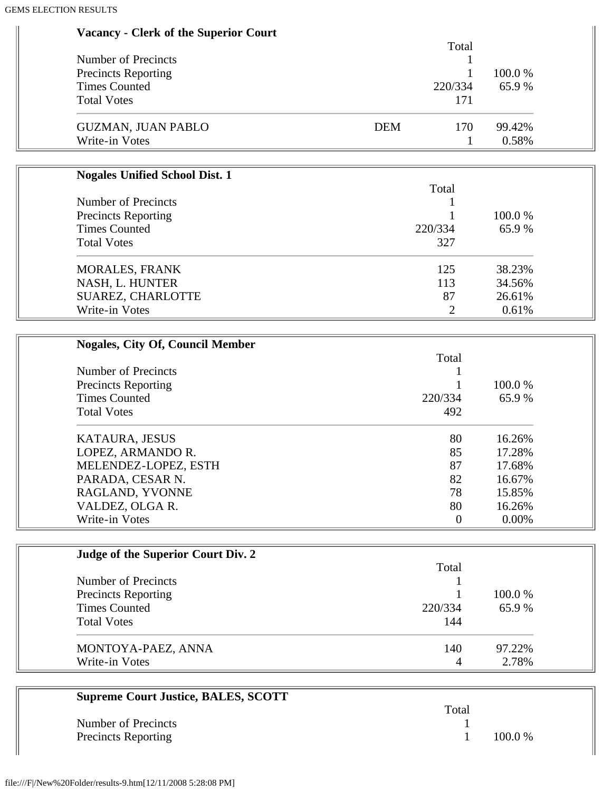| <b>Vacancy - Clerk of the Superior Court</b>       |                   |          |
|----------------------------------------------------|-------------------|----------|
|                                                    | Total             |          |
| Number of Precincts                                |                   | 100.0%   |
| <b>Precincts Reporting</b><br><b>Times Counted</b> | 1<br>220/334      | 65.9%    |
| <b>Total Votes</b>                                 | 171               |          |
|                                                    |                   |          |
| <b>GUZMAN, JUAN PABLO</b>                          | <b>DEM</b><br>170 | 99.42%   |
| Write-in Votes                                     | 1                 | 0.58%    |
|                                                    |                   |          |
| <b>Nogales Unified School Dist. 1</b>              |                   |          |
|                                                    | Total             |          |
| Number of Precincts                                |                   |          |
| <b>Precincts Reporting</b>                         |                   | 100.0%   |
| <b>Times Counted</b>                               | 220/334           | 65.9%    |
| <b>Total Votes</b>                                 | 327               |          |
| <b>MORALES, FRANK</b>                              | 125               | 38.23%   |
| NASH, L. HUNTER                                    | 113               | 34.56%   |
| SUAREZ, CHARLOTTE                                  | 87                | 26.61%   |
| Write-in Votes                                     | $\overline{2}$    | 0.61%    |
|                                                    |                   |          |
| <b>Nogales, City Of, Council Member</b>            |                   |          |
|                                                    | Total             |          |
| <b>Number of Precincts</b>                         | 1                 |          |
| <b>Precincts Reporting</b>                         |                   | 100.0%   |
| <b>Times Counted</b>                               | 220/334           | 65.9%    |
| <b>Total Votes</b>                                 | 492               |          |
| KATAURA, JESUS                                     | 80                | 16.26%   |
| LOPEZ, ARMANDO R.                                  | 85                | 17.28%   |
| MELENDEZ-LOPEZ, ESTH                               | 87                | 17.68%   |
| PARADA, CESAR N.                                   | 82                | 16.67%   |
| RAGLAND, YVONNE                                    | 78                | 15.85%   |
| VALDEZ, OLGA R.                                    | 80                | 16.26%   |
| Write-in Votes                                     | $\boldsymbol{0}$  | $0.00\%$ |
|                                                    |                   |          |
| Judge of the Superior Court Div. 2                 |                   |          |
|                                                    | Total             |          |
| <b>Number of Precincts</b>                         |                   |          |
| <b>Precincts Reporting</b>                         |                   | 100.0%   |
| <b>Times Counted</b>                               | 220/334           | 65.9%    |
| <b>Total Votes</b>                                 | 144               |          |

| MONTOYA-PAEZ, ANNA | 140 | 97.22% |
|--------------------|-----|--------|
| Write-in Votes     |     | 2.78%  |

| <b>Supreme Court Justice, BALES, SCOTT</b> |       |           |
|--------------------------------------------|-------|-----------|
|                                            | Total |           |
| Number of Precincts                        |       |           |
| <b>Precincts Reporting</b>                 |       | $100.0\%$ |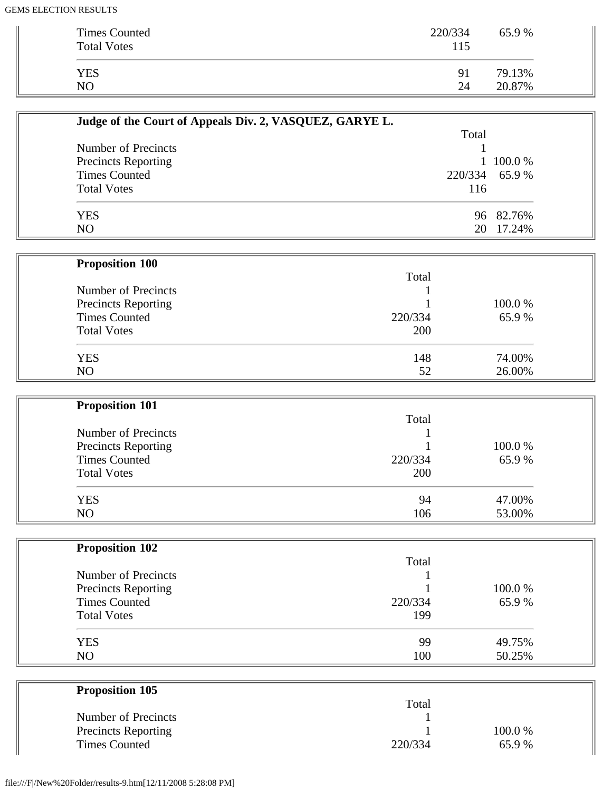| Times Counted<br><b>Total Votes</b> | 220/334<br>115 | 65.9%  |
|-------------------------------------|----------------|--------|
|                                     |                | 79.13% |
| <b>YES</b>                          | 91             |        |
| NO.                                 | 24             | 20.87% |

| Judge of the Court of Appeals Div. 2, VASQUEZ, GARYE L. |                |           |
|---------------------------------------------------------|----------------|-----------|
|                                                         | Total          |           |
| Number of Precincts                                     |                |           |
| <b>Precincts Reporting</b>                              |                | 1 100.0 % |
| <b>Times Counted</b>                                    | 220/334 65.9 % |           |
| <b>Total Votes</b>                                      | 116            |           |
| YES                                                     |                | 96 82.76% |
| N <sub>O</sub>                                          | 20             | 17.24%    |

| <b>Proposition 100</b>     |         |        |
|----------------------------|---------|--------|
|                            | Total   |        |
| Number of Precincts        |         |        |
| <b>Precincts Reporting</b> |         | 100.0% |
| <b>Times Counted</b>       | 220/334 | 65.9%  |
| <b>Total Votes</b>         | 200     |        |
| <b>YES</b>                 | 148     | 74.00% |
| N <sub>O</sub>             | 52      | 26.00% |

| <b>Proposition 101</b>     |         |        |
|----------------------------|---------|--------|
|                            | Total   |        |
| Number of Precincts        |         |        |
| <b>Precincts Reporting</b> |         | 100.0% |
| <b>Times Counted</b>       | 220/334 | 65.9%  |
| <b>Total Votes</b>         | 200     |        |
| <b>YES</b>                 | 94      | 47.00% |
| N <sub>O</sub>             | 106     | 53.00% |

| <b>Proposition 102</b>     |         |        |
|----------------------------|---------|--------|
|                            | Total   |        |
| Number of Precincts        |         |        |
| <b>Precincts Reporting</b> |         | 100.0% |
| <b>Times Counted</b>       | 220/334 | 65.9%  |
| <b>Total Votes</b>         | 199     |        |
| <b>YES</b>                 | 99      | 49.75% |
| N <sub>O</sub>             | 100     | 50.25% |

| <b>Proposition 105</b>     |         |         |
|----------------------------|---------|---------|
|                            | Total   |         |
| Number of Precincts        |         |         |
| <b>Precincts Reporting</b> |         | 100.0 % |
| <b>Times Counted</b>       | 220/334 | 65.9%   |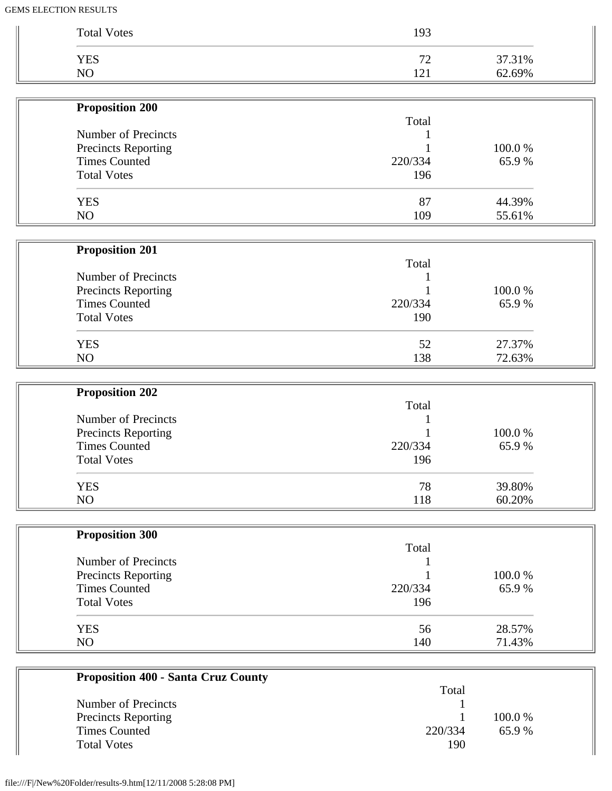| <b>Total Votes</b>     | 193     |        |
|------------------------|---------|--------|
| <b>YES</b>             | 72      | 37.31% |
| NO                     | 121     | 62.69% |
| <b>Proposition 200</b> |         |        |
|                        | Total   |        |
| Number of Precincts    |         |        |
| Precincts Reporting    |         | 100.0% |
| <b>Times Counted</b>   | 220/334 | 65.9%  |
| <b>Total Votes</b>     | 196     |        |
| <b>YES</b>             | 87      | 44.39% |
| NO                     | 109     | 55.61% |
| <b>Proposition 201</b> |         |        |
|                        | Total   |        |
| Number of Precincts    |         |        |
| Precincts Reporting    |         | 100.0% |
| <b>Times Counted</b>   | 220/334 | 65.9%  |
| <b>Total Votes</b>     | 190     |        |
| <b>YES</b>             | 52      | 27.37% |
| NO                     | 138     | 72.63% |
| <b>Proposition 202</b> |         |        |
|                        | Total   |        |
| Number of Precincts    |         |        |
| Precincts Reporting    |         | 100.0% |
| <b>Times Counted</b>   | 220/334 | 65.9%  |
| <b>Total Votes</b>     | 196     |        |
| <b>YES</b>             | 78      | 39.80% |
| NO                     | 118     | 60.20% |
| <b>Proposition 300</b> |         |        |
|                        | Total   |        |
| Number of Precincts    |         |        |
| Precincts Reporting    |         | 100.0% |
| <b>Times Counted</b>   | 220/334 | 65.9%  |
| <b>Total Votes</b>     | 196     |        |
| <b>YES</b>             | 56      | 28.57% |
|                        | 140     | 71.43% |

|                            | Total   |           |
|----------------------------|---------|-----------|
| Number of Precincts        |         |           |
| <b>Precincts Reporting</b> |         | $100.0\%$ |
| <b>Times Counted</b>       | 220/334 | 65.9 %    |
| <b>Total Votes</b>         | 190     |           |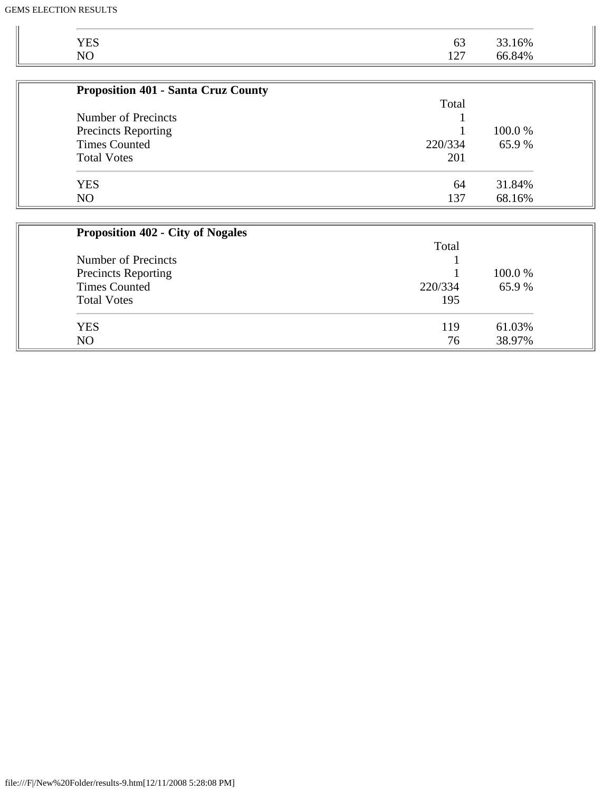| <b>YES</b>                                 | 63         | 33.16% |
|--------------------------------------------|------------|--------|
| NO                                         | 127        | 66.84% |
|                                            |            |        |
| <b>Proposition 401 - Santa Cruz County</b> |            |        |
|                                            | Total      |        |
| <b>Number of Precincts</b>                 |            |        |
| <b>Precincts Reporting</b>                 |            | 100.0% |
| <b>Times Counted</b>                       | 220/334    | 65.9%  |
| <b>Total Votes</b>                         | 201        |        |
| <b>YES</b>                                 | 64         | 31.84% |
| NO                                         | 137        | 68.16% |
|                                            |            |        |
| <b>Proposition 402 - City of Nogales</b>   |            |        |
|                                            | Total      |        |
| Number of Precincts                        |            |        |
| <b>Precincts Reporting</b>                 |            | 100.0% |
| <b>Times Counted</b>                       | 220/334    | 65.9%  |
| $T_{\text{old}}$ $V_{\text{old}}$          | $1 \cap F$ |        |

| <b>Total Votes</b> | 195 |        |
|--------------------|-----|--------|
| <b>YES</b>         | 119 | 03%    |
| N <sub>O</sub>     | 76  | 38.97% |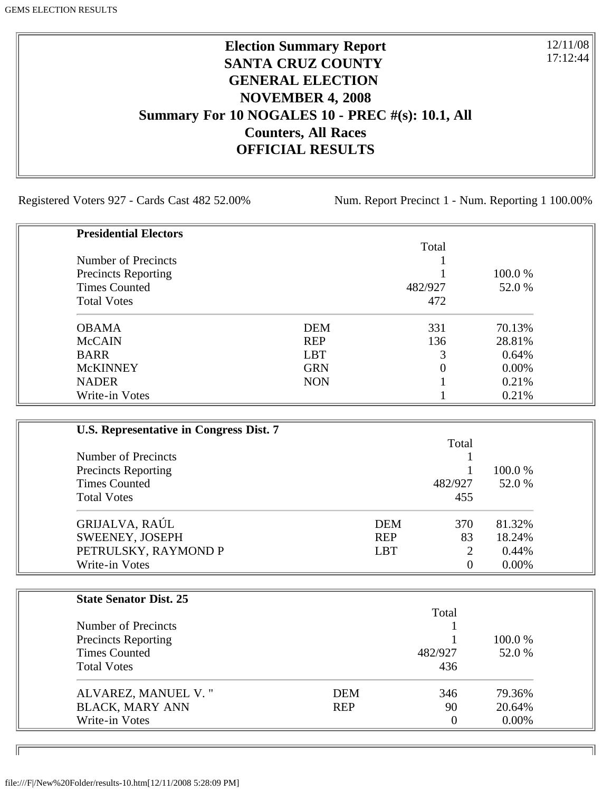# **Election Summary Report SANTA CRUZ COUNTY GENERAL ELECTION NOVEMBER 4, 2008 Summary For 10 NOGALES 10 - PREC #(s): 10.1, All Counters, All Races OFFICIAL RESULTS**

Registered Voters 927 - Cards Cast 482 52.00% Num. Report Precinct 1 - Num. Reporting 1 100.00%

12/11/08 17:12:44

٦I

| <b>Presidential Electors</b> |            |         |          |
|------------------------------|------------|---------|----------|
|                              |            | Total   |          |
| Number of Precincts          |            |         |          |
| <b>Precincts Reporting</b>   |            |         | 100.0 %  |
| <b>Times Counted</b>         |            | 482/927 | 52.0 %   |
| <b>Total Votes</b>           |            | 472     |          |
| <b>OBAMA</b>                 | <b>DEM</b> | 331     | 70.13%   |
| <b>McCAIN</b>                | <b>REP</b> | 136     | 28.81%   |
| <b>BARR</b>                  | <b>LBT</b> | 3       | 0.64%    |
| <b>McKINNEY</b>              | <b>GRN</b> | 0       | $0.00\%$ |
| <b>NADER</b>                 | <b>NON</b> |         | 0.21%    |
| Write-in Votes               |            |         | 0.21%    |

| U.S. Representative in Congress Dist. 7 |            |          |          |
|-----------------------------------------|------------|----------|----------|
|                                         |            | Total    |          |
| Number of Precincts                     |            |          |          |
| <b>Precincts Reporting</b>              |            |          | 100.0 %  |
| <b>Times Counted</b>                    |            | 482/927  | 52.0 %   |
| <b>Total Votes</b>                      |            | 455      |          |
| GRIJALVA, RAÚL                          | <b>DEM</b> | 370      | 81.32%   |
| SWEENEY, JOSEPH                         | <b>REP</b> | 83       | 18.24%   |
| PETRULSKY, RAYMOND P                    | <b>LBT</b> | 2        | 0.44%    |
| Write-in Votes                          |            | $\Omega$ | $0.00\%$ |

| <b>State Senator Dist. 25</b> |            |                |          |
|-------------------------------|------------|----------------|----------|
|                               |            | Total          |          |
| Number of Precincts           |            |                |          |
| <b>Precincts Reporting</b>    |            |                | 100.0 %  |
| <b>Times Counted</b>          |            | 482/927        | 52.0 %   |
| <b>Total Votes</b>            |            | 436            |          |
| ALVAREZ, MANUEL V."           | <b>DEM</b> | 346            | 79.36%   |
| <b>BLACK, MARY ANN</b>        | <b>REP</b> | 90             | 20.64%   |
| Write-in Votes                |            | $\overline{0}$ | $0.00\%$ |

ID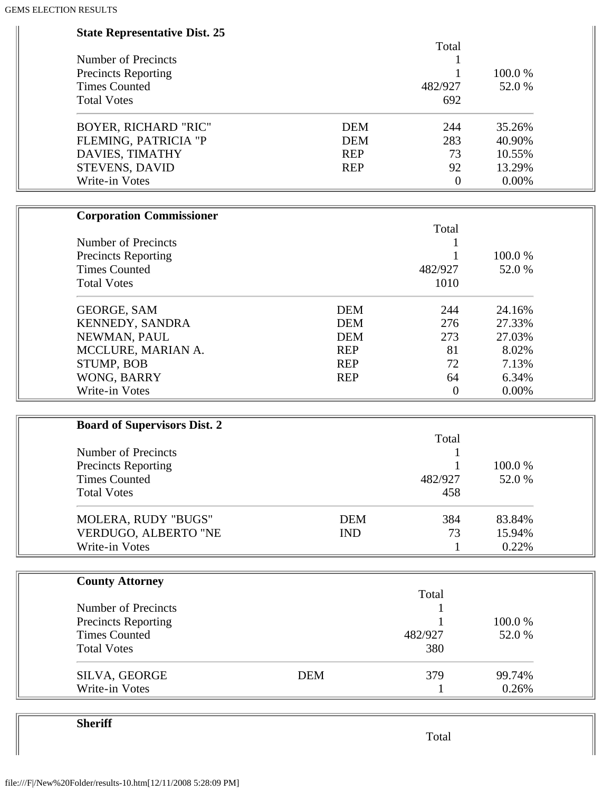| Total<br><b>Number of Precincts</b><br>1<br>100.0%<br><b>Precincts Reporting</b><br><b>Times Counted</b><br>482/927<br>52.0%<br><b>Total Votes</b><br>692<br><b>BOYER, RICHARD "RIC"</b><br><b>DEM</b><br>244<br>35.26%<br>FLEMING, PATRICIA "P<br><b>DEM</b><br>283<br>40.90%<br>DAVIES, TIMATHY<br><b>REP</b><br>73<br>10.55%<br><b>STEVENS, DAVID</b><br>92<br>13.29%<br><b>REP</b><br>Write-in Votes<br>0.00%<br>$\overline{0}$<br><b>Corporation Commissioner</b><br>Total<br>Number of Precincts<br>100.0%<br><b>Precincts Reporting</b><br><b>Times Counted</b><br>482/927<br>52.0%<br><b>Total Votes</b><br>1010<br><b>DEM</b><br>24.16%<br><b>GEORGE, SAM</b><br>244<br>KENNEDY, SANDRA<br><b>DEM</b><br>276<br>27.33%<br>NEWMAN, PAUL<br><b>DEM</b><br>273<br>27.03%<br>81<br>MCCLURE, MARIAN A.<br><b>REP</b><br>8.02%<br>STUMP, BOB<br><b>REP</b><br>72<br>7.13%<br>WONG, BARRY<br>6.34%<br><b>REP</b><br>64<br>Write-in Votes<br>0.00%<br>$\overline{0}$<br><b>Board of Supervisors Dist. 2</b><br>Total<br><b>Number of Precincts</b><br>1<br>$\mathbf{1}$<br>100.0%<br><b>Precincts Reporting</b><br>52.0%<br><b>Times Counted</b><br>482/927<br><b>Total Votes</b><br>458<br>MOLERA, RUDY "BUGS"<br><b>DEM</b><br>384<br>83.84%<br>VERDUGO, ALBERTO "NE<br><b>IND</b><br>73<br>15.94%<br>Write-in Votes<br>0.22%<br>$\mathbf{1}$<br><b>County Attorney</b><br>Total<br><b>Number of Precincts</b><br>100.0%<br><b>Precincts Reporting</b><br><b>Times Counted</b><br>482/927<br>52.0%<br><b>Total Votes</b><br>380<br><b>DEM</b><br>SILVA, GEORGE<br>379<br>99.74%<br>Write-in Votes<br>0.26% | <b>State Representative Dist. 25</b> |  |
|---------------------------------------------------------------------------------------------------------------------------------------------------------------------------------------------------------------------------------------------------------------------------------------------------------------------------------------------------------------------------------------------------------------------------------------------------------------------------------------------------------------------------------------------------------------------------------------------------------------------------------------------------------------------------------------------------------------------------------------------------------------------------------------------------------------------------------------------------------------------------------------------------------------------------------------------------------------------------------------------------------------------------------------------------------------------------------------------------------------------------------------------------------------------------------------------------------------------------------------------------------------------------------------------------------------------------------------------------------------------------------------------------------------------------------------------------------------------------------------------------------------------------------------------------------------------------------------------------------------|--------------------------------------|--|
|                                                                                                                                                                                                                                                                                                                                                                                                                                                                                                                                                                                                                                                                                                                                                                                                                                                                                                                                                                                                                                                                                                                                                                                                                                                                                                                                                                                                                                                                                                                                                                                                               |                                      |  |
|                                                                                                                                                                                                                                                                                                                                                                                                                                                                                                                                                                                                                                                                                                                                                                                                                                                                                                                                                                                                                                                                                                                                                                                                                                                                                                                                                                                                                                                                                                                                                                                                               |                                      |  |
|                                                                                                                                                                                                                                                                                                                                                                                                                                                                                                                                                                                                                                                                                                                                                                                                                                                                                                                                                                                                                                                                                                                                                                                                                                                                                                                                                                                                                                                                                                                                                                                                               |                                      |  |
|                                                                                                                                                                                                                                                                                                                                                                                                                                                                                                                                                                                                                                                                                                                                                                                                                                                                                                                                                                                                                                                                                                                                                                                                                                                                                                                                                                                                                                                                                                                                                                                                               |                                      |  |
|                                                                                                                                                                                                                                                                                                                                                                                                                                                                                                                                                                                                                                                                                                                                                                                                                                                                                                                                                                                                                                                                                                                                                                                                                                                                                                                                                                                                                                                                                                                                                                                                               |                                      |  |
|                                                                                                                                                                                                                                                                                                                                                                                                                                                                                                                                                                                                                                                                                                                                                                                                                                                                                                                                                                                                                                                                                                                                                                                                                                                                                                                                                                                                                                                                                                                                                                                                               |                                      |  |
|                                                                                                                                                                                                                                                                                                                                                                                                                                                                                                                                                                                                                                                                                                                                                                                                                                                                                                                                                                                                                                                                                                                                                                                                                                                                                                                                                                                                                                                                                                                                                                                                               |                                      |  |
|                                                                                                                                                                                                                                                                                                                                                                                                                                                                                                                                                                                                                                                                                                                                                                                                                                                                                                                                                                                                                                                                                                                                                                                                                                                                                                                                                                                                                                                                                                                                                                                                               |                                      |  |
|                                                                                                                                                                                                                                                                                                                                                                                                                                                                                                                                                                                                                                                                                                                                                                                                                                                                                                                                                                                                                                                                                                                                                                                                                                                                                                                                                                                                                                                                                                                                                                                                               |                                      |  |
|                                                                                                                                                                                                                                                                                                                                                                                                                                                                                                                                                                                                                                                                                                                                                                                                                                                                                                                                                                                                                                                                                                                                                                                                                                                                                                                                                                                                                                                                                                                                                                                                               |                                      |  |
|                                                                                                                                                                                                                                                                                                                                                                                                                                                                                                                                                                                                                                                                                                                                                                                                                                                                                                                                                                                                                                                                                                                                                                                                                                                                                                                                                                                                                                                                                                                                                                                                               |                                      |  |
|                                                                                                                                                                                                                                                                                                                                                                                                                                                                                                                                                                                                                                                                                                                                                                                                                                                                                                                                                                                                                                                                                                                                                                                                                                                                                                                                                                                                                                                                                                                                                                                                               |                                      |  |
|                                                                                                                                                                                                                                                                                                                                                                                                                                                                                                                                                                                                                                                                                                                                                                                                                                                                                                                                                                                                                                                                                                                                                                                                                                                                                                                                                                                                                                                                                                                                                                                                               |                                      |  |
|                                                                                                                                                                                                                                                                                                                                                                                                                                                                                                                                                                                                                                                                                                                                                                                                                                                                                                                                                                                                                                                                                                                                                                                                                                                                                                                                                                                                                                                                                                                                                                                                               |                                      |  |
|                                                                                                                                                                                                                                                                                                                                                                                                                                                                                                                                                                                                                                                                                                                                                                                                                                                                                                                                                                                                                                                                                                                                                                                                                                                                                                                                                                                                                                                                                                                                                                                                               |                                      |  |
|                                                                                                                                                                                                                                                                                                                                                                                                                                                                                                                                                                                                                                                                                                                                                                                                                                                                                                                                                                                                                                                                                                                                                                                                                                                                                                                                                                                                                                                                                                                                                                                                               |                                      |  |
|                                                                                                                                                                                                                                                                                                                                                                                                                                                                                                                                                                                                                                                                                                                                                                                                                                                                                                                                                                                                                                                                                                                                                                                                                                                                                                                                                                                                                                                                                                                                                                                                               |                                      |  |
|                                                                                                                                                                                                                                                                                                                                                                                                                                                                                                                                                                                                                                                                                                                                                                                                                                                                                                                                                                                                                                                                                                                                                                                                                                                                                                                                                                                                                                                                                                                                                                                                               |                                      |  |
|                                                                                                                                                                                                                                                                                                                                                                                                                                                                                                                                                                                                                                                                                                                                                                                                                                                                                                                                                                                                                                                                                                                                                                                                                                                                                                                                                                                                                                                                                                                                                                                                               |                                      |  |
|                                                                                                                                                                                                                                                                                                                                                                                                                                                                                                                                                                                                                                                                                                                                                                                                                                                                                                                                                                                                                                                                                                                                                                                                                                                                                                                                                                                                                                                                                                                                                                                                               |                                      |  |
|                                                                                                                                                                                                                                                                                                                                                                                                                                                                                                                                                                                                                                                                                                                                                                                                                                                                                                                                                                                                                                                                                                                                                                                                                                                                                                                                                                                                                                                                                                                                                                                                               |                                      |  |
|                                                                                                                                                                                                                                                                                                                                                                                                                                                                                                                                                                                                                                                                                                                                                                                                                                                                                                                                                                                                                                                                                                                                                                                                                                                                                                                                                                                                                                                                                                                                                                                                               |                                      |  |
|                                                                                                                                                                                                                                                                                                                                                                                                                                                                                                                                                                                                                                                                                                                                                                                                                                                                                                                                                                                                                                                                                                                                                                                                                                                                                                                                                                                                                                                                                                                                                                                                               |                                      |  |
|                                                                                                                                                                                                                                                                                                                                                                                                                                                                                                                                                                                                                                                                                                                                                                                                                                                                                                                                                                                                                                                                                                                                                                                                                                                                                                                                                                                                                                                                                                                                                                                                               |                                      |  |
|                                                                                                                                                                                                                                                                                                                                                                                                                                                                                                                                                                                                                                                                                                                                                                                                                                                                                                                                                                                                                                                                                                                                                                                                                                                                                                                                                                                                                                                                                                                                                                                                               |                                      |  |
|                                                                                                                                                                                                                                                                                                                                                                                                                                                                                                                                                                                                                                                                                                                                                                                                                                                                                                                                                                                                                                                                                                                                                                                                                                                                                                                                                                                                                                                                                                                                                                                                               |                                      |  |
|                                                                                                                                                                                                                                                                                                                                                                                                                                                                                                                                                                                                                                                                                                                                                                                                                                                                                                                                                                                                                                                                                                                                                                                                                                                                                                                                                                                                                                                                                                                                                                                                               |                                      |  |
|                                                                                                                                                                                                                                                                                                                                                                                                                                                                                                                                                                                                                                                                                                                                                                                                                                                                                                                                                                                                                                                                                                                                                                                                                                                                                                                                                                                                                                                                                                                                                                                                               |                                      |  |
|                                                                                                                                                                                                                                                                                                                                                                                                                                                                                                                                                                                                                                                                                                                                                                                                                                                                                                                                                                                                                                                                                                                                                                                                                                                                                                                                                                                                                                                                                                                                                                                                               |                                      |  |
|                                                                                                                                                                                                                                                                                                                                                                                                                                                                                                                                                                                                                                                                                                                                                                                                                                                                                                                                                                                                                                                                                                                                                                                                                                                                                                                                                                                                                                                                                                                                                                                                               |                                      |  |
|                                                                                                                                                                                                                                                                                                                                                                                                                                                                                                                                                                                                                                                                                                                                                                                                                                                                                                                                                                                                                                                                                                                                                                                                                                                                                                                                                                                                                                                                                                                                                                                                               |                                      |  |
|                                                                                                                                                                                                                                                                                                                                                                                                                                                                                                                                                                                                                                                                                                                                                                                                                                                                                                                                                                                                                                                                                                                                                                                                                                                                                                                                                                                                                                                                                                                                                                                                               |                                      |  |
|                                                                                                                                                                                                                                                                                                                                                                                                                                                                                                                                                                                                                                                                                                                                                                                                                                                                                                                                                                                                                                                                                                                                                                                                                                                                                                                                                                                                                                                                                                                                                                                                               |                                      |  |
|                                                                                                                                                                                                                                                                                                                                                                                                                                                                                                                                                                                                                                                                                                                                                                                                                                                                                                                                                                                                                                                                                                                                                                                                                                                                                                                                                                                                                                                                                                                                                                                                               |                                      |  |
|                                                                                                                                                                                                                                                                                                                                                                                                                                                                                                                                                                                                                                                                                                                                                                                                                                                                                                                                                                                                                                                                                                                                                                                                                                                                                                                                                                                                                                                                                                                                                                                                               |                                      |  |
|                                                                                                                                                                                                                                                                                                                                                                                                                                                                                                                                                                                                                                                                                                                                                                                                                                                                                                                                                                                                                                                                                                                                                                                                                                                                                                                                                                                                                                                                                                                                                                                                               |                                      |  |
|                                                                                                                                                                                                                                                                                                                                                                                                                                                                                                                                                                                                                                                                                                                                                                                                                                                                                                                                                                                                                                                                                                                                                                                                                                                                                                                                                                                                                                                                                                                                                                                                               |                                      |  |
|                                                                                                                                                                                                                                                                                                                                                                                                                                                                                                                                                                                                                                                                                                                                                                                                                                                                                                                                                                                                                                                                                                                                                                                                                                                                                                                                                                                                                                                                                                                                                                                                               |                                      |  |
|                                                                                                                                                                                                                                                                                                                                                                                                                                                                                                                                                                                                                                                                                                                                                                                                                                                                                                                                                                                                                                                                                                                                                                                                                                                                                                                                                                                                                                                                                                                                                                                                               |                                      |  |
|                                                                                                                                                                                                                                                                                                                                                                                                                                                                                                                                                                                                                                                                                                                                                                                                                                                                                                                                                                                                                                                                                                                                                                                                                                                                                                                                                                                                                                                                                                                                                                                                               |                                      |  |
|                                                                                                                                                                                                                                                                                                                                                                                                                                                                                                                                                                                                                                                                                                                                                                                                                                                                                                                                                                                                                                                                                                                                                                                                                                                                                                                                                                                                                                                                                                                                                                                                               |                                      |  |
|                                                                                                                                                                                                                                                                                                                                                                                                                                                                                                                                                                                                                                                                                                                                                                                                                                                                                                                                                                                                                                                                                                                                                                                                                                                                                                                                                                                                                                                                                                                                                                                                               |                                      |  |

**Sheriff**

Total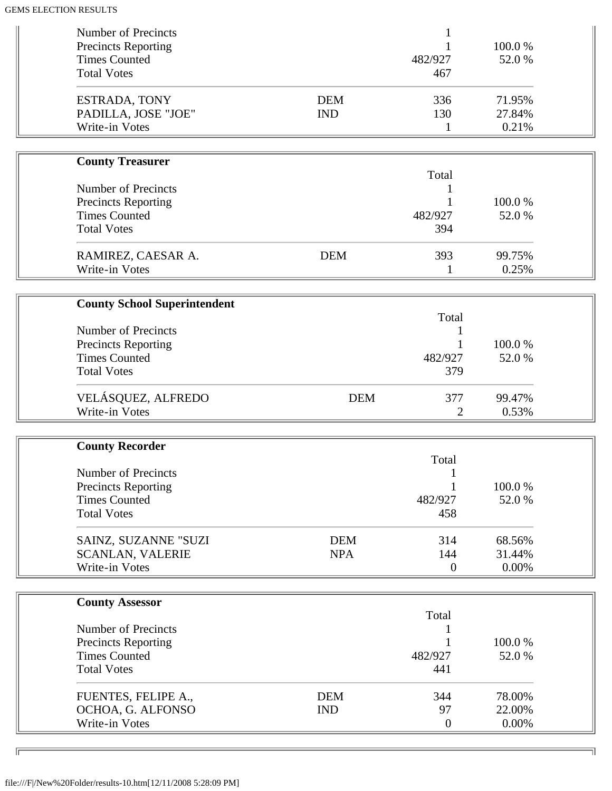| Number of Precincts                                |            |                        |                 |  |
|----------------------------------------------------|------------|------------------------|-----------------|--|
| Precincts Reporting<br><b>Times Counted</b>        |            | 482/927                | 100.0%<br>52.0% |  |
| <b>Total Votes</b>                                 |            | 467                    |                 |  |
|                                                    |            |                        |                 |  |
| ESTRADA, TONY                                      | <b>DEM</b> | 336                    | 71.95%          |  |
| PADILLA, JOSE "JOE"                                | <b>IND</b> | 130                    | 27.84%          |  |
| Write-in Votes                                     |            | 1                      | 0.21%           |  |
|                                                    |            |                        |                 |  |
| <b>County Treasurer</b>                            |            | Total                  |                 |  |
| <b>Number of Precincts</b>                         |            |                        |                 |  |
| <b>Precincts Reporting</b>                         |            |                        | 100.0%          |  |
| <b>Times Counted</b>                               |            | 482/927                | 52.0 %          |  |
| <b>Total Votes</b>                                 |            | 394                    |                 |  |
|                                                    |            |                        |                 |  |
| RAMIREZ, CAESAR A.                                 | <b>DEM</b> | 393                    | 99.75%          |  |
| Write-in Votes                                     |            | 1                      | 0.25%           |  |
|                                                    |            |                        |                 |  |
| <b>County School Superintendent</b>                |            | Total                  |                 |  |
| Number of Precincts                                |            |                        |                 |  |
| <b>Precincts Reporting</b>                         |            | 1                      | 100.0%          |  |
| <b>Times Counted</b>                               |            | 482/927                | 52.0%           |  |
| <b>Total Votes</b>                                 |            | 379                    |                 |  |
| VELÁSQUEZ, ALFREDO                                 | <b>DEM</b> | 377                    | 99.47%          |  |
| Write-in Votes                                     |            | 2                      | 0.53%           |  |
|                                                    |            |                        |                 |  |
|                                                    |            |                        |                 |  |
| <b>County Recorder</b>                             |            |                        |                 |  |
|                                                    |            | Total                  |                 |  |
| <b>Number of Precincts</b>                         |            | 1                      |                 |  |
| <b>Precincts Reporting</b>                         |            |                        | 100.0%          |  |
| <b>Times Counted</b>                               |            | 482/927                | 52.0%           |  |
| <b>Total Votes</b>                                 |            | 458                    |                 |  |
| SAINZ, SUZANNE "SUZI                               | <b>DEM</b> | 314                    | 68.56%          |  |
| <b>SCANLAN, VALERIE</b>                            | <b>NPA</b> | 144                    | 31.44%          |  |
| Write-in Votes                                     |            | $\overline{0}$         | 0.00%           |  |
|                                                    |            |                        |                 |  |
| <b>County Assessor</b>                             |            |                        |                 |  |
| Number of Precincts                                |            | Total                  |                 |  |
|                                                    |            |                        | 100.0%          |  |
| <b>Precincts Reporting</b><br><b>Times Counted</b> |            | 482/927                | 52.0%           |  |
| <b>Total Votes</b>                                 |            | 441                    |                 |  |
|                                                    |            |                        |                 |  |
| FUENTES, FELIPE A.,                                | <b>DEM</b> | 344                    | 78.00%          |  |
| OCHOA, G. ALFONSO<br>Write-in Votes                | <b>IND</b> | 97<br>$\boldsymbol{0}$ | 22.00%<br>0.00% |  |

╗

 $\sqrt{2}$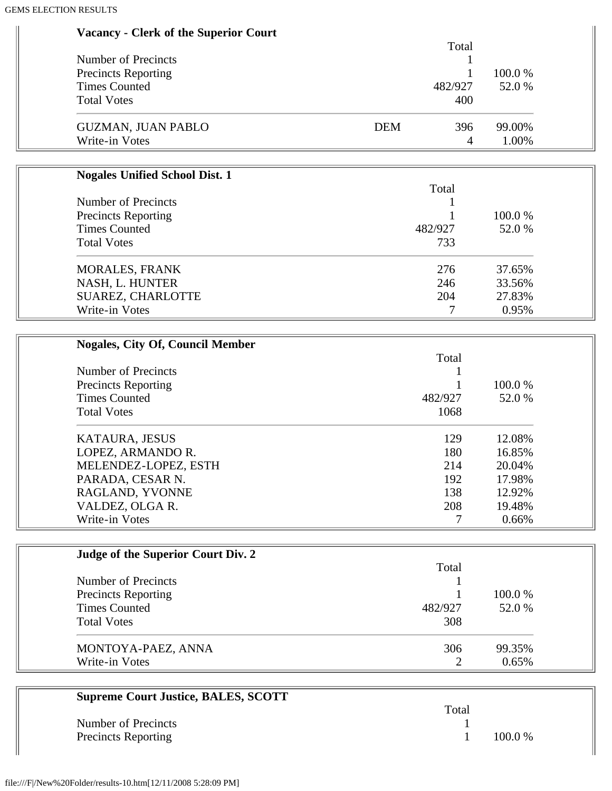| <b>Vacancy - Clerk of the Superior Court</b> |  |  |  |  |
|----------------------------------------------|--|--|--|--|
|----------------------------------------------|--|--|--|--|

|                            | Total             |            |
|----------------------------|-------------------|------------|
| Number of Precincts        |                   |            |
| <b>Precincts Reporting</b> |                   | 100.0 %    |
| <b>Times Counted</b>       | 482/927           | 52.0 %     |
| <b>Total Votes</b>         | 400               |            |
| <b>GUZMAN, JUAN PABLO</b>  | <b>DEM</b><br>396 | 99.00%     |
| Write-in Votes             |                   | 1.00%<br>4 |

| <b>Nogales Unified School Dist. 1</b> |                  | 100.0 %<br>52.0 % |  |
|---------------------------------------|------------------|-------------------|--|
|                                       | Total<br>482/927 |                   |  |
| Number of Precincts                   |                  |                   |  |
| <b>Precincts Reporting</b>            |                  |                   |  |
| <b>Times Counted</b>                  |                  |                   |  |
| <b>Total Votes</b>                    | 733              |                   |  |
| <b>MORALES, FRANK</b>                 | 276              | 37.65%            |  |
| NASH, L. HUNTER                       | 246              | 33.56%            |  |
| SUAREZ, CHARLOTTE                     | 204              | 27.83%            |  |
| Write-in Votes                        |                  | 0.95%             |  |

| <b>Nogales, City Of, Council Member</b> |         |         |
|-----------------------------------------|---------|---------|
|                                         | Total   |         |
| Number of Precincts                     |         |         |
| <b>Precincts Reporting</b>              |         | 100.0 % |
| <b>Times Counted</b>                    | 482/927 | 52.0 %  |
| <b>Total Votes</b>                      | 1068    |         |
| KATAURA, JESUS                          | 129     | 12.08%  |
| LOPEZ, ARMANDO R.                       | 180     | 16.85%  |
| MELENDEZ-LOPEZ, ESTH                    | 214     | 20.04%  |
| PARADA, CESAR N.                        | 192     | 17.98%  |
| RAGLAND, YVONNE                         | 138     | 12.92%  |
| VALDEZ, OLGA R.                         | 208     | 19.48%  |
| Write-in Votes                          |         | 0.66%   |

| Judge of the Superior Court Div. 2 |         |         |
|------------------------------------|---------|---------|
|                                    | Total   |         |
| Number of Precincts                |         |         |
| <b>Precincts Reporting</b>         |         | 100.0 % |
| <b>Times Counted</b>               | 482/927 | 52.0 %  |
| <b>Total Votes</b>                 | 308     |         |
| MONTOYA-PAEZ, ANNA                 | 306     | 99.35%  |
| Write-in Votes                     | 2       | 0.65%   |

| <b>Supreme Court Justice, BALES, SCOTT</b> |       |           |
|--------------------------------------------|-------|-----------|
|                                            | Total |           |
| Number of Precincts                        |       |           |
| <b>Precincts Reporting</b>                 |       | $100.0\%$ |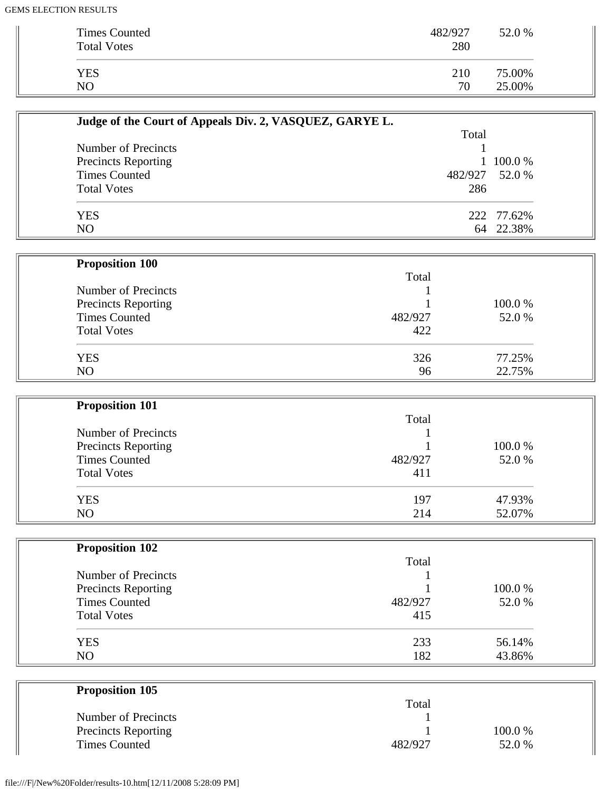| <b>Times Counted</b><br><b>Total Votes</b> | 482/927<br>280 | 52.0 % |
|--------------------------------------------|----------------|--------|
| <b>YES</b>                                 | 210            | 75.00% |
| N <sub>O</sub>                             | 70             | 25.00% |

| Judge of the Court of Appeals Div. 2, VASQUEZ, GARYE L. |                |            |
|---------------------------------------------------------|----------------|------------|
|                                                         | Total          |            |
| Number of Precincts                                     |                |            |
| <b>Precincts Reporting</b>                              |                | 1 100.0 %  |
| <b>Times Counted</b>                                    | 482/927 52.0 % |            |
| <b>Total Votes</b>                                      | 286            |            |
| <b>YES</b>                                              |                | 222 77.62% |
| N <sub>O</sub>                                          |                | 64 22.38%  |

| <b>Proposition 100</b>     |         |         |
|----------------------------|---------|---------|
|                            | Total   |         |
| Number of Precincts        |         |         |
| <b>Precincts Reporting</b> |         | 100.0 % |
| <b>Times Counted</b>       | 482/927 | 52.0 %  |
| <b>Total Votes</b>         | 422     |         |
| <b>YES</b>                 | 326     | 77.25%  |
| NO                         | 96      | 22.75%  |

| <b>Proposition 101</b> |         |        |
|------------------------|---------|--------|
|                        | Total   |        |
| Number of Precincts    |         |        |
| Precincts Reporting    |         | 100.0% |
| <b>Times Counted</b>   | 482/927 | 52.0 % |
| <b>Total Votes</b>     | 411     |        |
| <b>YES</b>             | 197     | 47.93% |
| N <sub>O</sub>         | 214     | 52.07% |

| <b>Proposition 102</b> |         |        |
|------------------------|---------|--------|
|                        | Total   |        |
| Number of Precincts    |         |        |
| Precincts Reporting    |         | 100.0% |
| <b>Times Counted</b>   | 482/927 | 52.0 % |
| <b>Total Votes</b>     | 415     |        |
| <b>YES</b>             | 233     | 56.14% |
| N <sub>O</sub>         | 182     | 43.86% |

| <b>Proposition 105</b>     |         |        |  |
|----------------------------|---------|--------|--|
|                            | Total   |        |  |
| Number of Precincts        |         |        |  |
| <b>Precincts Reporting</b> |         | 100.0% |  |
| Times Counted              | 482/927 | 52.0%  |  |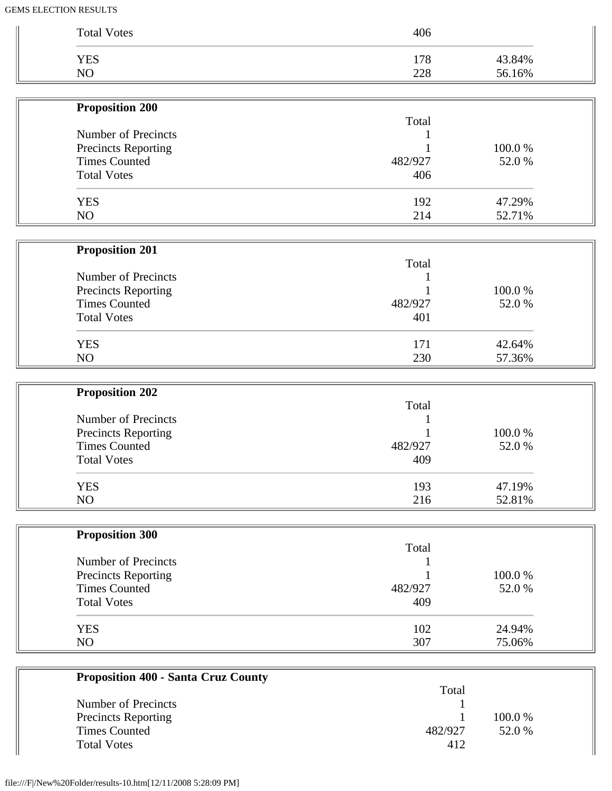| <b>Total Votes</b>                          | 406     |        |
|---------------------------------------------|---------|--------|
| <b>YES</b>                                  | 178     | 43.84% |
| NO                                          | 228     | 56.16% |
|                                             |         |        |
| <b>Proposition 200</b>                      |         |        |
|                                             | Total   |        |
| Number of Precincts                         |         | 100.0% |
| Precincts Reporting<br><b>Times Counted</b> | 482/927 | 52.0%  |
| <b>Total Votes</b>                          | 406     |        |
|                                             |         |        |
| <b>YES</b>                                  | 192     | 47.29% |
| NO                                          | 214     | 52.71% |
|                                             |         |        |
| <b>Proposition 201</b>                      |         |        |
|                                             | Total   |        |
| Number of Precincts                         |         |        |
| <b>Precincts Reporting</b>                  |         | 100.0% |
| <b>Times Counted</b>                        | 482/927 | 52.0%  |
| <b>Total Votes</b>                          | 401     |        |
| <b>YES</b>                                  | 171     | 42.64% |
| NO                                          | 230     | 57.36% |
|                                             |         |        |
| <b>Proposition 202</b>                      |         |        |
|                                             | Total   |        |
| Number of Precincts                         |         |        |
| Precincts Reporting                         |         | 100.0% |
| <b>Times Counted</b>                        | 482/927 | 52.0%  |
| <b>Total Votes</b>                          | 409     |        |
| <b>YES</b>                                  | 193     | 47.19% |
| NO                                          | 216     | 52.81% |
|                                             |         |        |
| <b>Proposition 300</b>                      | Total   |        |
| Number of Precincts                         |         |        |
| <b>Precincts Reporting</b>                  |         | 100.0% |
| <b>Times Counted</b>                        | 482/927 | 52.0%  |
| <b>Total Votes</b>                          | 409     |        |
|                                             |         |        |
|                                             | 102     | 24.94% |
| <b>YES</b>                                  |         | 75.06% |

| Troposition 400 - Santa Cruz County |         |         |  |
|-------------------------------------|---------|---------|--|
|                                     | Total   |         |  |
| Number of Precincts                 |         |         |  |
| <b>Precincts Reporting</b>          |         | 100.0 % |  |
| Times Counted                       | 482/927 | 52.0 %  |  |
| <b>Total Votes</b>                  | 412     |         |  |
|                                     |         |         |  |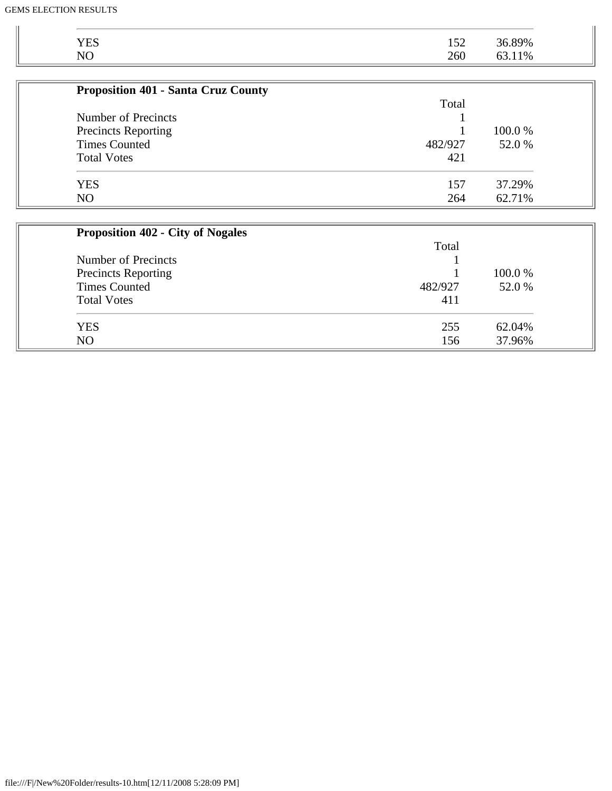| <b>YES</b>                                         | 152     | 36.89%            |
|----------------------------------------------------|---------|-------------------|
| NO                                                 | 260     | 63.11%            |
|                                                    |         |                   |
| <b>Proposition 401 - Santa Cruz County</b>         |         |                   |
|                                                    | Total   |                   |
| Number of Precincts                                |         |                   |
| <b>Precincts Reporting</b><br><b>Times Counted</b> | 482/927 | 100.0 %<br>52.0 % |
|                                                    |         |                   |
| <b>YES</b>                                         | 157     | 37.29%            |
| NO                                                 | 264     | 62.71%            |
| <b>Proposition 402 - City of Nogales</b>           |         |                   |
|                                                    | Total   |                   |
| Number of Precincts                                |         |                   |
| <b>Precincts Reporting</b>                         |         | 100.0%            |
| <b>Times Counted</b>                               | 482/927 | 52.0 %            |
| <b>Total Votes</b>                                 | 411     |                   |
| <b>YES</b>                                         | 255     | 62.04%            |
| NO.                                                | 156     | 37.96%            |

NO 156 37.96%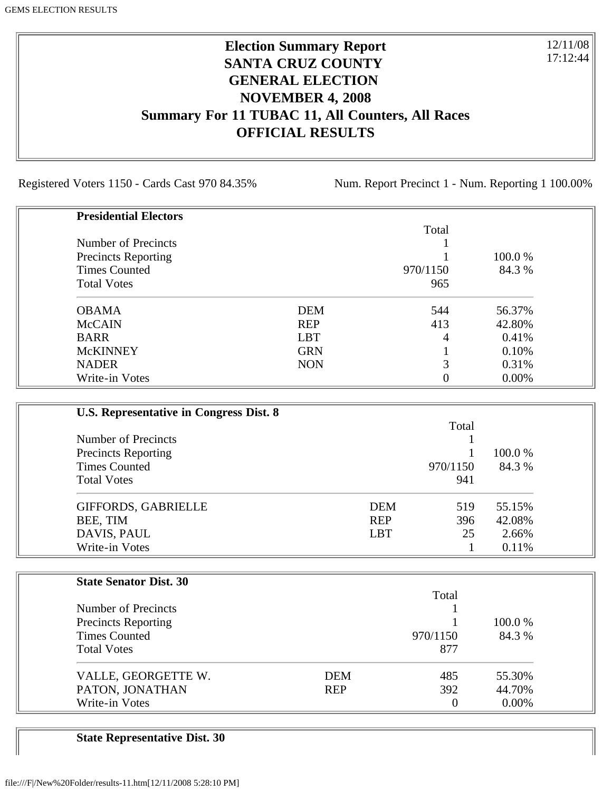### **Election Summary Report SANTA CRUZ COUNTY GENERAL ELECTION NOVEMBER 4, 2008 Summary For 11 TUBAC 11, All Counters, All Races OFFICIAL RESULTS**

Registered Voters 1150 - Cards Cast 970 84.35% Num. Report Precinct 1 - Num. Reporting 1 100.00%

12/11/08 17:12:44

| <b>Presidential Electors</b> |            |                |         |
|------------------------------|------------|----------------|---------|
|                              |            | Total          |         |
| Number of Precincts          |            |                |         |
| <b>Precincts Reporting</b>   |            |                | 100.0 % |
| <b>Times Counted</b>         |            | 970/1150       | 84.3 %  |
| <b>Total Votes</b>           |            | 965            |         |
| <b>OBAMA</b>                 | <b>DEM</b> | 544            | 56.37%  |
| <b>McCAIN</b>                | <b>REP</b> | 413            | 42.80%  |
| <b>BARR</b>                  | <b>LBT</b> | $\overline{4}$ | 0.41%   |
| <b>McKINNEY</b>              | <b>GRN</b> |                | 0.10%   |
| <b>NADER</b>                 | <b>NON</b> | 3              | 0.31%   |
| Write-in Votes               |            |                | 0.00%   |

| U.S. Representative in Congress Dist. 8                                   |            |          |                   |
|---------------------------------------------------------------------------|------------|----------|-------------------|
|                                                                           |            |          |                   |
| Number of Precincts<br><b>Precincts Reporting</b><br><b>Times Counted</b> |            |          |                   |
|                                                                           |            |          | 100.0 %<br>84.3 % |
|                                                                           |            | 970/1150 |                   |
| <b>Total Votes</b>                                                        |            | 941      |                   |
| GIFFORDS, GABRIELLE                                                       | <b>DEM</b> | 519      | 55.15%            |
| BEE, TIM                                                                  | <b>REP</b> | 396      | 42.08%            |
| DAVIS, PAUL                                                               | <b>LBT</b> | 25       | 2.66%             |
| Write-in Votes                                                            |            |          | 0.11%             |

| <b>State Senator Dist. 30</b> |            |          |         |
|-------------------------------|------------|----------|---------|
|                               |            | Total    |         |
| Number of Precincts           |            |          |         |
| <b>Precincts Reporting</b>    |            |          | 100.0 % |
| <b>Times Counted</b>          |            | 970/1150 | 84.3 %  |
| <b>Total Votes</b>            |            | 877      |         |
| VALLE, GEORGETTE W.           | <b>DEM</b> | 485      | 55.30%  |
| PATON, JONATHAN               | <b>REP</b> | 392      | 44.70%  |
| Write-in Votes                |            | $\Omega$ | 0.00%   |

**State Representative Dist. 30**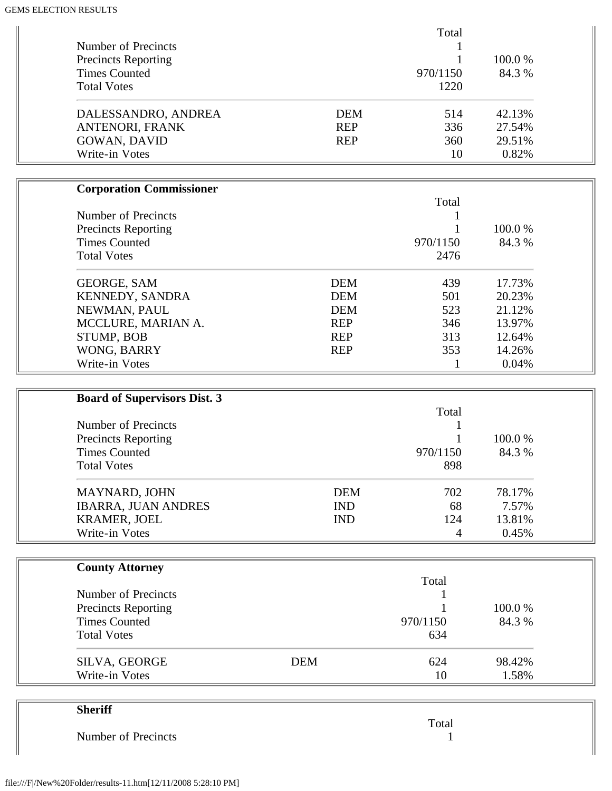|                            |            | Total    |         |
|----------------------------|------------|----------|---------|
| Number of Precincts        |            |          |         |
| <b>Precincts Reporting</b> |            |          | 100.0 % |
| <b>Times Counted</b>       |            | 970/1150 | 84.3 %  |
| <b>Total Votes</b>         |            | 1220     |         |
| DALESSANDRO, ANDREA        | <b>DEM</b> | 514      | 42.13%  |
| ANTENORI, FRANK            | <b>REP</b> | 336      | 27.54%  |
| <b>GOWAN, DAVID</b>        | <b>REP</b> | 360      | 29.51%  |
| Write-in Votes             |            | 10       | 0.82%   |

| <b>Corporation Commissioner</b> |            |          |         |
|---------------------------------|------------|----------|---------|
|                                 |            | Total    |         |
| Number of Precincts             |            |          |         |
| <b>Precincts Reporting</b>      |            |          | 100.0 % |
| <b>Times Counted</b>            |            | 970/1150 | 84.3 %  |
| <b>Total Votes</b>              |            | 2476     |         |
| <b>GEORGE, SAM</b>              | <b>DEM</b> | 439      | 17.73%  |
| <b>KENNEDY, SANDRA</b>          | <b>DEM</b> | 501      | 20.23%  |
| NEWMAN, PAUL                    | <b>DEM</b> | 523      | 21.12%  |
| MCCLURE, MARIAN A.              | <b>REP</b> | 346      | 13.97%  |
| STUMP, BOB                      | <b>REP</b> | 313      | 12.64%  |
| WONG, BARRY                     | <b>REP</b> | 353      | 14.26%  |
| Write-in Votes                  |            |          | 0.04%   |

| <b>Board of Supervisors Dist. 3</b> |            |          |         |
|-------------------------------------|------------|----------|---------|
|                                     |            | Total    |         |
| Number of Precincts                 |            |          |         |
| <b>Precincts Reporting</b>          |            |          | 100.0 % |
| <b>Times Counted</b>                |            | 970/1150 | 84.3 %  |
| <b>Total Votes</b>                  |            | 898      |         |
| <b>MAYNARD, JOHN</b>                | <b>DEM</b> | 702      | 78.17%  |
| <b>IBARRA, JUAN ANDRES</b>          | <b>IND</b> | 68       | 7.57%   |
| <b>KRAMER, JOEL</b>                 | <b>IND</b> | 124      | 13.81%  |
| Write-in Votes                      |            | 4        | 0.45%   |

| <b>County Attorney</b>     |            |          |         |
|----------------------------|------------|----------|---------|
|                            |            | Total    |         |
| Number of Precincts        |            |          |         |
| <b>Precincts Reporting</b> |            |          | 100.0 % |
| <b>Times Counted</b>       |            | 970/1150 | 84.3 %  |
| <b>Total Votes</b>         |            | 634      |         |
| SILVA, GEORGE              | <b>DEM</b> | 624      | 98.42%  |
| Write-in Votes             |            | 10       | 1.58%   |

| <b>Sheriff</b>      |       |
|---------------------|-------|
|                     | Total |
| Number of Precincts |       |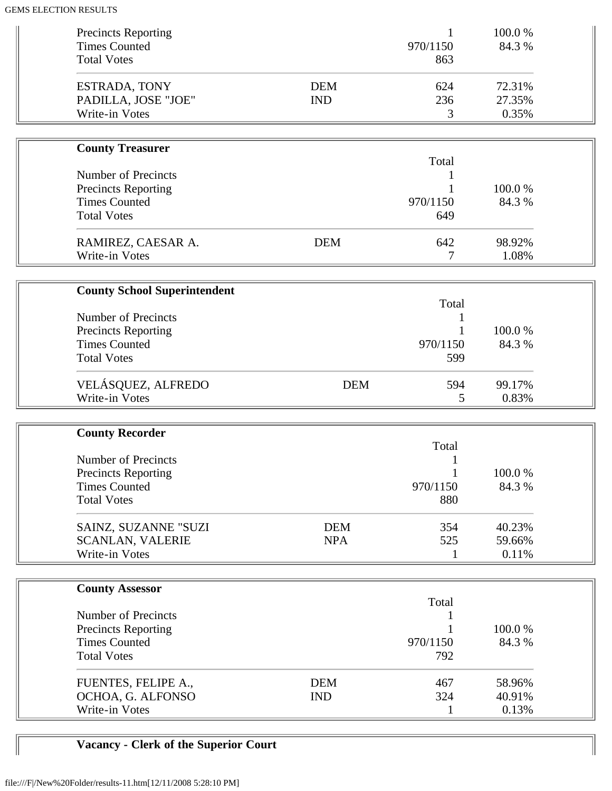| <b>Precincts Reporting</b><br><b>Times Counted</b><br><b>Total Votes</b>                               |                          | 970/1150<br>863               | 100.0%<br>84.3 %          |  |
|--------------------------------------------------------------------------------------------------------|--------------------------|-------------------------------|---------------------------|--|
| <b>ESTRADA, TONY</b><br>PADILLA, JOSE "JOE"<br>Write-in Votes                                          | <b>DEM</b><br><b>IND</b> | 624<br>236<br>3               | 72.31%<br>27.35%<br>0.35% |  |
| <b>County Treasurer</b>                                                                                |                          |                               |                           |  |
| <b>Number of Precincts</b><br><b>Precincts Reporting</b><br><b>Times Counted</b><br><b>Total Votes</b> |                          | Total<br>1<br>970/1150<br>649 | 100.0%<br>84.3 %          |  |
| RAMIREZ, CAESAR A.<br>Write-in Votes                                                                   | <b>DEM</b>               | 642<br>7                      | 98.92%<br>1.08%           |  |
| <b>County School Superintendent</b>                                                                    |                          |                               |                           |  |
| Number of Precincts<br><b>Precincts Reporting</b><br><b>Times Counted</b><br><b>Total Votes</b>        |                          | Total<br>970/1150<br>599      | 100.0%<br>84.3 %          |  |
| VELÁSQUEZ, ALFREDO<br>Write-in Votes                                                                   | <b>DEM</b>               | 594<br>5                      | 99.17%<br>0.83%           |  |
| <b>County Recorder</b>                                                                                 |                          |                               |                           |  |
| <b>Number of Precincts</b><br><b>Precincts Reporting</b><br><b>Times Counted</b><br><b>Total Votes</b> |                          | Total<br>970/1150<br>880      | 100.0%<br>84.3 %          |  |
| SAINZ, SUZANNE "SUZI<br><b>SCANLAN, VALERIE</b><br>Write-in Votes                                      | <b>DEM</b><br><b>NPA</b> | 354<br>525<br>1               | 40.23%<br>59.66%<br>0.11% |  |
| <b>County Assessor</b>                                                                                 |                          |                               |                           |  |
| Number of Precincts<br><b>Precincts Reporting</b><br><b>Times Counted</b><br><b>Total Votes</b>        |                          | Total<br>1<br>970/1150<br>792 | 100.0%<br>84.3 %          |  |
| FUENTES, FELIPE A.,<br>OCHOA, G. ALFONSO<br>Write-in Votes                                             | <b>DEM</b><br><b>IND</b> | 467<br>324<br>1               | 58.96%<br>40.91%<br>0.13% |  |

# **Vacancy - Clerk of the Superior Court**

 $\sqrt{2}$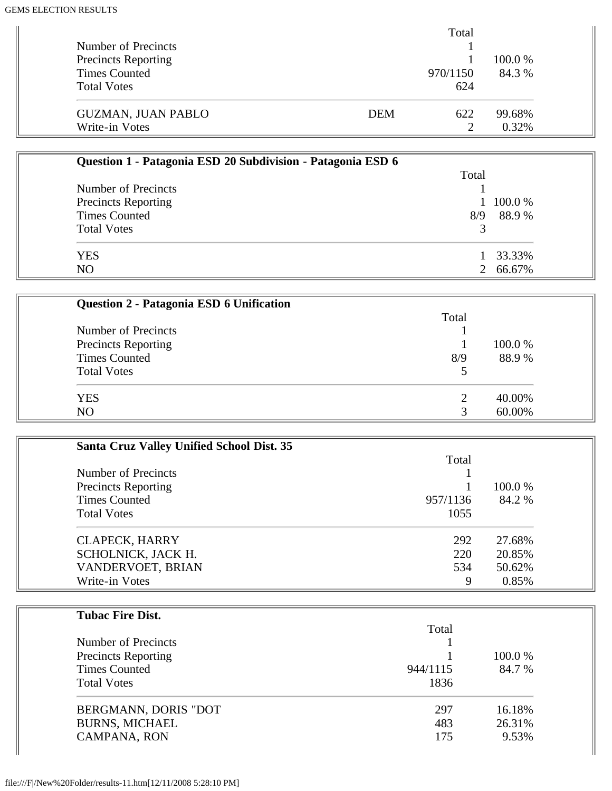|                            | Total             |         |
|----------------------------|-------------------|---------|
| Number of Precincts        |                   |         |
| <b>Precincts Reporting</b> |                   | 100.0 % |
| <b>Times Counted</b>       | 970/1150          | 84.3 %  |
| <b>Total Votes</b>         | 624               |         |
| <b>GUZMAN, JUAN PABLO</b>  | <b>DEM</b><br>622 | 99.68%  |
| Write-in Votes             | റ                 | 0.32%   |

| Question 1 - Patagonia ESD 20 Subdivision - Patagonia ESD 6 |       |          |
|-------------------------------------------------------------|-------|----------|
|                                                             | Total |          |
| Number of Precincts                                         |       |          |
| <b>Precincts Reporting</b>                                  |       | 100.0%   |
| <b>Times Counted</b>                                        | 8/9   | 88.9%    |
| <b>Total Votes</b>                                          |       |          |
| <b>YES</b>                                                  |       | 1 33.33% |
| N <sub>O</sub>                                              |       | 2 66.67% |

| Question 2 - Patagonia ESD 6 Unification |       |         |
|------------------------------------------|-------|---------|
|                                          | Total |         |
| Number of Precincts                      |       |         |
| <b>Precincts Reporting</b>               |       | 100.0 % |
| <b>Times Counted</b>                     | 8/9   | 88.9%   |
| <b>Total Votes</b>                       |       |         |
| <b>YES</b>                               |       | 40.00%  |
| N <sub>O</sub>                           |       | 60.00%  |

| Santa Cruz Valley Unified School Dist. 35 |          |         |
|-------------------------------------------|----------|---------|
|                                           | Total    |         |
| Number of Precincts                       |          |         |
| <b>Precincts Reporting</b>                |          | 100.0 % |
| <b>Times Counted</b>                      | 957/1136 | 84.2 %  |
| <b>Total Votes</b>                        | 1055     |         |
| <b>CLAPECK, HARRY</b>                     | 292      | 27.68%  |
| SCHOLNICK, JACK H.                        | 220      | 20.85%  |
| VANDERVOET, BRIAN                         | 534      | 50.62%  |
| Write-in Votes                            | 9        | 0.85%   |

| <b>Tubac Fire Dist.</b>    |          |         |
|----------------------------|----------|---------|
|                            | Total    |         |
| Number of Precincts        |          |         |
| <b>Precincts Reporting</b> |          | 100.0 % |
| <b>Times Counted</b>       | 944/1115 | 84.7 %  |
| <b>Total Votes</b>         | 1836     |         |
| BERGMANN, DORIS "DOT       | 297      | 16.18%  |
| <b>BURNS, MICHAEL</b>      | 483      | 26.31%  |
| CAMPANA, RON               | 175      | 9.53%   |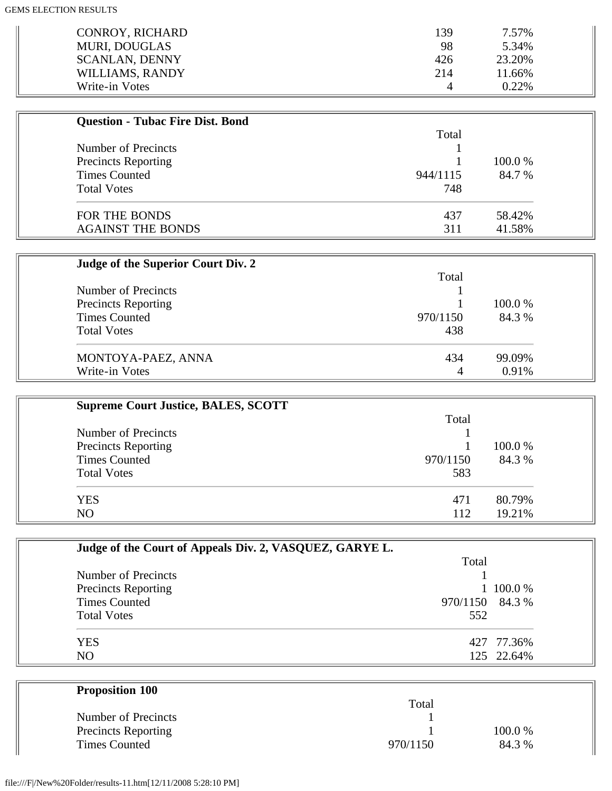| CONROY, RICHARD       | 139      | 7.57%    |
|-----------------------|----------|----------|
| <b>MURI, DOUGLAS</b>  | 98       | 5.34%    |
| <b>SCANLAN, DENNY</b> | 426      | 23.20%   |
| WILLIAMS, RANDY       | 214      | 11.66%   |
| Write-in Votes        | $\Delta$ | $0.22\%$ |

| <b>Question - Tubac Fire Dist. Bond</b> |          |         |
|-----------------------------------------|----------|---------|
|                                         | Total    |         |
| Number of Precincts                     |          |         |
| <b>Precincts Reporting</b>              |          | 100.0 % |
| <b>Times Counted</b>                    | 944/1115 | 84.7 %  |
| <b>Total Votes</b>                      | 748      |         |
| FOR THE BONDS                           | 437      | 58.42%  |
| <b>AGAINST THE BONDS</b>                | 311      | 41.58%  |

| Judge of the Superior Court Div. 2 |          |         |
|------------------------------------|----------|---------|
|                                    | Total    |         |
| Number of Precincts                |          |         |
| <b>Precincts Reporting</b>         |          | 100.0 % |
| <b>Times Counted</b>               | 970/1150 | 84.3 %  |
| <b>Total Votes</b>                 | 438      |         |
| MONTOYA-PAEZ, ANNA                 | 434      | 99.09%  |
| Write-in Votes                     | 4        | 0.91%   |

| <b>Supreme Court Justice, BALES, SCOTT</b> |          |         |
|--------------------------------------------|----------|---------|
|                                            | Total    |         |
| Number of Precincts                        |          |         |
| <b>Precincts Reporting</b>                 |          | 100.0 % |
| <b>Times Counted</b>                       | 970/1150 | 84.3 %  |
| <b>Total Votes</b>                         | 583      |         |
| <b>YES</b>                                 | 471      | 80.79%  |
| N <sub>O</sub>                             | 112      | 19.21%  |

| Judge of the Court of Appeals Div. 2, VASQUEZ, GARYE L. |                 |            |
|---------------------------------------------------------|-----------------|------------|
|                                                         | Total           |            |
| Number of Precincts                                     |                 |            |
| <b>Precincts Reporting</b>                              |                 | 1 100.0 %  |
| <b>Times Counted</b>                                    | 970/1150 84.3 % |            |
| <b>Total Votes</b>                                      | 552             |            |
| <b>YES</b>                                              |                 | 427 77.36% |
| N <sub>O</sub>                                          |                 | 125 22.64% |

| <b>Proposition 100</b>     |          |         |
|----------------------------|----------|---------|
|                            | Total    |         |
| Number of Precincts        |          |         |
| <b>Precincts Reporting</b> |          | 100.0 % |
| <b>Times Counted</b>       | 970/1150 | 84.3 %  |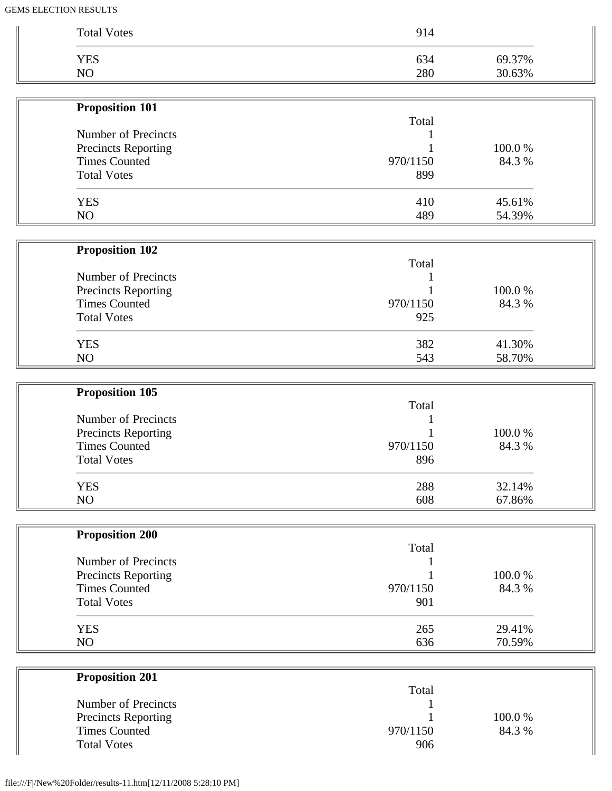| <b>YES</b><br>NO       | 288<br>608 | 32.14%<br>67.86% |
|------------------------|------------|------------------|
| <b>Total Votes</b>     | 896        |                  |
| <b>Times Counted</b>   | 970/1150   | 84.3 %           |
| Precincts Reporting    |            | 100.0%           |
| Number of Precincts    |            |                  |
| <b>Proposition 105</b> | Total      |                  |
|                        |            |                  |
| NO                     | 543        | 58.70%           |
| <b>YES</b>             | 382        | 41.30%           |
| <b>Total Votes</b>     | 925        |                  |
| <b>Times Counted</b>   | 970/1150   | 84.3 %           |
| Precincts Reporting    |            | 100.0%           |
| Number of Precincts    | Total      |                  |
| Proposition 102        |            |                  |
|                        |            |                  |
| <b>YES</b><br>NO       | 410<br>489 | 45.61%<br>54.39% |
| <b>Total Votes</b>     | 899        |                  |
| <b>Times Counted</b>   | 970/1150   | 84.3 %           |
| Precincts Reporting    |            | 100.0%           |
| Number of Precincts    |            |                  |
|                        | Total      |                  |
| <b>Proposition 101</b> |            |                  |
| NO                     | 280        | 30.63%           |
| <b>YES</b>             | 634        | 69.37%           |

| <b>Proposition 201</b> |          |         |
|------------------------|----------|---------|
|                        | Total    |         |
| Number of Precincts    |          |         |
| Precincts Reporting    |          | 100.0 % |
| <b>Times Counted</b>   | 970/1150 | 84.3 %  |
| <b>Total Votes</b>     | 906      |         |

 $\mathbb{I}$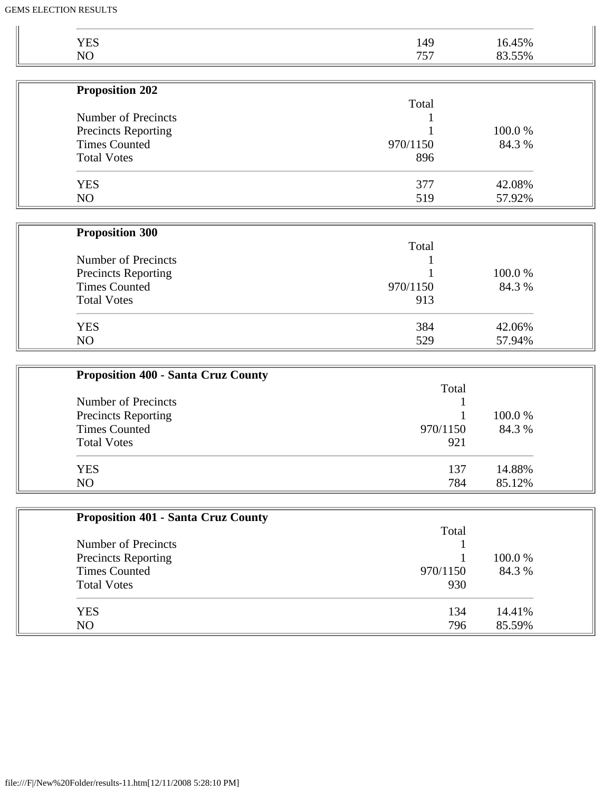| <b>YES</b>                 | 149      | 16.45% |
|----------------------------|----------|--------|
| NO                         | 757      | 83.55% |
|                            |          |        |
| <b>Proposition 202</b>     |          |        |
|                            | Total    |        |
| <b>Number of Precincts</b> |          |        |
| <b>Precincts Reporting</b> |          | 100.0% |
| <b>Times Counted</b>       | 970/1150 | 84.3 % |
| <b>Total Votes</b>         | 896      |        |
| <b>YES</b>                 | 377      | 42.08% |
| NO                         | 519      | 57.92% |
| <b>Proposition 300</b>     |          |        |
|                            | Total    |        |
| Number of Precincts        |          |        |
| <b>Precincts Reporting</b> |          | 100.0% |
| <b>Times Counted</b>       | 970/1150 | 84.3 % |
| <b>Total Votes</b>         | 913      |        |
| <b>YES</b>                 | 384      | 42.06% |
| NO                         | 529      | 57.94% |

| <b>Proposition 400 - Santa Cruz County</b> |          |         |
|--------------------------------------------|----------|---------|
|                                            | Total    |         |
| Number of Precincts                        |          |         |
| Precincts Reporting                        |          | 100.0 % |
| <b>Times Counted</b>                       | 970/1150 | 84.3 %  |
| <b>Total Votes</b>                         | 921      |         |
| <b>YES</b>                                 | 137      | 14.88%  |
| NO                                         | 784      | 85.12%  |

| <b>Proposition 401 - Santa Cruz County</b> |          |         |
|--------------------------------------------|----------|---------|
|                                            | Total    |         |
| Number of Precincts                        |          |         |
| <b>Precincts Reporting</b>                 |          | 100.0 % |
| <b>Times Counted</b>                       | 970/1150 | 84.3 %  |
| <b>Total Votes</b>                         | 930      |         |
| <b>YES</b>                                 | 134      | 14.41%  |
| NO                                         | 796      | 85.59%  |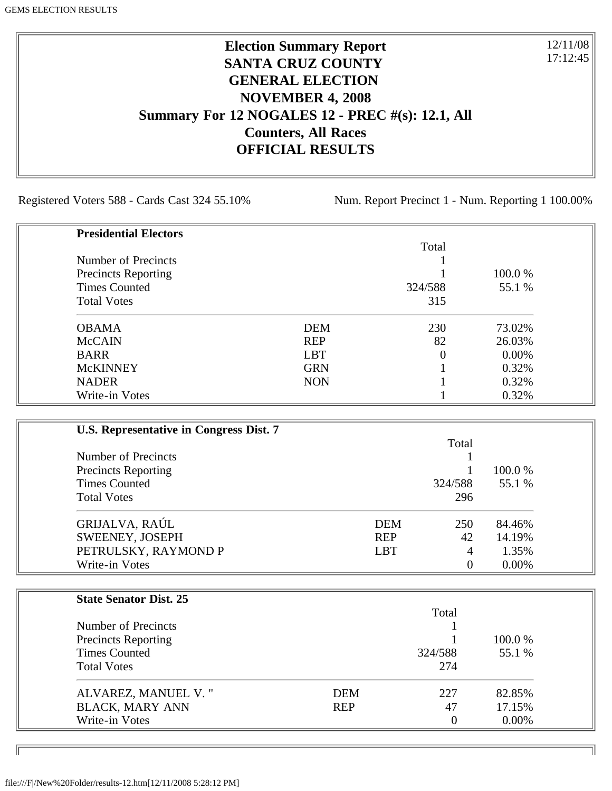# **Election Summary Report SANTA CRUZ COUNTY GENERAL ELECTION NOVEMBER 4, 2008 Summary For 12 NOGALES 12 - PREC #(s): 12.1, All Counters, All Races OFFICIAL RESULTS**

Registered Voters 588 - Cards Cast 324 55.10% Num. Report Precinct 1 - Num. Reporting 1 100.00%

12/11/08 17:12:45

٦I

| <b>Presidential Electors</b> |            |          |         |
|------------------------------|------------|----------|---------|
|                              |            | Total    |         |
| Number of Precincts          |            |          |         |
| <b>Precincts Reporting</b>   |            |          | 100.0 % |
| <b>Times Counted</b>         |            | 324/588  | 55.1 %  |
| <b>Total Votes</b>           |            | 315      |         |
| <b>OBAMA</b>                 | <b>DEM</b> | 230      | 73.02%  |
| <b>McCAIN</b>                | <b>REP</b> | 82       | 26.03%  |
| <b>BARR</b>                  | <b>LBT</b> | $\Omega$ | 0.00%   |
| <b>McKINNEY</b>              | <b>GRN</b> |          | 0.32%   |
| <b>NADER</b>                 | <b>NON</b> |          | 0.32%   |
| Write-in Votes               |            |          | 0.32%   |

| U.S. Representative in Congress Dist. 7 |            |                |          |
|-----------------------------------------|------------|----------------|----------|
|                                         |            | Total          |          |
| Number of Precincts                     |            |                |          |
| <b>Precincts Reporting</b>              |            |                | 100.0 %  |
| <b>Times Counted</b>                    |            | 324/588        | 55.1 %   |
| <b>Total Votes</b>                      |            | 296            |          |
| GRIJALVA, RAÚL                          | <b>DEM</b> | 250            | 84.46%   |
| SWEENEY, JOSEPH                         | <b>REP</b> | 42             | 14.19%   |
| PETRULSKY, RAYMOND P                    | <b>LBT</b> | 4              | 1.35%    |
| Write-in Votes                          |            | $\overline{0}$ | $0.00\%$ |

| <b>State Senator Dist. 25</b> |            |          |          |
|-------------------------------|------------|----------|----------|
|                               |            | Total    |          |
| Number of Precincts           |            |          |          |
| <b>Precincts Reporting</b>    |            |          | 100.0 %  |
| <b>Times Counted</b>          |            | 324/588  | 55.1 %   |
| <b>Total Votes</b>            |            | 274      |          |
| ALVAREZ, MANUEL V."           | DEM        | 227      | 82.85%   |
| <b>BLACK, MARY ANN</b>        | <b>REP</b> | 47       | 17.15%   |
| Write-in Votes                |            | $\theta$ | $0.00\%$ |

ID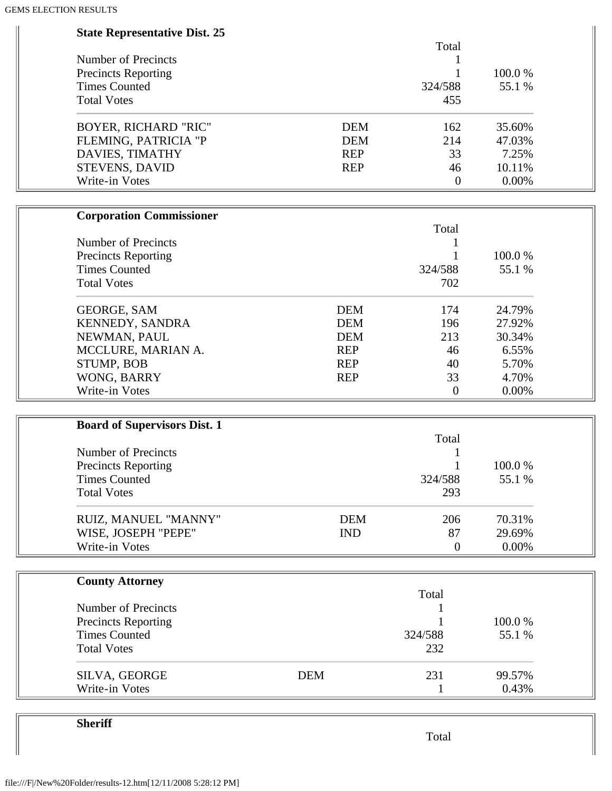| <b>State Representative Dist. 25</b> |                   |        |
|--------------------------------------|-------------------|--------|
|                                      | Total             |        |
| Number of Precincts                  |                   |        |
| <b>Precincts Reporting</b>           |                   | 100.0% |
| <b>Times Counted</b>                 | 324/588           | 55.1 % |
| <b>Total Votes</b>                   | 455               |        |
| <b>BOYER, RICHARD "RIC"</b>          | <b>DEM</b><br>162 | 35.60% |
| FLEMING, PATRICIA "P                 | <b>DEM</b><br>214 | 47.03% |
| DAVIES, TIMATHY                      | <b>REP</b><br>33  | 7.25%  |
| <b>STEVENS, DAVID</b>                | <b>REP</b><br>46  | 10.11% |
| Write-in Votes                       | $\boldsymbol{0}$  | 0.00%  |
| <b>Corporation Commissioner</b>      |                   |        |
|                                      | Total             |        |
| Number of Precincts                  |                   |        |
| <b>Precincts Reporting</b>           |                   | 100.0% |
| <b>Times Counted</b>                 | 324/588           | 55.1 % |
| <b>Total Votes</b>                   | 702               |        |
| GEORGE, SAM                          | <b>DEM</b><br>174 | 24.79% |
| KENNEDY, SANDRA                      | <b>DEM</b><br>196 | 27.92% |
| NEWMAN, PAUL                         | <b>DEM</b><br>213 | 30.34% |
| MCCLURE, MARIAN A.                   | <b>REP</b><br>46  | 6.55%  |
| <b>STUMP, BOB</b>                    | <b>REP</b><br>40  | 5.70%  |
| WONG, BARRY                          | <b>REP</b><br>33  | 4.70%  |
| Write-in Votes                       | $\mathbf{0}$      | 0.00%  |
|                                      |                   |        |
| <b>Board of Supervisors Dist. 1</b>  | Total             |        |
| <b>Number of Precincts</b>           |                   |        |
| <b>Precincts Reporting</b>           | 1                 | 100.0% |
| <b>Times Counted</b>                 | 324/588           | 55.1 % |
| <b>Total Votes</b>                   | 293               |        |
|                                      |                   |        |
| RUIZ, MANUEL "MANNY"                 | <b>DEM</b><br>206 | 70.31% |
| WISE, JOSEPH "PEPE"                  | <b>IND</b><br>87  | 29.69% |
| Write-in Votes                       | $\overline{0}$    | 0.00%  |
| <b>County Attorney</b>               |                   |        |
|                                      | Total             |        |
| Number of Precincts                  |                   |        |
| <b>Precincts Reporting</b>           |                   | 100.0% |
| <b>Times Counted</b>                 | 324/588           | 55.1 % |
| <b>Total Votes</b>                   | 232               |        |
| SILVA, GEORGE                        | <b>DEM</b><br>231 | 99.57% |
| Write-in Votes                       |                   | 0.43%  |

**Sheriff**

Total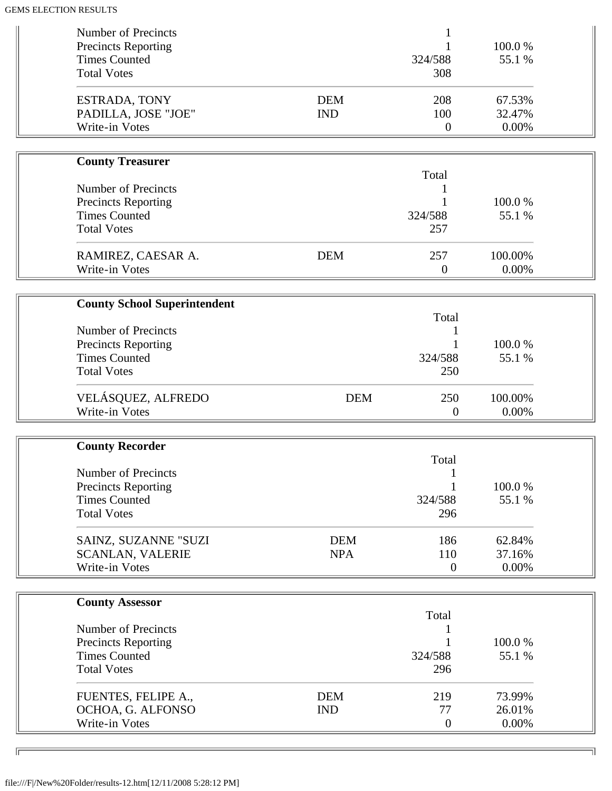| <b>Number of Precincts</b><br><b>Precincts Reporting</b><br><b>Times Counted</b><br><b>Total Votes</b>                    |                          | 324/588<br>308                 | 100.0%<br>55.1 %          |  |
|---------------------------------------------------------------------------------------------------------------------------|--------------------------|--------------------------------|---------------------------|--|
| ESTRADA, TONY<br>PADILLA, JOSE "JOE"<br>Write-in Votes                                                                    | <b>DEM</b><br><b>IND</b> | 208<br>100<br>$\boldsymbol{0}$ | 67.53%<br>32.47%<br>0.00% |  |
| <b>County Treasurer</b>                                                                                                   |                          |                                |                           |  |
| Number of Precincts<br><b>Precincts Reporting</b><br><b>Times Counted</b><br><b>Total Votes</b>                           |                          | Total<br>324/588<br>257        | 100.0%<br>55.1 %          |  |
| RAMIREZ, CAESAR A.<br>Write-in Votes                                                                                      | <b>DEM</b>               | 257<br>$\boldsymbol{0}$        | 100.00%<br>0.00%          |  |
|                                                                                                                           |                          |                                |                           |  |
| <b>County School Superintendent</b>                                                                                       |                          | Total                          |                           |  |
| Number of Precincts<br><b>Precincts Reporting</b><br><b>Times Counted</b><br><b>Total Votes</b>                           |                          | 324/588<br>250                 | 100.0%<br>55.1 %          |  |
| VELÁSQUEZ, ALFREDO<br>Write-in Votes                                                                                      | <b>DEM</b>               | 250<br>$\mathbf{0}$            | 100.00%<br>0.00%          |  |
| <b>County Recorder</b>                                                                                                    |                          |                                |                           |  |
| <b>Number of Precincts</b><br><b>Precincts Reporting</b><br><b>Times Counted</b><br><b>Total Votes</b>                    |                          | Total<br>324/588<br>296        | 100.0%<br>55.1 %          |  |
| SAINZ, SUZANNE "SUZI<br><b>SCANLAN, VALERIE</b><br>Write-in Votes                                                         | <b>DEM</b><br><b>NPA</b> | 186<br>110<br>$\overline{0}$   | 62.84%<br>37.16%<br>0.00% |  |
|                                                                                                                           |                          |                                |                           |  |
| <b>County Assessor</b><br>Number of Precincts<br><b>Precincts Reporting</b><br><b>Times Counted</b><br><b>Total Votes</b> |                          | Total<br>324/588<br>296        | 100.0%<br>55.1 %          |  |
| FUENTES, FELIPE A.,<br>OCHOA, G. ALFONSO<br>Write-in Votes                                                                | <b>DEM</b><br><b>IND</b> | 219<br>77<br>$\overline{0}$    | 73.99%<br>26.01%<br>0.00% |  |

╗

 $\sqrt{2}$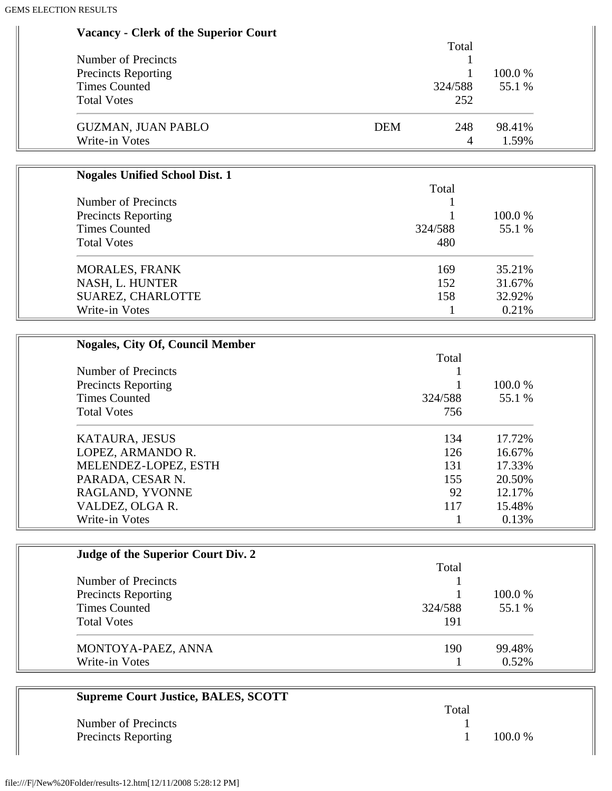| <b>Vacancy - Clerk of the Superior Court</b> |                   |        |
|----------------------------------------------|-------------------|--------|
|                                              | Total             |        |
| <b>Number of Precincts</b>                   |                   |        |
| <b>Precincts Reporting</b>                   |                   | 100.0% |
| <b>Times Counted</b>                         | 324/588           | 55.1 % |
| <b>Total Votes</b>                           | 252               |        |
| <b>GUZMAN, JUAN PABLO</b>                    | <b>DEM</b><br>248 | 98.41% |
| Write-in Votes                               | $\overline{4}$    | 1.59%  |
|                                              |                   |        |
| <b>Nogales Unified School Dist. 1</b>        | Total             |        |
| <b>Number of Precincts</b>                   |                   |        |
| <b>Precincts Reporting</b>                   |                   | 100.0% |
| <b>Times Counted</b>                         | 324/588           | 55.1 % |
| <b>Total Votes</b>                           | 480               |        |
|                                              |                   |        |
| <b>MORALES, FRANK</b>                        | 169               | 35.21% |
| NASH, L. HUNTER                              | 152               | 31.67% |
| SUAREZ, CHARLOTTE                            | 158               | 32.92% |
| Write-in Votes                               |                   | 0.21%  |
|                                              |                   |        |
| <b>Nogales, City Of, Council Member</b>      |                   |        |
|                                              | Total             |        |
| <b>Number of Precincts</b>                   | 1                 |        |
| <b>Precincts Reporting</b>                   |                   | 100.0% |
| <b>Times Counted</b>                         | 324/588           | 55.1 % |
| <b>Total Votes</b>                           | 756               |        |
| KATAURA, JESUS                               | 134               | 17.72% |
| LOPEZ, ARMANDO R.                            | 126               | 16.67% |
| MELENDEZ-LOPEZ, ESTH                         | 131               | 17.33% |
| PARADA, CESAR N.                             | 155               | 20.50% |
| RAGLAND, YVONNE                              | 92                | 12.17% |
| VALDEZ, OLGA R.                              | 117               | 15.48% |
| Write-in Votes                               | 1                 | 0.13%  |
|                                              |                   |        |
| Judge of the Superior Court Div. 2           |                   |        |
|                                              | Total             |        |
| <b>Number of Precincts</b>                   |                   |        |
| <b>Precincts Reporting</b>                   |                   | 100.0% |
| <b>Times Counted</b>                         | 324/588           | 55.1 % |

| MONTOYA-PAEZ, ANNA | 190. | 99.48% |
|--------------------|------|--------|
| Write-in Votes     |      | 0.52%  |

| <b>Supreme Court Justice, BALES, SCOTT</b> |       |           |
|--------------------------------------------|-------|-----------|
|                                            | Total |           |
| Number of Precincts                        |       |           |
| <b>Precincts Reporting</b>                 |       | $100.0\%$ |

Total Votes 191

 $\equiv$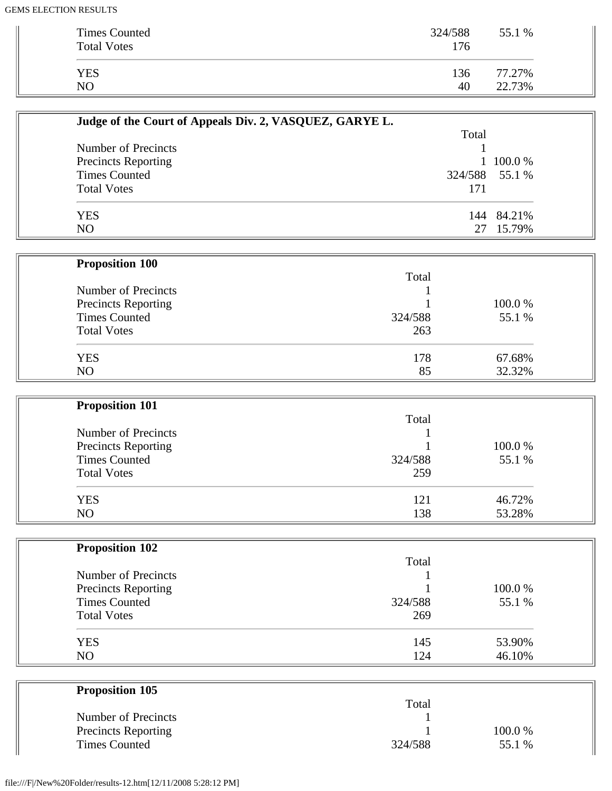| <b>Times Counted</b><br><b>Total Votes</b> | 324/588<br>176 | 55.1 % |
|--------------------------------------------|----------------|--------|
| <b>YES</b>                                 | 136            | 77.27% |
| NO                                         | 40             | 22.73% |

| Judge of the Court of Appeals Div. 2, VASQUEZ, GARYE L. |       |                |
|---------------------------------------------------------|-------|----------------|
|                                                         | Total |                |
| Number of Precincts                                     |       |                |
| <b>Precincts Reporting</b>                              |       | 1 100.0 %      |
| <b>Times Counted</b>                                    |       | 324/588 55.1 % |
| <b>Total Votes</b>                                      | 171   |                |
| <b>YES</b>                                              |       | 144 84.21%     |
| N <sub>O</sub>                                          | 27    | 15.79%         |

| <b>Proposition 100</b>     |         |         |
|----------------------------|---------|---------|
|                            | Total   |         |
| Number of Precincts        |         |         |
| <b>Precincts Reporting</b> |         | 100.0 % |
| <b>Times Counted</b>       | 324/588 | 55.1 %  |
| <b>Total Votes</b>         | 263     |         |
| <b>YES</b>                 | 178     | 67.68%  |
| NO                         | 85      | 32.32%  |

| <b>Proposition 101</b>     |         |        |
|----------------------------|---------|--------|
|                            | Total   |        |
| Number of Precincts        |         |        |
| <b>Precincts Reporting</b> |         | 100.0% |
| <b>Times Counted</b>       | 324/588 | 55.1 % |
| <b>Total Votes</b>         | 259     |        |
| <b>YES</b>                 | 121     | 46.72% |
| N <sub>O</sub>             | 138     | 53.28% |

| <b>Proposition 102</b>     |         |        |
|----------------------------|---------|--------|
|                            | Total   |        |
| Number of Precincts        |         |        |
| <b>Precincts Reporting</b> |         | 100.0% |
| <b>Times Counted</b>       | 324/588 | 55.1 % |
| <b>Total Votes</b>         | 269     |        |
| <b>YES</b>                 | 145     | 53.90% |
| N <sub>O</sub>             | 124     | 46.10% |

| <b>Proposition 105</b>     |         |         |  |
|----------------------------|---------|---------|--|
|                            | Total   |         |  |
| Number of Precincts        |         |         |  |
| <b>Precincts Reporting</b> |         | 100.0 % |  |
| <b>Times Counted</b>       | 324/588 | 55.1 %  |  |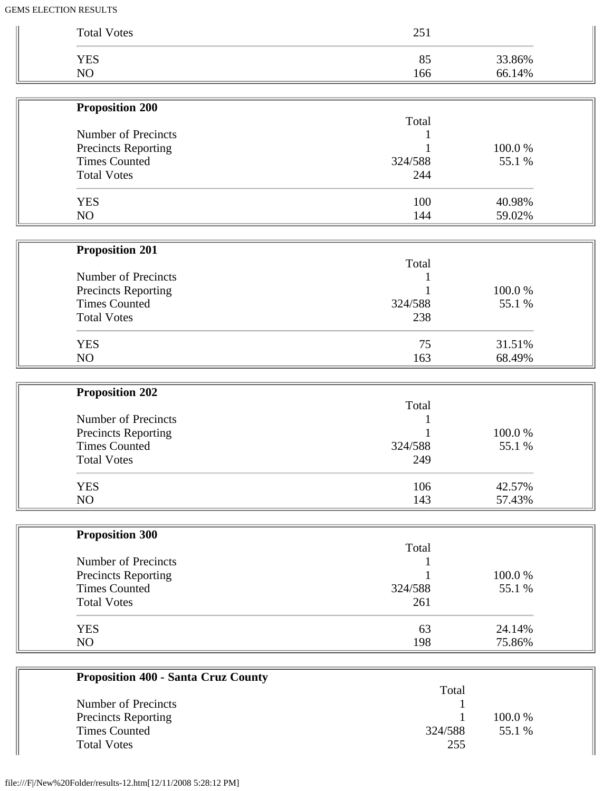| <b>Total Votes</b>         | 251     |        |
|----------------------------|---------|--------|
| <b>YES</b>                 | 85      | 33.86% |
| NO                         | 166     | 66.14% |
| <b>Proposition 200</b>     |         |        |
|                            | Total   |        |
| <b>Number of Precincts</b> |         |        |
| Precincts Reporting        |         | 100.0% |
| <b>Times Counted</b>       | 324/588 | 55.1 % |
| <b>Total Votes</b>         | 244     |        |
| <b>YES</b>                 | 100     | 40.98% |
| NO                         | 144     | 59.02% |
| <b>Proposition 201</b>     |         |        |
|                            | Total   |        |
| Number of Precincts        |         |        |
| Precincts Reporting        |         | 100.0% |
| <b>Times Counted</b>       | 324/588 | 55.1 % |
| <b>Total Votes</b>         | 238     |        |
| <b>YES</b>                 | 75      | 31.51% |
| NO                         | 163     | 68.49% |
| <b>Proposition 202</b>     |         |        |
|                            | Total   |        |
| Number of Precincts        |         |        |
| Precincts Reporting        |         | 100.0% |
| <b>Times Counted</b>       | 324/588 | 55.1 % |
| <b>Total Votes</b>         | 249     |        |
| <b>YES</b>                 | 106     | 42.57% |
| NO                         | 143     | 57.43% |
| <b>Proposition 300</b>     |         |        |
|                            | Total   |        |
| Number of Precincts        |         |        |
| <b>Precincts Reporting</b> |         | 100.0% |
| <b>Times Counted</b>       | 324/588 | 55.1 % |
| <b>Total Votes</b>         | 261     |        |
| <b>YES</b>                 | 63      | 24.14% |
|                            | 198     | 75.86% |

| Troposition 400 - Santa Cruz County |         |         |
|-------------------------------------|---------|---------|
|                                     | Total   |         |
| Number of Precincts                 |         |         |
| <b>Precincts Reporting</b>          |         | 100.0 % |
| <b>Times Counted</b>                | 324/588 | 55.1 %  |
| <b>Total Votes</b>                  | 255     |         |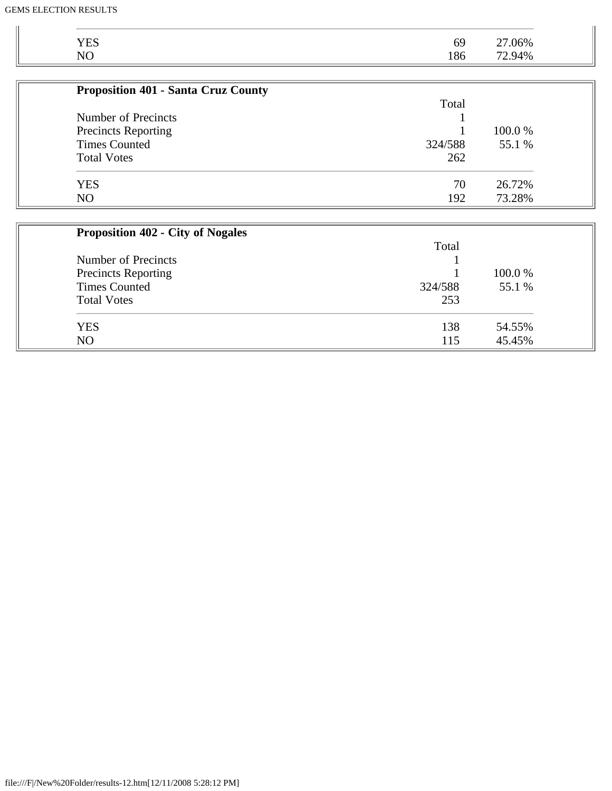| <b>YES</b>                                 | 69      | 27.06% |  |
|--------------------------------------------|---------|--------|--|
| NO                                         | 186     | 72.94% |  |
| <b>Proposition 401 - Santa Cruz County</b> |         |        |  |
|                                            | Total   |        |  |
| Number of Precincts                        |         |        |  |
| <b>Precincts Reporting</b>                 |         | 100.0% |  |
| <b>Times Counted</b>                       | 324/588 | 55.1 % |  |
| <b>Total Votes</b>                         | 262     |        |  |
| <b>YES</b>                                 | 70      | 26.72% |  |
| NO                                         | 192     | 73.28% |  |

| <b>Proposition 402 - City of Nogales</b> |         |         |
|------------------------------------------|---------|---------|
|                                          | Total   |         |
| Number of Precincts                      |         |         |
| <b>Precincts Reporting</b>               |         | 100.0 % |
| <b>Times Counted</b>                     | 324/588 | 55.1 %  |
| <b>Total Votes</b>                       | 253     |         |
| <b>YES</b>                               | 138     | 54.55%  |
| N <sub>O</sub>                           | 115     | 45.45%  |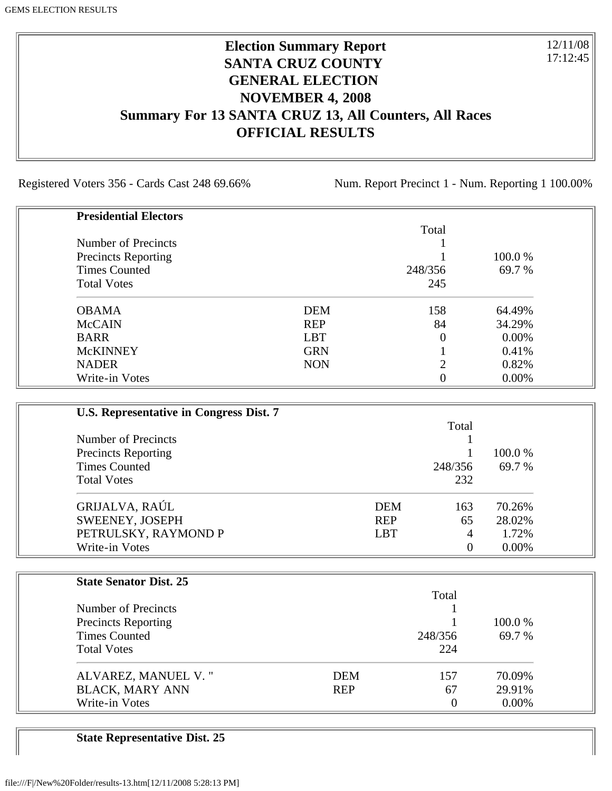### **Election Summary Report SANTA CRUZ COUNTY GENERAL ELECTION NOVEMBER 4, 2008 Summary For 13 SANTA CRUZ 13, All Counters, All Races OFFICIAL RESULTS**

Registered Voters 356 - Cards Cast 248 69.66% Num. Report Precinct 1 - Num. Reporting 1 100.00%

12/11/08 17:12:45

| <b>Presidential Electors</b> |            |          |          |
|------------------------------|------------|----------|----------|
|                              |            | Total    |          |
| Number of Precincts          |            |          |          |
| <b>Precincts Reporting</b>   |            |          | 100.0 %  |
| <b>Times Counted</b>         |            | 248/356  | 69.7 %   |
| <b>Total Votes</b>           |            | 245      |          |
| <b>OBAMA</b>                 | <b>DEM</b> | 158      | 64.49%   |
| <b>McCAIN</b>                | <b>REP</b> | 84       | 34.29%   |
| <b>BARR</b>                  | <b>LBT</b> | $\Omega$ | $0.00\%$ |
| <b>McKINNEY</b>              | <b>GRN</b> |          | 0.41%    |
| <b>NADER</b>                 | <b>NON</b> | ◠        | 0.82%    |
| Write-in Votes               |            | 0        | 0.00%    |

| U.S. Representative in Congress Dist. 7 |            |          |          |
|-----------------------------------------|------------|----------|----------|
|                                         |            | Total    |          |
| Number of Precincts                     |            |          |          |
| <b>Precincts Reporting</b>              |            |          | 100.0 %  |
| <b>Times Counted</b>                    |            | 248/356  | 69.7 %   |
| <b>Total Votes</b>                      |            | 232      |          |
| GRIJALVA, RAÚL                          | <b>DEM</b> | 163      | 70.26%   |
| SWEENEY, JOSEPH                         | <b>REP</b> | 65       | 28.02%   |
| PETRULSKY, RAYMOND P                    | <b>LBT</b> | 4        | 1.72%    |
| Write-in Votes                          |            | $\theta$ | $0.00\%$ |

| <b>State Senator Dist. 25</b> |            |                |          |
|-------------------------------|------------|----------------|----------|
|                               |            | Total          |          |
| Number of Precincts           |            |                |          |
| <b>Precincts Reporting</b>    |            |                | 100.0 %  |
| <b>Times Counted</b>          |            | 248/356        | 69.7 %   |
| <b>Total Votes</b>            |            | 224            |          |
| ALVAREZ, MANUEL V."           | <b>DEM</b> | 157            | 70.09%   |
| <b>BLACK, MARY ANN</b>        | <b>REP</b> | 67             | 29.91%   |
| Write-in Votes                |            | $\overline{0}$ | $0.00\%$ |

**State Representative Dist. 25**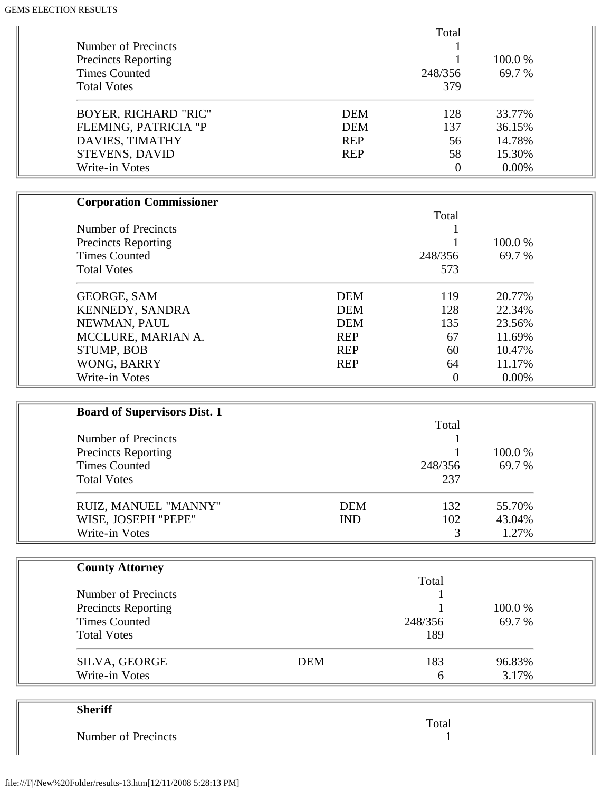| <b>Number of Precincts</b>                         |            | Total            |        |
|----------------------------------------------------|------------|------------------|--------|
| <b>Precincts Reporting</b>                         |            | 1                | 100.0% |
| <b>Times Counted</b>                               |            | 248/356          | 69.7 % |
| <b>Total Votes</b>                                 |            | 379              |        |
| <b>BOYER, RICHARD "RIC"</b>                        | <b>DEM</b> | 128              | 33.77% |
| FLEMING, PATRICIA "P                               | <b>DEM</b> | 137              | 36.15% |
| DAVIES, TIMATHY                                    | <b>REP</b> | 56               | 14.78% |
| STEVENS, DAVID                                     | <b>REP</b> | 58               | 15.30% |
| Write-in Votes                                     |            | $\boldsymbol{0}$ | 0.00%  |
| <b>Corporation Commissioner</b>                    |            |                  |        |
|                                                    |            | Total            |        |
| <b>Number of Precincts</b>                         |            | 1                |        |
| Precincts Reporting                                |            |                  | 100.0% |
| <b>Times Counted</b>                               |            | 248/356          | 69.7 % |
| <b>Total Votes</b>                                 |            | 573              |        |
| <b>GEORGE, SAM</b>                                 | <b>DEM</b> | 119              | 20.77% |
| KENNEDY, SANDRA                                    | <b>DEM</b> | 128              | 22.34% |
| NEWMAN, PAUL                                       | <b>DEM</b> | 135              | 23.56% |
| MCCLURE, MARIAN A.                                 | <b>REP</b> | 67               | 11.69% |
| STUMP, BOB                                         | <b>REP</b> | 60               | 10.47% |
| WONG, BARRY                                        | <b>REP</b> | 64               | 11.17% |
| Write-in Votes                                     |            | $\overline{0}$   | 0.00%  |
| <b>Board of Supervisors Dist. 1</b>                |            |                  |        |
|                                                    |            | Total            |        |
| <b>Number of Precincts</b>                         |            |                  | 100.0% |
| <b>Precincts Reporting</b><br><b>Times Counted</b> |            | 248/356          | 69.7 % |
| <b>Total Votes</b>                                 |            | 237              |        |
|                                                    |            |                  |        |
| RUIZ, MANUEL "MANNY"                               | <b>DEM</b> | 132              | 55.70% |
| WISE, JOSEPH "PEPE"                                | <b>IND</b> | 102              | 43.04% |
| Write-in Votes                                     |            | 3                | 1.27%  |
| <b>County Attorney</b>                             |            |                  |        |
|                                                    |            | Total            |        |
| <b>Number of Precincts</b>                         |            |                  |        |
| <b>Precincts Reporting</b>                         |            |                  | 100.0% |
| <b>Times Counted</b>                               |            | 248/356          | 69.7 % |
| <b>Total Votes</b>                                 |            | 189              |        |
|                                                    | <b>DEM</b> | 183              | 96.83% |
| SILVA, GEORGE<br>Write-in Votes                    |            |                  | 3.17%  |

|                     | Total |
|---------------------|-------|
| Number of Precincts |       |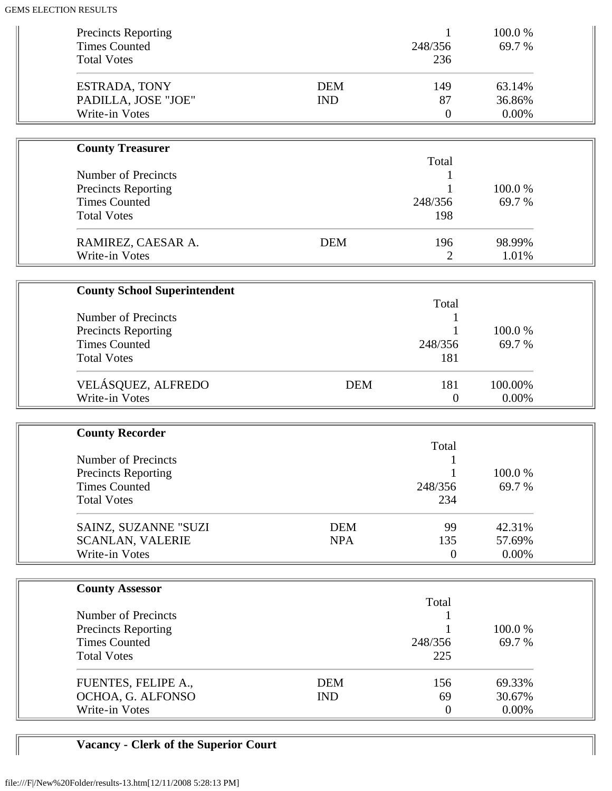| <b>Precincts Reporting</b><br><b>Times Counted</b><br><b>Total Votes</b> |                          | 1<br>248/356<br>236         | 100.0%<br>69.7%           |  |
|--------------------------------------------------------------------------|--------------------------|-----------------------------|---------------------------|--|
| ESTRADA, TONY<br>PADILLA, JOSE "JOE"<br>Write-in Votes                   | <b>DEM</b><br><b>IND</b> | 149<br>87<br>$\overline{0}$ | 63.14%<br>36.86%<br>0.00% |  |
| <b>County Treasurer</b>                                                  |                          |                             |                           |  |
|                                                                          |                          | Total                       |                           |  |
| <b>Number of Precincts</b>                                               |                          | 1                           |                           |  |
| <b>Precincts Reporting</b>                                               |                          |                             | 100.0%                    |  |
| <b>Times Counted</b>                                                     |                          | 248/356                     | 69.7%                     |  |
| <b>Total Votes</b>                                                       |                          | 198                         |                           |  |
| RAMIREZ, CAESAR A.                                                       | <b>DEM</b>               | 196                         | 98.99%                    |  |
| Write-in Votes                                                           |                          | $\overline{2}$              | 1.01%                     |  |
|                                                                          |                          |                             |                           |  |
| <b>County School Superintendent</b>                                      |                          |                             |                           |  |
|                                                                          |                          | Total                       |                           |  |
| <b>Number of Precincts</b>                                               |                          |                             |                           |  |
| <b>Precincts Reporting</b>                                               |                          |                             | 100.0%                    |  |
| <b>Times Counted</b><br><b>Total Votes</b>                               |                          | 248/356                     | 69.7%                     |  |
|                                                                          |                          | 181                         |                           |  |
| VELÁSQUEZ, ALFREDO                                                       | <b>DEM</b>               | 181                         | 100.00%                   |  |
| Write-in Votes                                                           |                          | $\theta$                    | 0.00%                     |  |
|                                                                          |                          |                             |                           |  |
| <b>County Recorder</b>                                                   |                          |                             |                           |  |
|                                                                          |                          | Total                       |                           |  |
| <b>Number of Precincts</b>                                               |                          |                             |                           |  |
| Precincts Reporting                                                      |                          |                             | 100.0%                    |  |
| <b>Times Counted</b>                                                     |                          | 248/356                     | 69.7%                     |  |
| <b>Total Votes</b>                                                       |                          | 234                         |                           |  |
| SAINZ, SUZANNE "SUZI                                                     | <b>DEM</b>               | 99                          | 42.31%                    |  |
| <b>SCANLAN, VALERIE</b>                                                  | <b>NPA</b>               | 135                         | 57.69%                    |  |
| Write-in Votes                                                           |                          | $\boldsymbol{0}$            | 0.00%                     |  |
|                                                                          |                          |                             |                           |  |
| <b>County Assessor</b>                                                   |                          |                             |                           |  |
|                                                                          |                          | Total                       |                           |  |
| <b>Number of Precincts</b>                                               |                          |                             |                           |  |
| <b>Precincts Reporting</b>                                               |                          |                             | 100.0%                    |  |
| <b>Times Counted</b><br><b>Total Votes</b>                               |                          | 248/356<br>225              | 69.7%                     |  |
|                                                                          |                          |                             |                           |  |
| FUENTES, FELIPE A.,                                                      | <b>DEM</b>               | 156                         | 69.33%                    |  |
| OCHOA, G. ALFONSO                                                        | <b>IND</b>               | 69                          | 30.67%                    |  |
| Write-in Votes                                                           |                          | $\overline{0}$              | $0.00\%$                  |  |

# **Vacancy - Clerk of the Superior Court**

 $\mathbb{I}$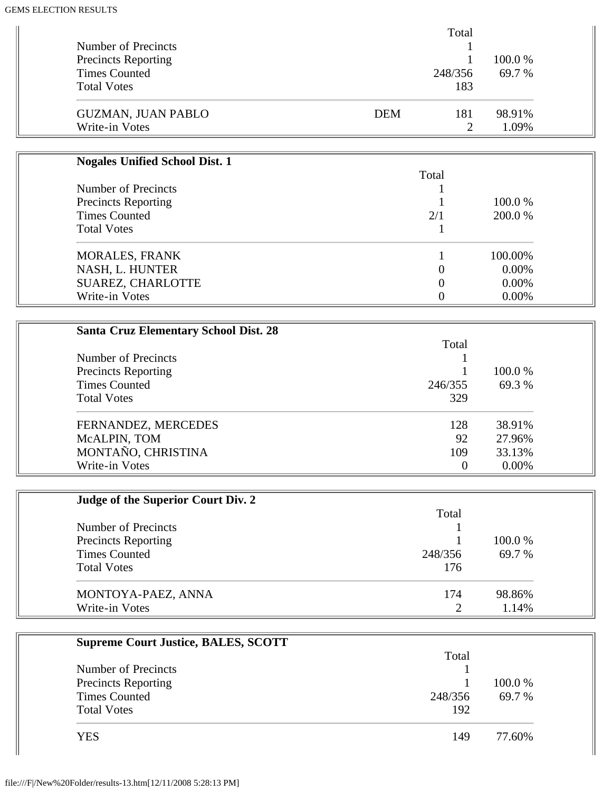|                            |            | Total   |         |
|----------------------------|------------|---------|---------|
| Number of Precincts        |            |         |         |
| <b>Precincts Reporting</b> |            |         | 100.0 % |
| <b>Times Counted</b>       |            | 248/356 | 69.7 %  |
| <b>Total Votes</b>         |            | 183     |         |
| <b>GUZMAN, JUAN PABLO</b>  | <b>DEM</b> | 181     | 98.91%  |
| Write-in Votes             |            |         | 1.09%   |

| Total |          |
|-------|----------|
|       |          |
|       | 100.0 %  |
| 2/1   | 200.0 %  |
|       |          |
|       | 100.00%  |
|       | $0.00\%$ |
|       | $0.00\%$ |
|       | 0.00%    |
|       |          |

| <b>Santa Cruz Elementary School Dist. 28</b> |         |          |
|----------------------------------------------|---------|----------|
|                                              | Total   |          |
| Number of Precincts                          |         |          |
| <b>Precincts Reporting</b>                   |         | 100.0 %  |
| <b>Times Counted</b>                         | 246/355 | 69.3 %   |
| <b>Total Votes</b>                           | 329     |          |
| FERNANDEZ, MERCEDES                          | 128     | 38.91%   |
| McALPIN, TOM                                 | 92      | 27.96%   |
| MONTAÑO, CHRISTINA                           | 109     | 33.13%   |
| Write-in Votes                               | 0       | $0.00\%$ |

| Judge of the Superior Court Div. 2 |         |         |
|------------------------------------|---------|---------|
|                                    | Total   |         |
| Number of Precincts                |         |         |
| <b>Precincts Reporting</b>         |         | 100.0 % |
| <b>Times Counted</b>               | 248/356 | 69.7 %  |
| <b>Total Votes</b>                 | 176     |         |
| MONTOYA-PAEZ, ANNA                 | 174     | 98.86%  |
| Write-in Votes                     | 2       | 1.14%   |

| <b>Supreme Court Justice, BALES, SCOTT</b> |         |         |
|--------------------------------------------|---------|---------|
|                                            | Total   |         |
| Number of Precincts                        |         |         |
| <b>Precincts Reporting</b>                 |         | 100.0 % |
| <b>Times Counted</b>                       | 248/356 | 69.7 %  |
| <b>Total Votes</b>                         | 192     |         |
| YES                                        | 149     | 77.60%  |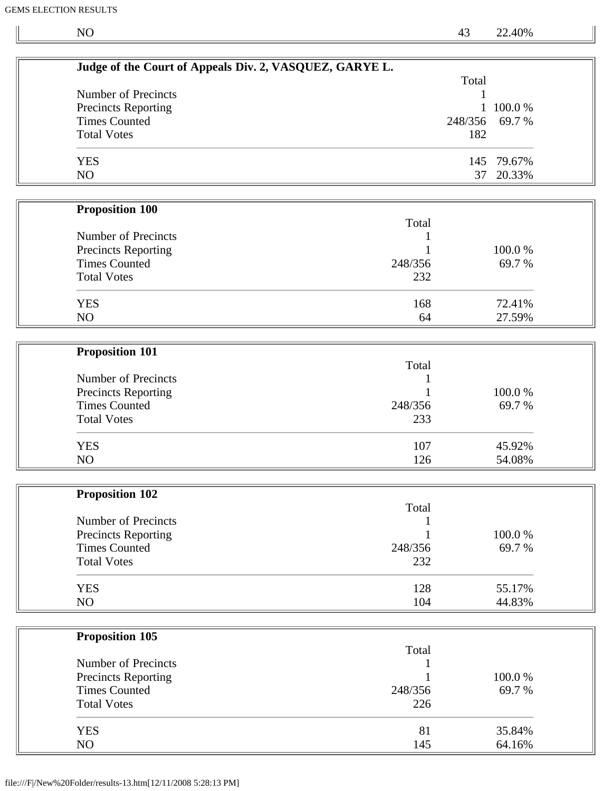$\mathbb{I}$ 

NO 43 22.40%

|                                             | Judge of the Court of Appeals Div. 2, VASQUEZ, GARYE L. |              |            |  |
|---------------------------------------------|---------------------------------------------------------|--------------|------------|--|
| Number of Precincts                         |                                                         | Total        |            |  |
| Precincts Reporting                         |                                                         | $\mathbf{1}$ | 100.0%     |  |
| <b>Times Counted</b>                        |                                                         | 248/356      | 69.7%      |  |
| <b>Total Votes</b>                          |                                                         | 182          |            |  |
|                                             |                                                         |              |            |  |
| <b>YES</b>                                  |                                                         |              | 145 79.67% |  |
| NO                                          |                                                         | 37           | 20.33%     |  |
|                                             |                                                         |              |            |  |
| <b>Proposition 100</b>                      |                                                         |              |            |  |
|                                             | Total                                                   |              |            |  |
| <b>Number of Precincts</b>                  |                                                         |              |            |  |
| <b>Precincts Reporting</b>                  |                                                         |              | 100.0%     |  |
| <b>Times Counted</b>                        | 248/356                                                 |              | 69.7 %     |  |
| <b>Total Votes</b>                          | 232                                                     |              |            |  |
| <b>YES</b>                                  | 168                                                     |              | 72.41%     |  |
| NO                                          | 64                                                      |              | 27.59%     |  |
|                                             |                                                         |              |            |  |
|                                             |                                                         |              |            |  |
| <b>Proposition 101</b>                      |                                                         |              |            |  |
|                                             | Total                                                   |              |            |  |
| Number of Precincts                         |                                                         |              |            |  |
| <b>Precincts Reporting</b>                  |                                                         |              | 100.0%     |  |
| <b>Times Counted</b>                        | 248/356                                                 |              | 69.7 %     |  |
| <b>Total Votes</b>                          | 233                                                     |              |            |  |
| <b>YES</b>                                  | 107                                                     |              | 45.92%     |  |
| NO                                          | 126                                                     |              | 54.08%     |  |
|                                             |                                                         |              |            |  |
| <b>Proposition 102</b>                      |                                                         |              |            |  |
|                                             | Total                                                   |              |            |  |
| Number of Precincts                         |                                                         |              |            |  |
| <b>Precincts Reporting</b>                  |                                                         |              | 100.0%     |  |
| <b>Times Counted</b>                        | 248/356                                                 |              | 69.7%      |  |
| <b>Total Votes</b>                          | 232                                                     |              |            |  |
|                                             |                                                         |              |            |  |
| <b>YES</b>                                  | 128                                                     |              | 55.17%     |  |
| NO                                          | 104                                                     |              | 44.83%     |  |
|                                             |                                                         |              |            |  |
| <b>Proposition 105</b>                      | Total                                                   |              |            |  |
| Number of Precincts                         |                                                         |              |            |  |
|                                             |                                                         |              | 100.0%     |  |
| Precincts Reporting<br><b>Times Counted</b> | 248/356                                                 |              | 69.7%      |  |
| <b>Total Votes</b>                          | 226                                                     |              |            |  |
|                                             |                                                         |              |            |  |
| <b>YES</b>                                  | 81                                                      |              | 35.84%     |  |
| NO                                          | 145                                                     |              | 64.16%     |  |
|                                             |                                                         |              |            |  |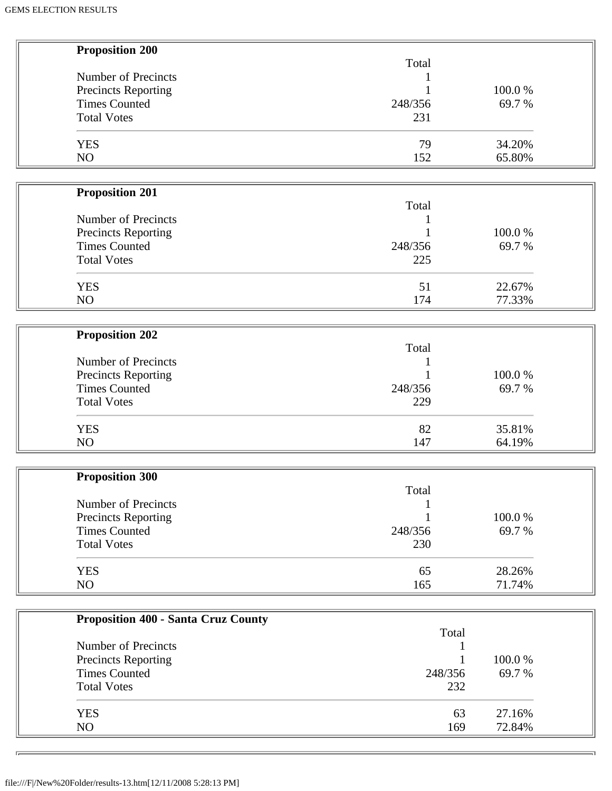| <b>Proposition 200</b>                     |         |        |  |
|--------------------------------------------|---------|--------|--|
|                                            | Total   |        |  |
| Number of Precincts                        |         |        |  |
| <b>Precincts Reporting</b>                 |         | 100.0% |  |
| <b>Times Counted</b>                       | 248/356 | 69.7%  |  |
| <b>Total Votes</b>                         | 231     |        |  |
|                                            |         |        |  |
| <b>YES</b>                                 | 79      | 34.20% |  |
| NO                                         | 152     | 65.80% |  |
|                                            |         |        |  |
| <b>Proposition 201</b>                     |         |        |  |
|                                            | Total   |        |  |
| Number of Precincts                        |         |        |  |
| <b>Precincts Reporting</b>                 |         | 100.0% |  |
| <b>Times Counted</b>                       | 248/356 | 69.7%  |  |
| <b>Total Votes</b>                         | 225     |        |  |
|                                            |         |        |  |
| <b>YES</b>                                 | 51      | 22.67% |  |
| NO                                         | 174     | 77.33% |  |
|                                            |         |        |  |
| <b>Proposition 202</b>                     |         |        |  |
|                                            | Total   |        |  |
| Number of Precincts                        |         |        |  |
| Precincts Reporting                        |         | 100.0% |  |
| <b>Times Counted</b>                       | 248/356 | 69.7 % |  |
|                                            |         |        |  |
| <b>Total Votes</b>                         | 229     |        |  |
| <b>YES</b>                                 | 82      | 35.81% |  |
| NO                                         | 147     | 64.19% |  |
|                                            |         |        |  |
| <b>Proposition 300</b>                     |         |        |  |
|                                            | Total   |        |  |
| Number of Precincts                        |         |        |  |
| Precincts Reporting                        |         | 100.0% |  |
| <b>Times Counted</b>                       | 248/356 | 69.7%  |  |
| <b>Total Votes</b>                         | 230     |        |  |
|                                            |         |        |  |
| <b>YES</b>                                 | 65      | 28.26% |  |
| NO                                         | 165     | 71.74% |  |
|                                            |         |        |  |
| <b>Proposition 400 - Santa Cruz County</b> |         |        |  |
|                                            | Total   |        |  |
| Number of Precincts                        |         |        |  |
| Precincts Reporting                        |         | 100.0% |  |
| <b>Times Counted</b>                       | 248/356 | 69.7%  |  |
| <b>Total Votes</b>                         | 232     |        |  |
|                                            |         |        |  |
|                                            |         |        |  |

YES 63 27.16% NO 22.84%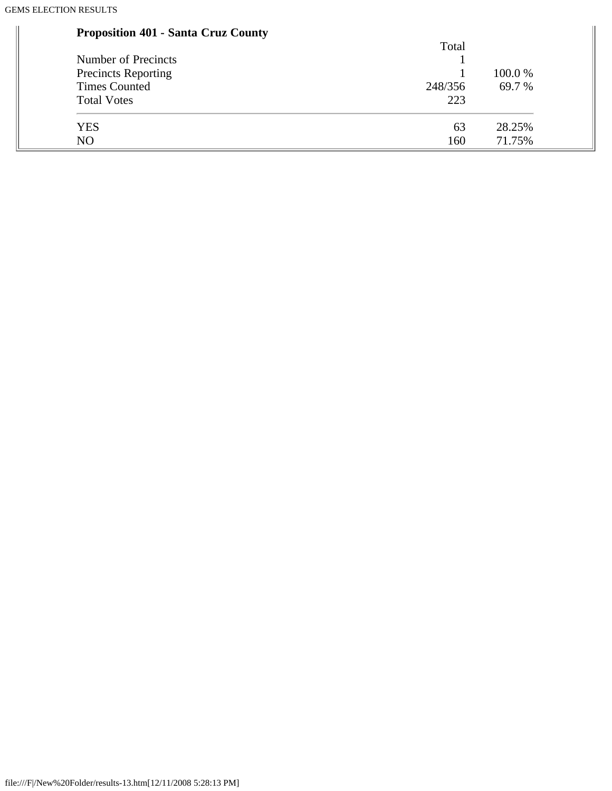۰

#### **Proposition 401 - Santa Cruz County**

| <b>Proposition 401 - Santa Cruz County</b> |         |         |
|--------------------------------------------|---------|---------|
|                                            | Total   |         |
| Number of Precincts                        |         |         |
| <b>Precincts Reporting</b>                 |         | 100.0 % |
| <b>Times Counted</b>                       | 248/356 | 69.7 %  |
| <b>Total Votes</b>                         | 223     |         |
| <b>YES</b>                                 | 63      | 28.25%  |
| N <sub>O</sub>                             | 160     | 71.75%  |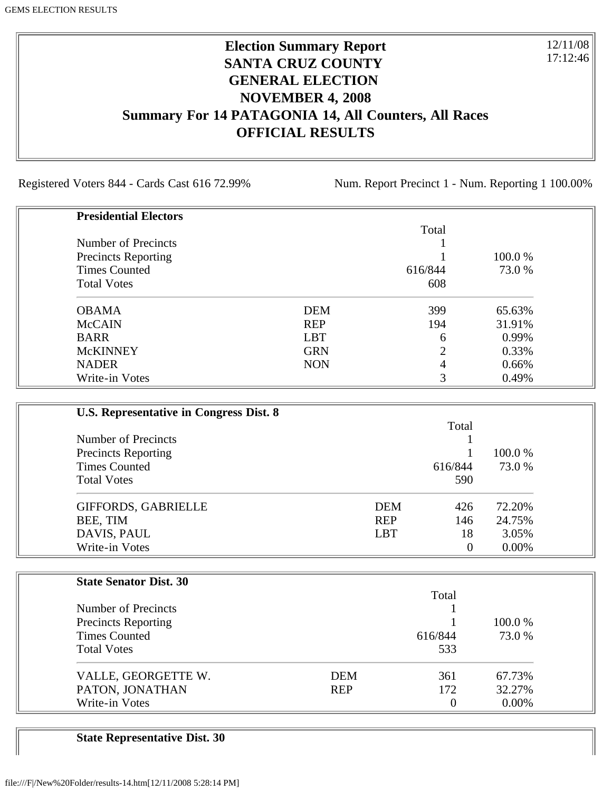### **Election Summary Report SANTA CRUZ COUNTY GENERAL ELECTION NOVEMBER 4, 2008 Summary For 14 PATAGONIA 14, All Counters, All Races OFFICIAL RESULTS**

Registered Voters 844 - Cards Cast 616 72.99% Num. Report Precinct 1 - Num. Reporting 1 100.00%

12/11/08 17:12:46

| <b>Presidential Electors</b> |            |         |         |
|------------------------------|------------|---------|---------|
|                              |            | Total   |         |
| Number of Precincts          |            |         |         |
| <b>Precincts Reporting</b>   |            |         | 100.0 % |
| <b>Times Counted</b>         |            | 616/844 | 73.0 %  |
| <b>Total Votes</b>           |            | 608     |         |
| <b>OBAMA</b>                 | <b>DEM</b> | 399     | 65.63%  |
| <b>McCAIN</b>                | <b>REP</b> | 194     | 31.91%  |
| <b>BARR</b>                  | <b>LBT</b> | 6       | 0.99%   |
| <b>McKINNEY</b>              | <b>GRN</b> | 2       | 0.33%   |
| <b>NADER</b>                 | <b>NON</b> | 4       | 0.66%   |
| Write-in Votes               |            | 3       | 0.49%   |

| U.S. Representative in Congress Dist. 8 |            |          |          |  |
|-----------------------------------------|------------|----------|----------|--|
|                                         |            | Total    |          |  |
| Number of Precincts                     |            |          |          |  |
| <b>Precincts Reporting</b>              |            |          | 100.0 %  |  |
| <b>Times Counted</b>                    |            | 616/844  | 73.0 %   |  |
| <b>Total Votes</b>                      |            | 590      |          |  |
| GIFFORDS, GABRIELLE                     | <b>DEM</b> | 426      | 72.20%   |  |
| BEE, TIM                                | <b>REP</b> | 146      | 24.75%   |  |
| DAVIS, PAUL                             | <b>LBT</b> | 18       | 3.05%    |  |
| Write-in Votes                          |            | $\theta$ | $0.00\%$ |  |

| <b>State Senator Dist. 30</b> |            |                |          |
|-------------------------------|------------|----------------|----------|
|                               |            | Total          |          |
| Number of Precincts           |            |                |          |
| <b>Precincts Reporting</b>    |            |                | 100.0 %  |
| <b>Times Counted</b>          |            | 616/844        | 73.0 %   |
| <b>Total Votes</b>            |            | 533            |          |
| VALLE, GEORGETTE W.           | <b>DEM</b> | 361            | 67.73%   |
| PATON, JONATHAN               | <b>REP</b> | 172            | 32.27%   |
| Write-in Votes                |            | $\overline{0}$ | $0.00\%$ |

**State Representative Dist. 30**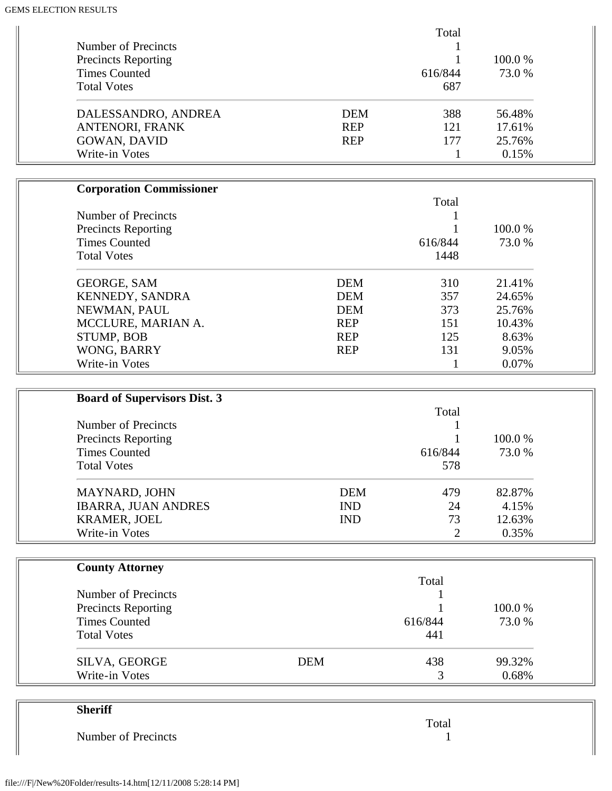|                            |            | Total   |         |
|----------------------------|------------|---------|---------|
| Number of Precincts        |            |         |         |
| <b>Precincts Reporting</b> |            |         | 100.0 % |
| <b>Times Counted</b>       |            | 616/844 | 73.0 %  |
| <b>Total Votes</b>         |            | 687     |         |
| DALESSANDRO, ANDREA        | <b>DEM</b> | 388     | 56.48%  |
| ANTENORI, FRANK            | <b>REP</b> | 121     | 17.61%  |
| <b>GOWAN, DAVID</b>        | <b>REP</b> | 177     | 25.76%  |
| Write-in Votes             |            |         | 0.15%   |

| <b>Corporation Commissioner</b> |            |         |         |
|---------------------------------|------------|---------|---------|
|                                 |            | Total   |         |
| Number of Precincts             |            |         |         |
| <b>Precincts Reporting</b>      |            |         | 100.0 % |
| <b>Times Counted</b>            |            | 616/844 | 73.0 %  |
| <b>Total Votes</b>              |            | 1448    |         |
| <b>GEORGE, SAM</b>              | <b>DEM</b> | 310     | 21.41\% |
| <b>KENNEDY, SANDRA</b>          | <b>DEM</b> | 357     | 24.65%  |
| NEWMAN, PAUL                    | <b>DEM</b> | 373     | 25.76%  |
| MCCLURE, MARIAN A.              | <b>REP</b> | 151     | 10.43%  |
| STUMP, BOB                      | <b>REP</b> | 125     | 8.63%   |
| WONG, BARRY                     | <b>REP</b> | 131     | 9.05%   |
| Write-in Votes                  |            |         | 0.07%   |

| <b>Board of Supervisors Dist. 3</b> |            |                |         |
|-------------------------------------|------------|----------------|---------|
|                                     |            | Total          |         |
| Number of Precincts                 |            |                |         |
| <b>Precincts Reporting</b>          |            |                | 100.0 % |
| <b>Times Counted</b>                |            | 616/844        | 73.0 %  |
| <b>Total Votes</b>                  |            | 578            |         |
| MAYNARD, JOHN                       | <b>DEM</b> | 479            | 82.87%  |
| <b>IBARRA, JUAN ANDRES</b>          | <b>IND</b> | 24             | 4.15%   |
| <b>KRAMER, JOEL</b>                 | <b>IND</b> | 73             | 12.63%  |
| Write-in Votes                      |            | $\overline{2}$ | 0.35%   |

| <b>County Attorney</b>     |            |         |         |
|----------------------------|------------|---------|---------|
|                            |            | Total   |         |
| Number of Precincts        |            |         |         |
| <b>Precincts Reporting</b> |            |         | 100.0 % |
| <b>Times Counted</b>       |            | 616/844 | 73.0 %  |
| <b>Total Votes</b>         |            | 441     |         |
| SILVA, GEORGE              | <b>DEM</b> | 438     | 99.32%  |
| Write-in Votes             |            |         | 0.68%   |

| <b>Sheriff</b>      |       |
|---------------------|-------|
|                     | Total |
| Number of Precincts |       |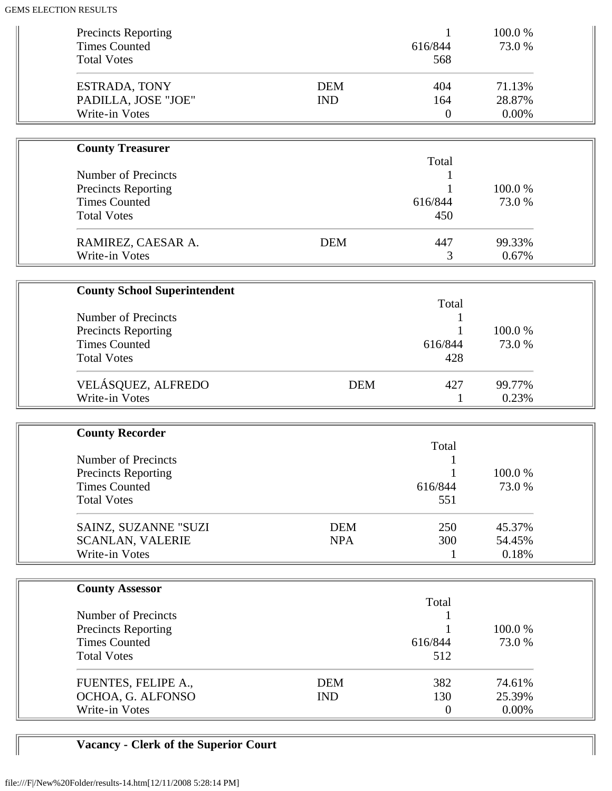| <b>Precincts Reporting</b><br><b>Times Counted</b><br><b>Total Votes</b> |                          | 1<br>616/844<br>568          | 100.0%<br>73.0 %          |  |
|--------------------------------------------------------------------------|--------------------------|------------------------------|---------------------------|--|
| ESTRADA, TONY<br>PADILLA, JOSE "JOE"<br>Write-in Votes                   | <b>DEM</b><br><b>IND</b> | 404<br>164<br>$\overline{0}$ | 71.13%<br>28.87%<br>0.00% |  |
| <b>County Treasurer</b>                                                  |                          |                              |                           |  |
|                                                                          |                          | Total                        |                           |  |
| <b>Number of Precincts</b>                                               |                          | 1                            |                           |  |
| <b>Precincts Reporting</b><br><b>Times Counted</b>                       |                          | 616/844                      | 100.0%<br>73.0 %          |  |
| <b>Total Votes</b>                                                       |                          | 450                          |                           |  |
| RAMIREZ, CAESAR A.                                                       | <b>DEM</b>               | 447                          | 99.33%                    |  |
| Write-in Votes                                                           |                          | 3                            | 0.67%                     |  |
|                                                                          |                          |                              |                           |  |
| <b>County School Superintendent</b>                                      |                          | Total                        |                           |  |
| <b>Number of Precincts</b>                                               |                          | 1                            |                           |  |
| Precincts Reporting                                                      |                          |                              | 100.0%                    |  |
| <b>Times Counted</b>                                                     |                          | 616/844                      | 73.0 %                    |  |
| <b>Total Votes</b>                                                       |                          | 428                          |                           |  |
| VELÁSQUEZ, ALFREDO                                                       | <b>DEM</b>               | 427                          | 99.77%                    |  |
| Write-in Votes                                                           |                          | $\mathbf{1}$                 | 0.23%                     |  |
| <b>County Recorder</b>                                                   |                          |                              |                           |  |
|                                                                          |                          | Total                        |                           |  |
| <b>Number of Precincts</b>                                               |                          |                              |                           |  |
| <b>Precincts Reporting</b>                                               |                          |                              | 100.0%                    |  |
| <b>Times Counted</b>                                                     |                          | 616/844                      | 73.0%                     |  |
| <b>Total Votes</b>                                                       |                          | 551                          |                           |  |
| SAINZ, SUZANNE "SUZI                                                     | <b>DEM</b>               | 250                          | 45.37%                    |  |
| <b>SCANLAN, VALERIE</b>                                                  | <b>NPA</b>               | 300                          | 54.45%                    |  |
| Write-in Votes                                                           |                          | 1                            | 0.18%                     |  |
|                                                                          |                          |                              |                           |  |
| <b>County Assessor</b>                                                   |                          | Total                        |                           |  |
| <b>Number of Precincts</b>                                               |                          | 1                            |                           |  |
| <b>Precincts Reporting</b>                                               |                          |                              | 100.0%                    |  |
| <b>Times Counted</b>                                                     |                          | 616/844                      | 73.0%                     |  |
| <b>Total Votes</b>                                                       |                          | 512                          |                           |  |
| FUENTES, FELIPE A.,                                                      | <b>DEM</b>               | 382                          | 74.61%                    |  |
| OCHOA, G. ALFONSO                                                        | <b>IND</b>               | 130                          | 25.39%                    |  |
| Write-in Votes                                                           |                          | $\overline{0}$               | 0.00%                     |  |

# **Vacancy - Clerk of the Superior Court**

 $\parallel$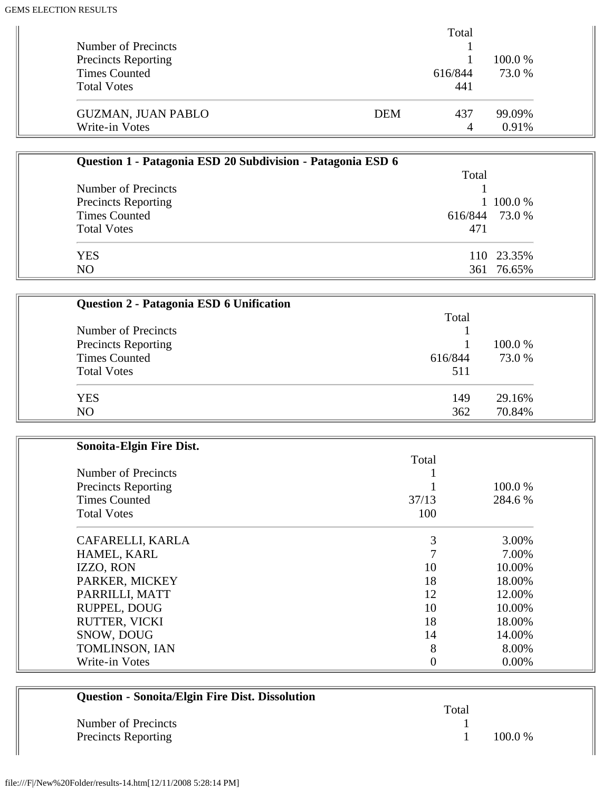|                            |     | Total   |         |
|----------------------------|-----|---------|---------|
| Number of Precincts        |     |         |         |
| <b>Precincts Reporting</b> |     |         | 100.0 % |
| <b>Times Counted</b>       |     | 616/844 | 73.0 %  |
| <b>Total Votes</b>         |     | 441     |         |
| <b>GUZMAN, JUAN PABLO</b>  | DEM | 437     | 99.09%  |
| Write-in Votes             |     | 4       | 0.91%   |

| Question 1 - Patagonia ESD 20 Subdivision - Patagonia ESD 6 |       |                |  |
|-------------------------------------------------------------|-------|----------------|--|
|                                                             | Total |                |  |
| Number of Precincts                                         |       |                |  |
| <b>Precincts Reporting</b>                                  |       | 1 100.0 %      |  |
| <b>Times Counted</b>                                        |       | 616/844 73.0 % |  |
| <b>Total Votes</b>                                          | 471   |                |  |
| <b>YES</b>                                                  |       | 110 23.35%     |  |
| N <sub>O</sub>                                              |       | 361 76.65%     |  |

| Question 2 - Patagonia ESD 6 Unification |         |         |
|------------------------------------------|---------|---------|
|                                          | Total   |         |
| Number of Precincts                      |         |         |
| <b>Precincts Reporting</b>               |         | 100.0 % |
| <b>Times Counted</b>                     | 616/844 | 73.0 %  |
| <b>Total Votes</b>                       | 511     |         |
| <b>YES</b>                               | 149     | 29.16%  |
| N <sub>O</sub>                           | 362     | 70.84%  |

| Sonoita-Elgin Fire Dist.   |       |         |
|----------------------------|-------|---------|
|                            | Total |         |
| Number of Precincts        |       |         |
| <b>Precincts Reporting</b> |       | 100.0%  |
| <b>Times Counted</b>       | 37/13 | 284.6 % |
| <b>Total Votes</b>         | 100   |         |
| CAFARELLI, KARLA           | 3     | 3.00%   |
| HAMEL, KARL                |       | 7.00%   |
| IZZO, RON                  | 10    | 10.00%  |
| PARKER, MICKEY             | 18    | 18.00%  |
| PARRILLI, MATT             | 12    | 12.00%  |
| RUPPEL, DOUG               | 10    | 10.00%  |
| RUTTER, VICKI              | 18    | 18.00%  |
| SNOW, DOUG                 | 14    | 14.00%  |
| TOMLINSON, IAN             | 8     | 8.00%   |
| Write-in Votes             |       | 0.00%   |

| <b>Question - Sonoita/Elgin Fire Dist. Dissolution</b> |       |           |
|--------------------------------------------------------|-------|-----------|
|                                                        | Total |           |
| Number of Precincts                                    |       |           |
| <b>Precincts Reporting</b>                             |       | $100.0\%$ |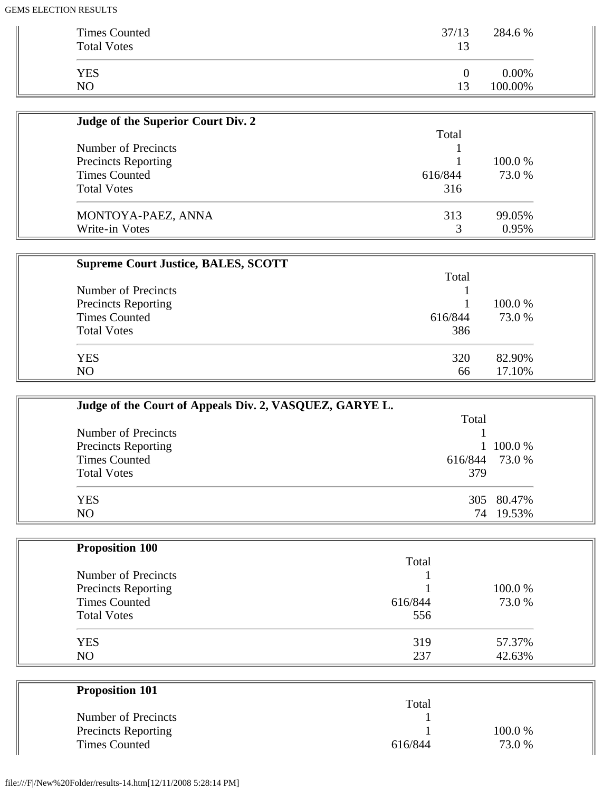| Times Counted<br><b>Total Votes</b> | 37/13    | 284.6 %  |
|-------------------------------------|----------|----------|
| <b>YES</b>                          | $\theta$ | $0.00\%$ |
| NO                                  | 13       | 100.00%  |

| Judge of the Superior Court Div. 2 |         |         |
|------------------------------------|---------|---------|
|                                    | Total   |         |
| Number of Precincts                |         |         |
| <b>Precincts Reporting</b>         |         | 100.0 % |
| <b>Times Counted</b>               | 616/844 | 73.0 %  |
| <b>Total Votes</b>                 | 316     |         |
| MONTOYA-PAEZ, ANNA                 | 313     | 99.05%  |
| Write-in Votes                     |         | 0.95%   |

| <b>Supreme Court Justice, BALES, SCOTT</b> |         |         |
|--------------------------------------------|---------|---------|
|                                            | Total   |         |
| Number of Precincts                        |         |         |
| <b>Precincts Reporting</b>                 |         | 100.0 % |
| <b>Times Counted</b>                       | 616/844 | 73.0 %  |
| <b>Total Votes</b>                         | 386     |         |
| <b>YES</b>                                 | 320     | 82.90%  |
| N <sub>O</sub>                             | 66      | 17.10%  |

| Judge of the Court of Appeals Div. 2, VASQUEZ, GARYE L. |         |            |  |
|---------------------------------------------------------|---------|------------|--|
|                                                         | Total   |            |  |
| Number of Precincts                                     |         |            |  |
| <b>Precincts Reporting</b>                              |         | 100.0 %    |  |
| <b>Times Counted</b>                                    | 616/844 | 73.0 %     |  |
| <b>Total Votes</b>                                      | 379     |            |  |
| <b>YES</b>                                              |         | 305 80.47% |  |
| NO                                                      | 74      | 19.53%     |  |

| <b>Proposition 100</b>     |         |         |
|----------------------------|---------|---------|
|                            | Total   |         |
| Number of Precincts        |         |         |
| <b>Precincts Reporting</b> |         | 100.0 % |
| <b>Times Counted</b>       | 616/844 | 73.0 %  |
| <b>Total Votes</b>         | 556     |         |
| <b>YES</b>                 | 319     | 57.37%  |
| NO                         | 237     | 42.63%  |

| <b>Proposition 101</b>     |         |        |  |
|----------------------------|---------|--------|--|
|                            | Total   |        |  |
| Number of Precincts        |         |        |  |
| <b>Precincts Reporting</b> |         | 100.0% |  |
| <b>Times Counted</b>       | 616/844 | 73.0 % |  |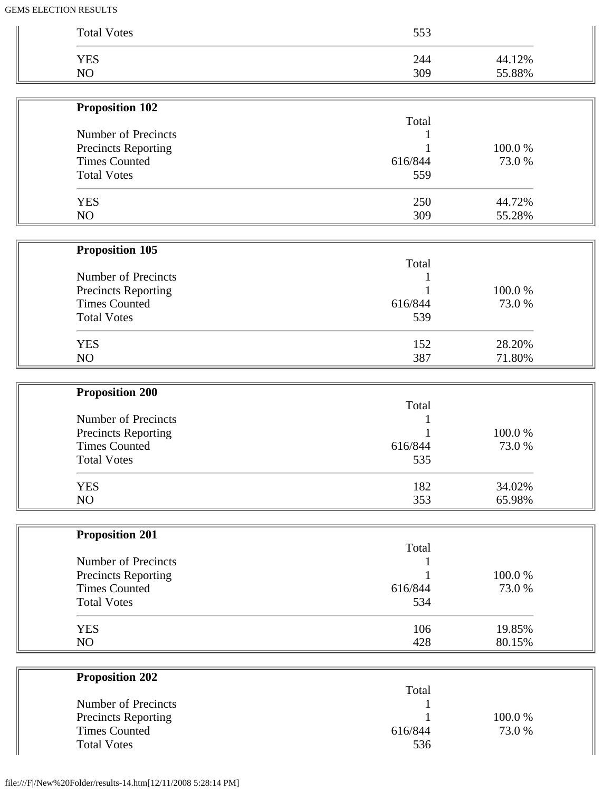| <b>Total Votes</b>         | 553     |        |
|----------------------------|---------|--------|
|                            |         |        |
| <b>YES</b>                 | 244     | 44.12% |
| NO                         | 309     | 55.88% |
| Proposition 102            |         |        |
|                            | Total   |        |
| Number of Precincts        |         |        |
| <b>Precincts Reporting</b> |         | 100.0% |
| <b>Times Counted</b>       | 616/844 | 73.0%  |
| <b>Total Votes</b>         | 559     |        |
| <b>YES</b>                 | 250     | 44.72% |
| NO                         | 309     | 55.28% |
|                            |         |        |
| Proposition 105            | Total   |        |
| Number of Precincts        |         |        |
| Precincts Reporting        |         | 100.0% |
| <b>Times Counted</b>       | 616/844 | 73.0 % |
| <b>Total Votes</b>         | 539     |        |
| <b>YES</b>                 | 152     | 28.20% |
| NO                         | 387     | 71.80% |
| <b>Proposition 200</b>     |         |        |
|                            | Total   |        |
| Number of Precincts        |         |        |
| Precincts Reporting        |         | 100.0% |
| <b>Times Counted</b>       | 616/844 | 73.0%  |
| <b>Total Votes</b>         | 535     |        |
| <b>YES</b>                 | 182     | 34.02% |
| NO                         | 353     | 65.98% |
| <b>Proposition 201</b>     |         |        |
|                            | Total   |        |
| Number of Precincts        |         |        |
| Precincts Reporting        |         | 100.0% |
| <b>Times Counted</b>       | 616/844 | 73.0%  |
| <b>Total Votes</b>         | 534     |        |
| <b>YES</b>                 | 106     | 19.85% |
| NO                         | 428     | 80.15% |
|                            |         |        |
| <b>Proposition 202</b>     | Total   |        |
| Number of Precincts        |         |        |
| Precincts Reporting        |         | 100.0% |

Times Counted 616/844 73.0 %

 $\mathbb I$ 

Total Votes 536

 $\overline{\phantom{a}}$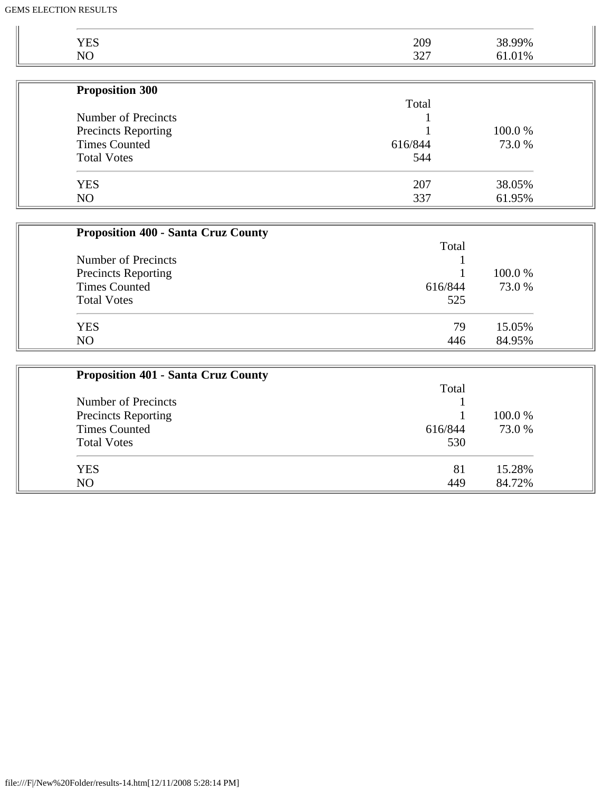| Droposition 200 |                 |                  |
|-----------------|-----------------|------------------|
|                 |                 |                  |
| N <sub>O</sub>  | $\Omega$<br>ے ب |                  |
| <b>YES</b>      | 209             | 38.99%<br>61.01% |
|                 |                 |                  |

| <b>Proposition 300</b>     |         |         |
|----------------------------|---------|---------|
|                            | Total   |         |
| Number of Precincts        |         |         |
| <b>Precincts Reporting</b> |         | 100.0 % |
| <b>Times Counted</b>       | 616/844 | 73.0 %  |
| <b>Total Votes</b>         | 544     |         |
| <b>YES</b>                 | 207     | 38.05%  |
| NO                         | 337     | 61.95%  |

| <b>Proposition 400 - Santa Cruz County</b> |         |         |
|--------------------------------------------|---------|---------|
|                                            | Total   |         |
| Number of Precincts                        |         |         |
| <b>Precincts Reporting</b>                 |         | 100.0 % |
| <b>Times Counted</b>                       | 616/844 | 73.0 %  |
| <b>Total Votes</b>                         | 525     |         |
| <b>YES</b>                                 | 79      | 15.05%  |
| NO                                         | 446     | 84.95%  |

| <b>Proposition 401 - Santa Cruz County</b> |         |         |  |
|--------------------------------------------|---------|---------|--|
|                                            | Total   |         |  |
| Number of Precincts                        |         |         |  |
| <b>Precincts Reporting</b>                 |         | 100.0 % |  |
| <b>Times Counted</b>                       | 616/844 | 73.0 %  |  |
| <b>Total Votes</b>                         | 530     |         |  |
| <b>YES</b>                                 | 81      | 15.28%  |  |
| NO                                         | 449     | 84.72%  |  |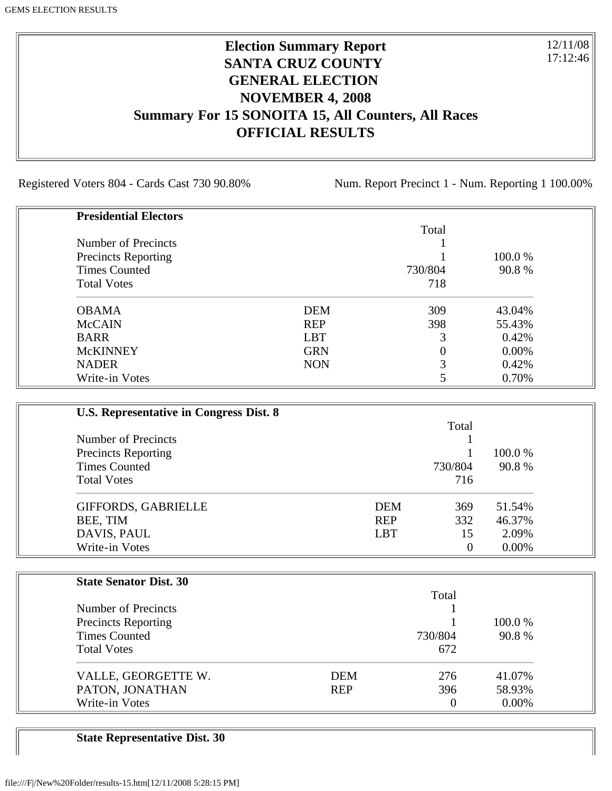### **Election Summary Report SANTA CRUZ COUNTY GENERAL ELECTION NOVEMBER 4, 2008 Summary For 15 SONOITA 15, All Counters, All Races OFFICIAL RESULTS**

Registered Voters 804 - Cards Cast 730 90.80% Num. Report Precinct 1 - Num. Reporting 1 100.00%

12/11/08 17:12:46

| <b>Presidential Electors</b> |            |         |          |
|------------------------------|------------|---------|----------|
|                              |            | Total   |          |
| Number of Precincts          |            |         |          |
| <b>Precincts Reporting</b>   |            |         | 100.0 %  |
| <b>Times Counted</b>         |            | 730/804 | 90.8%    |
| <b>Total Votes</b>           |            | 718     |          |
| <b>OBAMA</b>                 | <b>DEM</b> | 309     | 43.04%   |
| <b>McCAIN</b>                | <b>REP</b> | 398     | 55.43%   |
| <b>BARR</b>                  | <b>LBT</b> | 3       | 0.42%    |
| <b>McKINNEY</b>              | <b>GRN</b> | 0       | $0.00\%$ |
| <b>NADER</b>                 | <b>NON</b> | 3       | 0.42%    |
| Write-in Votes               |            |         | 0.70%    |

| U.S. Representative in Congress Dist. 8 |            |         |          |
|-----------------------------------------|------------|---------|----------|
|                                         |            | Total   |          |
| Number of Precincts                     |            |         |          |
| <b>Precincts Reporting</b>              |            |         | 100.0 %  |
| <b>Times Counted</b>                    |            | 730/804 | 90.8%    |
| <b>Total Votes</b>                      |            | 716     |          |
| GIFFORDS, GABRIELLE                     | <b>DEM</b> | 369     | 51.54%   |
| BEE, TIM                                | <b>REP</b> | 332     | 46.37%   |
| DAVIS, PAUL                             | <b>LBT</b> | 15      | 2.09%    |
| Write-in Votes                          |            | 0       | $0.00\%$ |

| <b>State Senator Dist. 30</b> |            |         |          |
|-------------------------------|------------|---------|----------|
|                               |            | Total   |          |
| Number of Precincts           |            |         |          |
| <b>Precincts Reporting</b>    |            |         | 100.0 %  |
| <b>Times Counted</b>          |            | 730/804 | 90.8%    |
| <b>Total Votes</b>            |            | 672     |          |
| VALLE, GEORGETTE W.           | DEM        | 276     | 41.07%   |
| PATON, JONATHAN               | <b>REP</b> | 396     | 58.93%   |
| Write-in Votes                |            | 0       | $0.00\%$ |

**State Representative Dist. 30**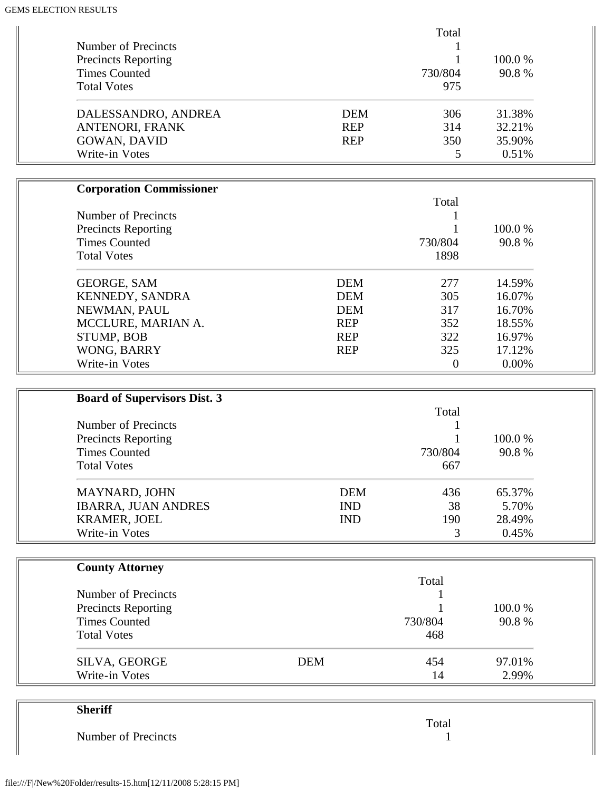|                            |            | Total   |         |
|----------------------------|------------|---------|---------|
| Number of Precincts        |            |         |         |
| <b>Precincts Reporting</b> |            |         | 100.0 % |
| <b>Times Counted</b>       |            | 730/804 | 90.8%   |
| <b>Total Votes</b>         |            | 975     |         |
| DALESSANDRO, ANDREA        | <b>DEM</b> | 306     | 31.38%  |
| ANTENORI, FRANK            | <b>REP</b> | 314     | 32.21%  |
| GOWAN, DAVID               | <b>REP</b> | 350     | 35.90%  |
| Write-in Votes             |            |         | 0.51%   |

| <b>Corporation Commissioner</b> |            |          |          |
|---------------------------------|------------|----------|----------|
|                                 |            | Total    |          |
| Number of Precincts             |            |          |          |
| <b>Precincts Reporting</b>      |            |          | 100.0 %  |
| <b>Times Counted</b>            |            | 730/804  | 90.8%    |
| <b>Total Votes</b>              |            | 1898     |          |
| <b>GEORGE, SAM</b>              | <b>DEM</b> | 277      | 14.59%   |
| KENNEDY, SANDRA                 | <b>DEM</b> | 305      | 16.07%   |
| NEWMAN, PAUL                    | <b>DEM</b> | 317      | 16.70%   |
| MCCLURE, MARIAN A.              | <b>REP</b> | 352      | 18.55%   |
| <b>STUMP, BOB</b>               | <b>REP</b> | 322      | 16.97%   |
| WONG, BARRY                     | <b>REP</b> | 325      | 17.12%   |
| Write-in Votes                  |            | $\theta$ | $0.00\%$ |

| <b>Board of Supervisors Dist. 3</b> |            |         |         |
|-------------------------------------|------------|---------|---------|
|                                     |            | Total   |         |
| Number of Precincts                 |            |         |         |
| <b>Precincts Reporting</b>          |            |         | 100.0 % |
| <b>Times Counted</b>                |            | 730/804 | 90.8%   |
| <b>Total Votes</b>                  |            | 667     |         |
| <b>MAYNARD, JOHN</b>                | <b>DEM</b> | 436     | 65.37%  |
| <b>IBARRA, JUAN ANDRES</b>          | <b>IND</b> | 38      | 5.70%   |
| <b>KRAMER, JOEL</b>                 | <b>IND</b> | 190     | 28.49%  |
| Write-in Votes                      |            | 3       | 0.45%   |

| <b>County Attorney</b>     |            |         |         |
|----------------------------|------------|---------|---------|
|                            |            | Total   |         |
| Number of Precincts        |            |         |         |
| <b>Precincts Reporting</b> |            |         | 100.0 % |
| <b>Times Counted</b>       |            | 730/804 | 90.8%   |
| <b>Total Votes</b>         |            | 468     |         |
| SILVA, GEORGE              | <b>DEM</b> | 454     | 97.01%  |
| Write-in Votes             |            | 14      | 2.99%   |

| <b>Sheriff</b>      |       |
|---------------------|-------|
|                     | Total |
| Number of Precincts |       |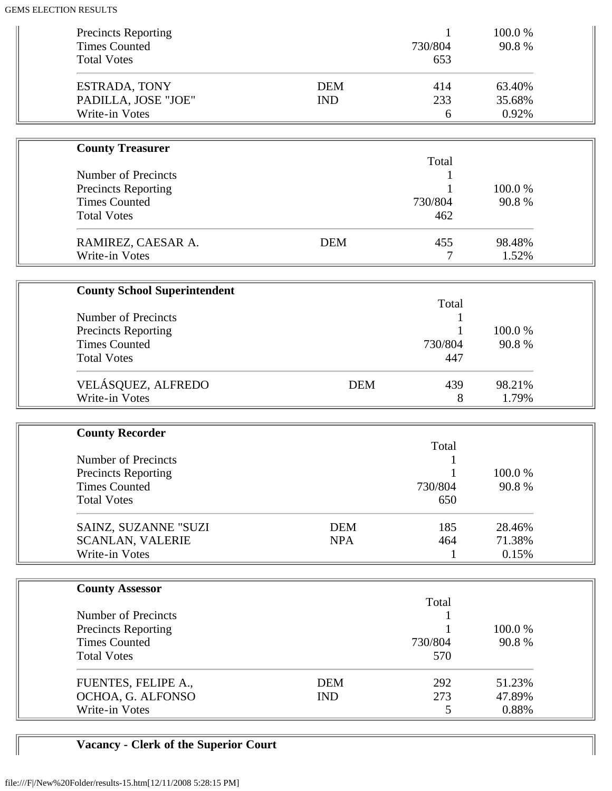| <b>Precincts Reporting</b><br><b>Times Counted</b><br><b>Total Votes</b> |                          | 1<br>730/804<br>653 | 100.0%<br>90.8%           |  |
|--------------------------------------------------------------------------|--------------------------|---------------------|---------------------------|--|
| ESTRADA, TONY<br>PADILLA, JOSE "JOE"<br>Write-in Votes                   | <b>DEM</b><br><b>IND</b> | 414<br>233<br>6     | 63.40%<br>35.68%<br>0.92% |  |
|                                                                          |                          |                     |                           |  |
| <b>County Treasurer</b>                                                  |                          | Total               |                           |  |
| <b>Number of Precincts</b>                                               |                          | 1                   |                           |  |
| <b>Precincts Reporting</b>                                               |                          |                     | 100.0%                    |  |
| <b>Times Counted</b>                                                     |                          | 730/804             | 90.8%                     |  |
| <b>Total Votes</b>                                                       |                          | 462                 |                           |  |
| RAMIREZ, CAESAR A.<br>Write-in Votes                                     | <b>DEM</b>               | 455<br>7            | 98.48%<br>1.52%           |  |
|                                                                          |                          |                     |                           |  |
| <b>County School Superintendent</b>                                      |                          |                     |                           |  |
|                                                                          |                          | Total               |                           |  |
| <b>Number of Precincts</b>                                               |                          |                     |                           |  |
| Precincts Reporting<br><b>Times Counted</b>                              |                          | 730/804             | 100.0%<br>90.8%           |  |
| <b>Total Votes</b>                                                       |                          | 447                 |                           |  |
|                                                                          |                          |                     |                           |  |
| VELÁSQUEZ, ALFREDO                                                       | <b>DEM</b>               | 439                 | 98.21%                    |  |
| Write-in Votes                                                           |                          | 8                   | 1.79%                     |  |
|                                                                          |                          |                     |                           |  |
| <b>County Recorder</b>                                                   |                          |                     |                           |  |
| <b>Number of Precincts</b>                                               |                          | Total               |                           |  |
| <b>Precincts Reporting</b>                                               |                          |                     | 100.0%                    |  |
| <b>Times Counted</b>                                                     |                          | 730/804             | 90.8%                     |  |
| <b>Total Votes</b>                                                       |                          | 650                 |                           |  |
|                                                                          |                          |                     |                           |  |
| SAINZ, SUZANNE "SUZI                                                     | <b>DEM</b>               | 185                 | 28.46%                    |  |
| <b>SCANLAN, VALERIE</b>                                                  | <b>NPA</b>               | 464                 | 71.38%                    |  |
| Write-in Votes                                                           |                          | 1                   | 0.15%                     |  |
|                                                                          |                          |                     |                           |  |
| <b>County Assessor</b>                                                   |                          | Total               |                           |  |
| <b>Number of Precincts</b>                                               |                          |                     |                           |  |
| <b>Precincts Reporting</b>                                               |                          |                     | 100.0%                    |  |
| <b>Times Counted</b>                                                     |                          | 730/804             | 90.8%                     |  |
| <b>Total Votes</b>                                                       |                          | 570                 |                           |  |
| FUENTES, FELIPE A.,                                                      | <b>DEM</b>               | 292                 | 51.23%                    |  |
| OCHOA, G. ALFONSO                                                        | <b>IND</b>               | 273                 | 47.89%                    |  |
| Write-in Votes                                                           |                          | 5                   | 0.88%                     |  |
|                                                                          |                          |                     |                           |  |

# **Vacancy - Clerk of the Superior Court**

 $\mathbb{I}$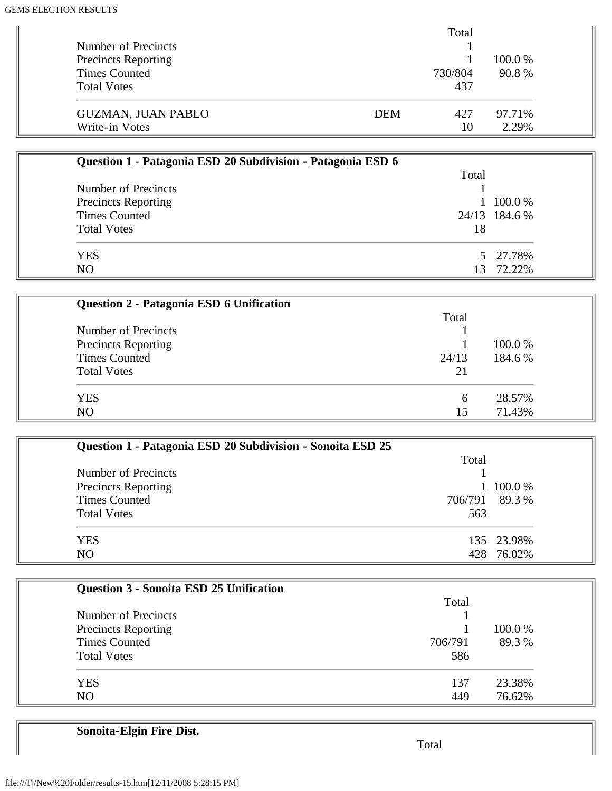|                            |            | Total   |         |  |
|----------------------------|------------|---------|---------|--|
| Number of Precincts        |            |         |         |  |
| <b>Precincts Reporting</b> |            |         | 100.0 % |  |
| Times Counted              |            | 730/804 | 90.8%   |  |
| <b>Total Votes</b>         |            | 437     |         |  |
| <b>GUZMAN, JUAN PABLO</b>  | <b>DEM</b> | 427     | 97.71%  |  |
| Write-in Votes             |            | 10      | 2.29%   |  |

| Question 1 - Patagonia ESD 20 Subdivision - Patagonia ESD 6 |       |                |
|-------------------------------------------------------------|-------|----------------|
|                                                             | Total |                |
| Number of Precincts                                         |       |                |
| <b>Precincts Reporting</b>                                  |       | $1\;100.0\;\%$ |
| <b>Times Counted</b>                                        |       | 24/13 184.6 %  |
| <b>Total Votes</b>                                          | 18    |                |
| <b>YES</b>                                                  |       | 5 27.78%       |
| N <sub>O</sub>                                              | 13    | 72.22%         |

| Question 2 - Patagonia ESD 6 Unification |       |         |
|------------------------------------------|-------|---------|
|                                          | Total |         |
| Number of Precincts                      |       |         |
| Precincts Reporting                      |       | 100.0 % |
| <b>Times Counted</b>                     | 24/13 | 184.6 % |
| <b>Total Votes</b>                       | 21    |         |
| <b>YES</b>                               | 6     | 28.57%  |
| N <sub>O</sub>                           | 15    | 71.43%  |

| Question 1 - Patagonia ESD 20 Subdivision - Sonoita ESD 25 |                |
|------------------------------------------------------------|----------------|
|                                                            | Total          |
| Number of Precincts                                        |                |
| <b>Precincts Reporting</b>                                 | 100.0%         |
| <b>Times Counted</b>                                       | 706/791 89.3 % |
| <b>Total Votes</b>                                         | 563            |
| <b>YES</b>                                                 | 135 23.98%     |
| N <sub>O</sub>                                             | 428 76.02%     |

| <b>Question 3 - Sonoita ESD 25 Unification</b> |         |         |
|------------------------------------------------|---------|---------|
|                                                | Total   |         |
| Number of Precincts                            |         |         |
| Precincts Reporting                            |         | 100.0 % |
| <b>Times Counted</b>                           | 706/791 | 89.3%   |
| <b>Total Votes</b>                             | 586     |         |
| <b>YES</b>                                     | 137     | 23.38%  |
| NO                                             | 449     | 76.62%  |

**Sonoita-Elgin Fire Dist.**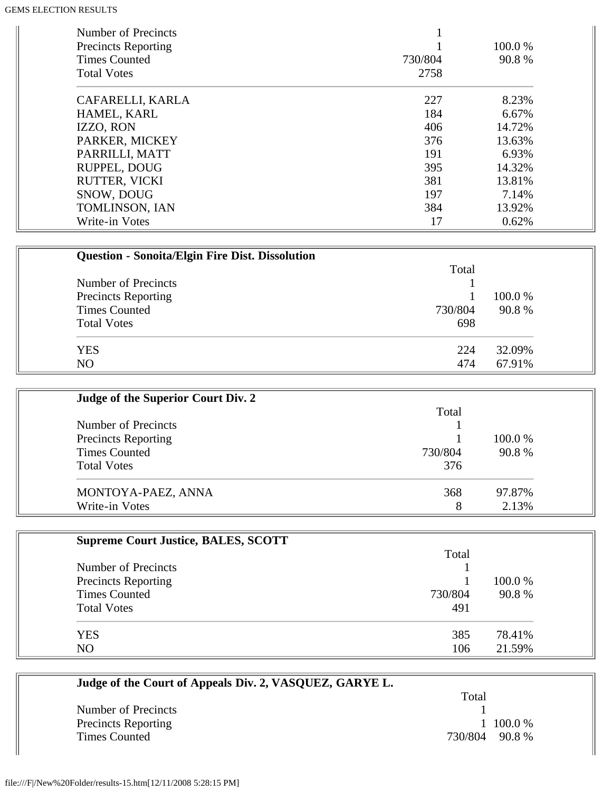| Number of Precincts<br><b>Precincts Reporting</b><br><b>Times Counted</b><br><b>Total Votes</b> | 730/804<br>2758 | 100.0 %<br>90.8% |
|-------------------------------------------------------------------------------------------------|-----------------|------------------|
| CAFARELLI, KARLA                                                                                | 227             | 8.23%            |
| HAMEL, KARL                                                                                     | 184             | 6.67%            |
| IZZO, RON                                                                                       | 406             | 14.72%           |
| PARKER, MICKEY                                                                                  | 376             | 13.63%           |
| PARRILLI, MATT                                                                                  | 191             | 6.93%            |
| RUPPEL, DOUG                                                                                    | 395             | 14.32%           |
| <b>RUTTER, VICKI</b>                                                                            | 381             | 13.81%           |
| SNOW, DOUG                                                                                      | 197             | 7.14%            |
| TOMLINSON, IAN                                                                                  | 384             | 13.92%           |
| Write-in Votes                                                                                  | 17              | 0.62%            |

| <b>Question - Sonoita/Elgin Fire Dist. Dissolution</b> |         |         |
|--------------------------------------------------------|---------|---------|
|                                                        | Total   |         |
| Number of Precincts                                    |         |         |
| Precincts Reporting                                    |         | 100.0 % |
| <b>Times Counted</b>                                   | 730/804 | 90.8%   |
| <b>Total Votes</b>                                     | 698     |         |
| <b>YES</b>                                             | 224     | 32.09%  |
| N <sub>O</sub>                                         | 474     | 67.91%  |

| Judge of the Superior Court Div. 2 |         |         |
|------------------------------------|---------|---------|
|                                    | Total   |         |
| Number of Precincts                |         |         |
| <b>Precincts Reporting</b>         |         | 100.0 % |
| <b>Times Counted</b>               | 730/804 | 90.8%   |
| <b>Total Votes</b>                 | 376     |         |
| MONTOYA-PAEZ, ANNA                 | 368     | 97.87%  |
| Write-in Votes                     | 8       | 2.13%   |

| <b>Supreme Court Justice, BALES, SCOTT</b> |         |         |
|--------------------------------------------|---------|---------|
|                                            | Total   |         |
| Number of Precincts                        |         |         |
| <b>Precincts Reporting</b>                 |         | 100.0 % |
| <b>Times Counted</b>                       | 730/804 | 90.8%   |
| <b>Total Votes</b>                         | 491     |         |
| <b>YES</b>                                 | 385     | 78.41%  |
| NO                                         | 106     | 21.59%  |

| Judge of the Court of Appeals Div. 2, VASQUEZ, GARYE L. |                  |
|---------------------------------------------------------|------------------|
|                                                         | Total            |
| Number of Precincts                                     |                  |
| <b>Precincts Reporting</b>                              | $1\,100.0\%$     |
| <b>Times Counted</b>                                    | 730/804<br>90.8% |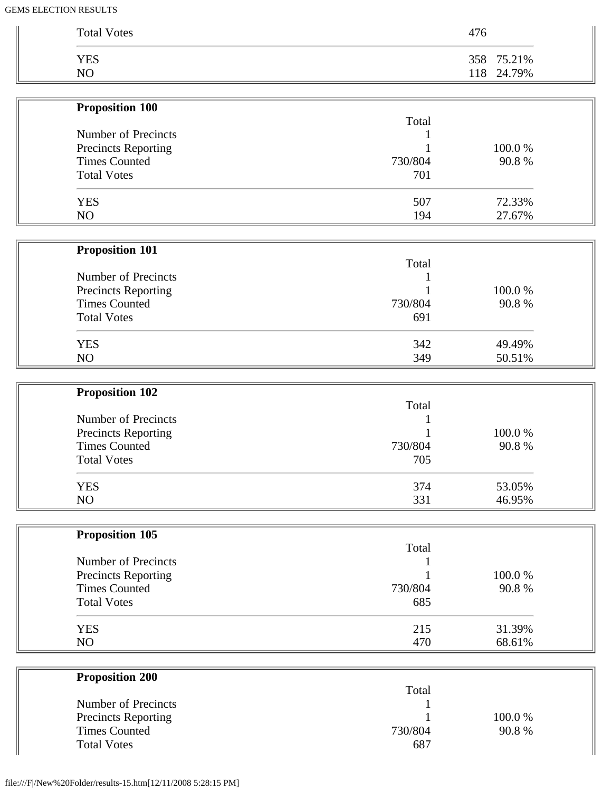| <b>Total Votes</b> | 476        |
|--------------------|------------|
| <b>YES</b>         | 358 75.21% |
| NO                 | 118 24.79% |

| <b>Proposition 100</b>     |         |        |
|----------------------------|---------|--------|
|                            | Total   |        |
| Number of Precincts        |         |        |
| <b>Precincts Reporting</b> |         | 100.0% |
| <b>Times Counted</b>       | 730/804 | 90.8%  |
| <b>Total Votes</b>         | 701     |        |
| <b>YES</b>                 | 507     | 72.33% |
| NO                         | 194     | 27.67% |
| <b>Proposition 101</b>     |         |        |
|                            | Total   |        |
| Number of Precincts        |         |        |
| <b>Precincts Reporting</b> |         | 100.0% |
| <b>Times Counted</b>       | 730/804 | 90.8%  |
| <b>Total Votes</b>         | 691     |        |
| <b>YES</b>                 | 342     | 49.49% |
| NO                         | 349     | 50.51% |

| <b>Proposition 102</b>                            |         |        |
|---------------------------------------------------|---------|--------|
|                                                   | Total   |        |
| Number of Precincts<br><b>Precincts Reporting</b> |         | 100.0% |
|                                                   |         |        |
| <b>Times Counted</b>                              | 730/804 | 90.8%  |
| <b>Total Votes</b>                                | 705     |        |
| <b>YES</b>                                        | 374     | 53.05% |
| NO                                                | 331     | 46.95% |

| <b>Proposition 105</b> |         |         |
|------------------------|---------|---------|
|                        | Total   |         |
| Number of Precincts    |         |         |
| Precincts Reporting    |         | 100.0 % |
| <b>Times Counted</b>   | 730/804 | 90.8%   |
| <b>Total Votes</b>     | 685     |         |
| <b>YES</b>             | 215     | 31.39%  |
| NO                     | 470     | 68.61%  |

| Total   |         |
|---------|---------|
|         |         |
|         | 100.0 % |
| 730/804 | 90.8%   |
| 687     |         |
|         |         |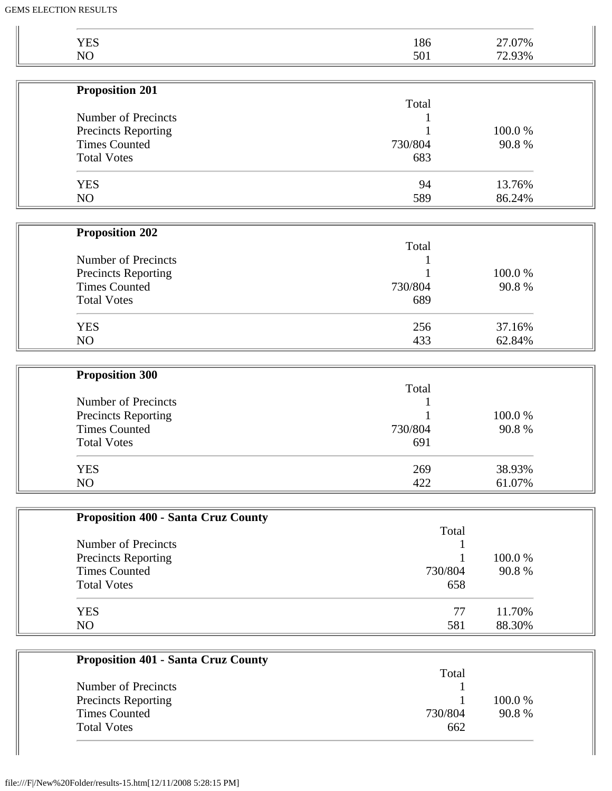| <b>YES</b><br>NO                           | 186     | 27.07% |
|--------------------------------------------|---------|--------|
|                                            | 501     | 72.93% |
| <b>Proposition 201</b>                     |         |        |
|                                            | Total   |        |
| <b>Number of Precincts</b>                 |         |        |
| Precincts Reporting                        |         | 100.0% |
| <b>Times Counted</b>                       | 730/804 | 90.8%  |
| <b>Total Votes</b>                         | 683     |        |
| <b>YES</b>                                 | 94      | 13.76% |
| NO                                         | 589     | 86.24% |
| <b>Proposition 202</b>                     |         |        |
|                                            | Total   |        |
| <b>Number of Precincts</b>                 |         |        |
| Precincts Reporting                        |         | 100.0% |
| <b>Times Counted</b>                       | 730/804 | 90.8%  |
| <b>Total Votes</b>                         | 689     |        |
| <b>YES</b>                                 | 256     | 37.16% |
| NO                                         | 433     | 62.84% |
|                                            |         |        |
| <b>Proposition 300</b>                     | Total   |        |
| Number of Precincts                        |         |        |
| Precincts Reporting                        |         | 100.0% |
| <b>Times Counted</b>                       | 730/804 | 90.8%  |
| <b>Total Votes</b>                         | 691     |        |
| <b>YES</b>                                 | 269     | 38.93% |
| NO                                         | 422     | 61.07% |
|                                            |         |        |
| <b>Proposition 400 - Santa Cruz County</b> | Total   |        |
| Number of Precincts                        |         |        |
| <b>Precincts Reporting</b>                 |         | 100.0% |
| <b>Times Counted</b>                       | 730/804 | 90.8%  |
| <b>Total Votes</b>                         | 658     |        |
|                                            |         | 11.70% |
| <b>YES</b>                                 | 77      |        |

| Troposition For - Banta Cruz County |         |         |
|-------------------------------------|---------|---------|
|                                     | Total   |         |
| Number of Precincts                 |         |         |
| <b>Precincts Reporting</b>          |         | 100.0 % |
| Times Counted                       | 730/804 | 90.8%   |
| <b>Total Votes</b>                  | 662     |         |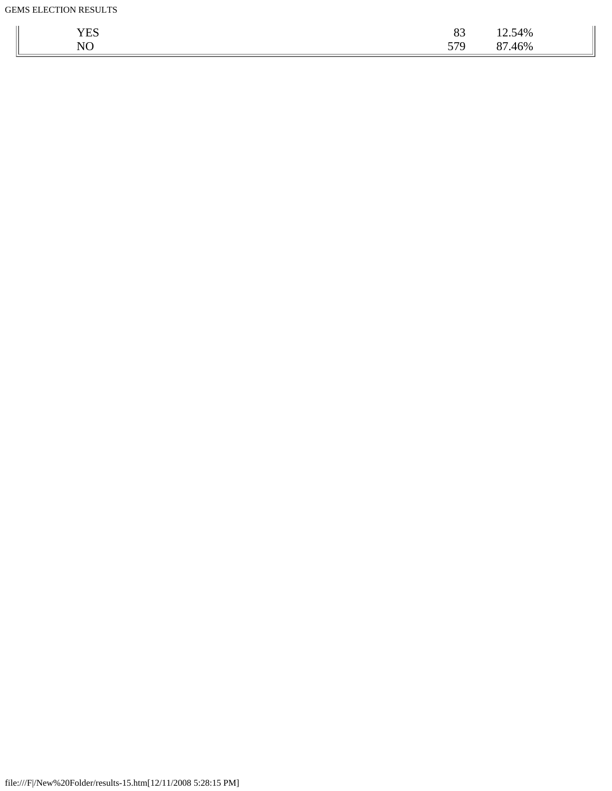| T/TQ<br>YES | $\Omega$<br>OJ. | 12.54%   |
|-------------|-----------------|----------|
| $N\cap$     | 570             | 46%      |
| $\sim$      | <u>JIJ</u>      | $\Omega$ |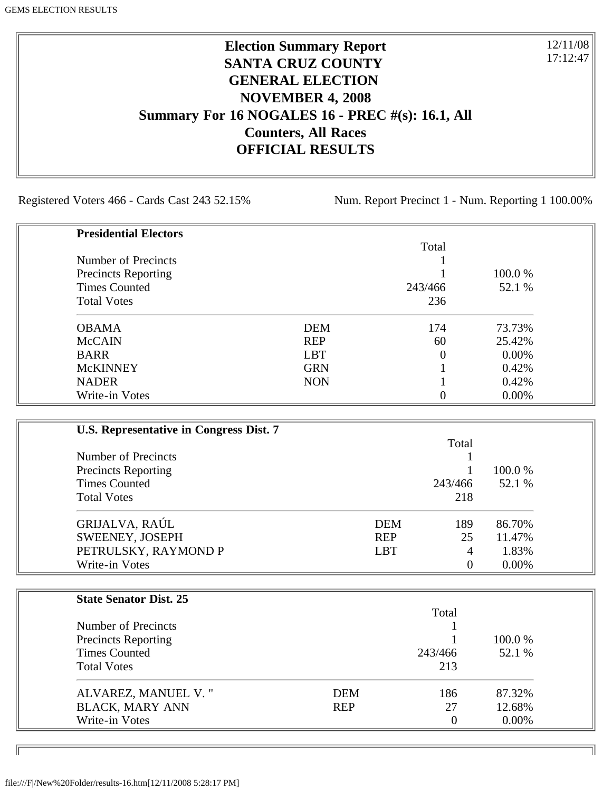# **Election Summary Report SANTA CRUZ COUNTY GENERAL ELECTION NOVEMBER 4, 2008 Summary For 16 NOGALES 16 - PREC #(s): 16.1, All Counters, All Races OFFICIAL RESULTS**

Registered Voters 466 - Cards Cast 243 52.15% Num. Report Precinct 1 - Num. Reporting 1 100.00%

12/11/08 17:12:47

٦I

| <b>Presidential Electors</b> |            |          |        |
|------------------------------|------------|----------|--------|
|                              |            | Total    |        |
| Number of Precincts          |            |          |        |
| <b>Precincts Reporting</b>   |            |          | 100.0% |
| <b>Times Counted</b>         |            | 243/466  | 52.1 % |
| <b>Total Votes</b>           |            | 236      |        |
| <b>OBAMA</b>                 | <b>DEM</b> | 174      | 73.73% |
| <b>McCAIN</b>                | <b>REP</b> | 60       | 25.42% |
| <b>BARR</b>                  | <b>LBT</b> | $\Omega$ | 0.00%  |
| <b>McKINNEY</b>              | <b>GRN</b> |          | 0.42%  |
| <b>NADER</b>                 | <b>NON</b> |          | 0.42%  |
| Write-in Votes               |            | 0        | 0.00%  |

| U.S. Representative in Congress Dist. 7                                                         |            |                |                   |
|-------------------------------------------------------------------------------------------------|------------|----------------|-------------------|
|                                                                                                 |            |                |                   |
| Number of Precincts<br><b>Precincts Reporting</b><br><b>Times Counted</b><br><b>Total Votes</b> |            |                | 100.0 %<br>52.1 % |
|                                                                                                 |            | 243/466        |                   |
|                                                                                                 |            |                |                   |
|                                                                                                 | 218        |                |                   |
| GRIJALVA, RAÚL                                                                                  | <b>DEM</b> | 189            | 86.70%            |
| SWEENEY, JOSEPH                                                                                 | <b>REP</b> | 25             | 11.47%            |
| PETRULSKY, RAYMOND P                                                                            | <b>LBT</b> | 4              | 1.83%             |
| Write-in Votes                                                                                  |            | $\overline{0}$ | $0.00\%$          |

| <b>State Senator Dist. 25</b> |            |          |          |
|-------------------------------|------------|----------|----------|
|                               | Total      |          |          |
| Number of Precincts           |            |          |          |
| <b>Precincts Reporting</b>    |            |          | 100.0 %  |
| <b>Times Counted</b>          |            | 243/466  | 52.1 %   |
| <b>Total Votes</b>            |            | 213      |          |
| ALVAREZ, MANUEL V."           | <b>DEM</b> | 186      | 87.32%   |
| <b>BLACK, MARY ANN</b>        | <b>REP</b> | 27       | 12.68%   |
| Write-in Votes                |            | $\theta$ | $0.00\%$ |

ID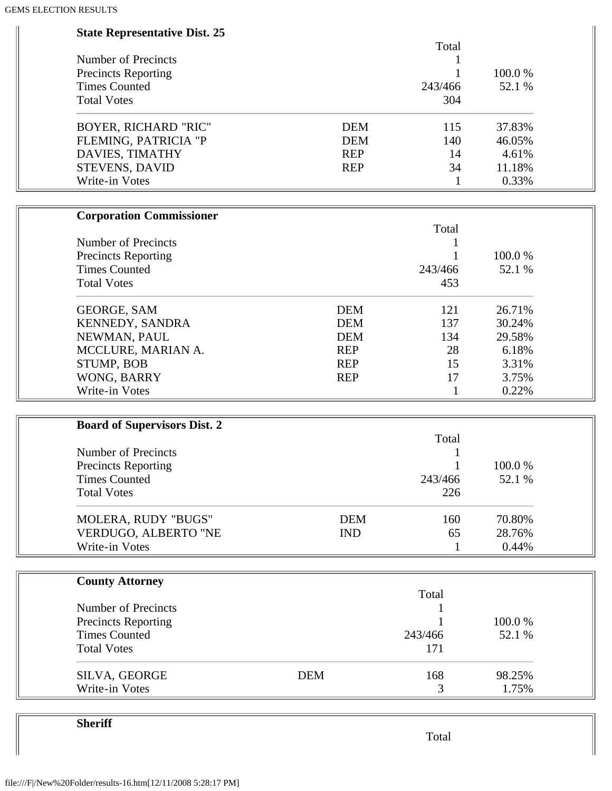| <b>State Representative Dist. 25</b> |                   |        |
|--------------------------------------|-------------------|--------|
|                                      | Total             |        |
| <b>Number of Precincts</b>           | 1                 |        |
| <b>Precincts Reporting</b>           |                   | 100.0% |
| <b>Times Counted</b>                 | 243/466           | 52.1 % |
| <b>Total Votes</b>                   | 304               |        |
| <b>BOYER, RICHARD "RIC"</b>          | <b>DEM</b><br>115 | 37.83% |
| FLEMING, PATRICIA "P                 | <b>DEM</b><br>140 | 46.05% |
| DAVIES, TIMATHY                      | <b>REP</b><br>14  | 4.61%  |
| STEVENS, DAVID                       | 34<br><b>REP</b>  | 11.18% |
| Write-in Votes                       | 1                 | 0.33%  |
|                                      |                   |        |
| <b>Corporation Commissioner</b>      | Total             |        |
| Number of Precincts                  |                   |        |
| <b>Precincts Reporting</b>           |                   | 100.0% |
| <b>Times Counted</b>                 | 243/466           | 52.1 % |
| <b>Total Votes</b>                   | 453               |        |
| <b>GEORGE, SAM</b>                   | <b>DEM</b><br>121 | 26.71% |
| KENNEDY, SANDRA                      | <b>DEM</b><br>137 | 30.24% |
| NEWMAN, PAUL                         | <b>DEM</b><br>134 | 29.58% |
| MCCLURE, MARIAN A.                   | <b>REP</b><br>28  | 6.18%  |
| STUMP, BOB                           | <b>REP</b><br>15  | 3.31%  |
| WONG, BARRY                          | <b>REP</b><br>17  | 3.75%  |
| Write-in Votes                       | 1                 | 0.22%  |
|                                      |                   |        |
| <b>Board of Supervisors Dist. 2</b>  | Total             |        |
| <b>Number of Precincts</b>           |                   |        |
| <b>Precincts Reporting</b>           |                   | 100.0% |
| <b>Times Counted</b>                 | 243/466           | 52.1 % |
| <b>Total Votes</b>                   | 226               |        |
|                                      |                   |        |
| MOLERA, RUDY "BUGS"                  | <b>DEM</b><br>160 | 70.80% |
| VERDUGO, ALBERTO "NE                 | <b>IND</b><br>65  | 28.76% |
| Write-in Votes                       | 1                 | 0.44%  |
| <b>County Attorney</b>               |                   |        |
|                                      | Total             |        |
| Number of Precincts                  |                   |        |
| <b>Precincts Reporting</b>           |                   | 100.0% |
| <b>Times Counted</b>                 | 243/466           | 52.1 % |
| <b>Total Votes</b>                   | 171               |        |
| SILVA, GEORGE                        | <b>DEM</b><br>168 | 98.25% |
| Write-in Votes                       | 3                 | 1.75%  |

**Sheriff**

Total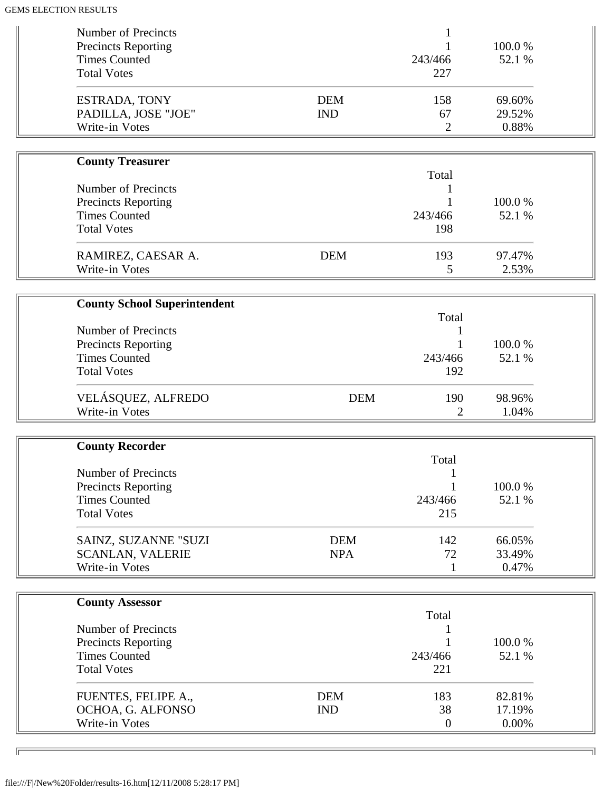| Number of Precincts<br><b>Precincts Reporting</b> |                          | 1              | 100.0%           |  |
|---------------------------------------------------|--------------------------|----------------|------------------|--|
| <b>Times Counted</b><br><b>Total Votes</b>        |                          | 243/466<br>227 | 52.1 %           |  |
| ESTRADA, TONY<br>PADILLA, JOSE "JOE"              | <b>DEM</b><br><b>IND</b> | 158<br>67      | 69.60%<br>29.52% |  |
| Write-in Votes                                    |                          | $\overline{2}$ | 0.88%            |  |
| <b>County Treasurer</b>                           |                          | Total          |                  |  |
| Number of Precincts                               |                          |                |                  |  |
| <b>Precincts Reporting</b>                        |                          |                | 100.0%           |  |
| <b>Times Counted</b>                              |                          | 243/466        | 52.1 %           |  |
| <b>Total Votes</b>                                |                          | 198            |                  |  |
| RAMIREZ, CAESAR A.<br>Write-in Votes              | <b>DEM</b>               | 193            | 97.47%           |  |
|                                                   |                          | 5              | 2.53%            |  |
| <b>County School Superintendent</b>               |                          |                |                  |  |
|                                                   |                          | Total          |                  |  |
| Number of Precincts                               |                          |                |                  |  |
| <b>Precincts Reporting</b>                        |                          |                | 100.0%           |  |
| <b>Times Counted</b>                              |                          | 243/466        | 52.1 %           |  |
| <b>Total Votes</b>                                |                          | 192            |                  |  |
| VELÁSQUEZ, ALFREDO                                | <b>DEM</b>               | 190            | 98.96%           |  |
| Write-in Votes                                    |                          | 2              | 1.04%            |  |
|                                                   |                          |                |                  |  |
| <b>County Recorder</b>                            |                          | Total          |                  |  |
| <b>Number of Precincts</b>                        |                          |                |                  |  |
| <b>Precincts Reporting</b>                        |                          |                | 100.0%           |  |
| <b>Times Counted</b>                              |                          | 243/466        | 52.1 %           |  |
| <b>Total Votes</b>                                |                          | 215            |                  |  |
| SAINZ, SUZANNE "SUZI                              | <b>DEM</b>               | 142            | 66.05%           |  |
| <b>SCANLAN, VALERIE</b>                           | <b>NPA</b>               | 72             | 33.49%           |  |
| Write-in Votes                                    |                          | 1              | 0.47%            |  |
|                                                   |                          |                |                  |  |
| <b>County Assessor</b>                            |                          | Total          |                  |  |
| Number of Precincts                               |                          |                |                  |  |
| <b>Precincts Reporting</b>                        |                          |                | 100.0%           |  |
| <b>Times Counted</b>                              |                          | 243/466        | 52.1 %           |  |
| <b>Total Votes</b>                                |                          | 221            |                  |  |
| FUENTES, FELIPE A.,                               | <b>DEM</b>               | 183            | 82.81%           |  |
| OCHOA, G. ALFONSO                                 | <b>IND</b>               | 38             | 17.19%           |  |
| Write-in Votes                                    |                          | $\mathbf{0}$   | 0.00%            |  |
|                                                   |                          |                |                  |  |

╗

 $\sqrt{2}$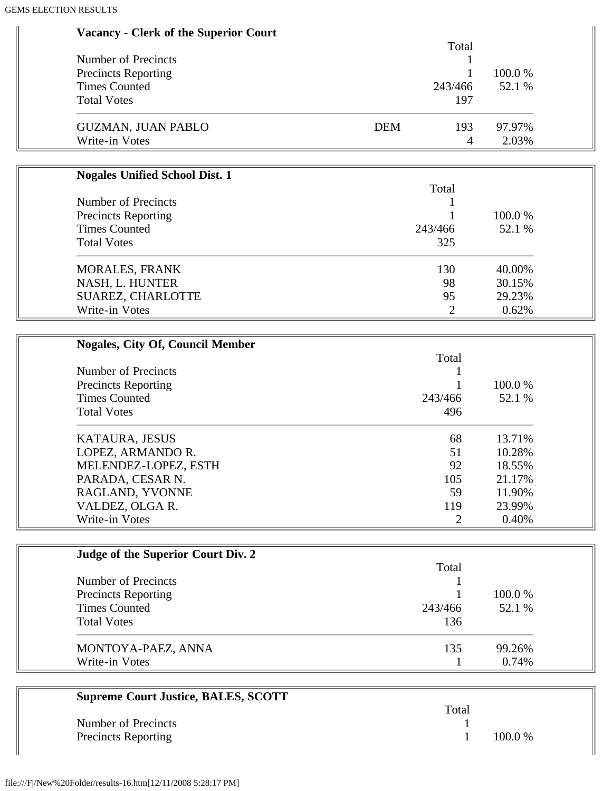| <b>Vacancy - Clerk of the Superior Court</b> |                   |                         |
|----------------------------------------------|-------------------|-------------------------|
|                                              | Total             |                         |
| <b>Number of Precincts</b>                   |                   |                         |
| Precincts Reporting                          |                   | 100.0%<br>1             |
| <b>Times Counted</b>                         | 243/466           | 52.1 %                  |
| <b>Total Votes</b>                           | 197               |                         |
| <b>GUZMAN, JUAN PABLO</b>                    | <b>DEM</b><br>193 | 97.97%                  |
| Write-in Votes                               |                   | 2.03%<br>$\overline{4}$ |
|                                              |                   |                         |
| <b>Nogales Unified School Dist. 1</b>        | Total             |                         |
| <b>Number of Precincts</b>                   |                   |                         |
| <b>Precincts Reporting</b>                   |                   | 100.0%                  |
| <b>Times Counted</b>                         | 243/466           | 52.1 %                  |
| <b>Total Votes</b>                           | 325               |                         |
| <b>MORALES, FRANK</b>                        | 130               | 40.00%                  |
| NASH, L. HUNTER                              | 98                | 30.15%                  |
| SUAREZ, CHARLOTTE                            | 95                | 29.23%                  |
| Write-in Votes                               | $\overline{2}$    | 0.62%                   |
|                                              |                   |                         |
| <b>Nogales, City Of, Council Member</b>      | Total             |                         |
| Number of Precincts                          |                   |                         |
| <b>Precincts Reporting</b>                   |                   | 100.0%                  |
| <b>Times Counted</b>                         | 243/466           | 52.1 %                  |
| <b>Total Votes</b>                           | 496               |                         |
| KATAURA, JESUS                               | 68                | 13.71%                  |
| LOPEZ, ARMANDO R.                            | 51                | 10.28%                  |
| MELENDEZ-LOPEZ, ESTH                         | 92                | 18.55%                  |
| PARADA, CESAR N.                             | 105               | 21.17%                  |
| RAGLAND, YVONNE                              | 59                | 11.90%                  |
| VALDEZ, OLGA R.                              | 119               | 23.99%                  |
| Write-in Votes                               | $\overline{2}$    | 0.40%                   |
|                                              |                   |                         |
| Judge of the Superior Court Div. 2           | Total             |                         |
| Number of Precincts                          |                   |                         |
| <b>Precincts Reporting</b>                   | 1                 | 100.0%                  |

| Times Counted<br><b>Total Votes</b> | 243/466<br>136 | 52.1 % |
|-------------------------------------|----------------|--------|
| MONTOYA-PAEZ, ANNA                  | 135            | 99.26% |
| Write-in Votes                      |                | 0.74%  |

| <b>Supreme Court Justice, BALES, SCOTT</b> |       |           |
|--------------------------------------------|-------|-----------|
|                                            | Total |           |
| Number of Precincts                        |       |           |
| <b>Precincts Reporting</b>                 |       | $100.0\%$ |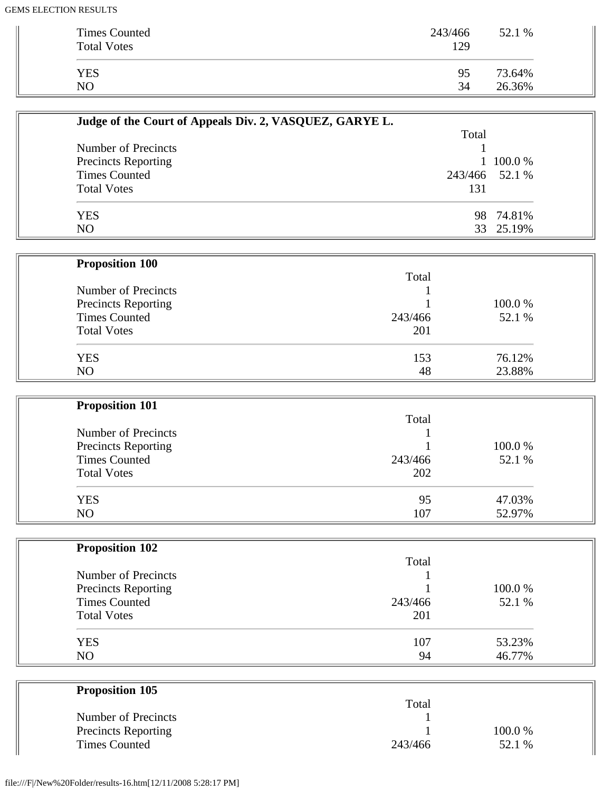| <b>Times Counted</b><br><b>Total Votes</b> | 243/466<br>129 | 52.1 % |
|--------------------------------------------|----------------|--------|
| <b>YES</b>                                 | 95             | 73.64% |
| N <sub>O</sub>                             | 34             | 26.36% |

| Judge of the Court of Appeals Div. 2, VASQUEZ, GARYE L. |                |           |
|---------------------------------------------------------|----------------|-----------|
|                                                         | Total          |           |
| Number of Precincts                                     |                |           |
| <b>Precincts Reporting</b>                              |                | 1 100.0 % |
| <b>Times Counted</b>                                    | 243/466 52.1 % |           |
| <b>Total Votes</b>                                      | 131            |           |
| <b>YES</b>                                              |                | 98 74.81% |
| NO                                                      |                | 33 25.19% |

| <b>Proposition 100</b>     |         |        |
|----------------------------|---------|--------|
|                            | Total   |        |
| Number of Precincts        |         |        |
| <b>Precincts Reporting</b> |         | 100.0% |
| <b>Times Counted</b>       | 243/466 | 52.1 % |
| <b>Total Votes</b>         | 201     |        |
| <b>YES</b>                 | 153     | 76.12% |
| NO                         | 48      | 23.88% |

| <b>Proposition 101</b> |         |        |
|------------------------|---------|--------|
|                        | Total   |        |
| Number of Precincts    |         |        |
| Precincts Reporting    |         | 100.0% |
| <b>Times Counted</b>   | 243/466 | 52.1 % |
| <b>Total Votes</b>     | 202     |        |
| <b>YES</b>             | 95      | 47.03% |
| N <sub>O</sub>         | 107     | 52.97% |

| <b>Proposition 102</b>     |         |        |
|----------------------------|---------|--------|
|                            | Total   |        |
| Number of Precincts        |         |        |
| <b>Precincts Reporting</b> |         | 100.0% |
| <b>Times Counted</b>       | 243/466 | 52.1 % |
| <b>Total Votes</b>         | 201     |        |
| <b>YES</b>                 | 107     | 53.23% |
| N <sub>O</sub>             | 94      | 46.77% |

| <b>Proposition 105</b>     |         |        |  |
|----------------------------|---------|--------|--|
|                            | Total   |        |  |
| Number of Precincts        |         |        |  |
| <b>Precincts Reporting</b> |         | 100.0% |  |
| <b>Times Counted</b>       | 243/466 | 52.1 % |  |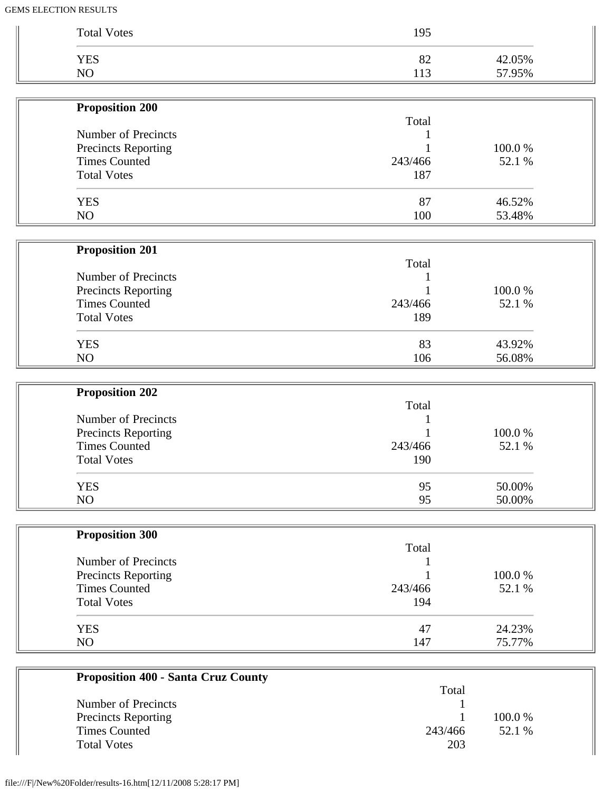| <b>Total Votes</b>     | 195     |        |
|------------------------|---------|--------|
| <b>YES</b>             | 82      | 42.05% |
| NO                     | 113     | 57.95% |
| <b>Proposition 200</b> |         |        |
|                        | Total   |        |
| Number of Precincts    |         |        |
| Precincts Reporting    |         | 100.0% |
| <b>Times Counted</b>   | 243/466 | 52.1 % |
| <b>Total Votes</b>     | 187     |        |
| <b>YES</b>             | 87      | 46.52% |
| NO                     | 100     | 53.48% |
| <b>Proposition 201</b> |         |        |
|                        | Total   |        |
| Number of Precincts    |         |        |
| Precincts Reporting    |         | 100.0% |
| <b>Times Counted</b>   | 243/466 | 52.1 % |
| <b>Total Votes</b>     | 189     |        |
| <b>YES</b>             | 83      | 43.92% |
| NO                     | 106     | 56.08% |
| <b>Proposition 202</b> |         |        |
|                        | Total   |        |
| Number of Precincts    |         |        |
| Precincts Reporting    |         | 100.0% |
| <b>Times Counted</b>   | 243/466 | 52.1 % |
| <b>Total Votes</b>     | 190     |        |
| <b>YES</b>             | 95      | 50.00% |
| NO                     | 95      | 50.00% |
| <b>Proposition 300</b> |         |        |
|                        | Total   |        |
| Number of Precincts    |         |        |
| Precincts Reporting    |         | 100.0% |
| <b>Times Counted</b>   | 243/466 | 52.1 % |
| <b>Total Votes</b>     | 194     |        |
|                        | 47      | 24.23% |
| <b>YES</b>             |         |        |

|                            | Total   |         |
|----------------------------|---------|---------|
| Number of Precincts        |         |         |
| <b>Precincts Reporting</b> |         | 100.0 % |
| <b>Times Counted</b>       | 243/466 | 52.1 %  |
| <b>Total Votes</b>         | 203     |         |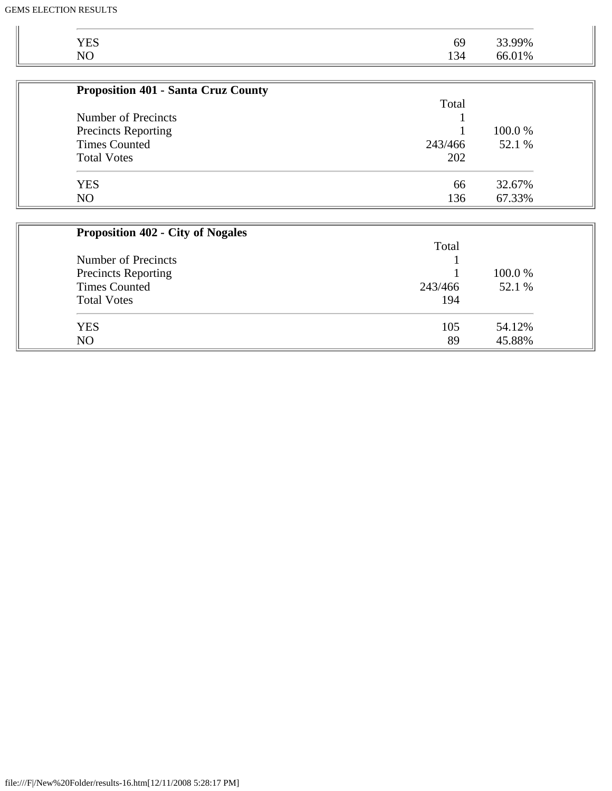| <b>YES</b>                                 | 69      | 33.99%  |
|--------------------------------------------|---------|---------|
| N <sub>O</sub>                             | 134     | 66.01%  |
|                                            |         |         |
| <b>Proposition 401 - Santa Cruz County</b> |         |         |
|                                            | Total   |         |
| Number of Precincts                        |         |         |
| <b>Precincts Reporting</b>                 |         | 100.0 % |
| <b>Times Counted</b>                       | 243/466 | 52.1 %  |
| <b>Total Votes</b>                         | 202     |         |
| <b>YES</b>                                 | 66      | 32.67%  |
| N <sub>O</sub>                             | 136     | 67.33%  |

| <b>Proposition 402 - City of Nogales</b> |         |         |
|------------------------------------------|---------|---------|
|                                          | Total   |         |
| Number of Precincts                      |         |         |
| Precincts Reporting                      |         | 100.0 % |
| <b>Times Counted</b>                     | 243/466 | 52.1 %  |
| <b>Total Votes</b>                       | 194     |         |
| <b>YES</b>                               | 105     | 54.12%  |
| N <sub>O</sub>                           | 89      | 45.88%  |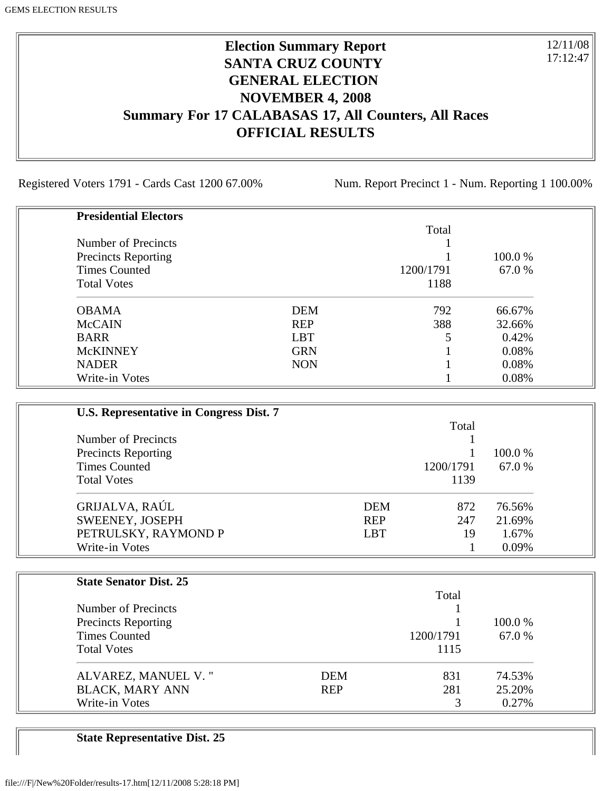## **Election Summary Report SANTA CRUZ COUNTY GENERAL ELECTION NOVEMBER 4, 2008 Summary For 17 CALABASAS 17, All Counters, All Races OFFICIAL RESULTS**

Registered Voters 1791 - Cards Cast 1200 67.00% Num. Report Precinct 1 - Num. Reporting 1 100.00%

12/11/08 17:12:47

| <b>Presidential Electors</b> |            |           |         |
|------------------------------|------------|-----------|---------|
|                              |            | Total     |         |
| Number of Precincts          |            |           |         |
| <b>Precincts Reporting</b>   |            |           | 100.0 % |
| <b>Times Counted</b>         |            | 1200/1791 | 67.0 %  |
| <b>Total Votes</b>           |            | 1188      |         |
| <b>OBAMA</b>                 | <b>DEM</b> | 792       | 66.67%  |
| <b>McCAIN</b>                | <b>REP</b> | 388       | 32.66%  |
| <b>BARR</b>                  | <b>LBT</b> | 5         | 0.42%   |
| <b>McKINNEY</b>              | <b>GRN</b> |           | 0.08%   |
| <b>NADER</b>                 | <b>NON</b> |           | 0.08%   |
| Write-in Votes               |            |           | 0.08%   |

| U.S. Representative in Congress Dist. 7 |            |           |         |
|-----------------------------------------|------------|-----------|---------|
|                                         |            | Total     |         |
| Number of Precincts                     |            |           |         |
| <b>Precincts Reporting</b>              |            |           | 100.0 % |
| <b>Times Counted</b>                    |            | 1200/1791 | 67.0 %  |
| <b>Total Votes</b>                      |            | 1139      |         |
| GRIJALVA, RAÚL                          | <b>DEM</b> | 872       | 76.56%  |
| SWEENEY, JOSEPH                         | <b>REP</b> | 247       | 21.69%  |
| PETRULSKY, RAYMOND P                    | <b>LBT</b> | 19        | 1.67%   |
| Write-in Votes                          |            |           | 0.09%   |

| <b>State Senator Dist. 25</b> |            |           |         |
|-------------------------------|------------|-----------|---------|
|                               |            | Total     |         |
| Number of Precincts           |            |           |         |
| <b>Precincts Reporting</b>    |            |           | 100.0 % |
| <b>Times Counted</b>          |            | 1200/1791 | 67.0 %  |
| <b>Total Votes</b>            |            | 1115      |         |
| ALVAREZ, MANUEL V."           | <b>DEM</b> | 831       | 74.53%  |
| <b>BLACK, MARY ANN</b>        | <b>REP</b> | 281       | 25.20%  |
| Write-in Votes                |            |           | 0.27%   |

**State Representative Dist. 25**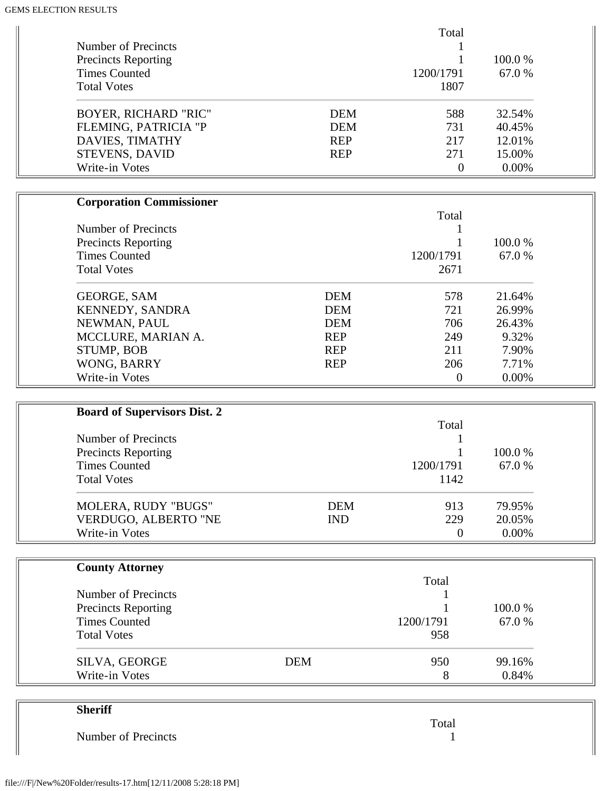|                                     |            | Total            |        |
|-------------------------------------|------------|------------------|--------|
| Number of Precincts                 |            |                  |        |
| <b>Precincts Reporting</b>          |            |                  | 100.0% |
| <b>Times Counted</b>                |            | 1200/1791        | 67.0%  |
| <b>Total Votes</b>                  |            | 1807             |        |
| <b>BOYER, RICHARD "RIC"</b>         | <b>DEM</b> | 588              | 32.54% |
| FLEMING, PATRICIA "P                | <b>DEM</b> | 731              | 40.45% |
| DAVIES, TIMATHY                     | <b>REP</b> | 217              | 12.01% |
| STEVENS, DAVID                      | <b>REP</b> | 271              | 15.00% |
| Write-in Votes                      |            | $\boldsymbol{0}$ | 0.00%  |
| <b>Corporation Commissioner</b>     |            |                  |        |
|                                     |            | Total            |        |
| Number of Precincts                 |            | 1                |        |
| <b>Precincts Reporting</b>          |            | 1                | 100.0% |
| <b>Times Counted</b>                |            | 1200/1791        | 67.0%  |
| <b>Total Votes</b>                  |            | 2671             |        |
| <b>GEORGE, SAM</b>                  | <b>DEM</b> | 578              | 21.64% |
| KENNEDY, SANDRA                     | <b>DEM</b> | 721              | 26.99% |
| NEWMAN, PAUL                        | <b>DEM</b> | 706              | 26.43% |
| MCCLURE, MARIAN A.                  | <b>REP</b> | 249              | 9.32%  |
| STUMP, BOB                          | <b>REP</b> | 211              | 7.90%  |
| WONG, BARRY                         | <b>REP</b> | 206              | 7.71%  |
| Write-in Votes                      |            | $\boldsymbol{0}$ | 0.00%  |
| <b>Board of Supervisors Dist. 2</b> |            |                  |        |
|                                     |            | Total            |        |
| Number of Precincts                 |            |                  |        |
| <b>Precincts Reporting</b>          |            |                  | 100.0% |
| <b>Times Counted</b>                |            | 1200/1791        | 67.0%  |
| <b>Total Votes</b>                  |            | 1142             |        |
| MOLERA, RUDY "BUGS"                 | <b>DEM</b> | 913              | 79.95% |
| VERDUGO, ALBERTO "NE                | <b>IND</b> | 229              | 20.05% |
| Write-in Votes                      |            | $\boldsymbol{0}$ | 0.00%  |
| <b>County Attorney</b>              |            |                  |        |
| Number of Precincts                 |            | Total            |        |
| <b>Precincts Reporting</b>          |            |                  | 100.0% |
| <b>Times Counted</b>                |            | 1200/1791        | 67.0%  |
| <b>Total Votes</b>                  |            | 958              |        |
| SILVA, GEORGE                       | <b>DEM</b> | 950              | 99.16% |
| Write-in Votes                      |            | 8                | 0.84%  |
| <b>Sheriff</b>                      |            |                  |        |
|                                     |            | Total            |        |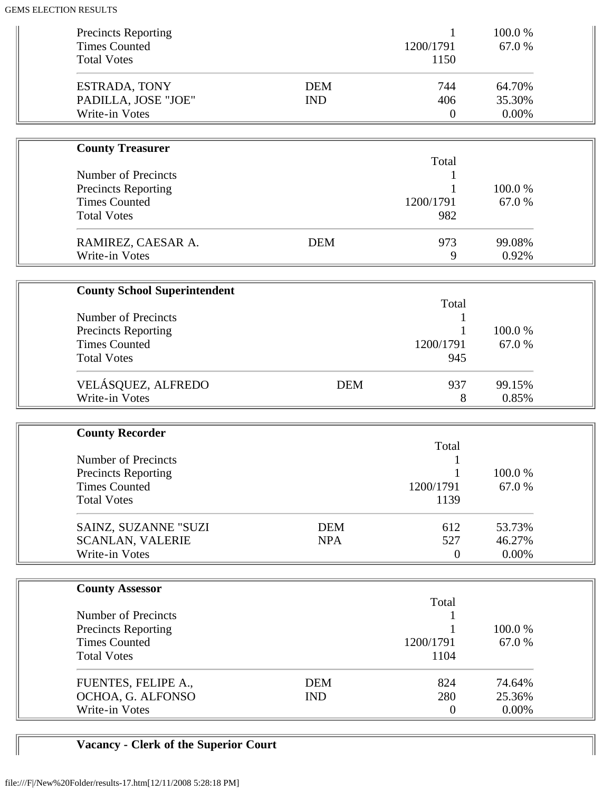| <b>Precincts Reporting</b><br><b>Times Counted</b><br><b>Total Votes</b>                               |                          | 1<br>1200/1791<br>1150         | 100.0%<br>67.0%              |  |
|--------------------------------------------------------------------------------------------------------|--------------------------|--------------------------------|------------------------------|--|
| ESTRADA, TONY<br>PADILLA, JOSE "JOE"<br>Write-in Votes                                                 | <b>DEM</b><br><b>IND</b> | 744<br>406<br>$\boldsymbol{0}$ | 64.70%<br>35.30%<br>0.00%    |  |
| <b>County Treasurer</b>                                                                                |                          |                                |                              |  |
| <b>Number of Precincts</b><br>Precincts Reporting                                                      |                          | Total<br>1                     | 100.0%                       |  |
| <b>Times Counted</b><br><b>Total Votes</b>                                                             |                          | 1200/1791<br>982               | 67.0%                        |  |
| RAMIREZ, CAESAR A.<br>Write-in Votes                                                                   | <b>DEM</b>               | 973<br>9                       | 99.08%<br>0.92%              |  |
| <b>County School Superintendent</b>                                                                    |                          |                                |                              |  |
| <b>Number of Precincts</b><br><b>Precincts Reporting</b><br><b>Times Counted</b><br><b>Total Votes</b> |                          | Total<br>1200/1791<br>945      | 100.0%<br>67.0%              |  |
| VELÁSQUEZ, ALFREDO<br>Write-in Votes                                                                   | <b>DEM</b>               | 937<br>8                       | 99.15%<br>0.85%              |  |
| <b>County Recorder</b>                                                                                 |                          |                                |                              |  |
| <b>Number of Precincts</b><br><b>Precincts Reporting</b><br><b>Times Counted</b><br><b>Total Votes</b> |                          | Total<br>1200/1791<br>1139     | 100.0%<br>67.0%              |  |
| SAINZ, SUZANNE "SUZI<br><b>SCANLAN, VALERIE</b><br>Write-in Votes                                      | <b>DEM</b><br><b>NPA</b> | 612<br>527<br>$\overline{0}$   | 53.73%<br>46.27%<br>$0.00\%$ |  |
| <b>County Assessor</b>                                                                                 |                          |                                |                              |  |
| <b>Number of Precincts</b><br><b>Precincts Reporting</b><br><b>Times Counted</b><br><b>Total Votes</b> |                          | Total<br>1200/1791<br>1104     | 100.0%<br>67.0%              |  |
| FUENTES, FELIPE A.,<br>OCHOA, G. ALFONSO<br>Write-in Votes                                             | <b>DEM</b><br><b>IND</b> | 824<br>280<br>$\boldsymbol{0}$ | 74.64%<br>25.36%<br>0.00%    |  |

# **Vacancy - Clerk of the Superior Court**

 $\sqrt{2}$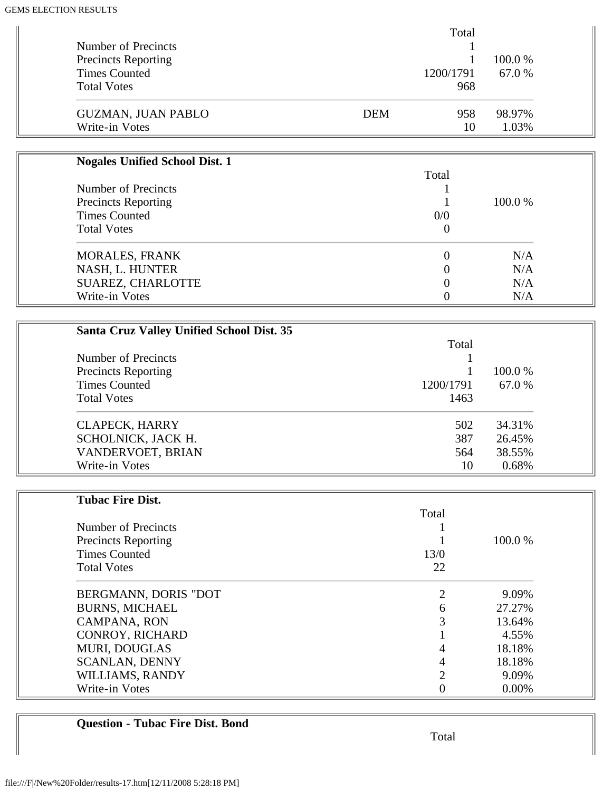|                            |            | Total     |         |
|----------------------------|------------|-----------|---------|
| Number of Precincts        |            |           |         |
| <b>Precincts Reporting</b> |            |           | 100.0 % |
| <b>Times Counted</b>       |            | 1200/1791 | 67.0 %  |
| <b>Total Votes</b>         |            | 968       |         |
| <b>GUZMAN, JUAN PABLO</b>  | <b>DEM</b> | 958       | 98.97%  |
| Write-in Votes             |            | 10        | 1.03%   |

| <b>Nogales Unified School Dist. 1</b> |          |         |
|---------------------------------------|----------|---------|
|                                       | Total    |         |
| Number of Precincts                   |          |         |
| <b>Precincts Reporting</b>            |          | 100.0 % |
| <b>Times Counted</b>                  | 0/0      |         |
| <b>Total Votes</b>                    | 0        |         |
| <b>MORALES, FRANK</b>                 | 0        | N/A     |
| NASH, L. HUNTER                       | $\Omega$ | N/A     |
| SUAREZ, CHARLOTTE                     | 0        | N/A     |
| Write-in Votes                        |          | N/A     |

| <b>Santa Cruz Valley Unified School Dist. 35</b> |           |         |
|--------------------------------------------------|-----------|---------|
|                                                  | Total     |         |
| Number of Precincts                              |           |         |
| <b>Precincts Reporting</b>                       |           | 100.0 % |
| <b>Times Counted</b>                             | 1200/1791 | 67.0 %  |
| <b>Total Votes</b>                               | 1463      |         |
| <b>CLAPECK, HARRY</b>                            | 502       | 34.31%  |
| SCHOLNICK, JACK H.                               | 387       | 26.45%  |
| VANDERVOET, BRIAN                                | 564       | 38.55%  |
| Write-in Votes                                   | 10        | 0.68%   |

| <b>Tubac Fire Dist.</b>    |       |         |
|----------------------------|-------|---------|
|                            | Total |         |
| Number of Precincts        |       |         |
| <b>Precincts Reporting</b> |       | 100.0 % |
| <b>Times Counted</b>       | 13/0  |         |
| <b>Total Votes</b>         | 22    |         |
| BERGMANN, DORIS "DOT       |       | 9.09%   |
| <b>BURNS, MICHAEL</b>      | 6     | 27.27%  |
| CAMPANA, RON               | 3     | 13.64%  |
| <b>CONROY, RICHARD</b>     |       | 4.55%   |
| <b>MURI, DOUGLAS</b>       | 4     | 18.18%  |
| <b>SCANLAN, DENNY</b>      | 4     | 18.18%  |
| WILLIAMS, RANDY            | っ     | 9.09%   |
| Write-in Votes             | 0     | 0.00%   |

## **Question - Tubac Fire Dist. Bond**

Total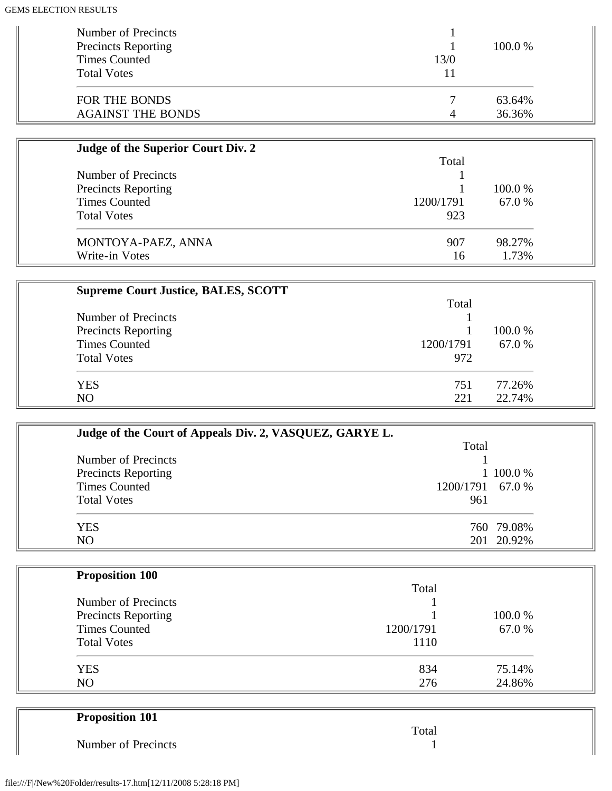| Number of Precincts<br><b>Precincts Reporting</b> |      | 100.0 % |
|---------------------------------------------------|------|---------|
| <b>Times Counted</b>                              | 13/0 |         |
| <b>Total Votes</b>                                |      |         |
| FOR THE BONDS                                     |      | 63.64%  |
| <b>AGAINST THE BONDS</b>                          | 4    | 36.36%  |

| Judge of the Superior Court Div. 2 |           |         |  |
|------------------------------------|-----------|---------|--|
|                                    | Total     |         |  |
| Number of Precincts                |           |         |  |
| <b>Precincts Reporting</b>         |           | 100.0 % |  |
| <b>Times Counted</b>               | 1200/1791 | 67.0 %  |  |
| <b>Total Votes</b>                 | 923       |         |  |
| MONTOYA-PAEZ, ANNA                 | 907       | 98.27%  |  |
| Write-in Votes                     | 16        | 1.73%   |  |

| <b>Supreme Court Justice, BALES, SCOTT</b> |           |         |
|--------------------------------------------|-----------|---------|
|                                            | Total     |         |
| Number of Precincts                        |           |         |
| <b>Precincts Reporting</b>                 |           | 100.0 % |
| <b>Times Counted</b>                       | 1200/1791 | 67.0 %  |
| <b>Total Votes</b>                         | 972       |         |
| <b>YES</b>                                 | 751       | 77.26%  |
| N <sub>O</sub>                             | 221       | 22.74%  |

| Judge of the Court of Appeals Div. 2, VASQUEZ, GARYE L. |                  |
|---------------------------------------------------------|------------------|
|                                                         | Total            |
| Number of Precincts                                     |                  |
| <b>Precincts Reporting</b>                              | 1 100.0 %        |
| <b>Times Counted</b>                                    | 1200/1791 67.0 % |
| <b>Total Votes</b>                                      | 961              |
| <b>YES</b>                                              | 760 79.08%       |
| N <sub>O</sub>                                          | 201 20.92%       |

| <b>Proposition 100</b> |           |        |
|------------------------|-----------|--------|
|                        | Total     |        |
| Number of Precincts    |           |        |
| Precincts Reporting    |           | 100.0% |
| <b>Times Counted</b>   | 1200/1791 | 67.0 % |
| <b>Total Votes</b>     | 1110      |        |
| <b>YES</b>             | 834       | 75.14% |
| N <sub>O</sub>         | 276       | 24.86% |

| <b>Proposition 101</b> |       |
|------------------------|-------|
|                        | Total |
| Number of Precincts    |       |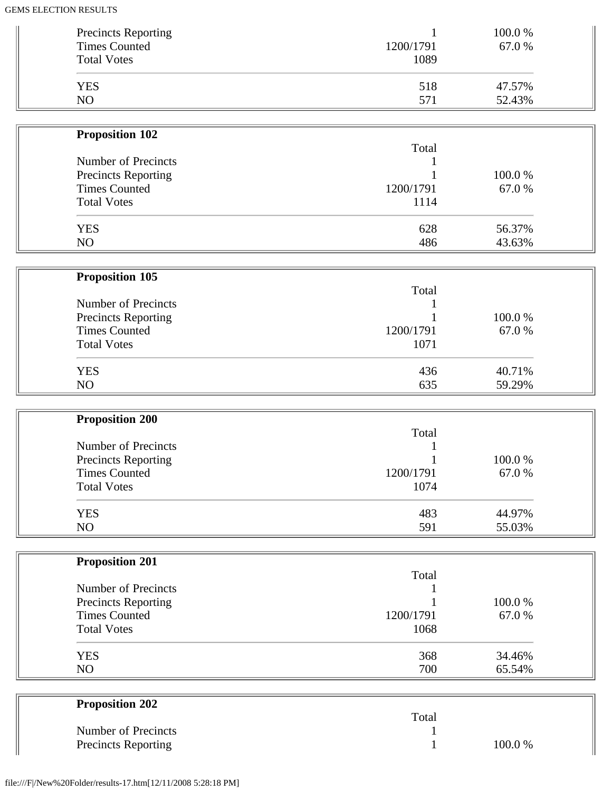| <b>Precincts Reporting</b><br><b>Times Counted</b> | 1200/1791 | 100.0 %<br>67.0 % |
|----------------------------------------------------|-----------|-------------------|
| <b>Total Votes</b>                                 | 1089      |                   |
| <b>YES</b>                                         | 518       | 47.57%            |
| N <sub>O</sub>                                     | 571       | 52.43%            |

| <b>Proposition 102</b>     |           |         |  |
|----------------------------|-----------|---------|--|
|                            | Total     |         |  |
| Number of Precincts        |           |         |  |
| <b>Precincts Reporting</b> |           | 100.0 % |  |
| <b>Times Counted</b>       | 1200/1791 | 67.0 %  |  |
| <b>Total Votes</b>         | 1114      |         |  |
| <b>YES</b>                 | 628       | 56.37%  |  |
| N <sub>O</sub>             | 486       | 43.63%  |  |

| <b>Proposition 105</b>     |           |        |
|----------------------------|-----------|--------|
|                            | Total     |        |
| Number of Precincts        |           |        |
| <b>Precincts Reporting</b> |           | 100.0% |
| <b>Times Counted</b>       | 1200/1791 | 67.0 % |
| <b>Total Votes</b>         | 1071      |        |
| <b>YES</b>                 | 436       | 40.71% |
| N <sub>O</sub>             | 635       | 59.29% |

| <b>Proposition 200</b>     |           |         |
|----------------------------|-----------|---------|
|                            | Total     |         |
| Number of Precincts        |           |         |
| <b>Precincts Reporting</b> |           | 100.0 % |
| <b>Times Counted</b>       | 1200/1791 | 67.0 %  |
| <b>Total Votes</b>         | 1074      |         |
| <b>YES</b>                 | 483       | 44.97%  |
| NO                         | 591       | 55.03%  |

| <b>Proposition 201</b> |           |        |  |
|------------------------|-----------|--------|--|
|                        | Total     |        |  |
| Number of Precincts    |           |        |  |
| Precincts Reporting    |           | 100.0% |  |
| <b>Times Counted</b>   | 1200/1791 | 67.0 % |  |
| <b>Total Votes</b>     | 1068      |        |  |
| <b>YES</b>             | 368       | 34.46% |  |
| N <sub>O</sub>         | 700       | 65.54% |  |

| <b>Proposition 202</b>     |       |        |
|----------------------------|-------|--------|
|                            | Total |        |
| Number of Precincts        |       |        |
| <b>Precincts Reporting</b> |       | 100.0% |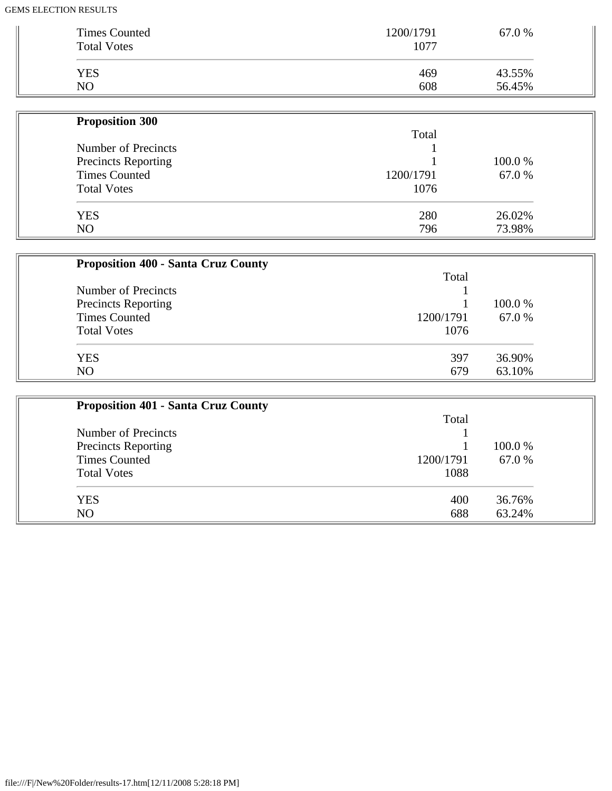| <b>Times Counted</b><br><b>Total Votes</b> | 1200/1791<br>1077 | 67.0 % |
|--------------------------------------------|-------------------|--------|
| <b>YES</b>                                 | 469               | 43.55% |
| N <sub>O</sub>                             | 608               | 56.45% |

| <b>Proposition 300</b>     |           |         |
|----------------------------|-----------|---------|
|                            | Total     |         |
| Number of Precincts        |           |         |
| <b>Precincts Reporting</b> |           | 100.0 % |
| <b>Times Counted</b>       | 1200/1791 | 67.0 %  |
| <b>Total Votes</b>         | 1076      |         |
| <b>YES</b>                 | 280       | 26.02%  |
| N <sub>O</sub>             | 796       | 73.98%  |

| <b>Proposition 400 - Santa Cruz County</b> |           |         |
|--------------------------------------------|-----------|---------|
|                                            | Total     |         |
| Number of Precincts                        |           |         |
| <b>Precincts Reporting</b>                 |           | 100.0 % |
| <b>Times Counted</b>                       | 1200/1791 | 67.0 %  |
| <b>Total Votes</b>                         | 1076      |         |
| <b>YES</b>                                 | 397       | 36.90%  |
| N <sub>O</sub>                             | 679       | 63.10%  |

| <b>Proposition 401 - Santa Cruz County</b> |           |         |
|--------------------------------------------|-----------|---------|
|                                            | Total     |         |
| Number of Precincts                        |           |         |
| <b>Precincts Reporting</b>                 |           | 100.0 % |
| <b>Times Counted</b>                       | 1200/1791 | 67.0 %  |
| <b>Total Votes</b>                         | 1088      |         |
| <b>YES</b>                                 | 400       | 36.76%  |
| NO                                         | 688       | 63.24%  |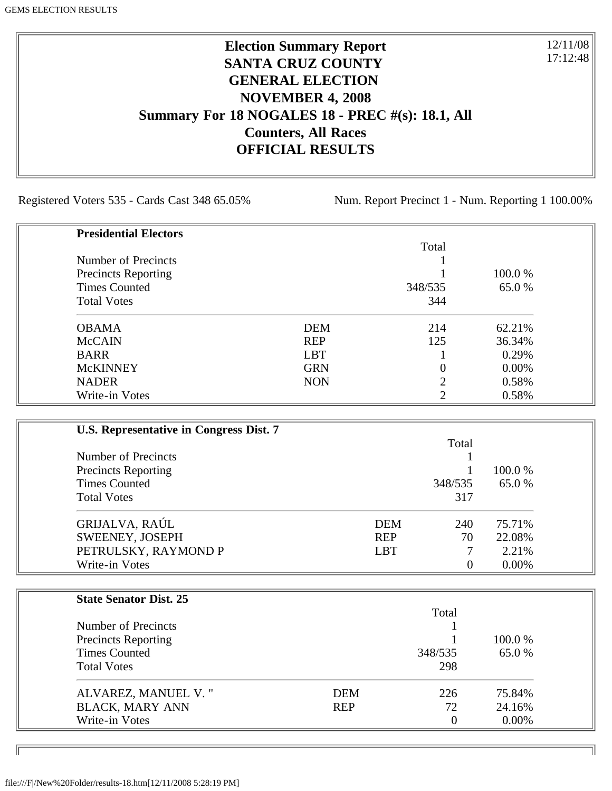## **Election Summary Report SANTA CRUZ COUNTY GENERAL ELECTION NOVEMBER 4, 2008 Summary For 18 NOGALES 18 - PREC #(s): 18.1, All Counters, All Races OFFICIAL RESULTS**

Registered Voters 535 - Cards Cast 348 65.05% Num. Report Precinct 1 - Num. Reporting 1 100.00%

12/11/08 17:12:48

٦I

| <b>Presidential Electors</b> |            |         |         |
|------------------------------|------------|---------|---------|
|                              |            | Total   |         |
| Number of Precincts          |            |         |         |
| <b>Precincts Reporting</b>   |            |         | 100.0 % |
| <b>Times Counted</b>         |            | 348/535 | 65.0 %  |
| <b>Total Votes</b>           |            | 344     |         |
| <b>OBAMA</b>                 | <b>DEM</b> | 214     | 62.21%  |
| <b>McCAIN</b>                | <b>REP</b> | 125     | 36.34%  |
| <b>BARR</b>                  | <b>LBT</b> |         | 0.29%   |
| <b>McKINNEY</b>              | <b>GRN</b> |         | 0.00%   |
| <b>NADER</b>                 | <b>NON</b> | ∍       | 0.58%   |
| Write-in Votes               |            | ∍       | 0.58%   |

| U.S. Representative in Congress Dist. 7 |            |                |          |
|-----------------------------------------|------------|----------------|----------|
|                                         |            | Total          |          |
| Number of Precincts                     |            |                |          |
| Precincts Reporting                     |            |                | 100.0 %  |
| <b>Times Counted</b>                    |            | 348/535        | 65.0%    |
| <b>Total Votes</b>                      |            | 317            |          |
| GRIJALVA, RAÚL                          | <b>DEM</b> | 240            | 75.71%   |
| SWEENEY, JOSEPH                         | <b>REP</b> | 70             | 22.08%   |
| PETRULSKY, RAYMOND P                    | <b>LBT</b> |                | 2.21%    |
| Write-in Votes                          |            | $\overline{0}$ | $0.00\%$ |

| <b>State Senator Dist. 25</b> |            |                |          |
|-------------------------------|------------|----------------|----------|
|                               |            | Total          |          |
| Number of Precincts           |            |                |          |
| <b>Precincts Reporting</b>    |            |                | 100.0 %  |
| <b>Times Counted</b>          |            | 348/535        | 65.0 %   |
| <b>Total Votes</b>            |            | 298            |          |
| ALVAREZ, MANUEL V."           | <b>DEM</b> | 226            | 75.84%   |
| <b>BLACK, MARY ANN</b>        | <b>REP</b> | 72             | 24.16%   |
| Write-in Votes                |            | $\overline{0}$ | $0.00\%$ |

ID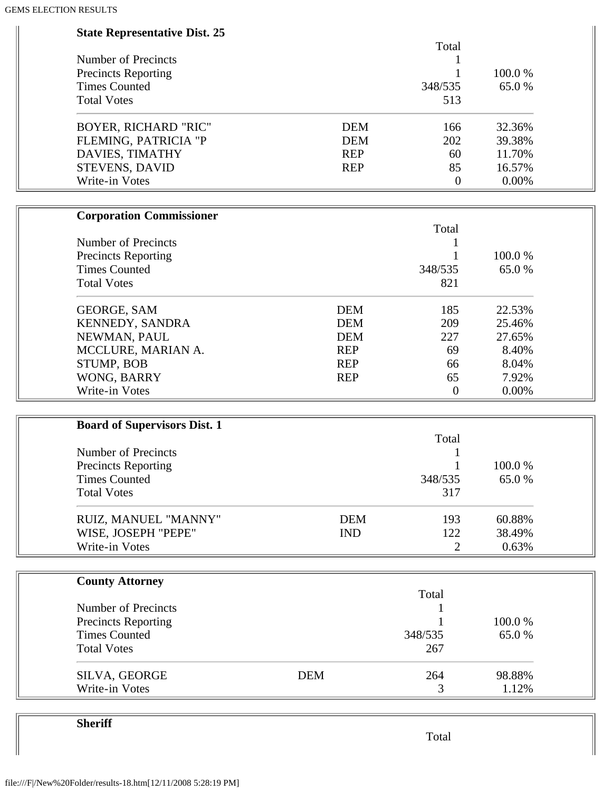| <b>State Representative Dist. 25</b> |            |            |                  |        |  |
|--------------------------------------|------------|------------|------------------|--------|--|
|                                      |            |            | Total            |        |  |
| <b>Number of Precincts</b>           |            |            | 1                |        |  |
| <b>Precincts Reporting</b>           |            |            |                  | 100.0% |  |
| <b>Times Counted</b>                 |            |            | 348/535          | 65.0%  |  |
| <b>Total Votes</b>                   |            |            | 513              |        |  |
| <b>BOYER, RICHARD "RIC"</b>          |            | <b>DEM</b> | 166              | 32.36% |  |
| FLEMING, PATRICIA "P                 |            | <b>DEM</b> | 202              | 39.38% |  |
| DAVIES, TIMATHY                      |            | <b>REP</b> | 60               | 11.70% |  |
| STEVENS, DAVID                       |            | <b>REP</b> | 85               | 16.57% |  |
| Write-in Votes                       |            |            | $\boldsymbol{0}$ | 0.00%  |  |
| <b>Corporation Commissioner</b>      |            |            |                  |        |  |
|                                      |            |            | Total            |        |  |
| <b>Number of Precincts</b>           |            |            |                  |        |  |
| <b>Precincts Reporting</b>           |            |            |                  | 100.0% |  |
| <b>Times Counted</b>                 |            |            | 348/535          | 65.0%  |  |
| <b>Total Votes</b>                   |            |            | 821              |        |  |
| <b>GEORGE, SAM</b>                   |            | <b>DEM</b> | 185              | 22.53% |  |
| KENNEDY, SANDRA                      |            | <b>DEM</b> | 209              | 25.46% |  |
| NEWMAN, PAUL                         |            | <b>DEM</b> | 227              | 27.65% |  |
| MCCLURE, MARIAN A.                   |            | <b>REP</b> | 69               | 8.40%  |  |
| STUMP, BOB                           |            | <b>REP</b> | 66               | 8.04%  |  |
| WONG, BARRY                          |            | <b>REP</b> | 65               | 7.92%  |  |
| Write-in Votes                       |            |            | $\overline{0}$   | 0.00%  |  |
| <b>Board of Supervisors Dist. 1</b>  |            |            |                  |        |  |
|                                      |            |            | Total            |        |  |
| <b>Number of Precincts</b>           |            |            |                  |        |  |
| <b>Precincts Reporting</b>           |            |            |                  | 100.0% |  |
| <b>Times Counted</b>                 |            |            | 348/535          | 65.0%  |  |
|                                      |            |            |                  |        |  |
| <b>Total Votes</b>                   |            |            | 317              |        |  |
| RUIZ, MANUEL "MANNY"                 |            | <b>DEM</b> | 193              | 60.88% |  |
| WISE, JOSEPH "PEPE"                  |            | <b>IND</b> | 122              | 38.49% |  |
| Write-in Votes                       |            |            | $\overline{2}$   | 0.63%  |  |
| <b>County Attorney</b>               |            |            |                  |        |  |
|                                      |            |            | Total            |        |  |
| Number of Precincts                  |            |            |                  |        |  |
| <b>Precincts Reporting</b>           |            |            |                  | 100.0% |  |
| <b>Times Counted</b>                 |            |            | 348/535          | 65.0%  |  |
| <b>Total Votes</b>                   |            |            | 267              |        |  |
| SILVA, GEORGE                        | <b>DEM</b> |            | 264              | 98.88% |  |
| Write-in Votes                       |            |            | 3                | 1.12%  |  |

**Sheriff**

Total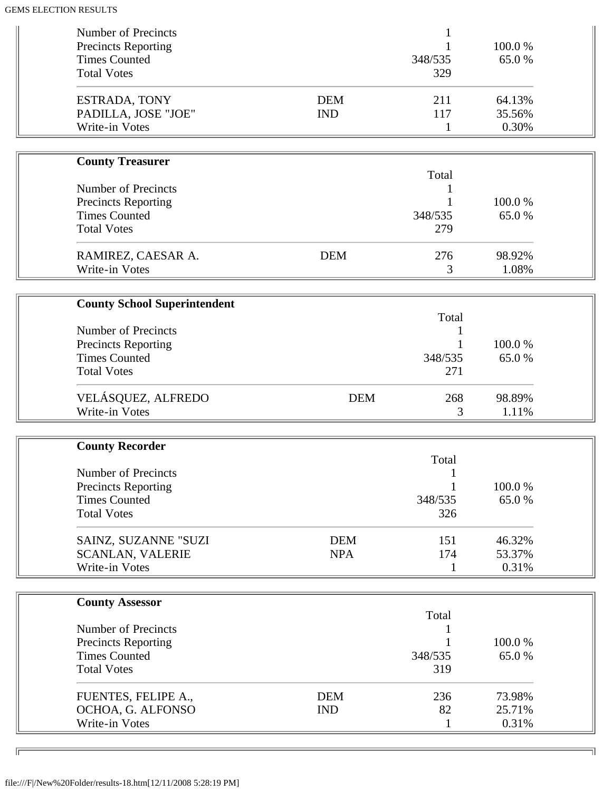| Number of Precincts<br><b>Precincts Reporting</b><br><b>Times Counted</b>                              |                          | 348/535                 | 100.0%<br>65.0%           |  |
|--------------------------------------------------------------------------------------------------------|--------------------------|-------------------------|---------------------------|--|
| <b>Total Votes</b><br>ESTRADA, TONY<br>PADILLA, JOSE "JOE"                                             | <b>DEM</b><br><b>IND</b> | 329<br>211<br>117       | 64.13%<br>35.56%          |  |
| Write-in Votes                                                                                         |                          | $\mathbf{1}$            | 0.30%                     |  |
| <b>County Treasurer</b>                                                                                |                          |                         |                           |  |
| <b>Number of Precincts</b><br><b>Precincts Reporting</b><br><b>Times Counted</b><br><b>Total Votes</b> |                          | Total<br>348/535<br>279 | 100.0%<br>65.0%           |  |
| RAMIREZ, CAESAR A.<br>Write-in Votes                                                                   | <b>DEM</b>               | 276<br>3                | 98.92%<br>1.08%           |  |
|                                                                                                        |                          |                         |                           |  |
| <b>County School Superintendent</b>                                                                    |                          | Total                   |                           |  |
| Number of Precincts<br><b>Precincts Reporting</b><br><b>Times Counted</b><br><b>Total Votes</b>        |                          | 348/535<br>271          | 100.0%<br>65.0%           |  |
| VELÁSQUEZ, ALFREDO<br>Write-in Votes                                                                   | <b>DEM</b>               | 268<br>3                | 98.89%<br>1.11%           |  |
| <b>County Recorder</b>                                                                                 |                          |                         |                           |  |
| <b>Number of Precincts</b><br><b>Precincts Reporting</b><br><b>Times Counted</b><br><b>Total Votes</b> |                          | Total<br>348/535<br>326 | 100.0%<br>65.0%           |  |
| SAINZ, SUZANNE "SUZI<br><b>SCANLAN, VALERIE</b><br>Write-in Votes                                      | <b>DEM</b><br><b>NPA</b> | 151<br>174<br>1         | 46.32%<br>53.37%<br>0.31% |  |
| <b>County Assessor</b>                                                                                 |                          |                         |                           |  |
|                                                                                                        |                          | Total                   |                           |  |
| Number of Precincts<br><b>Precincts Reporting</b>                                                      |                          | 1                       | 100.0%                    |  |
| <b>Times Counted</b><br><b>Total Votes</b>                                                             |                          | 348/535<br>319          | 65.0%                     |  |
| FUENTES, FELIPE A.,<br>OCHOA, G. ALFONSO<br>Write-in Votes                                             | <b>DEM</b><br><b>IND</b> | 236<br>82<br>1          | 73.98%<br>25.71%<br>0.31% |  |

╗

 $\sqrt{2}$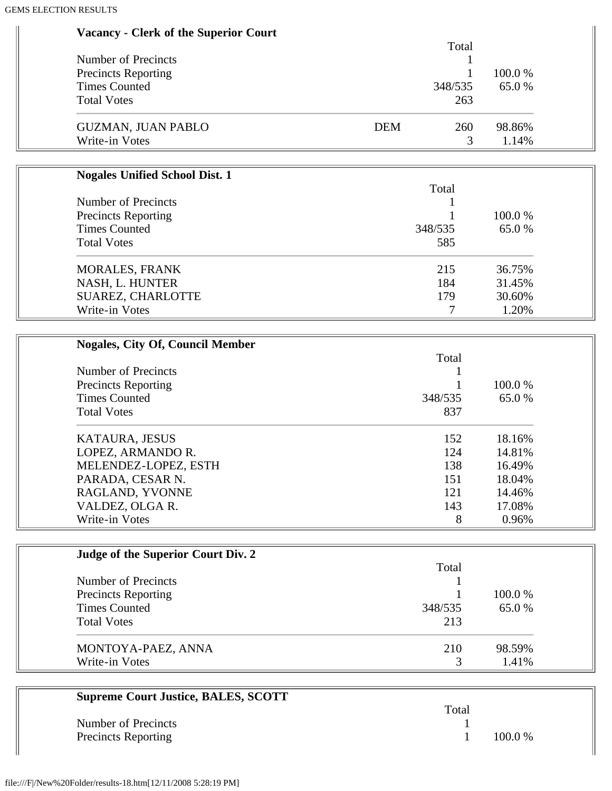| <b>Vacancy - Clerk of the Superior Court</b> |            |                      |        |
|----------------------------------------------|------------|----------------------|--------|
|                                              |            | Total                |        |
| Number of Precincts                          |            |                      |        |
| <b>Precincts Reporting</b>                   |            |                      | 100.0% |
| <b>Times Counted</b>                         |            | 348/535              | 65.0%  |
| <b>Total Votes</b>                           |            | 263                  |        |
| <b>GUZMAN, JUAN PABLO</b>                    | <b>DEM</b> | 260                  | 98.86% |
| Write-in Votes                               |            | 3                    | 1.14%  |
|                                              |            |                      |        |
| <b>Nogales Unified School Dist. 1</b>        |            |                      |        |
|                                              |            | Total                |        |
| Number of Precincts                          |            |                      |        |
| <b>Precincts Reporting</b>                   |            |                      | 100.0% |
| <b>Times Counted</b>                         |            | 348/535              | 65.0%  |
| <b>Total Votes</b>                           |            | 585                  |        |
| <b>MORALES, FRANK</b>                        |            | 215                  | 36.75% |
| NASH, L. HUNTER                              |            | 184                  | 31.45% |
| SUAREZ, CHARLOTTE                            |            | 179                  | 30.60% |
| Write-in Votes                               |            | 7                    | 1.20%  |
|                                              |            |                      |        |
| <b>Nogales, City Of, Council Member</b>      |            |                      |        |
|                                              |            | Total                |        |
| Number of Precincts                          |            |                      |        |
| <b>Precincts Reporting</b>                   |            |                      | 100.0% |
|                                              |            | $\sim$ $\sim$ $\sim$ |        |

| <b>Times Counted</b> | 348/535 | 65.0 % |
|----------------------|---------|--------|
| <b>Total Votes</b>   | 837     |        |
| KATAURA, JESUS       | 152     | 18.16% |
| LOPEZ, ARMANDO R.    | 124     | 14.81% |
| MELENDEZ-LOPEZ, ESTH | 138     | 16.49% |
| PARADA, CESAR N.     | 151     | 18.04% |
| RAGLAND, YVONNE      | 121     | 14.46% |
| VALDEZ, OLGA R.      | 143     | 17.08% |
| Write-in Votes       | 8       | 0.96%  |

| Judge of the Superior Court Div. 2 |         |         |
|------------------------------------|---------|---------|
|                                    | Total   |         |
| Number of Precincts                |         |         |
| <b>Precincts Reporting</b>         |         | 100.0 % |
| <b>Times Counted</b>               | 348/535 | 65.0 %  |
| <b>Total Votes</b>                 | 213     |         |
| MONTOYA-PAEZ, ANNA                 | 210     | 98.59%  |
| Write-in Votes                     |         | 1.41%   |

| <b>Supreme Court Justice, BALES, SCOTT</b> |       |           |
|--------------------------------------------|-------|-----------|
|                                            | Total |           |
| Number of Precincts                        |       |           |
| <b>Precincts Reporting</b>                 |       | $100.0\%$ |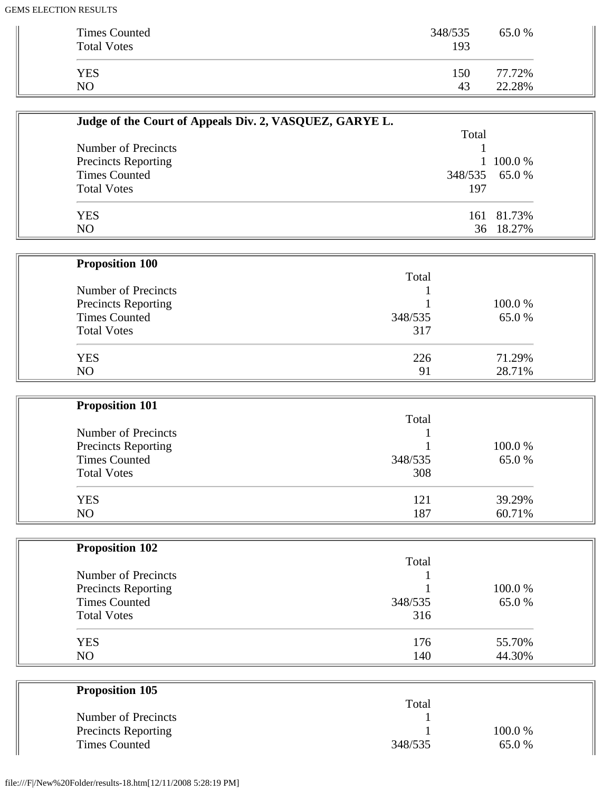| <b>Times Counted</b><br><b>Total Votes</b> | 348/535<br>193 | 65.0 % |
|--------------------------------------------|----------------|--------|
| <b>YES</b>                                 | 150            | 77.72% |
| NO                                         | 43             | 22.28% |

| Judge of the Court of Appeals Div. 2, VASQUEZ, GARYE L. |       |                |
|---------------------------------------------------------|-------|----------------|
|                                                         | Total |                |
| Number of Precincts                                     |       |                |
| <b>Precincts Reporting</b>                              |       | 1 100.0 %      |
| <b>Times Counted</b>                                    |       | 348/535 65.0 % |
| <b>Total Votes</b>                                      | 197   |                |
| <b>YES</b>                                              |       | 161 81.73%     |
| N <sub>O</sub>                                          |       | 36 18.27%      |

| <b>Proposition 100</b>     |         |        |
|----------------------------|---------|--------|
|                            | Total   |        |
| Number of Precincts        |         |        |
| <b>Precincts Reporting</b> |         | 100.0% |
| <b>Times Counted</b>       | 348/535 | 65.0%  |
| <b>Total Votes</b>         | 317     |        |
| <b>YES</b>                 | 226     | 71.29% |
| N <sub>O</sub>             | 91      | 28.71% |

| <b>Proposition 101</b>     |         |        |
|----------------------------|---------|--------|
|                            | Total   |        |
| Number of Precincts        |         |        |
| <b>Precincts Reporting</b> |         | 100.0% |
| <b>Times Counted</b>       | 348/535 | 65.0%  |
| <b>Total Votes</b>         | 308     |        |
| <b>YES</b>                 | 121     | 39.29% |
| NO.                        | 187     | 60.71% |

| <b>Proposition 102</b>     |         |        |
|----------------------------|---------|--------|
|                            | Total   |        |
| Number of Precincts        |         |        |
| <b>Precincts Reporting</b> |         | 100.0% |
| <b>Times Counted</b>       | 348/535 | 65.0%  |
| <b>Total Votes</b>         | 316     |        |
| <b>YES</b>                 | 176     | 55.70% |
| N <sub>O</sub>             | 140     | 44.30% |

| <b>Proposition 105</b>     |         |         |
|----------------------------|---------|---------|
|                            | Total   |         |
| Number of Precincts        |         |         |
| <b>Precincts Reporting</b> |         | 100.0 % |
| <b>Times Counted</b>       | 348/535 | 65.0 %  |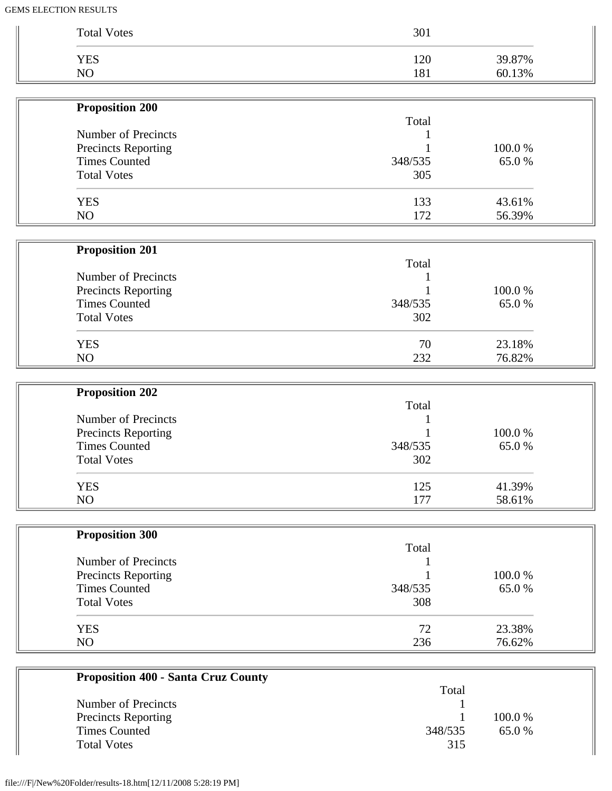| <b>Total Votes</b>         | 301     |        |
|----------------------------|---------|--------|
| <b>YES</b>                 | 120     | 39.87% |
| NO                         | 181     | 60.13% |
|                            |         |        |
| <b>Proposition 200</b>     | Total   |        |
| Number of Precincts        |         |        |
| Precincts Reporting        |         | 100.0% |
| <b>Times Counted</b>       | 348/535 | 65.0%  |
| <b>Total Votes</b>         | 305     |        |
| <b>YES</b>                 | 133     | 43.61% |
| NO                         | 172     | 56.39% |
|                            |         |        |
| <b>Proposition 201</b>     | Total   |        |
| Number of Precincts        |         |        |
| <b>Precincts Reporting</b> |         | 100.0% |
| <b>Times Counted</b>       | 348/535 | 65.0%  |
| <b>Total Votes</b>         | 302     |        |
| <b>YES</b>                 | 70      | 23.18% |
| NO                         | 232     | 76.82% |
|                            |         |        |
| <b>Proposition 202</b>     | Total   |        |
| Number of Precincts        |         |        |
| Precincts Reporting        |         | 100.0% |
| <b>Times Counted</b>       | 348/535 | 65.0%  |
| <b>Total Votes</b>         | 302     |        |
| <b>YES</b>                 | 125     | 41.39% |
| NO                         | 177     | 58.61% |
| <b>Proposition 300</b>     |         |        |
|                            | Total   |        |
| Number of Precincts        |         |        |
| <b>Precincts Reporting</b> |         | 100.0% |
| <b>Times Counted</b>       | 348/535 | 65.0%  |
| <b>Total Votes</b>         | 308     |        |
| <b>YES</b>                 | 72      | 23.38% |
| NO                         | 236     | 76.62% |

| Troposition Too - Banta Cruz County |         |           |  |
|-------------------------------------|---------|-----------|--|
|                                     | Total   |           |  |
| Number of Precincts                 |         |           |  |
| <b>Precincts Reporting</b>          |         | $100.0\%$ |  |
| <b>Times Counted</b>                | 348/535 | 65.0%     |  |
| <b>Total Votes</b>                  | 315     |           |  |
|                                     |         |           |  |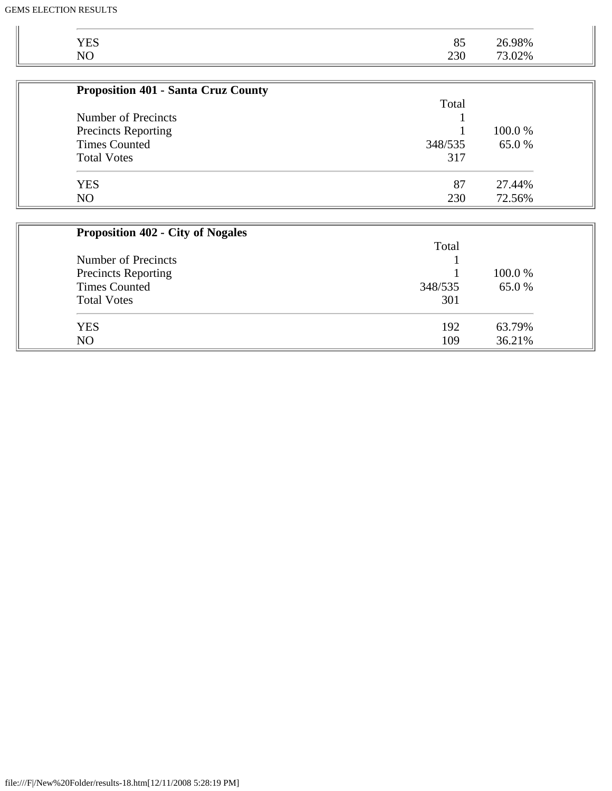| <b>YES</b>                                 | 192     | 63.79% |
|--------------------------------------------|---------|--------|
| <b>Total Votes</b>                         | 301     |        |
| <b>Times Counted</b>                       | 348/535 | 65.0%  |
| <b>Precincts Reporting</b>                 |         | 100.0% |
| Number of Precincts                        |         |        |
|                                            | Total   |        |
| <b>Proposition 402 - City of Nogales</b>   |         |        |
|                                            |         |        |
| N <sub>O</sub>                             | 230     | 72.56% |
| <b>YES</b>                                 | 87      | 27.44% |
|                                            |         |        |
| <b>Total Votes</b>                         | 317     |        |
| <b>Times Counted</b>                       | 348/535 | 65.0%  |
| <b>Precincts Reporting</b>                 |         | 100.0% |
| Number of Precincts                        |         |        |
|                                            | Total   |        |
| <b>Proposition 401 - Santa Cruz County</b> |         |        |
|                                            |         |        |
| NO                                         | 230     | 73.02% |
| <b>YES</b>                                 | 85      | 26.98% |

NO 36.21%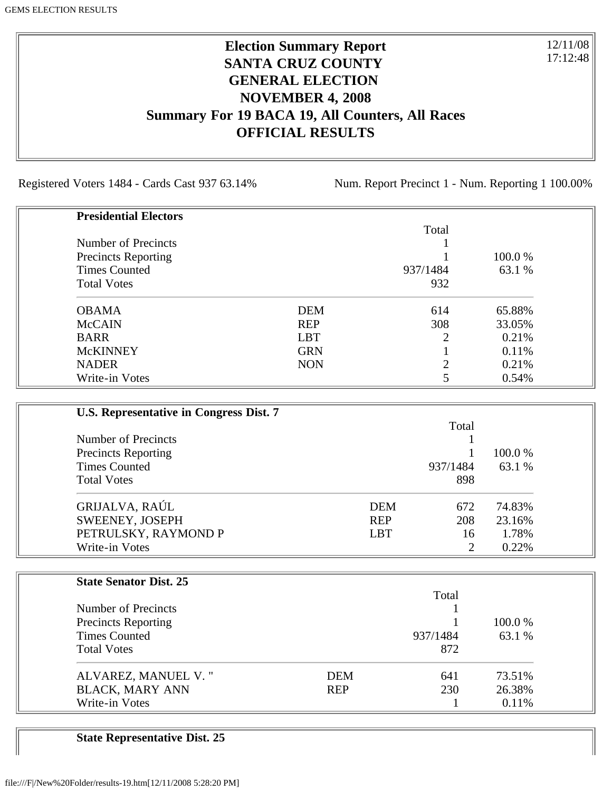## **Election Summary Report SANTA CRUZ COUNTY GENERAL ELECTION NOVEMBER 4, 2008 Summary For 19 BACA 19, All Counters, All Races OFFICIAL RESULTS**

Registered Voters 1484 - Cards Cast 937 63.14% Num. Report Precinct 1 - Num. Reporting 1 100.00%

12/11/08 17:12:48

| <b>Presidential Electors</b> |            |                |         |
|------------------------------|------------|----------------|---------|
|                              |            | Total          |         |
| Number of Precincts          |            |                |         |
| <b>Precincts Reporting</b>   |            |                | 100.0 % |
| <b>Times Counted</b>         |            | 937/1484       | 63.1 %  |
| <b>Total Votes</b>           |            | 932            |         |
| <b>OBAMA</b>                 | <b>DEM</b> | 614            | 65.88%  |
| <b>McCAIN</b>                | <b>REP</b> | 308            | 33.05%  |
| <b>BARR</b>                  | <b>LBT</b> | $\overline{2}$ | 0.21%   |
| <b>McKINNEY</b>              | <b>GRN</b> |                | 0.11%   |
| <b>NADER</b>                 | <b>NON</b> | ◠              | 0.21%   |
| Write-in Votes               |            |                | 0.54%   |

| U.S. Representative in Congress Dist. 7 |            |                |         |
|-----------------------------------------|------------|----------------|---------|
|                                         |            | Total          |         |
| Number of Precincts                     |            |                |         |
| <b>Precincts Reporting</b>              |            |                | 100.0 % |
| <b>Times Counted</b>                    |            | 937/1484       | 63.1 %  |
| <b>Total Votes</b>                      |            | 898            |         |
| GRIJALVA, RAÚL                          | <b>DEM</b> | 672            | 74.83%  |
| SWEENEY, JOSEPH                         | <b>REP</b> | 208            | 23.16%  |
| PETRULSKY, RAYMOND P                    | <b>LBT</b> | 16             | 1.78%   |
| Write-in Votes                          |            | $\overline{c}$ | 0.22%   |

| <b>State Senator Dist. 25</b> |            |          |         |
|-------------------------------|------------|----------|---------|
|                               |            | Total    |         |
| Number of Precincts           |            |          |         |
| <b>Precincts Reporting</b>    |            |          | 100.0 % |
| <b>Times Counted</b>          |            | 937/1484 | 63.1 %  |
| <b>Total Votes</b>            |            | 872      |         |
| ALVAREZ, MANUEL V."           | <b>DEM</b> | 641      | 73.51%  |
| <b>BLACK, MARY ANN</b>        | <b>REP</b> | 230      | 26.38%  |
| Write-in Votes                |            |          | 0.11%   |

**State Representative Dist. 25**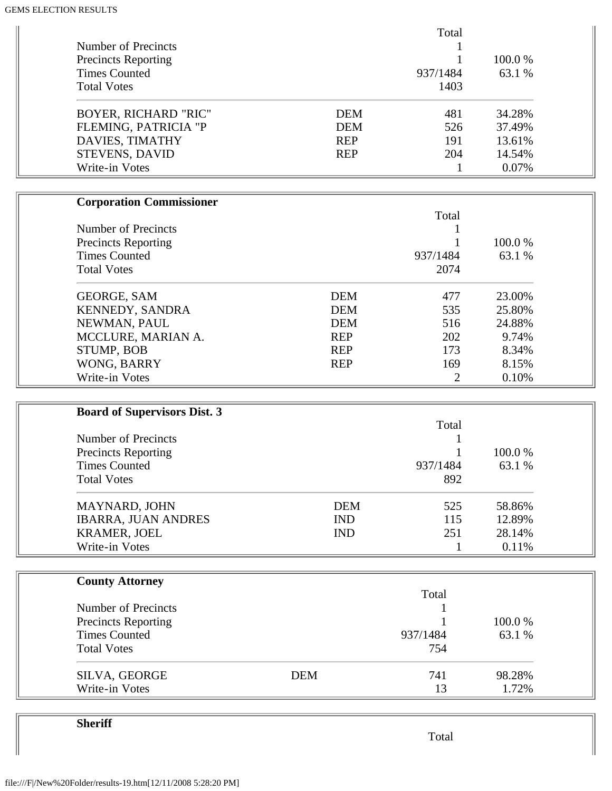| <b>Number of Precincts</b><br><b>Precincts Reporting</b><br><b>Times Counted</b><br><b>Total Votes</b> |                          | Total<br>937/1484<br>1403 | 100.0%<br>63.1 % |  |
|--------------------------------------------------------------------------------------------------------|--------------------------|---------------------------|------------------|--|
| <b>BOYER, RICHARD "RIC"</b>                                                                            | <b>DEM</b>               | 481                       | 34.28%           |  |
| FLEMING, PATRICIA "P<br>DAVIES, TIMATHY                                                                | <b>DEM</b><br><b>REP</b> | 526<br>191                | 37.49%<br>13.61% |  |
| STEVENS, DAVID                                                                                         | <b>REP</b>               | 204                       | 14.54%           |  |
| Write-in Votes                                                                                         |                          | $\mathbf{1}$              | 0.07%            |  |
|                                                                                                        |                          |                           |                  |  |
| <b>Corporation Commissioner</b>                                                                        |                          | Total                     |                  |  |
| Number of Precincts                                                                                    |                          |                           |                  |  |
| <b>Precincts Reporting</b>                                                                             |                          |                           | 100.0%           |  |
| <b>Times Counted</b>                                                                                   |                          | 937/1484                  | 63.1 %           |  |
| <b>Total Votes</b>                                                                                     |                          | 2074                      |                  |  |
| <b>GEORGE, SAM</b>                                                                                     | <b>DEM</b>               | 477                       | 23.00%           |  |
| KENNEDY, SANDRA                                                                                        | <b>DEM</b>               | 535                       | 25.80%           |  |
| NEWMAN, PAUL                                                                                           | <b>DEM</b>               | 516                       | 24.88%           |  |
| MCCLURE, MARIAN A.                                                                                     | <b>REP</b>               | 202                       | 9.74%            |  |
| STUMP, BOB                                                                                             | <b>REP</b>               | 173                       | 8.34%            |  |
| WONG, BARRY                                                                                            | <b>REP</b>               | 169                       | 8.15%            |  |
| Write-in Votes                                                                                         |                          | $\overline{2}$            | 0.10%            |  |
|                                                                                                        |                          |                           |                  |  |
| <b>Board of Supervisors Dist. 3</b>                                                                    |                          | Total                     |                  |  |
| Number of Precincts                                                                                    |                          |                           |                  |  |
| <b>Precincts Reporting</b>                                                                             |                          |                           | 100.0%           |  |
| <b>Times Counted</b>                                                                                   |                          | 937/1484                  | 63.1 %           |  |
| <b>Total Votes</b>                                                                                     |                          | 892                       |                  |  |
| MAYNARD, JOHN                                                                                          | <b>DEM</b>               | 525                       | 58.86%           |  |
| <b>IBARRA, JUAN ANDRES</b>                                                                             | <b>IND</b>               | 115                       | 12.89%           |  |
| <b>KRAMER, JOEL</b>                                                                                    | <b>IND</b>               | 251                       | 28.14%           |  |
| Write-in Votes                                                                                         |                          | $\mathbf{1}$              | 0.11%            |  |
|                                                                                                        |                          |                           |                  |  |
| <b>County Attorney</b>                                                                                 |                          | Total                     |                  |  |
| Number of Precincts                                                                                    |                          |                           |                  |  |
| <b>Precincts Reporting</b>                                                                             |                          |                           | 100.0%           |  |
| <b>Times Counted</b>                                                                                   |                          | 937/1484                  | 63.1 %           |  |
| <b>Total Votes</b>                                                                                     |                          | 754                       |                  |  |
| SILVA, GEORGE                                                                                          | <b>DEM</b>               | 741                       | 98.28%           |  |
| Write-in Votes                                                                                         |                          | 13                        | 1.72%            |  |

**Sheriff**

Total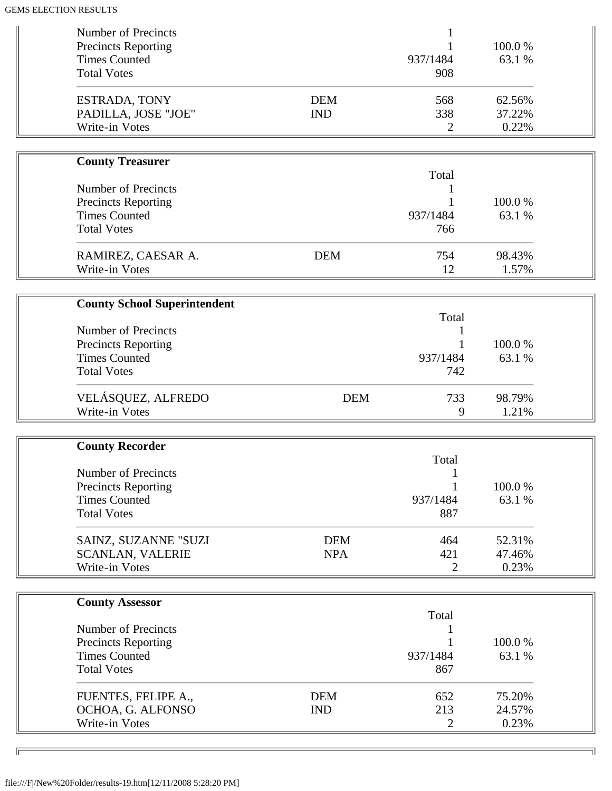| <b>Number of Precincts</b><br><b>Precincts Reporting</b><br><b>Times Counted</b>                       |                                     |                          | 937/1484                 | 100.0%<br>63.1 %          |  |
|--------------------------------------------------------------------------------------------------------|-------------------------------------|--------------------------|--------------------------|---------------------------|--|
| <b>Total Votes</b>                                                                                     |                                     |                          | 908                      |                           |  |
| ESTRADA, TONY<br>Write-in Votes                                                                        | PADILLA, JOSE "JOE"                 | <b>DEM</b><br><b>IND</b> | 568<br>338<br>2          | 62.56%<br>37.22%<br>0.22% |  |
|                                                                                                        |                                     |                          |                          |                           |  |
| <b>County Treasurer</b>                                                                                |                                     |                          |                          |                           |  |
| <b>Number of Precincts</b><br><b>Precincts Reporting</b><br><b>Times Counted</b><br><b>Total Votes</b> |                                     |                          | Total<br>937/1484<br>766 | 100.0%<br>63.1 %          |  |
|                                                                                                        | RAMIREZ, CAESAR A.                  | <b>DEM</b>               | 754                      | 98.43%                    |  |
| Write-in Votes                                                                                         |                                     |                          | 12                       | 1.57%                     |  |
|                                                                                                        |                                     |                          |                          |                           |  |
|                                                                                                        | <b>County School Superintendent</b> |                          | Total                    |                           |  |
| <b>Number of Precincts</b>                                                                             |                                     |                          |                          |                           |  |
| <b>Precincts Reporting</b>                                                                             |                                     |                          |                          | 100.0%                    |  |
| <b>Times Counted</b>                                                                                   |                                     |                          | 937/1484                 | 63.1 %                    |  |
| <b>Total Votes</b>                                                                                     |                                     |                          | 742                      |                           |  |
| Write-in Votes                                                                                         | VELÁSQUEZ, ALFREDO                  | <b>DEM</b>               | 733<br>9                 | 98.79%<br>1.21%           |  |
|                                                                                                        |                                     |                          |                          |                           |  |
| <b>County Recorder</b>                                                                                 |                                     |                          |                          |                           |  |
| <b>Number of Precincts</b>                                                                             |                                     |                          | Total                    |                           |  |
| <b>Precincts Reporting</b>                                                                             |                                     |                          |                          | 100.0%                    |  |
| <b>Times Counted</b>                                                                                   |                                     |                          | 937/1484                 | 63.1 %                    |  |
| <b>Total Votes</b>                                                                                     |                                     |                          | 887                      |                           |  |
|                                                                                                        | SAINZ, SUZANNE "SUZI                | <b>DEM</b>               | 464                      | 52.31%                    |  |
| <b>SCANLAN, VALERIE</b>                                                                                |                                     | <b>NPA</b>               | 421                      | 47.46%                    |  |
| Write-in Votes                                                                                         |                                     |                          | 2                        | 0.23%                     |  |
|                                                                                                        |                                     |                          |                          |                           |  |
| <b>County Assessor</b>                                                                                 |                                     |                          | Total                    |                           |  |
| <b>Number of Precincts</b>                                                                             |                                     |                          |                          |                           |  |
| <b>Precincts Reporting</b>                                                                             |                                     |                          |                          | 100.0%                    |  |
| <b>Times Counted</b>                                                                                   |                                     |                          | 937/1484                 | 63.1 %                    |  |
| <b>Total Votes</b>                                                                                     |                                     |                          | 867                      |                           |  |
|                                                                                                        | FUENTES, FELIPE A.,                 | <b>DEM</b>               | 652                      | 75.20%                    |  |
|                                                                                                        | OCHOA, G. ALFONSO                   | <b>IND</b>               | 213                      | 24.57%                    |  |
| Write-in Votes                                                                                         |                                     |                          | 2                        | 0.23%                     |  |

╗

 $\sqrt{2}$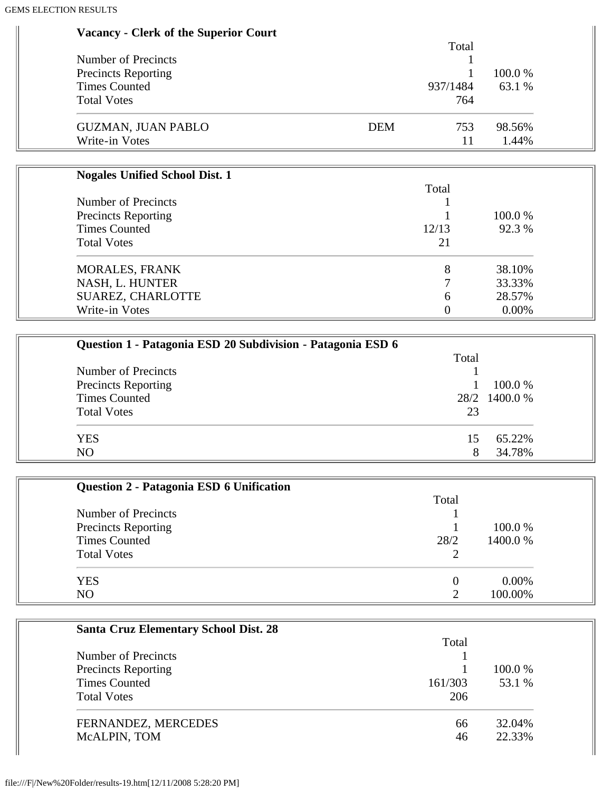#### **Vacancy - Clerk of the Superior Court**

|                            | Total             |         |
|----------------------------|-------------------|---------|
| Number of Precincts        |                   |         |
| <b>Precincts Reporting</b> |                   | 100.0 % |
| <b>Times Counted</b>       | 937/1484          | 63.1 %  |
| <b>Total Votes</b>         | 764               |         |
| <b>GUZMAN, JUAN PABLO</b>  | <b>DEM</b><br>753 | 98.56%  |
| Write-in Votes             |                   | 1.44%   |

| <b>Nogales Unified School Dist. 1</b> |                |         |
|---------------------------------------|----------------|---------|
|                                       | Total          |         |
| Number of Precincts                   |                |         |
| <b>Precincts Reporting</b>            |                | 100.0 % |
| <b>Times Counted</b>                  | 12/13          | 92.3 %  |
| <b>Total Votes</b>                    | 21             |         |
| <b>MORALES, FRANK</b>                 | 8              | 38.10%  |
| NASH, L. HUNTER                       | $\mathbf \tau$ | 33.33%  |
| SUAREZ, CHARLOTTE                     | 6              | 28.57%  |
| Write-in Votes                        |                | 0.00%   |

| Question 1 - Patagonia ESD 20 Subdivision - Patagonia ESD 6 |       |               |
|-------------------------------------------------------------|-------|---------------|
|                                                             | Total |               |
| Number of Precincts                                         |       |               |
| <b>Precincts Reporting</b>                                  |       | 100.0 %       |
| <b>Times Counted</b>                                        |       | 28/2 1400.0 % |
| <b>Total Votes</b>                                          | 23    |               |
| <b>YES</b>                                                  |       | 65.22%        |
| N <sub>O</sub>                                              |       | 34.78%        |

| Question 2 - Patagonia ESD 6 Unification |       |          |
|------------------------------------------|-------|----------|
|                                          | Total |          |
| Number of Precincts                      |       |          |
| <b>Precincts Reporting</b>               |       | 100.0 %  |
| <b>Times Counted</b>                     | 28/2  | 1400.0%  |
| <b>Total Votes</b>                       |       |          |
| <b>YES</b>                               | 0     | $0.00\%$ |
| N <sub>O</sub>                           | ∍     | 100.00%  |

| <b>Santa Cruz Elementary School Dist. 28</b> |         |         |
|----------------------------------------------|---------|---------|
|                                              | Total   |         |
| Number of Precincts                          |         |         |
| <b>Precincts Reporting</b>                   |         | 100.0 % |
| <b>Times Counted</b>                         | 161/303 | 53.1 %  |
| <b>Total Votes</b>                           | 206     |         |
| FERNANDEZ, MERCEDES                          | 66      | 32.04%  |
| McALPIN, TOM                                 | 46      | 22.33%  |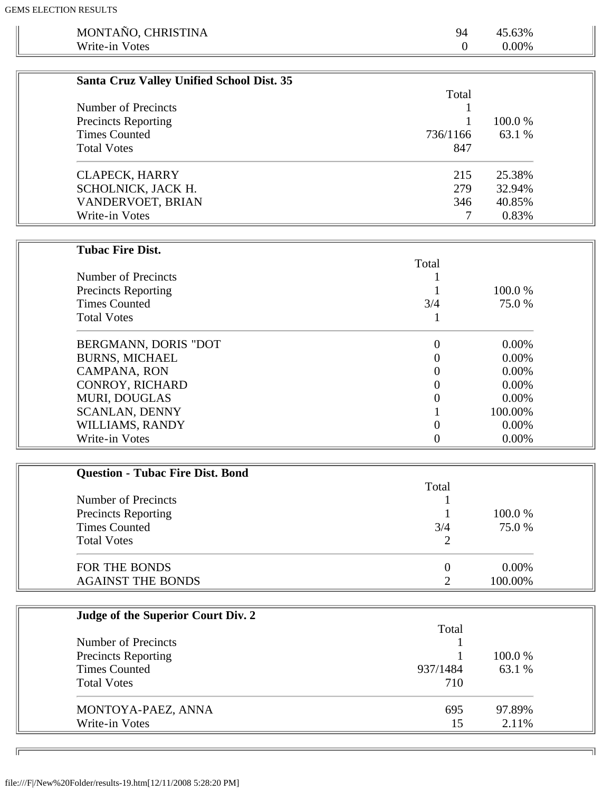| MONTAÑO, CHRISTINA                                 | 94               | 45.63%   |
|----------------------------------------------------|------------------|----------|
| Write-in Votes                                     | $\mathbf{0}$     | $0.00\%$ |
|                                                    |                  |          |
|                                                    |                  |          |
| Santa Cruz Valley Unified School Dist. 35          |                  |          |
|                                                    | Total            |          |
| Number of Precincts                                |                  |          |
| <b>Precincts Reporting</b>                         |                  | 100.0%   |
| <b>Times Counted</b>                               | 736/1166         | 63.1 %   |
| <b>Total Votes</b>                                 | 847              |          |
|                                                    |                  |          |
| <b>CLAPECK, HARRY</b>                              | 215              | 25.38%   |
| SCHOLNICK, JACK H.                                 | 279              | 32.94%   |
| VANDERVOET, BRIAN                                  | 346              | 40.85%   |
| Write-in Votes                                     | 7                | 0.83%    |
|                                                    |                  |          |
| <b>Tubac Fire Dist.</b>                            |                  |          |
|                                                    | Total            |          |
| Number of Precincts                                | 1                |          |
| <b>Precincts Reporting</b>                         |                  | 100.0%   |
| <b>Times Counted</b>                               | 3/4              | 75.0%    |
| <b>Total Votes</b>                                 | $\mathbf{1}$     |          |
|                                                    |                  |          |
| BERGMANN, DORIS "DOT                               | $\boldsymbol{0}$ | 0.00%    |
| <b>BURNS, MICHAEL</b>                              | 0                | 0.00%    |
| CAMPANA, RON                                       | 0                | 0.00%    |
| CONROY, RICHARD                                    | 0                | 0.00%    |
| MURI, DOUGLAS                                      | 0                | 0.00%    |
| <b>SCANLAN, DENNY</b>                              | 1                | 100.00%  |
| WILLIAMS, RANDY                                    | $\boldsymbol{0}$ | 0.00%    |
| Write-in Votes                                     | $\boldsymbol{0}$ | $0.00\%$ |
|                                                    |                  |          |
|                                                    |                  |          |
| <b>Question - Tubac Fire Dist. Bond</b>            | Total            |          |
| Number of Precincts                                |                  |          |
|                                                    |                  | 100.0%   |
| <b>Precincts Reporting</b><br><b>Times Counted</b> | 1<br>3/4         | 75.0%    |
|                                                    |                  |          |
| <b>Total Votes</b>                                 | $\overline{2}$   |          |
| FOR THE BONDS                                      | $\overline{0}$   | 0.00%    |
| <b>AGAINST THE BONDS</b>                           | $\overline{2}$   | 100.00%  |
|                                                    |                  |          |
|                                                    |                  |          |
| Judge of the Superior Court Div. 2                 |                  |          |
|                                                    | Total            |          |
| Number of Precincts                                |                  |          |
| <b>Precincts Reporting</b>                         |                  | 100.0%   |
| <b>Times Counted</b>                               | 937/1484         | 63.1 %   |
| <b>Total Votes</b>                                 | 710              |          |
|                                                    |                  |          |
| MONTOYA-PAEZ, ANNA                                 | 695              | 97.89%   |
| Write-in Votes                                     | 15               | 2.11%    |
|                                                    |                  |          |
|                                                    |                  |          |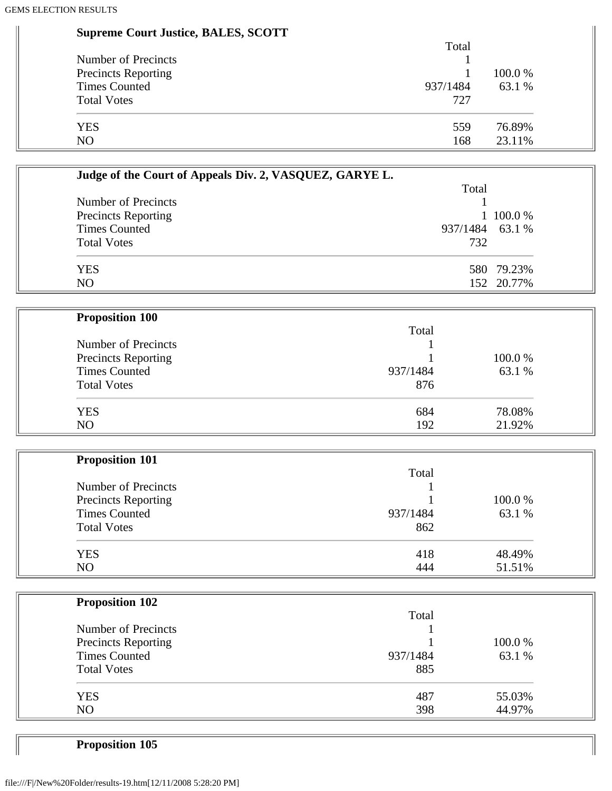| <b>Supreme Court Justice, BALES, SCOTT</b> |  |  |  |  |
|--------------------------------------------|--|--|--|--|
|--------------------------------------------|--|--|--|--|

|                            | Total    |         |
|----------------------------|----------|---------|
| Number of Precincts        |          | 100.0 % |
| <b>Precincts Reporting</b> |          |         |
| <b>Times Counted</b>       | 937/1484 | 63.1 %  |
| <b>Total Votes</b>         | 727      |         |
| <b>YES</b>                 | 559      | 76.89%  |
| NO                         | 168      | 23.11%  |

| Judge of the Court of Appeals Div. 2, VASQUEZ, GARYE L. |                 |            |
|---------------------------------------------------------|-----------------|------------|
|                                                         | Total           |            |
| Number of Precincts                                     |                 |            |
| <b>Precincts Reporting</b>                              |                 | 1 100.0 %  |
| <b>Times Counted</b>                                    | 937/1484 63.1 % |            |
| <b>Total Votes</b>                                      | 732             |            |
| YES                                                     |                 | 580 79.23% |
| NO                                                      |                 | 152 20.77% |

| <b>Proposition 100</b>     |          |         |
|----------------------------|----------|---------|
|                            | Total    |         |
| Number of Precincts        |          |         |
| <b>Precincts Reporting</b> |          | 100.0 % |
| <b>Times Counted</b>       | 937/1484 | 63.1 %  |
| <b>Total Votes</b>         | 876      |         |
| <b>YES</b>                 | 684      | 78.08%  |
| N <sub>O</sub>             | 192      | 21.92%  |

| <b>Proposition 101</b>     |          |        |
|----------------------------|----------|--------|
|                            | Total    |        |
| Number of Precincts        |          |        |
| <b>Precincts Reporting</b> |          | 100.0% |
| <b>Times Counted</b>       | 937/1484 | 63.1 % |
| <b>Total Votes</b>         | 862      |        |
| <b>YES</b>                 | 418      | 48.49% |
| NO.                        | 444      | 51.51% |

| <b>Proposition 102</b>     |          |        |
|----------------------------|----------|--------|
|                            | Total    |        |
| Number of Precincts        |          |        |
| <b>Precincts Reporting</b> |          | 100.0% |
| <b>Times Counted</b>       | 937/1484 | 63.1 % |
| <b>Total Votes</b>         | 885      |        |
| <b>YES</b>                 | 487      | 55.03% |
| N <sub>O</sub>             | 398      | 44.97% |

**Proposition 105**

Ш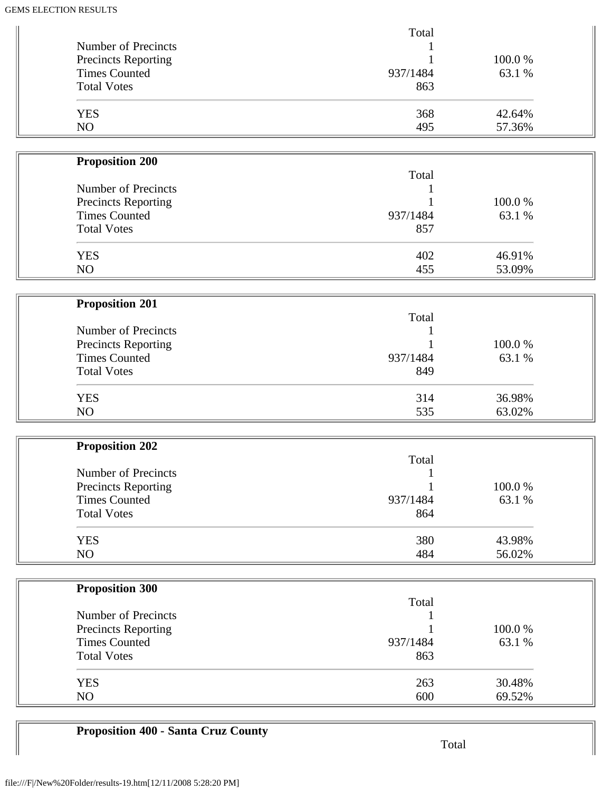| Number of Precincts        | Total        |        |  |
|----------------------------|--------------|--------|--|
| Precincts Reporting        |              | 100.0% |  |
| <b>Times Counted</b>       | 937/1484     | 63.1 % |  |
| <b>Total Votes</b>         | 863          |        |  |
| <b>YES</b>                 | 368          | 42.64% |  |
| NO                         | 495          | 57.36% |  |
| <b>Proposition 200</b>     |              |        |  |
|                            | Total        |        |  |
| Number of Precincts        |              |        |  |
| Precincts Reporting        |              | 100.0% |  |
| <b>Times Counted</b>       | 937/1484     | 63.1 % |  |
| <b>Total Votes</b>         | 857          |        |  |
| <b>YES</b>                 | 402          | 46.91% |  |
| NO                         | 455          | 53.09% |  |
|                            |              |        |  |
| <b>Proposition 201</b>     | Total        |        |  |
| Number of Precincts        |              |        |  |
| Precincts Reporting        |              | 100.0% |  |
| <b>Times Counted</b>       | 937/1484     | 63.1 % |  |
| <b>Total Votes</b>         | 849          |        |  |
| <b>YES</b>                 | 314          | 36.98% |  |
| NO                         | 535          | 63.02% |  |
|                            |              |        |  |
| <b>Proposition 202</b>     | Total        |        |  |
| Number of Precincts        | $\mathbf{1}$ |        |  |
| <b>Precincts Reporting</b> |              | 100.0% |  |
| <b>Times Counted</b>       | 937/1484     | 63.1 % |  |
| <b>Total Votes</b>         | 864          |        |  |
| <b>YES</b>                 | 380          | 43.98% |  |
| NO                         | 484          | 56.02% |  |
|                            |              |        |  |
| <b>Proposition 300</b>     |              |        |  |
|                            | Total        |        |  |
| Number of Precincts        |              |        |  |
| Precincts Reporting        |              | 100.0% |  |
| <b>Times Counted</b>       | 937/1484     | 63.1 % |  |
| <b>Total Votes</b>         | 863          |        |  |
| <b>YES</b>                 | 263          | 30.48% |  |
| NO                         | 600          | 69.52% |  |

## **Proposition 400 - Santa Cruz County**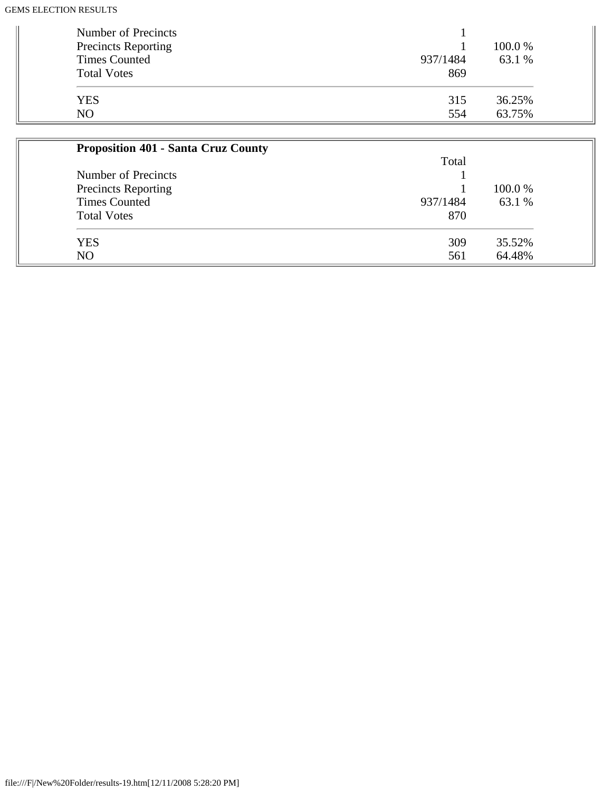| Number of Precincts<br>Precincts Reporting<br><b>Times Counted</b><br><b>Total Votes</b> | 937/1484<br>869 | 100.0 %<br>63.1 % |
|------------------------------------------------------------------------------------------|-----------------|-------------------|
| <b>YES</b>                                                                               | 315             | 36.25%            |
| NO.                                                                                      | 554             | 63.75%            |

| <b>Proposition 401 - Santa Cruz County</b> |          |         |
|--------------------------------------------|----------|---------|
|                                            | Total    |         |
| Number of Precincts                        |          |         |
| <b>Precincts Reporting</b>                 |          | 100.0 % |
| <b>Times Counted</b>                       | 937/1484 | 63.1 %  |
| <b>Total Votes</b>                         | 870      |         |
| <b>YES</b>                                 | 309      | 35.52%  |
| N <sub>O</sub>                             | 561      | 64.48%  |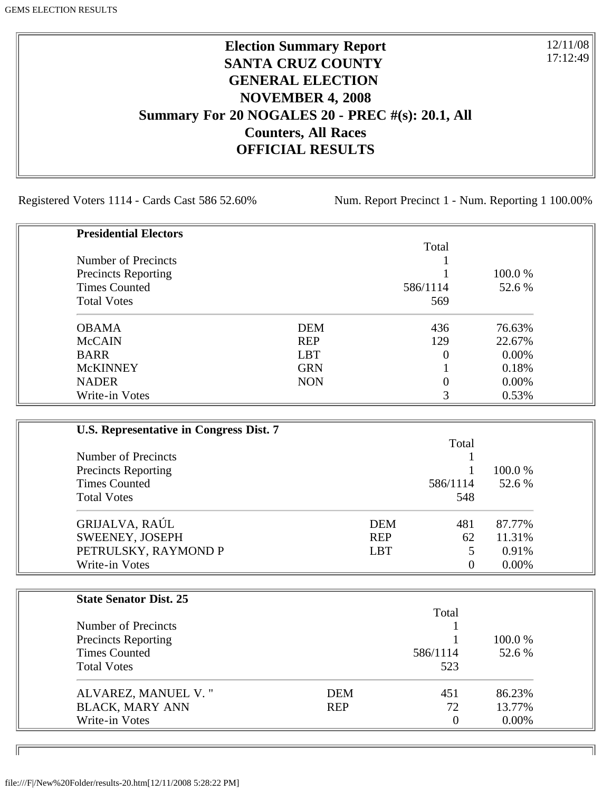## **Election Summary Report SANTA CRUZ COUNTY GENERAL ELECTION NOVEMBER 4, 2008 Summary For 20 NOGALES 20 - PREC #(s): 20.1, All Counters, All Races OFFICIAL RESULTS**

Registered Voters 1114 - Cards Cast 586 52.60% Num. Report Precinct 1 - Num. Reporting 1 100.00%

12/11/08 17:12:49

٦I

| <b>Presidential Electors</b> |            |          |         |
|------------------------------|------------|----------|---------|
|                              |            | Total    |         |
| Number of Precincts          |            |          |         |
| <b>Precincts Reporting</b>   |            |          | 100.0 % |
| <b>Times Counted</b>         |            | 586/1114 | 52.6 %  |
| <b>Total Votes</b>           |            | 569      |         |
| <b>OBAMA</b>                 | <b>DEM</b> | 436      | 76.63%  |
| <b>McCAIN</b>                | <b>REP</b> | 129      | 22.67%  |
| <b>BARR</b>                  | <b>LBT</b> | 0        | 0.00%   |
| <b>McKINNEY</b>              | <b>GRN</b> |          | 0.18%   |
| <b>NADER</b>                 | <b>NON</b> | 0        | 0.00%   |
| Write-in Votes               |            | 3        | 0.53%   |

| U.S. Representative in Congress Dist. 7 |            |          |          |
|-----------------------------------------|------------|----------|----------|
|                                         |            | Total    |          |
| Number of Precincts                     |            |          |          |
| <b>Precincts Reporting</b>              |            |          | 100.0 %  |
| <b>Times Counted</b>                    |            | 586/1114 | 52.6 %   |
| <b>Total Votes</b>                      |            | 548      |          |
| GRIJALVA, RAÚL                          | <b>DEM</b> | 481      | 87.77%   |
| SWEENEY, JOSEPH                         | <b>REP</b> | 62       | 11.31%   |
| PETRULSKY, RAYMOND P                    | <b>LBT</b> | 5        | 0.91%    |
| Write-in Votes                          |            | $\Omega$ | $0.00\%$ |

| <b>State Senator Dist. 25</b> |            |          |          |
|-------------------------------|------------|----------|----------|
|                               |            | Total    |          |
| Number of Precincts           |            |          |          |
| <b>Precincts Reporting</b>    |            |          | 100.0 %  |
| <b>Times Counted</b>          |            | 586/1114 | 52.6 %   |
| <b>Total Votes</b>            |            | 523      |          |
| ALVAREZ, MANUEL V."           | <b>DEM</b> | 451      | 86.23%   |
| <b>BLACK, MARY ANN</b>        | <b>REP</b> | 72       | 13.77%   |
| Write-in Votes                |            | $\theta$ | $0.00\%$ |

ID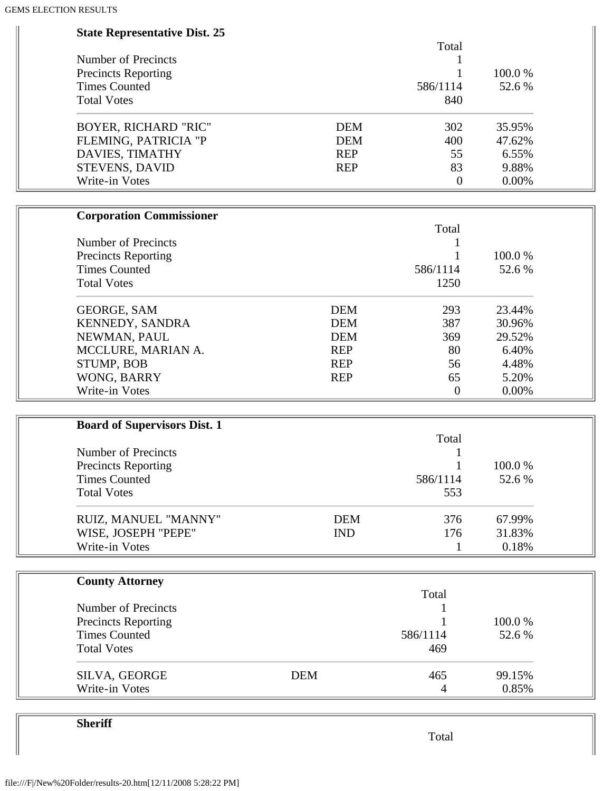| <b>State Representative Dist. 25</b> |            |                  |        |  |
|--------------------------------------|------------|------------------|--------|--|
|                                      |            | Total            |        |  |
| Number of Precincts                  |            | 1                |        |  |
| <b>Precincts Reporting</b>           |            | 1                | 100.0% |  |
| <b>Times Counted</b>                 |            | 586/1114         | 52.6 % |  |
| <b>Total Votes</b>                   |            | 840              |        |  |
| <b>BOYER, RICHARD "RIC"</b>          | <b>DEM</b> | 302              | 35.95% |  |
| FLEMING, PATRICIA "P                 | <b>DEM</b> | 400              | 47.62% |  |
| DAVIES, TIMATHY                      | <b>REP</b> | 55               | 6.55%  |  |
| STEVENS, DAVID                       | <b>REP</b> | 83               | 9.88%  |  |
| Write-in Votes                       |            | $\overline{0}$   | 0.00%  |  |
|                                      |            |                  |        |  |
| <b>Corporation Commissioner</b>      |            | Total            |        |  |
| Number of Precincts                  |            |                  |        |  |
| <b>Precincts Reporting</b>           |            | 1                | 100.0% |  |
| <b>Times Counted</b>                 |            | 586/1114         | 52.6 % |  |
| <b>Total Votes</b>                   |            | 1250             |        |  |
| <b>GEORGE, SAM</b>                   | <b>DEM</b> | 293              | 23.44% |  |
| KENNEDY, SANDRA                      | <b>DEM</b> | 387              | 30.96% |  |
| NEWMAN, PAUL                         | <b>DEM</b> | 369              | 29.52% |  |
| MCCLURE, MARIAN A.                   | <b>REP</b> | 80               | 6.40%  |  |
| STUMP, BOB                           | <b>REP</b> | 56               | 4.48%  |  |
| WONG, BARRY                          | <b>REP</b> | 65               | 5.20%  |  |
| Write-in Votes                       |            | $\boldsymbol{0}$ | 0.00%  |  |
|                                      |            |                  |        |  |
| <b>Board of Supervisors Dist. 1</b>  |            | Total            |        |  |
| <b>Number of Precincts</b>           |            |                  |        |  |
| <b>Precincts Reporting</b>           |            |                  | 100.0% |  |
| <b>Times Counted</b>                 |            | 586/1114         | 52.6 % |  |
| <b>Total Votes</b>                   |            | 553              |        |  |
|                                      |            |                  |        |  |
| RUIZ, MANUEL "MANNY"                 | <b>DEM</b> | 376              | 67.99% |  |
| WISE, JOSEPH "PEPE"                  | <b>IND</b> | 176              | 31.83% |  |
| Write-in Votes                       |            | 1                | 0.18%  |  |
|                                      |            |                  |        |  |
| <b>County Attorney</b>               |            | Total            |        |  |
| Number of Precincts                  |            |                  |        |  |
| <b>Precincts Reporting</b>           |            |                  | 100.0% |  |
| <b>Times Counted</b>                 |            | 586/1114         | 52.6 % |  |
| <b>Total Votes</b>                   |            | 469              |        |  |
| SILVA, GEORGE                        | <b>DEM</b> | 465              | 99.15% |  |
| Write-in Votes                       |            | 4                | 0.85%  |  |
|                                      |            |                  |        |  |

**Sheriff**

Total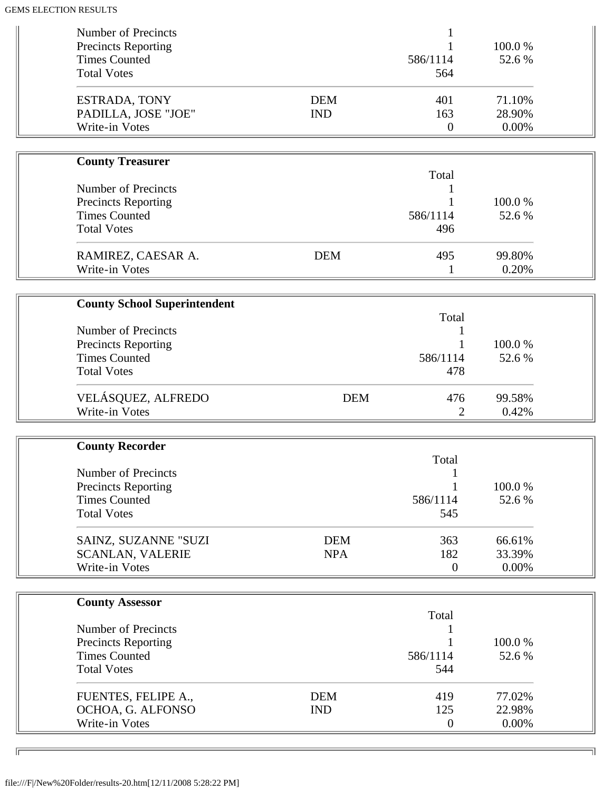| Number of Precincts                                |            |                         |                 |  |
|----------------------------------------------------|------------|-------------------------|-----------------|--|
| <b>Precincts Reporting</b>                         |            |                         | 100.0%          |  |
| <b>Times Counted</b><br><b>Total Votes</b>         |            | 586/1114                | 52.6 %          |  |
|                                                    |            | 564                     |                 |  |
| ESTRADA, TONY                                      | <b>DEM</b> | 401                     | 71.10%          |  |
| PADILLA, JOSE "JOE"                                | <b>IND</b> | 163                     | 28.90%          |  |
| Write-in Votes                                     |            | $\boldsymbol{0}$        | 0.00%           |  |
|                                                    |            |                         |                 |  |
| <b>County Treasurer</b>                            |            | Total                   |                 |  |
| <b>Number of Precincts</b>                         |            |                         |                 |  |
| <b>Precincts Reporting</b>                         |            |                         | 100.0%          |  |
| <b>Times Counted</b>                               |            | 586/1114                | 52.6 %          |  |
| <b>Total Votes</b>                                 |            | 496                     |                 |  |
|                                                    |            |                         |                 |  |
| RAMIREZ, CAESAR A.                                 | <b>DEM</b> | 495                     | 99.80%          |  |
| Write-in Votes                                     |            | 1                       | 0.20%           |  |
| <b>County School Superintendent</b>                |            |                         |                 |  |
|                                                    |            | Total                   |                 |  |
| <b>Number of Precincts</b>                         |            |                         |                 |  |
| <b>Precincts Reporting</b>                         |            |                         | 100.0%          |  |
| <b>Times Counted</b>                               |            | 586/1114                | 52.6 %          |  |
| <b>Total Votes</b>                                 |            | 478                     |                 |  |
| VELÁSQUEZ, ALFREDO                                 | <b>DEM</b> | 476                     | 99.58%          |  |
| Write-in Votes                                     |            | 2                       | 0.42%           |  |
|                                                    |            |                         |                 |  |
| <b>County Recorder</b>                             |            | Total                   |                 |  |
| Number of Precincts                                |            |                         |                 |  |
| <b>Precincts Reporting</b>                         |            |                         | 100.0%          |  |
| <b>Times Counted</b>                               |            | 586/1114                | 52.6 %          |  |
| <b>Total Votes</b>                                 |            | 545                     |                 |  |
|                                                    |            |                         |                 |  |
| SAINZ, SUZANNE "SUZI                               | <b>DEM</b> | 363                     | 66.61%          |  |
| <b>SCANLAN, VALERIE</b>                            | <b>NPA</b> | 182                     | 33.39%          |  |
|                                                    |            |                         |                 |  |
| Write-in Votes                                     |            | $\mathbf{0}$            | 0.00%           |  |
|                                                    |            |                         |                 |  |
| <b>County Assessor</b>                             |            |                         |                 |  |
| Number of Precincts                                |            | Total                   |                 |  |
|                                                    |            |                         | 100.0%          |  |
| <b>Precincts Reporting</b><br><b>Times Counted</b> |            | 586/1114                | 52.6 %          |  |
| <b>Total Votes</b>                                 |            | 544                     |                 |  |
|                                                    |            |                         |                 |  |
| FUENTES, FELIPE A.,                                | <b>DEM</b> | 419                     | 77.02%          |  |
| OCHOA, G. ALFONSO<br>Write-in Votes                | <b>IND</b> | 125<br>$\boldsymbol{0}$ | 22.98%<br>0.00% |  |

╗

 $\overline{\phantom{a}}$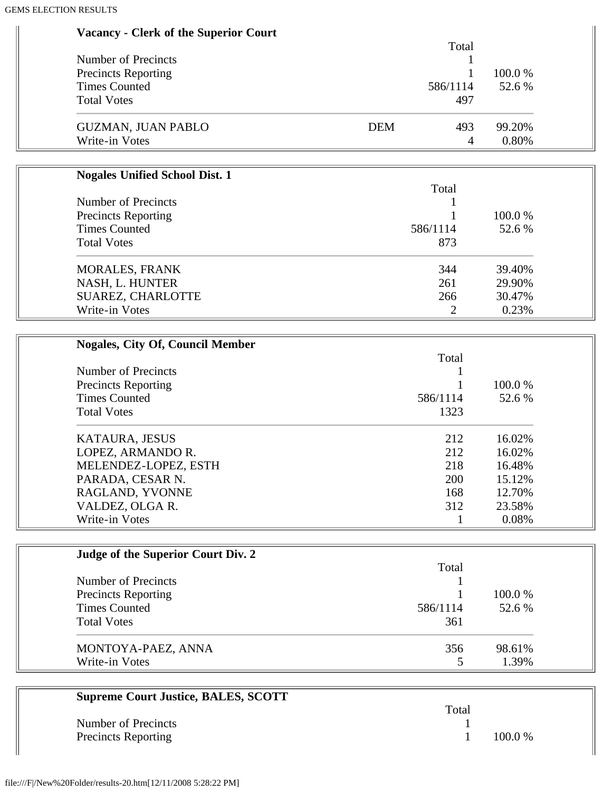| <b>Vacancy - Clerk of the Superior Court</b> |  |  |  |  |
|----------------------------------------------|--|--|--|--|
|----------------------------------------------|--|--|--|--|

|                            | Total             |         |
|----------------------------|-------------------|---------|
| Number of Precincts        |                   |         |
| <b>Precincts Reporting</b> |                   | 100.0 % |
| <b>Times Counted</b>       | 586/1114          | 52.6 %  |
| <b>Total Votes</b>         | 497               |         |
| <b>GUZMAN, JUAN PABLO</b>  | <b>DEM</b><br>493 | 99.20%  |
| Write-in Votes             | 4                 | 0.80%   |

| <b>Nogales Unified School Dist. 1</b> |          |         |
|---------------------------------------|----------|---------|
|                                       | Total    |         |
| Number of Precincts                   |          |         |
| <b>Precincts Reporting</b>            |          | 100.0 % |
| <b>Times Counted</b>                  | 586/1114 | 52.6 %  |
| <b>Total Votes</b>                    | 873      |         |
| <b>MORALES, FRANK</b>                 | 344      | 39.40%  |
| NASH, L. HUNTER                       | 261      | 29.90%  |
| SUAREZ, CHARLOTTE                     | 266      | 30.47%  |
| Write-in Votes                        |          | 0.23%   |

| <b>Nogales, City Of, Council Member</b> |            |         |
|-----------------------------------------|------------|---------|
|                                         | Total      |         |
| Number of Precincts                     |            |         |
| <b>Precincts Reporting</b>              |            | 100.0 % |
| <b>Times Counted</b>                    | 586/1114   | 52.6 %  |
| <b>Total Votes</b>                      | 1323       |         |
| KATAURA, JESUS                          | 212        | 16.02%  |
| LOPEZ, ARMANDO R.                       | 212        | 16.02%  |
| MELENDEZ-LOPEZ, ESTH                    | 218        | 16.48%  |
| PARADA, CESAR N.                        | <b>200</b> | 15.12%  |
| RAGLAND, YVONNE                         | 168        | 12.70%  |
| VALDEZ, OLGA R.                         | 312        | 23.58%  |
| Write-in Votes                          |            | 0.08%   |

| Judge of the Superior Court Div. 2 |          |         |
|------------------------------------|----------|---------|
|                                    | Total    |         |
| Number of Precincts                |          |         |
| <b>Precincts Reporting</b>         |          | 100.0 % |
| <b>Times Counted</b>               | 586/1114 | 52.6 %  |
| <b>Total Votes</b>                 | 361      |         |
| MONTOYA-PAEZ, ANNA                 | 356      | 98.61%  |
| Write-in Votes                     |          | 1.39%   |

| <b>Supreme Court Justice, BALES, SCOTT</b> |       |           |
|--------------------------------------------|-------|-----------|
|                                            | Total |           |
| Number of Precincts                        |       |           |
| <b>Precincts Reporting</b>                 |       | $100.0\%$ |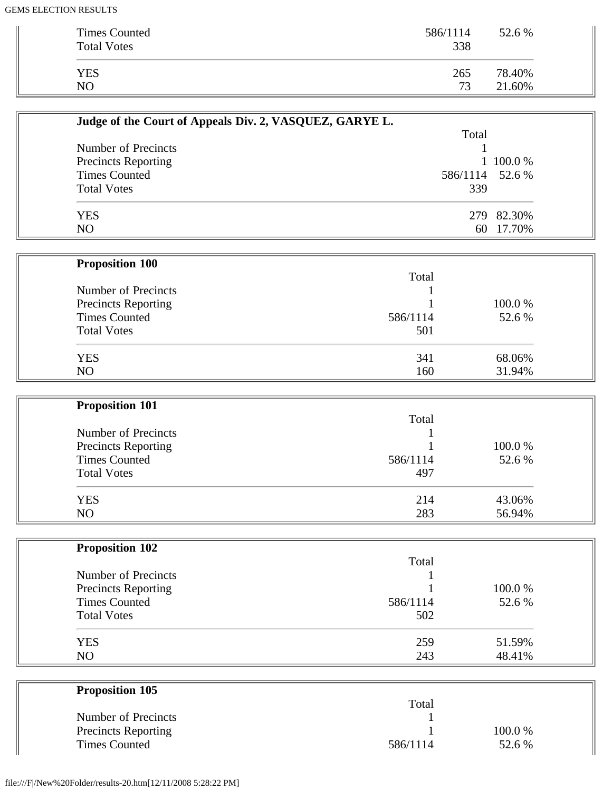| Times Counted<br><b>Total Votes</b> | 586/1114<br>338 | 52.6 % |
|-------------------------------------|-----------------|--------|
| <b>YES</b>                          | 265             | 78.40% |
| N <sub>O</sub>                      | 73              | 21.60% |

| Judge of the Court of Appeals Div. 2, VASQUEZ, GARYE L. |                 |            |
|---------------------------------------------------------|-----------------|------------|
|                                                         | Total           |            |
| Number of Precincts                                     |                 |            |
| <b>Precincts Reporting</b>                              |                 | 1 100.0 %  |
| <b>Times Counted</b>                                    | 586/1114 52.6 % |            |
| <b>Total Votes</b>                                      | 339             |            |
| <b>YES</b>                                              |                 | 279 82.30% |
| NO                                                      | 60              | 17.70%     |

| <b>Proposition 100</b>     |          |         |
|----------------------------|----------|---------|
|                            | Total    |         |
| Number of Precincts        |          |         |
| <b>Precincts Reporting</b> |          | 100.0 % |
| <b>Times Counted</b>       | 586/1114 | 52.6 %  |
| <b>Total Votes</b>         | 501      |         |
| <b>YES</b>                 | 341      | 68.06%  |
| N <sub>O</sub>             | 160      | 31.94%  |

| <b>Proposition 101</b>     |          |        |
|----------------------------|----------|--------|
|                            | Total    |        |
| Number of Precincts        |          |        |
| <b>Precincts Reporting</b> |          | 100.0% |
| <b>Times Counted</b>       | 586/1114 | 52.6 % |
| <b>Total Votes</b>         | 497      |        |
| <b>YES</b>                 | 214      | 43.06% |
| N <sub>O</sub>             | 283      | 56.94% |

| <b>Proposition 102</b>     |          |         |
|----------------------------|----------|---------|
|                            | Total    |         |
| Number of Precincts        |          |         |
| <b>Precincts Reporting</b> |          | 100.0 % |
| <b>Times Counted</b>       | 586/1114 | 52.6 %  |
| <b>Total Votes</b>         | 502      |         |
| <b>YES</b>                 | 259      | 51.59%  |
| N <sub>O</sub>             | 243      | 48.41%  |

| <b>Proposition 105</b>     |          |         |
|----------------------------|----------|---------|
|                            | Total    |         |
| Number of Precincts        |          |         |
| <b>Precincts Reporting</b> |          | 100.0 % |
| <b>Times Counted</b>       | 586/1114 | 52.6 %  |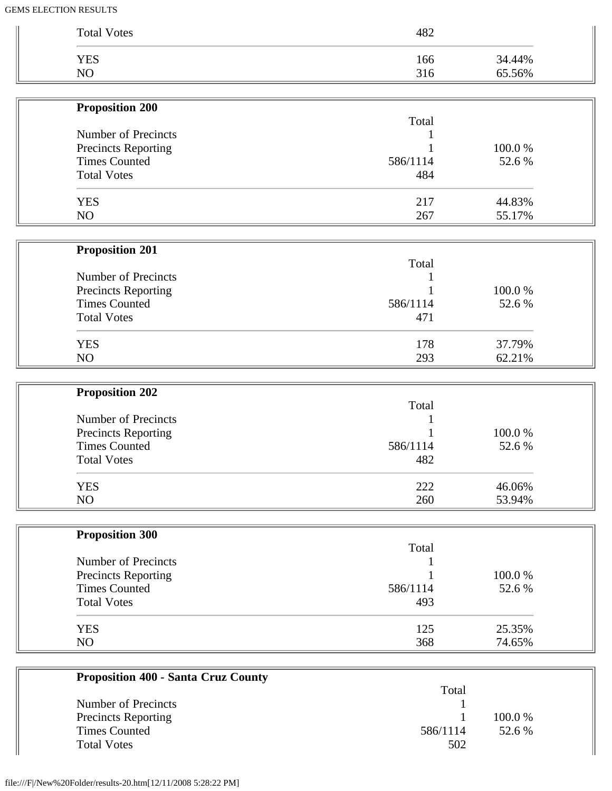| <b>Proposition 200</b><br>Number of Precincts<br><b>Precincts Reporting</b><br><b>Times Counted</b><br><b>Total Votes</b><br><b>YES</b><br>NO<br><b>Proposition 201</b><br>Number of Precincts<br>Precincts Reporting<br><b>Times Counted</b><br><b>Total Votes</b><br><b>YES</b><br>NO<br><b>Proposition 202</b><br>Number of Precincts<br>Precincts Reporting<br><b>Times Counted</b><br><b>Total Votes</b><br><b>YES</b> | Total<br>586/1114<br>484<br>217<br>267<br>Total<br>586/1114<br>471<br>178<br>293<br>Total |                                                                            |
|-----------------------------------------------------------------------------------------------------------------------------------------------------------------------------------------------------------------------------------------------------------------------------------------------------------------------------------------------------------------------------------------------------------------------------|-------------------------------------------------------------------------------------------|----------------------------------------------------------------------------|
|                                                                                                                                                                                                                                                                                                                                                                                                                             |                                                                                           |                                                                            |
|                                                                                                                                                                                                                                                                                                                                                                                                                             |                                                                                           | 100.0%<br>52.6%<br>44.83%<br>55.17%<br>100.0%<br>52.6%<br>37.79%<br>62.21% |
|                                                                                                                                                                                                                                                                                                                                                                                                                             |                                                                                           |                                                                            |
|                                                                                                                                                                                                                                                                                                                                                                                                                             |                                                                                           |                                                                            |
|                                                                                                                                                                                                                                                                                                                                                                                                                             |                                                                                           |                                                                            |
|                                                                                                                                                                                                                                                                                                                                                                                                                             |                                                                                           |                                                                            |
|                                                                                                                                                                                                                                                                                                                                                                                                                             |                                                                                           |                                                                            |
|                                                                                                                                                                                                                                                                                                                                                                                                                             |                                                                                           |                                                                            |
|                                                                                                                                                                                                                                                                                                                                                                                                                             |                                                                                           |                                                                            |
|                                                                                                                                                                                                                                                                                                                                                                                                                             |                                                                                           |                                                                            |
|                                                                                                                                                                                                                                                                                                                                                                                                                             |                                                                                           |                                                                            |
|                                                                                                                                                                                                                                                                                                                                                                                                                             |                                                                                           |                                                                            |
|                                                                                                                                                                                                                                                                                                                                                                                                                             |                                                                                           |                                                                            |
|                                                                                                                                                                                                                                                                                                                                                                                                                             |                                                                                           |                                                                            |
|                                                                                                                                                                                                                                                                                                                                                                                                                             |                                                                                           |                                                                            |
|                                                                                                                                                                                                                                                                                                                                                                                                                             |                                                                                           |                                                                            |
|                                                                                                                                                                                                                                                                                                                                                                                                                             |                                                                                           |                                                                            |
|                                                                                                                                                                                                                                                                                                                                                                                                                             |                                                                                           |                                                                            |
|                                                                                                                                                                                                                                                                                                                                                                                                                             |                                                                                           |                                                                            |
|                                                                                                                                                                                                                                                                                                                                                                                                                             |                                                                                           | 100.0%                                                                     |
|                                                                                                                                                                                                                                                                                                                                                                                                                             | 586/1114                                                                                  | 52.6 %                                                                     |
|                                                                                                                                                                                                                                                                                                                                                                                                                             | 482                                                                                       |                                                                            |
|                                                                                                                                                                                                                                                                                                                                                                                                                             | 222                                                                                       | 46.06%                                                                     |
| NO                                                                                                                                                                                                                                                                                                                                                                                                                          | 260                                                                                       | 53.94%                                                                     |
| <b>Proposition 300</b>                                                                                                                                                                                                                                                                                                                                                                                                      |                                                                                           |                                                                            |
|                                                                                                                                                                                                                                                                                                                                                                                                                             | Total                                                                                     |                                                                            |
| Number of Precincts                                                                                                                                                                                                                                                                                                                                                                                                         |                                                                                           |                                                                            |
| <b>Precincts Reporting</b>                                                                                                                                                                                                                                                                                                                                                                                                  |                                                                                           | 100.0%                                                                     |
| <b>Times Counted</b>                                                                                                                                                                                                                                                                                                                                                                                                        | 586/1114                                                                                  | 52.6%                                                                      |
| <b>Total Votes</b>                                                                                                                                                                                                                                                                                                                                                                                                          | 493                                                                                       |                                                                            |
| <b>YES</b><br>NO                                                                                                                                                                                                                                                                                                                                                                                                            | 125<br>368                                                                                | 25.35%                                                                     |

| Total    |         |
|----------|---------|
|          |         |
|          | 100.0 % |
| 586/1114 | 52.6 %  |
| 502      |         |
|          |         |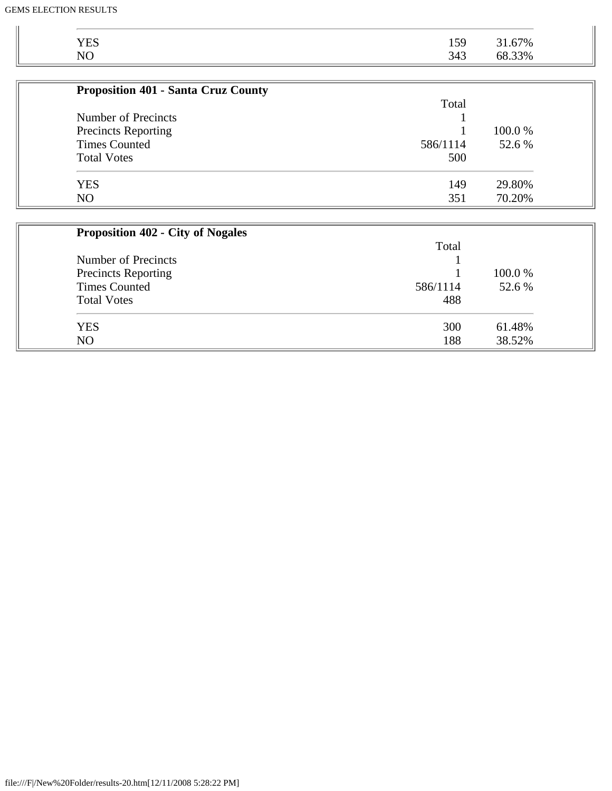| <b>YES</b><br>31.67%<br>50<br>1 J J<br>N <sub>O</sub><br>33%<br>343<br>oð |
|---------------------------------------------------------------------------|
|---------------------------------------------------------------------------|

| <b>Proposition 401 - Santa Cruz County</b> |          |         |
|--------------------------------------------|----------|---------|
|                                            | Total    |         |
| Number of Precincts                        |          |         |
| <b>Precincts Reporting</b>                 |          | 100.0 % |
| <b>Times Counted</b>                       | 586/1114 | 52.6 %  |
| <b>Total Votes</b>                         | 500      |         |
| <b>YES</b>                                 | 149      | 29.80%  |
| N <sub>O</sub>                             | 351      | 70.20%  |

| <b>Proposition 402 - City of Nogales</b> |          |         |  |
|------------------------------------------|----------|---------|--|
|                                          | Total    |         |  |
| Number of Precincts                      |          |         |  |
| <b>Precincts Reporting</b>               |          | 100.0 % |  |
| <b>Times Counted</b>                     | 586/1114 | 52.6 %  |  |
| <b>Total Votes</b>                       | 488      |         |  |
| <b>YES</b>                               | 300      | 61.48%  |  |
| NO                                       | 188      | 38.52%  |  |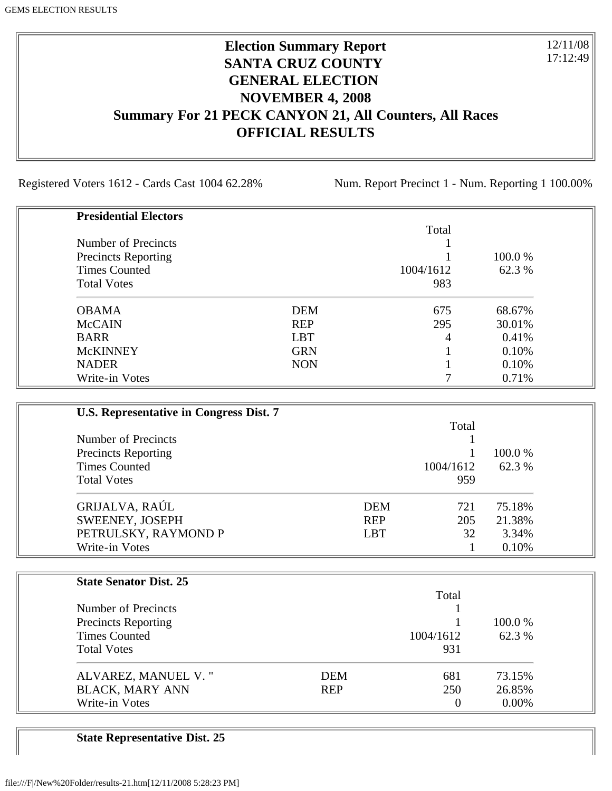## **Election Summary Report SANTA CRUZ COUNTY GENERAL ELECTION NOVEMBER 4, 2008 Summary For 21 PECK CANYON 21, All Counters, All Races OFFICIAL RESULTS**

Registered Voters 1612 - Cards Cast 1004 62.28% Num. Report Precinct 1 - Num. Reporting 1 100.00%

12/11/08 17:12:49

| <b>Presidential Electors</b> |            |           |         |
|------------------------------|------------|-----------|---------|
|                              |            | Total     |         |
| Number of Precincts          |            |           |         |
| <b>Precincts Reporting</b>   |            |           | 100.0 % |
| <b>Times Counted</b>         |            | 1004/1612 | 62.3 %  |
| <b>Total Votes</b>           |            | 983       |         |
| <b>OBAMA</b>                 | <b>DEM</b> | 675       | 68.67%  |
| <b>McCAIN</b>                | <b>REP</b> | 295       | 30.01%  |
| <b>BARR</b>                  | <b>LBT</b> | 4         | 0.41%   |
| <b>McKINNEY</b>              | <b>GRN</b> |           | 0.10%   |
| <b>NADER</b>                 | <b>NON</b> |           | 0.10%   |
| Write-in Votes               |            |           | 0.71%   |

| U.S. Representative in Congress Dist. 7 |            |           |         |
|-----------------------------------------|------------|-----------|---------|
|                                         |            | Total     |         |
| Number of Precincts                     |            |           |         |
| <b>Precincts Reporting</b>              |            |           | 100.0 % |
| <b>Times Counted</b>                    |            | 1004/1612 | 62.3 %  |
| <b>Total Votes</b>                      |            | 959       |         |
| GRIJALVA, RAÚL                          | <b>DEM</b> | 721       | 75.18%  |
| SWEENEY, JOSEPH                         | <b>REP</b> | 205       | 21.38%  |
| PETRULSKY, RAYMOND P                    | <b>LBT</b> | 32        | 3.34%   |
| Write-in Votes                          |            |           | 0.10%   |

| <b>State Senator Dist. 25</b> |            |           |         |
|-------------------------------|------------|-----------|---------|
|                               |            | Total     |         |
| Number of Precincts           |            |           |         |
| <b>Precincts Reporting</b>    |            |           | 100.0 % |
| <b>Times Counted</b>          |            | 1004/1612 | 62.3 %  |
| <b>Total Votes</b>            |            | 931       |         |
| ALVAREZ, MANUEL V."           | <b>DEM</b> | 681       | 73.15%  |
| <b>BLACK, MARY ANN</b>        | <b>REP</b> | 250       | 26.85%  |
| Write-in Votes                |            | 0         | 0.00%   |

**State Representative Dist. 25**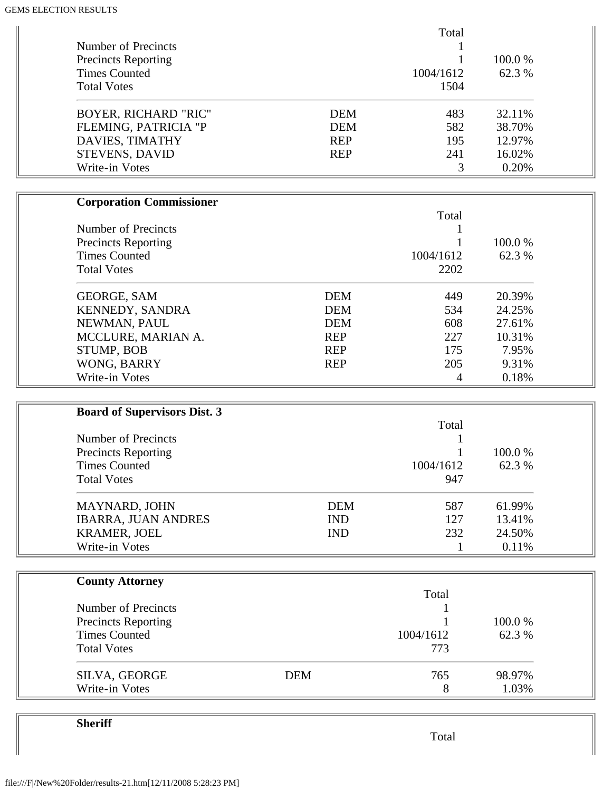| Number of Precincts<br><b>Precincts Reporting</b><br><b>Times Counted</b><br><b>Total Votes</b> |            | Total<br>1004/1612<br>1504 | 100.0%<br>62.3% |  |
|-------------------------------------------------------------------------------------------------|------------|----------------------------|-----------------|--|
| <b>BOYER, RICHARD "RIC"</b>                                                                     | <b>DEM</b> | 483                        | 32.11%          |  |
| FLEMING, PATRICIA "P                                                                            | <b>DEM</b> | 582                        | 38.70%          |  |
| DAVIES, TIMATHY                                                                                 | <b>REP</b> | 195                        | 12.97%          |  |
| STEVENS, DAVID<br>Write-in Votes                                                                | <b>REP</b> | 241<br>3                   | 16.02%<br>0.20% |  |
|                                                                                                 |            |                            |                 |  |
| <b>Corporation Commissioner</b>                                                                 |            |                            |                 |  |
|                                                                                                 |            | Total                      |                 |  |
| Number of Precincts                                                                             |            |                            |                 |  |
| <b>Precincts Reporting</b>                                                                      |            |                            | 100.0%          |  |
| <b>Times Counted</b>                                                                            |            | 1004/1612                  | 62.3 %          |  |
| <b>Total Votes</b>                                                                              |            | 2202                       |                 |  |
| <b>GEORGE, SAM</b>                                                                              | <b>DEM</b> | 449                        | 20.39%          |  |
| KENNEDY, SANDRA                                                                                 | <b>DEM</b> | 534                        | 24.25%          |  |
| NEWMAN, PAUL                                                                                    | <b>DEM</b> | 608                        | 27.61%          |  |
| MCCLURE, MARIAN A.                                                                              | <b>REP</b> | 227                        | 10.31%          |  |
| <b>STUMP, BOB</b>                                                                               | <b>REP</b> | 175                        | 7.95%           |  |
| WONG, BARRY                                                                                     | <b>REP</b> | 205                        | 9.31%           |  |
| Write-in Votes                                                                                  |            | 4                          | 0.18%           |  |
|                                                                                                 |            |                            |                 |  |
| <b>Board of Supervisors Dist. 3</b>                                                             |            | Total                      |                 |  |
| Number of Precincts                                                                             |            |                            |                 |  |
| <b>Precincts Reporting</b>                                                                      |            |                            | 100.0%          |  |
| <b>Times Counted</b>                                                                            |            | 1004/1612                  | 62.3 %          |  |
| <b>Total Votes</b>                                                                              |            | 947                        |                 |  |
| MAYNARD, JOHN                                                                                   | <b>DEM</b> | 587                        | 61.99%          |  |
| <b>IBARRA, JUAN ANDRES</b>                                                                      | <b>IND</b> | 127                        | 13.41%          |  |
| KRAMER, JOEL                                                                                    | <b>IND</b> | 232                        | 24.50%          |  |
| Write-in Votes                                                                                  |            | 1                          | 0.11%           |  |
|                                                                                                 |            |                            |                 |  |
| <b>County Attorney</b>                                                                          |            |                            |                 |  |
| Number of Precincts                                                                             |            | Total                      |                 |  |
|                                                                                                 |            |                            | 100.0%          |  |
| <b>Precincts Reporting</b><br><b>Times Counted</b>                                              |            | 1004/1612                  | 62.3 %          |  |
| <b>Total Votes</b>                                                                              |            | 773                        |                 |  |
| SILVA, GEORGE                                                                                   | <b>DEM</b> | 765                        | 98.97%          |  |
| Write-in Votes                                                                                  |            | 8                          | 1.03%           |  |

Total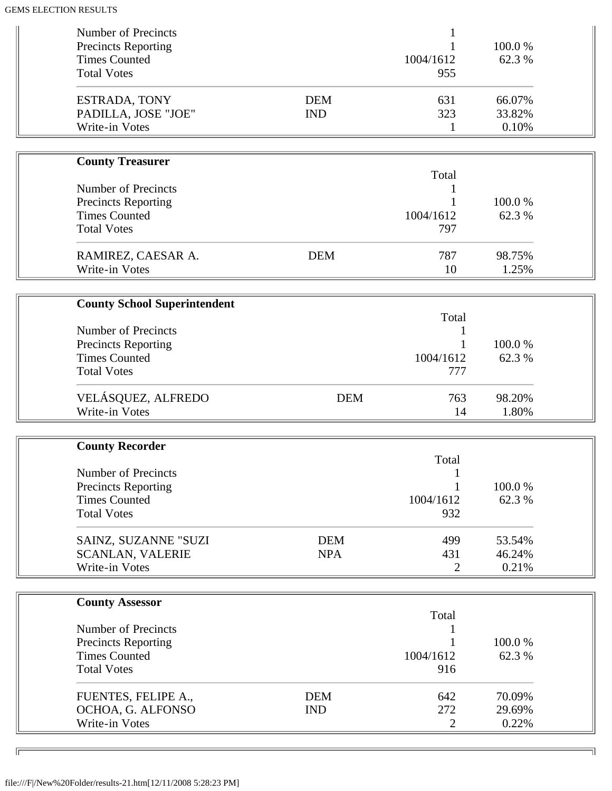| Number of Precincts<br><b>Precincts Reporting</b><br><b>Times Counted</b><br><b>Total Votes</b>                                   |                          | 1004/1612<br>955             | 100.0%<br>62.3 %          |  |
|-----------------------------------------------------------------------------------------------------------------------------------|--------------------------|------------------------------|---------------------------|--|
| <b>ESTRADA, TONY</b><br>PADILLA, JOSE "JOE"<br>Write-in Votes                                                                     | <b>DEM</b><br><b>IND</b> | 631<br>323<br>1              | 66.07%<br>33.82%<br>0.10% |  |
|                                                                                                                                   |                          |                              |                           |  |
| <b>County Treasurer</b><br><b>Number of Precincts</b><br><b>Precincts Reporting</b><br><b>Times Counted</b><br><b>Total Votes</b> |                          | Total<br>1004/1612<br>797    | 100.0%<br>62.3 %          |  |
| RAMIREZ, CAESAR A.<br>Write-in Votes                                                                                              | <b>DEM</b>               | 787<br>10                    | 98.75%<br>1.25%           |  |
|                                                                                                                                   |                          |                              |                           |  |
| <b>County School Superintendent</b><br><b>Number of Precincts</b><br><b>Precincts Reporting</b><br><b>Times Counted</b>           |                          | Total<br>1<br>1004/1612      | 100.0%<br>62.3%           |  |
| <b>Total Votes</b><br>VELÁSQUEZ, ALFREDO<br>Write-in Votes                                                                        | <b>DEM</b>               | 777<br>763<br>14             | 98.20%<br>1.80%           |  |
|                                                                                                                                   |                          |                              |                           |  |
| <b>County Recorder</b><br><b>Number of Precincts</b><br><b>Precincts Reporting</b><br><b>Times Counted</b><br><b>Total Votes</b>  |                          | Total<br>1004/1612<br>932    | 100.0%<br>62.3 %          |  |
| SAINZ, SUZANNE "SUZI<br><b>SCANLAN, VALERIE</b><br>Write-in Votes                                                                 | <b>DEM</b><br><b>NPA</b> | 499<br>431<br>2              | 53.54%<br>46.24%<br>0.21% |  |
| <b>County Assessor</b>                                                                                                            |                          | Total                        |                           |  |
| <b>Number of Precincts</b><br><b>Precincts Reporting</b><br><b>Times Counted</b><br><b>Total Votes</b>                            |                          | 1004/1612<br>916             | 100.0%<br>62.3 %          |  |
| FUENTES, FELIPE A.,<br>OCHOA, G. ALFONSO<br>Write-in Votes                                                                        | <b>DEM</b><br><b>IND</b> | 642<br>272<br>$\overline{2}$ | 70.09%<br>29.69%<br>0.22% |  |

╗

 $\overline{\phantom{a}}$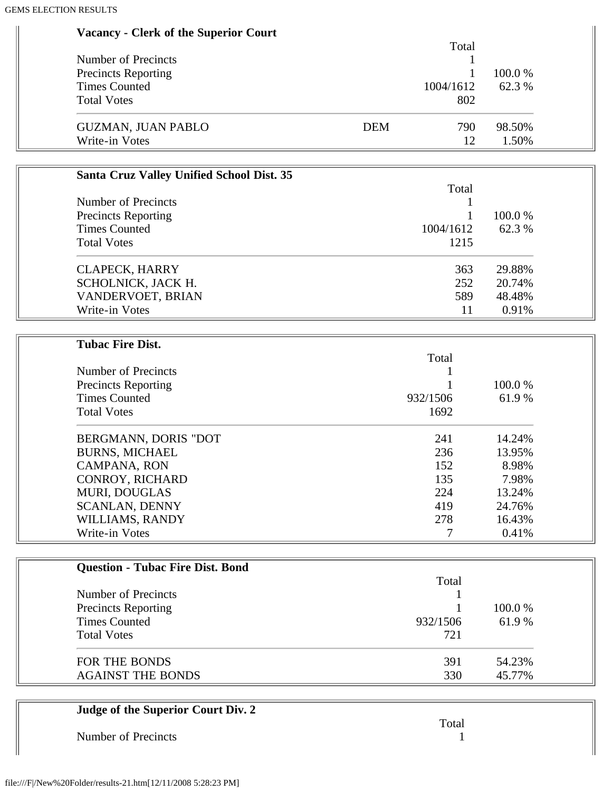| <b>Vacancy - Clerk of the Superior Court</b> |  |  |  |  |
|----------------------------------------------|--|--|--|--|
|----------------------------------------------|--|--|--|--|

|                            |            | Total     |           |
|----------------------------|------------|-----------|-----------|
| Number of Precincts        |            |           |           |
| <b>Precincts Reporting</b> |            |           | $100.0\%$ |
| <b>Times Counted</b>       |            | 1004/1612 | 62.3 %    |
| <b>Total Votes</b>         |            | 802       |           |
| <b>GUZMAN, JUAN PABLO</b>  | <b>DEM</b> | 790       | 98.50%    |
| Write-in Votes             |            | 12        | 1.50%     |

| <b>Santa Cruz Valley Unified School Dist. 35</b> |           |         |
|--------------------------------------------------|-----------|---------|
|                                                  | Total     |         |
| Number of Precincts                              |           |         |
| <b>Precincts Reporting</b>                       |           | 100.0 % |
| <b>Times Counted</b>                             | 1004/1612 | 62.3 %  |
| <b>Total Votes</b>                               | 1215      |         |
| <b>CLAPECK, HARRY</b>                            | 363       | 29.88%  |
| SCHOLNICK, JACK H.                               | 252       | 20.74%  |
| VANDERVOET, BRIAN                                | 589       | 48.48%  |
| Write-in Votes                                   | 11        | 0.91%   |

| <b>Tubac Fire Dist.</b>    |          |        |
|----------------------------|----------|--------|
|                            | Total    |        |
| Number of Precincts        |          |        |
| <b>Precincts Reporting</b> |          | 100.0% |
| <b>Times Counted</b>       | 932/1506 | 61.9 % |
| <b>Total Votes</b>         | 1692     |        |
| BERGMANN, DORIS "DOT       | 241      | 14.24% |
| <b>BURNS, MICHAEL</b>      | 236      | 13.95% |
| <b>CAMPANA, RON</b>        | 152      | 8.98%  |
| CONROY, RICHARD            | 135      | 7.98%  |
| <b>MURI, DOUGLAS</b>       | 224      | 13.24% |
| <b>SCANLAN, DENNY</b>      | 419      | 24.76% |
| WILLIAMS, RANDY            | 278      | 16.43% |
| Write-in Votes             |          | 0.41%  |

| <b>Question - Tubac Fire Dist. Bond</b> |          |         |
|-----------------------------------------|----------|---------|
|                                         | Total    |         |
| Number of Precincts                     |          |         |
| <b>Precincts Reporting</b>              |          | 100.0 % |
| <b>Times Counted</b>                    | 932/1506 | 61.9%   |
| <b>Total Votes</b>                      | 721      |         |
| FOR THE BONDS                           | 391      | 54.23%  |
| <b>AGAINST THE BONDS</b>                | 330      | 45.77%  |

| Judge of the Superior Court Div. 2 |       |
|------------------------------------|-------|
|                                    | Total |
| Number of Precincts                |       |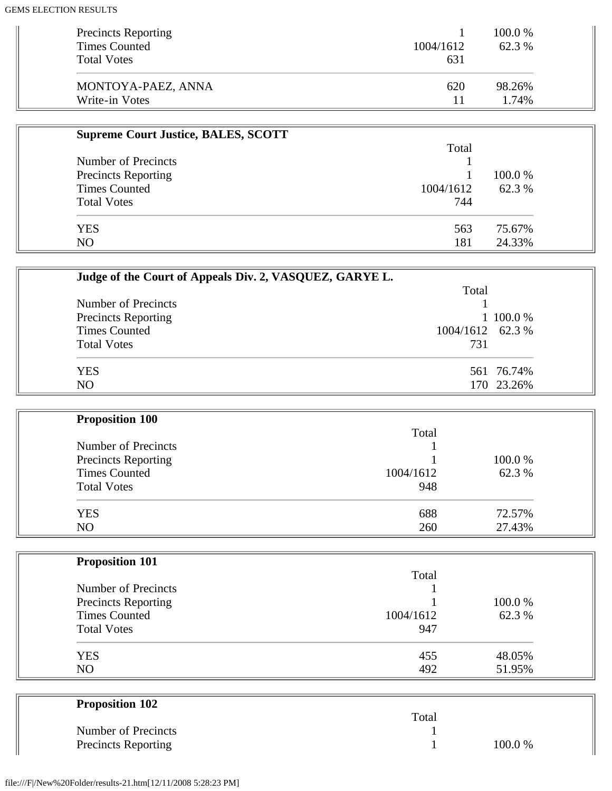| <b>Precincts Reporting</b> |           | 100.0 % |
|----------------------------|-----------|---------|
| <b>Times Counted</b>       | 1004/1612 | 62.3 %  |
| <b>Total Votes</b>         | 631       |         |
| MONTOYA-PAEZ, ANNA         | 620       | 98.26%  |
| Write-in Votes             | 11        | 1.74%   |

| <b>Supreme Court Justice, BALES, SCOTT</b> |           |         |
|--------------------------------------------|-----------|---------|
|                                            | Total     |         |
| Number of Precincts                        |           |         |
| <b>Precincts Reporting</b>                 |           | 100.0 % |
| <b>Times Counted</b>                       | 1004/1612 | 62.3 %  |
| <b>Total Votes</b>                         | 744       |         |
| <b>YES</b>                                 | 563       | 75.67%  |
| NO.                                        | 181       | 24.33%  |

| Judge of the Court of Appeals Div. 2, VASQUEZ, GARYE L. |                  |  |
|---------------------------------------------------------|------------------|--|
|                                                         | Total            |  |
| Number of Precincts                                     |                  |  |
| <b>Precincts Reporting</b>                              | 1 100.0 %        |  |
| <b>Times Counted</b>                                    | 1004/1612 62.3 % |  |
| <b>Total Votes</b>                                      | 731              |  |
| <b>YES</b>                                              | 561 76.74%       |  |
| N <sub>O</sub>                                          | 170 23.26%       |  |

| <b>Proposition 100</b> |           |         |
|------------------------|-----------|---------|
|                        | Total     |         |
| Number of Precincts    |           |         |
| Precincts Reporting    |           | 100.0 % |
| <b>Times Counted</b>   | 1004/1612 | 62.3 %  |
| <b>Total Votes</b>     | 948       |         |
| <b>YES</b>             | 688       | 72.57%  |
| NO                     | 260       | 27.43%  |

| <b>Proposition 101</b>     |           |        |
|----------------------------|-----------|--------|
|                            | Total     |        |
| Number of Precincts        |           |        |
| <b>Precincts Reporting</b> |           | 100.0% |
| <b>Times Counted</b>       | 1004/1612 | 62.3 % |
| <b>Total Votes</b>         | 947       |        |
| <b>YES</b>                 | 455       | 48.05% |
| N <sub>O</sub>             | 492       | 51.95% |

| <b>Proposition 102</b> |       |        |
|------------------------|-------|--------|
|                        | Total |        |
| Number of Precincts    |       |        |
| Precincts Reporting    |       | 100.0% |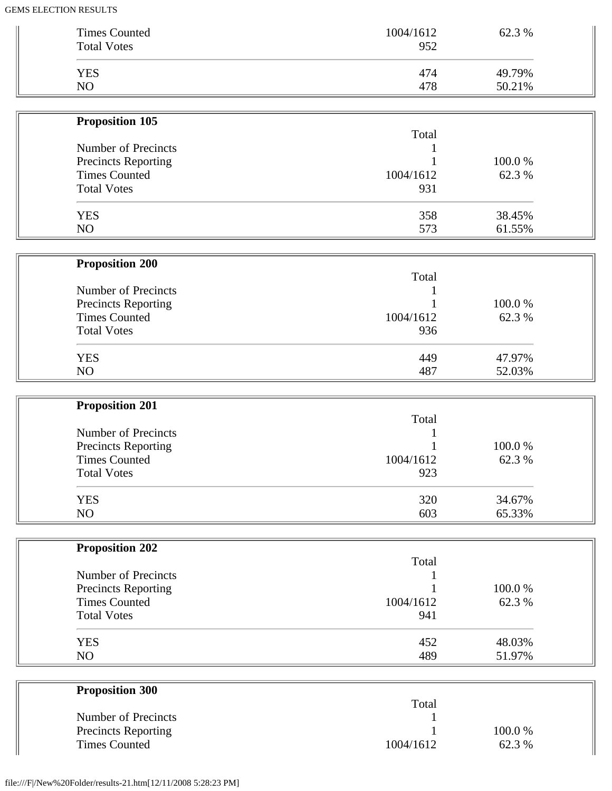| <b>Times Counted</b>                               | 1004/1612        | 62.3 %           |  |
|----------------------------------------------------|------------------|------------------|--|
| <b>Total Votes</b>                                 | 952              |                  |  |
| <b>YES</b>                                         | 474              | 49.79%           |  |
| NO                                                 | 478              | 50.21%           |  |
| <b>Proposition 105</b>                             |                  |                  |  |
|                                                    | Total            |                  |  |
| Number of Precincts                                |                  |                  |  |
| <b>Precincts Reporting</b>                         |                  | 100.0%           |  |
| <b>Times Counted</b><br><b>Total Votes</b>         | 1004/1612<br>931 | 62.3 %           |  |
|                                                    |                  |                  |  |
| <b>YES</b>                                         | 358              | 38.45%           |  |
| NO                                                 | 573              | 61.55%           |  |
| <b>Proposition 200</b>                             |                  |                  |  |
|                                                    | Total            |                  |  |
| Number of Precincts                                |                  |                  |  |
| Precincts Reporting                                |                  | 100.0%           |  |
| <b>Times Counted</b>                               | 1004/1612        | 62.3 %           |  |
| <b>Total Votes</b>                                 | 936              |                  |  |
| <b>YES</b>                                         | 449              | 47.97%           |  |
| N <sub>O</sub>                                     | 487              | 52.03%           |  |
|                                                    |                  |                  |  |
| <b>Proposition 201</b>                             | Total            |                  |  |
| Number of Precincts                                |                  |                  |  |
| Precincts Reporting                                |                  | 100.0%           |  |
| <b>Times Counted</b>                               | 1004/1612        | 62.3%            |  |
| <b>Total Votes</b>                                 | 923              |                  |  |
| <b>YES</b>                                         | 320              | 34.67%           |  |
| NO                                                 | 603              | 65.33%           |  |
|                                                    |                  |                  |  |
| <b>Proposition 202</b>                             |                  |                  |  |
|                                                    | Total            |                  |  |
| Number of Precincts                                |                  |                  |  |
| <b>Precincts Reporting</b><br><b>Times Counted</b> | 1004/1612        | 100.0%<br>62.3 % |  |
| <b>Total Votes</b>                                 | 941              |                  |  |
|                                                    |                  |                  |  |
| <b>YES</b>                                         | 452              | 48.03%           |  |
| NO                                                 | 489              | 51.97%           |  |
|                                                    |                  |                  |  |
| <b>Proposition 300</b>                             | Total            |                  |  |
|                                                    |                  |                  |  |
| Number of Precincts                                |                  |                  |  |
| <b>Precincts Reporting</b>                         |                  | 100.0%           |  |

 $\mathcal{L}^{\text{max}}_{\text{max}}$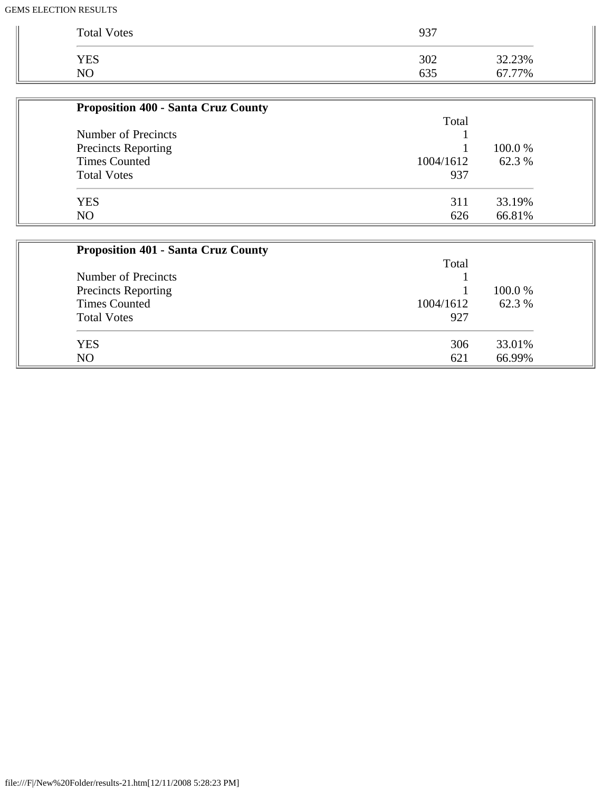| <b>Total Votes</b> | 937 |        |
|--------------------|-----|--------|
| YES                | 302 | 32.23% |
| NΟ                 | 635 | 67.77% |

| <b>Proposition 400 - Santa Cruz County</b> |           |         |
|--------------------------------------------|-----------|---------|
|                                            | Total     |         |
| Number of Precincts                        |           |         |
| <b>Precincts Reporting</b>                 |           | 100.0 % |
| <b>Times Counted</b>                       | 1004/1612 | 62.3 %  |
| <b>Total Votes</b>                         | 937       |         |
| <b>YES</b>                                 | 311       | 33.19%  |
| NO                                         | 626       | 66.81%  |

| <b>Proposition 401 - Santa Cruz County</b> |           |         |
|--------------------------------------------|-----------|---------|
|                                            | Total     |         |
| Number of Precincts                        |           |         |
| <b>Precincts Reporting</b>                 |           | 100.0 % |
| <b>Times Counted</b>                       | 1004/1612 | 62.3 %  |
| <b>Total Votes</b>                         | 927       |         |
| <b>YES</b>                                 | 306       | 33.01%  |
| N <sub>O</sub>                             | 621       | 66.99%  |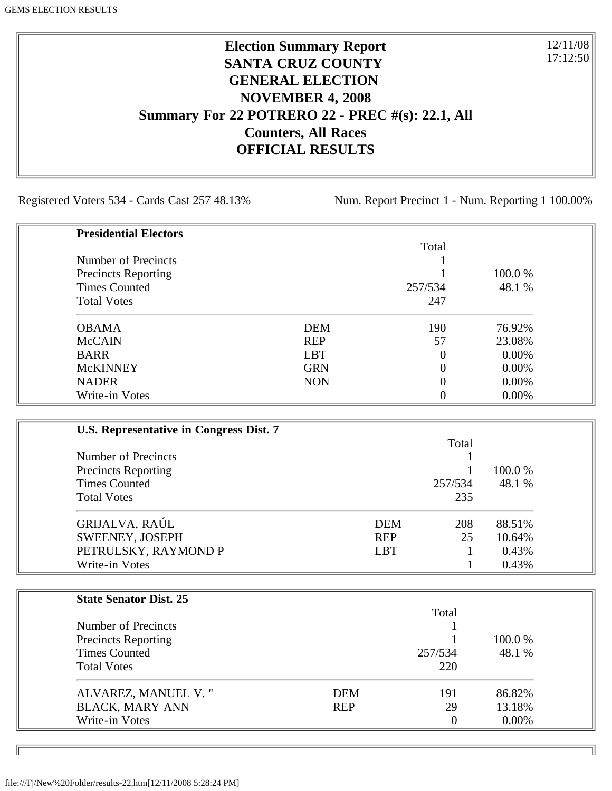## **Election Summary Report SANTA CRUZ COUNTY GENERAL ELECTION NOVEMBER 4, 2008 Summary For 22 POTRERO 22 - PREC #(s): 22.1, All Counters, All Races OFFICIAL RESULTS**

Registered Voters 534 - Cards Cast 257 48.13% Num. Report Precinct 1 - Num. Reporting 1 100.00%

12/11/08 17:12:50

٦I

| <b>Presidential Electors</b> |            |          |         |
|------------------------------|------------|----------|---------|
|                              |            | Total    |         |
| Number of Precincts          |            |          |         |
| <b>Precincts Reporting</b>   |            |          | 100.0 % |
| <b>Times Counted</b>         |            | 257/534  | 48.1 %  |
| <b>Total Votes</b>           |            | 247      |         |
| <b>OBAMA</b>                 | <b>DEM</b> | 190      | 76.92%  |
| <b>McCAIN</b>                | <b>REP</b> | 57       | 23.08%  |
| <b>BARR</b>                  | <b>LBT</b> | $\theta$ | 0.00%   |
| <b>McKINNEY</b>              | <b>GRN</b> | $\theta$ | 0.00%   |
| <b>NADER</b>                 | <b>NON</b> | $\theta$ | 0.00%   |
| Write-in Votes               |            | 0        | 0.00%   |

| U.S. Representative in Congress Dist. 7 |            |         |         |
|-----------------------------------------|------------|---------|---------|
|                                         |            | Total   |         |
| Number of Precincts                     |            |         |         |
| <b>Precincts Reporting</b>              |            |         | 100.0 % |
| <b>Times Counted</b>                    |            | 257/534 | 48.1 %  |
| <b>Total Votes</b>                      |            | 235     |         |
| GRIJALVA, RAÚL                          | <b>DEM</b> | 208     | 88.51%  |
| SWEENEY, JOSEPH                         | <b>REP</b> | 25      | 10.64%  |
| PETRULSKY, RAYMOND P                    | <b>LBT</b> |         | 0.43%   |
| Write-in Votes                          |            |         | 0.43%   |

| <b>State Senator Dist. 25</b> |            |                |          |
|-------------------------------|------------|----------------|----------|
|                               |            | Total          |          |
| Number of Precincts           |            |                |          |
| <b>Precincts Reporting</b>    |            |                | 100.0 %  |
| <b>Times Counted</b>          |            | 257/534        | 48.1 %   |
| <b>Total Votes</b>            |            | 220            |          |
| ALVAREZ, MANUEL V."           | DEM        | 191            | 86.82%   |
| <b>BLACK, MARY ANN</b>        | <b>REP</b> | 29             | 13.18%   |
| Write-in Votes                |            | $\overline{0}$ | $0.00\%$ |

ID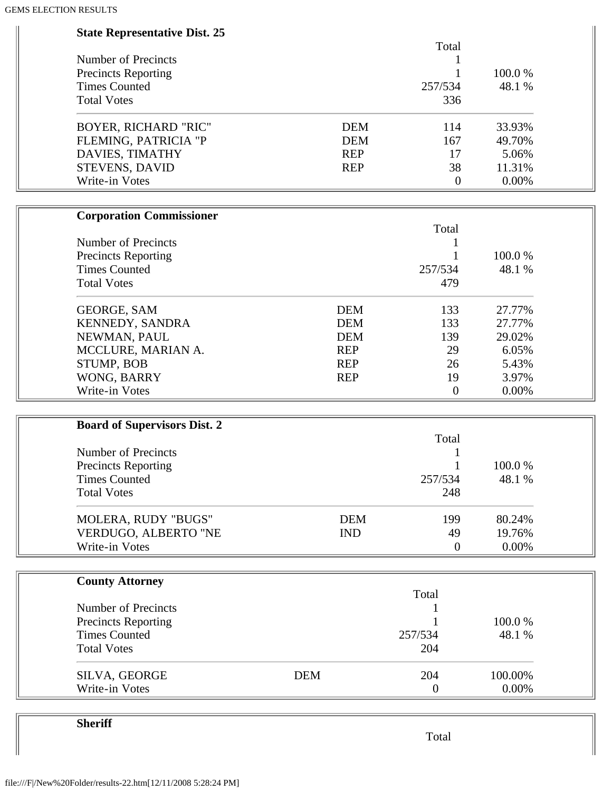| <b>State Representative Dist. 25</b> |            |            |                  |         |  |
|--------------------------------------|------------|------------|------------------|---------|--|
|                                      |            |            | Total            |         |  |
| Number of Precincts                  |            |            | 1                |         |  |
| <b>Precincts Reporting</b>           |            |            |                  | 100.0%  |  |
| <b>Times Counted</b>                 |            |            | 257/534          | 48.1%   |  |
| <b>Total Votes</b>                   |            |            | 336              |         |  |
| BOYER, RICHARD "RIC"                 |            | <b>DEM</b> | 114              | 33.93%  |  |
| FLEMING, PATRICIA "P                 |            | <b>DEM</b> | 167              | 49.70%  |  |
| DAVIES, TIMATHY                      |            | <b>REP</b> | 17               | 5.06%   |  |
| STEVENS, DAVID                       |            | <b>REP</b> | 38               | 11.31%  |  |
| Write-in Votes                       |            |            | $\boldsymbol{0}$ | 0.00%   |  |
| <b>Corporation Commissioner</b>      |            |            |                  |         |  |
|                                      |            |            | Total            |         |  |
| Number of Precincts                  |            |            | 1                |         |  |
| <b>Precincts Reporting</b>           |            |            | 1                | 100.0%  |  |
| <b>Times Counted</b>                 |            |            | 257/534          | 48.1 %  |  |
| <b>Total Votes</b>                   |            |            | 479              |         |  |
| <b>GEORGE, SAM</b>                   |            | <b>DEM</b> | 133              | 27.77%  |  |
| KENNEDY, SANDRA                      |            | <b>DEM</b> | 133              | 27.77%  |  |
| NEWMAN, PAUL                         |            | <b>DEM</b> | 139              | 29.02%  |  |
| MCCLURE, MARIAN A.                   |            | <b>REP</b> | 29               | 6.05%   |  |
| STUMP, BOB                           |            | <b>REP</b> | 26               | 5.43%   |  |
| WONG, BARRY                          |            | <b>REP</b> | 19               | 3.97%   |  |
| Write-in Votes                       |            |            | $\boldsymbol{0}$ | 0.00%   |  |
|                                      |            |            |                  |         |  |
| <b>Board of Supervisors Dist. 2</b>  |            |            | Total            |         |  |
| Number of Precincts                  |            |            |                  |         |  |
| <b>Precincts Reporting</b>           |            |            | 1                | 100.0%  |  |
| <b>Times Counted</b>                 |            |            | 257/534          | 48.1 %  |  |
| <b>Total Votes</b>                   |            |            | 248              |         |  |
|                                      |            |            |                  |         |  |
| MOLERA, RUDY "BUGS"                  |            | <b>DEM</b> | 199              | 80.24%  |  |
| VERDUGO, ALBERTO "NE                 |            | <b>IND</b> | 49               | 19.76%  |  |
| Write-in Votes                       |            |            | $\overline{0}$   | 0.00%   |  |
|                                      |            |            |                  |         |  |
| <b>County Attorney</b>               |            |            | Total            |         |  |
| Number of Precincts                  |            |            |                  |         |  |
| <b>Precincts Reporting</b>           |            |            |                  | 100.0%  |  |
| <b>Times Counted</b>                 |            |            | 257/534          | 48.1 %  |  |
| <b>Total Votes</b>                   |            |            | 204              |         |  |
| SILVA, GEORGE                        | <b>DEM</b> |            | 204              | 100.00% |  |
| Write-in Votes                       |            |            | $\boldsymbol{0}$ | 0.00%   |  |

Total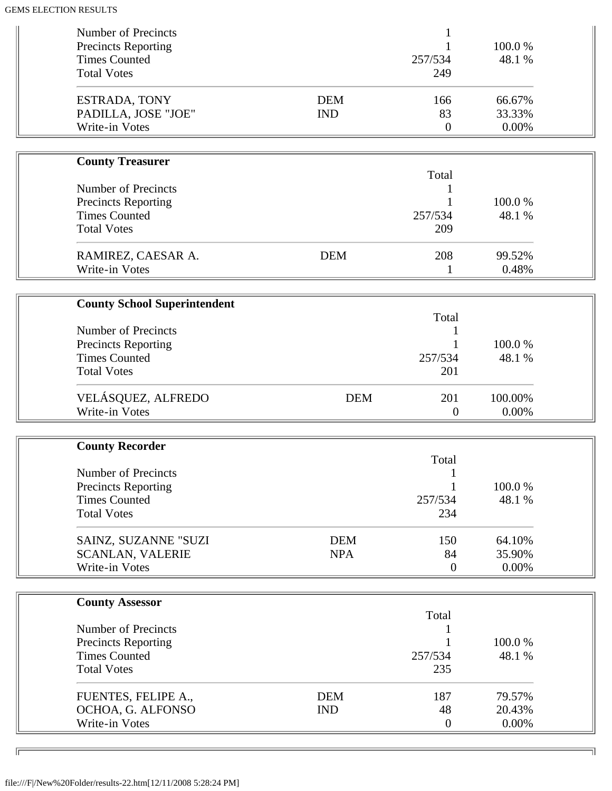| Number of Precincts<br><b>Precincts Reporting</b>  |                          |                  | 100.0%           |  |
|----------------------------------------------------|--------------------------|------------------|------------------|--|
| <b>Times Counted</b><br><b>Total Votes</b>         |                          | 257/534<br>249   | 48.1 %           |  |
| ESTRADA, TONY<br>PADILLA, JOSE "JOE"               | <b>DEM</b><br><b>IND</b> | 166<br>83        | 66.67%<br>33.33% |  |
| Write-in Votes                                     |                          | $\boldsymbol{0}$ | 0.00%            |  |
| <b>County Treasurer</b>                            |                          |                  |                  |  |
| Number of Precincts                                |                          | Total            |                  |  |
|                                                    |                          |                  | 100.0%           |  |
| <b>Precincts Reporting</b><br><b>Times Counted</b> |                          | 257/534          | 48.1 %           |  |
| <b>Total Votes</b>                                 |                          | 209              |                  |  |
|                                                    |                          |                  |                  |  |
| RAMIREZ, CAESAR A.                                 | <b>DEM</b>               | 208              | 99.52%           |  |
| Write-in Votes                                     |                          | 1                | 0.48%            |  |
|                                                    |                          |                  |                  |  |
| <b>County School Superintendent</b>                |                          |                  |                  |  |
|                                                    |                          | Total            |                  |  |
| Number of Precincts                                |                          |                  |                  |  |
| <b>Precincts Reporting</b>                         |                          |                  | 100.0%           |  |
| <b>Times Counted</b>                               |                          | 257/534          | 48.1 %           |  |
| <b>Total Votes</b>                                 |                          | 201              |                  |  |
| VELÁSQUEZ, ALFREDO                                 | <b>DEM</b>               | 201              | 100.00%          |  |
| Write-in Votes                                     |                          | $\theta$         | 0.00%            |  |
|                                                    |                          |                  |                  |  |
| <b>County Recorder</b>                             |                          |                  |                  |  |
|                                                    |                          | Total            |                  |  |
| <b>Number of Precincts</b>                         |                          |                  |                  |  |
| <b>Precincts Reporting</b>                         |                          |                  | 100.0%           |  |
| <b>Times Counted</b><br><b>Total Votes</b>         |                          | 257/534<br>234   | 48.1 %           |  |
|                                                    |                          |                  |                  |  |
| SAINZ, SUZANNE "SUZI                               | <b>DEM</b>               | 150              | 64.10%           |  |
| <b>SCANLAN, VALERIE</b>                            | <b>NPA</b>               | 84               | 35.90%           |  |
| Write-in Votes                                     |                          | $\overline{0}$   | 0.00%            |  |
|                                                    |                          |                  |                  |  |
| <b>County Assessor</b>                             |                          |                  |                  |  |
| Number of Precincts                                |                          | Total            |                  |  |
| <b>Precincts Reporting</b>                         |                          |                  | 100.0%           |  |
| <b>Times Counted</b>                               |                          | 257/534          | 48.1 %           |  |
| <b>Total Votes</b>                                 |                          | 235              |                  |  |
|                                                    | <b>DEM</b>               | 187              | 79.57%           |  |
| FUENTES, FELIPE A.,<br>OCHOA, G. ALFONSO           | <b>IND</b>               | 48               | 20.43%           |  |
| Write-in Votes                                     |                          | $\overline{0}$   | 0.00%            |  |
|                                                    |                          |                  |                  |  |

╗

 $\overline{\phantom{a}}$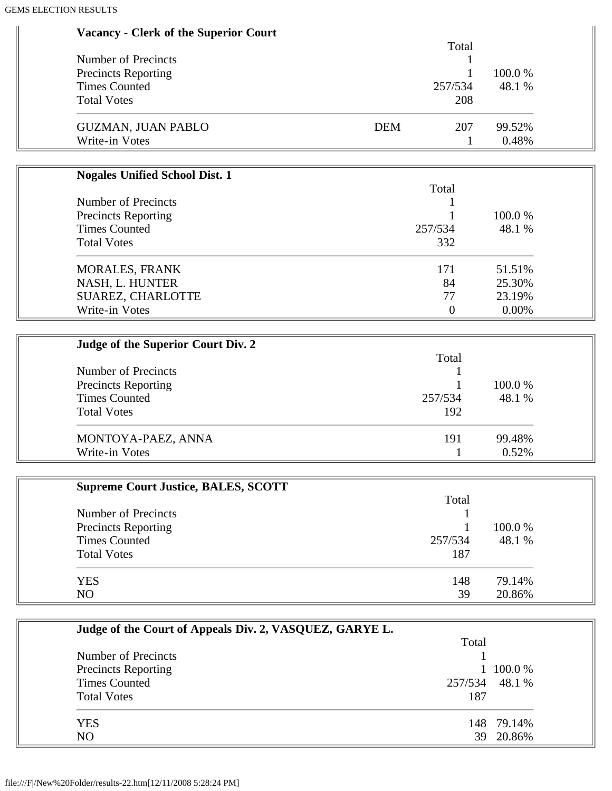| <b>Vacancy - Clerk of the Superior Court</b> |  |  |  |  |
|----------------------------------------------|--|--|--|--|
|----------------------------------------------|--|--|--|--|

|                            | Total             |         |
|----------------------------|-------------------|---------|
| Number of Precincts        |                   |         |
| <b>Precincts Reporting</b> |                   | 100.0 % |
| <b>Times Counted</b>       | 257/534           | 48.1 %  |
| <b>Total Votes</b>         | 208               |         |
| <b>GUZMAN, JUAN PABLO</b>  | <b>DEM</b><br>207 | 99.52%  |
| Write-in Votes             |                   | 0.48%   |

| <b>Nogales Unified School Dist. 1</b> |         |         |
|---------------------------------------|---------|---------|
|                                       | Total   |         |
| Number of Precincts                   |         | 100.0 % |
| <b>Precincts Reporting</b>            |         |         |
| <b>Times Counted</b>                  | 257/534 | 48.1 %  |
| <b>Total Votes</b>                    | 332     |         |
| <b>MORALES, FRANK</b>                 | 171     | 51.51%  |
| NASH, L. HUNTER                       | 84      | 25.30%  |
| SUAREZ, CHARLOTTE                     | 77      | 23.19%  |
| Write-in Votes                        | 0       | 0.00%   |

| Judge of the Superior Court Div. 2 |         |         |
|------------------------------------|---------|---------|
|                                    | Total   |         |
| Number of Precincts                |         |         |
| <b>Precincts Reporting</b>         |         | 100.0 % |
| <b>Times Counted</b>               | 257/534 | 48.1 %  |
| <b>Total Votes</b>                 | 192     |         |
| MONTOYA-PAEZ, ANNA                 | 191     | 99.48%  |
| Write-in Votes                     |         | 0.52%   |

| <b>Supreme Court Justice, BALES, SCOTT</b> |         |         |
|--------------------------------------------|---------|---------|
|                                            | Total   |         |
| Number of Precincts                        |         |         |
| <b>Precincts Reporting</b>                 |         | 100.0 % |
| <b>Times Counted</b>                       | 257/534 | 48.1 %  |
| <b>Total Votes</b>                         | 187     |         |
| <b>YES</b>                                 | 148     | 79.14%  |
| NO                                         | 39      | 20.86%  |

| Judge of the Court of Appeals Div. 2, VASQUEZ, GARYE L. |                |            |
|---------------------------------------------------------|----------------|------------|
|                                                         | Total          |            |
| Number of Precincts                                     |                |            |
| <b>Precincts Reporting</b>                              |                | 100.0 %    |
| <b>Times Counted</b>                                    | 257/534 48.1 % |            |
| <b>Total Votes</b>                                      | 187            |            |
| <b>YES</b>                                              |                | 148 79.14% |
| N <sub>O</sub>                                          |                | 39 20.86%  |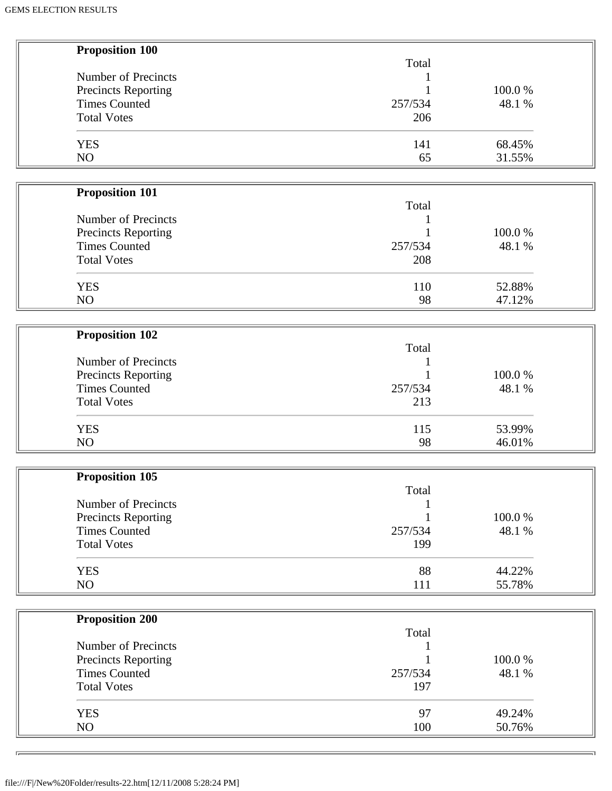| <b>Proposition 100</b><br>Total |        |
|---------------------------------|--------|
| Number of Precincts             |        |
| Precincts Reporting<br>1        | 100.0% |
| <b>Times Counted</b><br>257/534 | 48.1 % |
| <b>Total Votes</b><br>206       |        |
|                                 |        |
| <b>YES</b><br>141               | 68.45% |
| NO<br>65                        | 31.55% |
|                                 |        |
|                                 |        |
| <b>Proposition 101</b>          |        |
| Total                           |        |
| Number of Precincts             |        |
| <b>Precincts Reporting</b>      | 100.0% |
| <b>Times Counted</b><br>257/534 | 48.1 % |
| <b>Total Votes</b><br>208       |        |
|                                 |        |
| <b>YES</b><br>110               | 52.88% |
| 98<br>NO                        | 47.12% |
|                                 |        |
|                                 |        |
| <b>Proposition 102</b>          |        |
| Total                           |        |
| Number of Precincts             |        |
| <b>Precincts Reporting</b>      | 100.0% |
| <b>Times Counted</b><br>257/534 | 48.1 % |
| <b>Total Votes</b><br>213       |        |
|                                 |        |
| <b>YES</b><br>115               | 53.99% |
| NO<br>98                        | 46.01% |
|                                 |        |
| <b>Proposition 105</b>          |        |
| Total                           |        |
| Number of Precincts             |        |
| <b>Precincts Reporting</b>      | 100.0% |
| <b>Times Counted</b><br>257/534 | 48.1 % |
| <b>Total Votes</b><br>199       |        |
|                                 |        |
| 88<br><b>YES</b>                | 44.22% |
| NO<br>111                       | 55.78% |
|                                 |        |
| <b>Proposition 200</b>          |        |
| Total                           |        |
| Number of Precincts             |        |
|                                 |        |
| <b>Precincts Reporting</b>      | 100.0% |
| <b>Times Counted</b><br>257/534 | 48.1 % |
| <b>Total Votes</b><br>197       |        |
|                                 |        |
| 97<br><b>YES</b>                | 49.24% |
| NO<br>100                       | 50.76% |

 $\overline{\Gamma_{\rm P}}$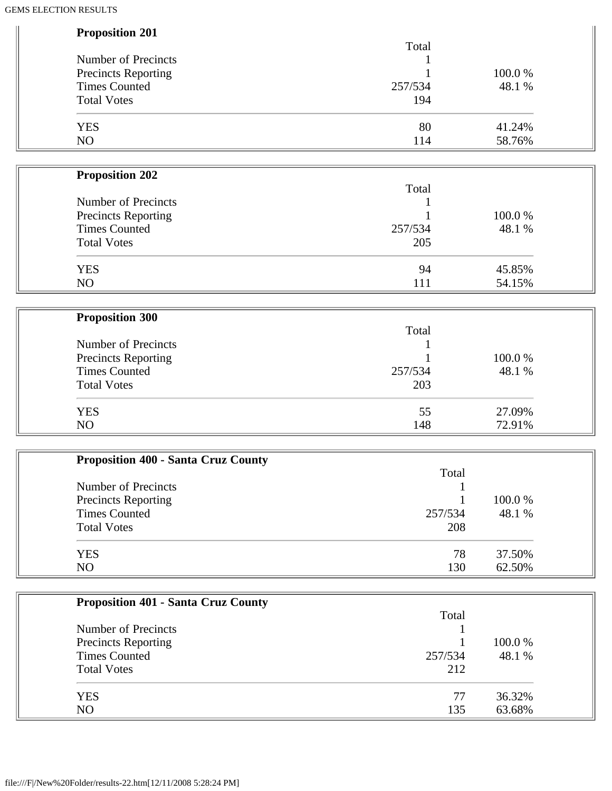| <b>Proposition 201</b>     |         |        |
|----------------------------|---------|--------|
|                            | Total   |        |
| Number of Precincts        |         |        |
| <b>Precincts Reporting</b> |         | 100.0% |
| <b>Times Counted</b>       | 257/534 | 48.1 % |
| <b>Total Votes</b>         | 194     |        |
| <b>YES</b>                 | 80      | 41.24% |
| NO                         | 114     | 58.76% |
|                            |         |        |
| <b>Proposition 202</b>     |         |        |
|                            | Total   |        |
| Number of Precincts        |         |        |
| <b>Precincts Reporting</b> |         | 100.0% |
| <b>Times Counted</b>       | 257/534 | 48.1 % |
| <b>Total Votes</b>         | 205     |        |

| <b>YES</b>     | 94        | .85%<br>⊶ |
|----------------|-----------|-----------|
| N <sub>O</sub> | -1-1<br>. | 54.15%    |

| <b>Proposition 300</b> |         |        |
|------------------------|---------|--------|
|                        | Total   |        |
| Number of Precincts    |         |        |
| Precincts Reporting    |         | 100.0% |
| <b>Times Counted</b>   | 257/534 | 48.1 % |
| <b>Total Votes</b>     | 203     |        |
| <b>YES</b>             | 55      | 27.09% |
| NO                     | 148     | 72.91% |

| <b>Proposition 400 - Santa Cruz County</b> |         |         |
|--------------------------------------------|---------|---------|
|                                            | Total   |         |
| Number of Precincts                        |         |         |
| Precincts Reporting                        |         | 100.0 % |
| <b>Times Counted</b>                       | 257/534 | 48.1 %  |
| <b>Total Votes</b>                         | 208     |         |
| <b>YES</b>                                 | 78      | 37.50%  |
| NO                                         | 130     | 62.50%  |

| <b>Proposition 401 - Santa Cruz County</b> |         |         |
|--------------------------------------------|---------|---------|
|                                            | Total   |         |
| Number of Precincts                        |         |         |
| <b>Precincts Reporting</b>                 |         | 100.0 % |
| <b>Times Counted</b>                       | 257/534 | 48.1 %  |
| <b>Total Votes</b>                         | 212     |         |
| <b>YES</b>                                 | 77      | 36.32%  |
| NO                                         | 135     | 63.68%  |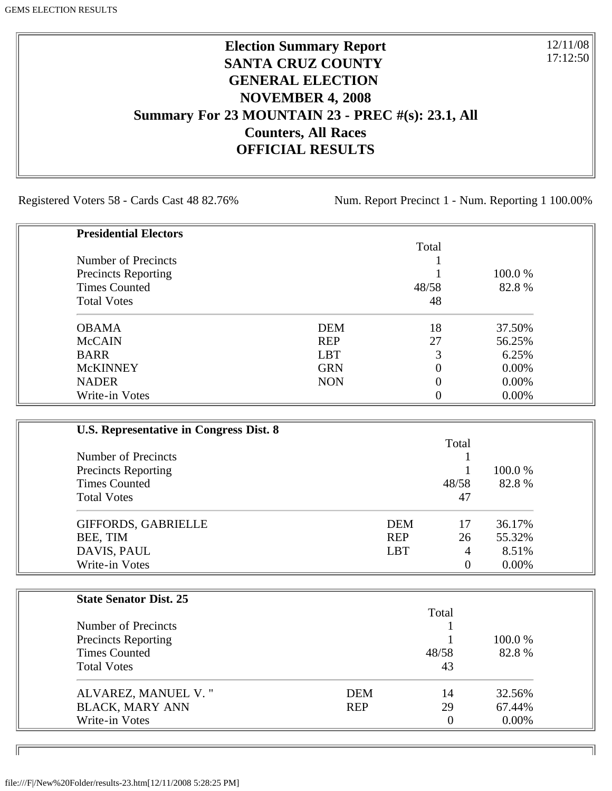## **Election Summary Report SANTA CRUZ COUNTY GENERAL ELECTION NOVEMBER 4, 2008 Summary For 23 MOUNTAIN 23 - PREC #(s): 23.1, All Counters, All Races OFFICIAL RESULTS**

Registered Voters 58 - Cards Cast 48 82.76% Num. Report Precinct 1 - Num. Reporting 1 100.00%

12/11/08 17:12:50

٦I

| <b>Presidential Electors</b> |            |       |          |
|------------------------------|------------|-------|----------|
|                              |            | Total |          |
| Number of Precincts          |            |       |          |
| <b>Precincts Reporting</b>   |            |       | 100.0 %  |
| <b>Times Counted</b>         |            | 48/58 | 82.8%    |
| <b>Total Votes</b>           |            | 48    |          |
| <b>OBAMA</b>                 | <b>DEM</b> | 18    | 37.50%   |
| <b>McCAIN</b>                | <b>REP</b> | 27    | 56.25%   |
| <b>BARR</b>                  | <b>LBT</b> | 3     | 6.25%    |
| <b>McKINNEY</b>              | <b>GRN</b> | 0     | 0.00%    |
| <b>NADER</b>                 | <b>NON</b> | 0     | 0.00%    |
| Write-in Votes               |            |       | $0.00\%$ |

| U.S. Representative in Congress Dist. 8 |            |       |          |
|-----------------------------------------|------------|-------|----------|
|                                         |            | Total |          |
| Number of Precincts                     |            |       |          |
| <b>Precincts Reporting</b>              |            |       | 100.0 %  |
| <b>Times Counted</b>                    |            | 48/58 | 82.8%    |
| <b>Total Votes</b>                      |            | 47    |          |
| <b>GIFFORDS, GABRIELLE</b>              | <b>DEM</b> | 17    | 36.17%   |
| BEE, TIM                                | <b>REP</b> | 26    | 55.32%   |
| DAVIS, PAUL                             | <b>LBT</b> | 4     | 8.51%    |
| Write-in Votes                          |            | 0     | $0.00\%$ |

| <b>State Senator Dist. 25</b> |            |          |          |
|-------------------------------|------------|----------|----------|
|                               |            | Total    |          |
| Number of Precincts           |            |          |          |
| <b>Precincts Reporting</b>    |            |          | 100.0 %  |
| <b>Times Counted</b>          |            | 48/58    | 82.8%    |
| <b>Total Votes</b>            |            | 43       |          |
| ALVAREZ, MANUEL V."           | <b>DEM</b> | 14       | 32.56%   |
| <b>BLACK, MARY ANN</b>        | <b>REP</b> | 29       | 67.44%   |
| Write-in Votes                |            | $\Omega$ | $0.00\%$ |

file:///F|/New%20Folder/results-23.htm[12/11/2008 5:28:25 PM]

ID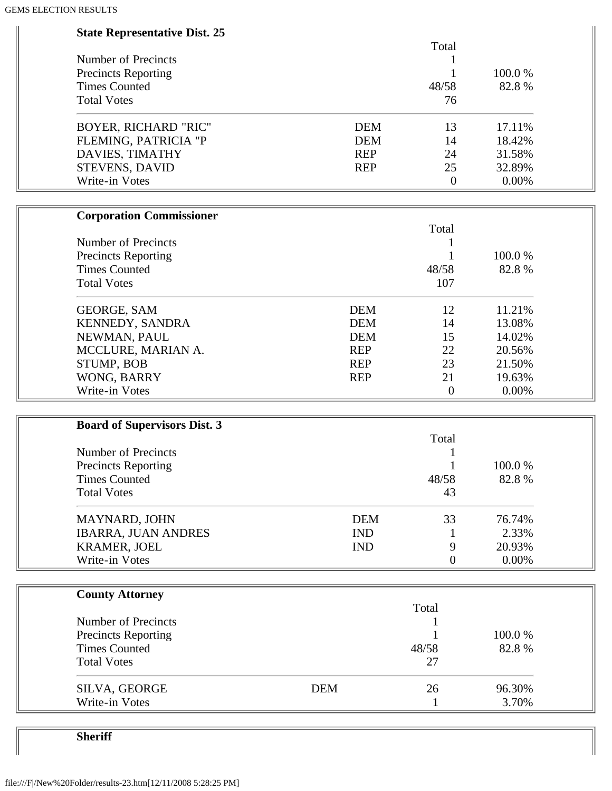| <b>State Representative Dist. 25</b> |            |            |                  |        |  |
|--------------------------------------|------------|------------|------------------|--------|--|
|                                      |            |            | Total            |        |  |
| Number of Precincts                  |            |            | 1                |        |  |
| <b>Precincts Reporting</b>           |            |            |                  | 100.0% |  |
| <b>Times Counted</b>                 |            |            | 48/58            | 82.8%  |  |
| <b>Total Votes</b>                   |            |            | 76               |        |  |
| <b>BOYER, RICHARD "RIC"</b>          |            | <b>DEM</b> | 13               | 17.11% |  |
| FLEMING, PATRICIA "P                 |            | <b>DEM</b> | 14               | 18.42% |  |
| DAVIES, TIMATHY                      |            | <b>REP</b> | 24               | 31.58% |  |
| STEVENS, DAVID                       |            | <b>REP</b> | 25               | 32.89% |  |
| Write-in Votes                       |            |            | $\overline{0}$   | 0.00%  |  |
|                                      |            |            |                  |        |  |
| <b>Corporation Commissioner</b>      |            |            |                  |        |  |
|                                      |            |            | Total            |        |  |
| Number of Precincts                  |            |            |                  |        |  |
| <b>Precincts Reporting</b>           |            |            | 1                | 100.0% |  |
| <b>Times Counted</b>                 |            |            | 48/58            | 82.8%  |  |
| <b>Total Votes</b>                   |            |            | 107              |        |  |
| <b>GEORGE, SAM</b>                   |            | <b>DEM</b> | 12               | 11.21% |  |
| KENNEDY, SANDRA                      |            | <b>DEM</b> | 14               | 13.08% |  |
| NEWMAN, PAUL                         |            | <b>DEM</b> | 15               | 14.02% |  |
| MCCLURE, MARIAN A.                   |            | <b>REP</b> | 22               | 20.56% |  |
| STUMP, BOB                           |            | <b>REP</b> | 23               | 21.50% |  |
| WONG, BARRY                          |            | <b>REP</b> | 21               | 19.63% |  |
| Write-in Votes                       |            |            | $\boldsymbol{0}$ | 0.00%  |  |
|                                      |            |            |                  |        |  |
| <b>Board of Supervisors Dist. 3</b>  |            |            |                  |        |  |
| Number of Precincts                  |            |            | Total            |        |  |
| <b>Precincts Reporting</b>           |            |            | 1                | 100.0% |  |
| <b>Times Counted</b>                 |            |            | 48/58            | 82.8%  |  |
| <b>Total Votes</b>                   |            |            | 43               |        |  |
|                                      |            |            |                  |        |  |
| MAYNARD, JOHN                        |            | <b>DEM</b> | 33               | 76.74% |  |
| <b>IBARRA, JUAN ANDRES</b>           |            | <b>IND</b> | $\perp$          | 2.33%  |  |
| <b>KRAMER, JOEL</b>                  |            | <b>IND</b> | 9                | 20.93% |  |
| Write-in Votes                       |            |            | $\boldsymbol{0}$ | 0.00%  |  |
|                                      |            |            |                  |        |  |
| <b>County Attorney</b>               |            |            | Total            |        |  |
| Number of Precincts                  |            |            |                  |        |  |
| <b>Precincts Reporting</b>           |            |            |                  | 100.0% |  |
| <b>Times Counted</b>                 |            |            | 48/58            | 82.8%  |  |
| <b>Total Votes</b>                   |            |            | 27               |        |  |
| SILVA, GEORGE                        | <b>DEM</b> |            | 26               | 96.30% |  |
| Write-in Votes                       |            |            |                  | 3.70%  |  |
|                                      |            |            | 1                |        |  |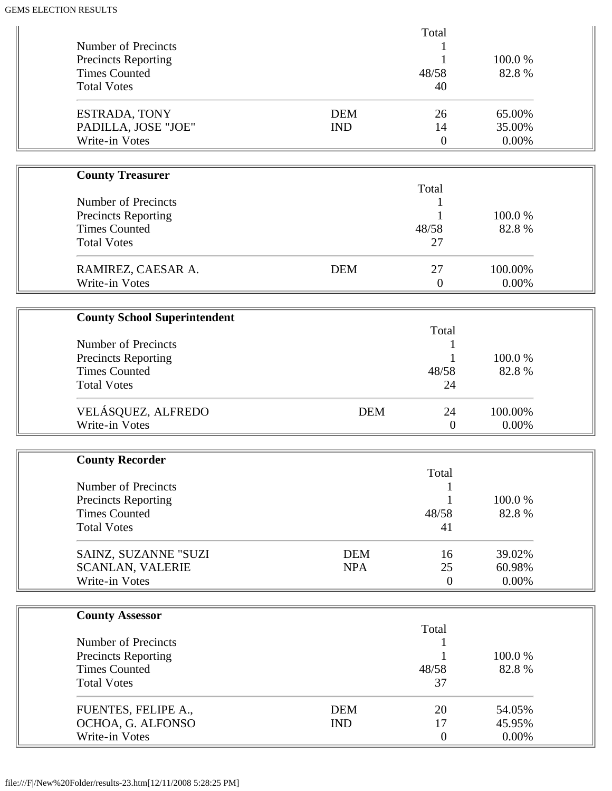| Number of Precincts<br><b>Precincts Reporting</b><br><b>Times Counted</b><br><b>Total Votes</b> |                          | Total<br>1<br>48/58<br>40  | 100.0%<br>82.8%           |  |
|-------------------------------------------------------------------------------------------------|--------------------------|----------------------------|---------------------------|--|
| <b>ESTRADA, TONY</b><br>PADILLA, JOSE "JOE"<br>Write-in Votes                                   | <b>DEM</b><br><b>IND</b> | 26<br>14<br>$\overline{0}$ | 65.00%<br>35.00%<br>0.00% |  |
|                                                                                                 |                          |                            |                           |  |
| <b>County Treasurer</b>                                                                         |                          |                            |                           |  |
| Number of Precincts                                                                             |                          | Total<br>1                 |                           |  |
| Precincts Reporting                                                                             |                          |                            | 100.0%                    |  |
| <b>Times Counted</b>                                                                            |                          | 48/58                      | 82.8%                     |  |
| <b>Total Votes</b>                                                                              |                          | 27                         |                           |  |
| RAMIREZ, CAESAR A.<br>Write-in Votes                                                            | <b>DEM</b>               | 27<br>$\boldsymbol{0}$     | 100.00%<br>0.00%          |  |
|                                                                                                 |                          |                            |                           |  |
| <b>County School Superintendent</b>                                                             |                          | Total                      |                           |  |
| Number of Precincts                                                                             |                          | 1                          |                           |  |
| <b>Precincts Reporting</b><br><b>Times Counted</b>                                              |                          | 48/58                      | 100.0%<br>82.8%           |  |
| <b>Total Votes</b>                                                                              |                          | 24                         |                           |  |
| VELÁSQUEZ, ALFREDO                                                                              | <b>DEM</b>               | 24                         | 100.00%                   |  |
| Write-in Votes                                                                                  |                          | $\overline{0}$             | 0.00%                     |  |
|                                                                                                 |                          |                            |                           |  |
| <b>County Recorder</b>                                                                          |                          | Total                      |                           |  |
| Number of Precincts                                                                             |                          |                            |                           |  |
| <b>Precincts Reporting</b>                                                                      |                          |                            | 100.0%                    |  |
| <b>Times Counted</b>                                                                            |                          | 48/58                      | 82.8%                     |  |
| <b>Total Votes</b>                                                                              |                          | 41                         |                           |  |
| SAINZ, SUZANNE "SUZI                                                                            | <b>DEM</b>               | 16                         | 39.02%                    |  |
| <b>SCANLAN, VALERIE</b>                                                                         | <b>NPA</b>               | 25                         | 60.98%                    |  |
| Write-in Votes                                                                                  |                          | $\overline{0}$             | 0.00%                     |  |
|                                                                                                 |                          |                            |                           |  |
| <b>County Assessor</b>                                                                          |                          | Total                      |                           |  |
| Number of Precincts                                                                             |                          |                            |                           |  |
| <b>Precincts Reporting</b>                                                                      |                          |                            | 100.0%                    |  |
| <b>Times Counted</b>                                                                            |                          | 48/58                      | 82.8%                     |  |
| <b>Total Votes</b>                                                                              |                          | 37                         |                           |  |
| FUENTES, FELIPE A.,                                                                             | <b>DEM</b>               | 20                         | 54.05%                    |  |
| OCHOA, G. ALFONSO                                                                               | <b>IND</b>               | 17                         | 45.95%                    |  |
|                                                                                                 |                          |                            |                           |  |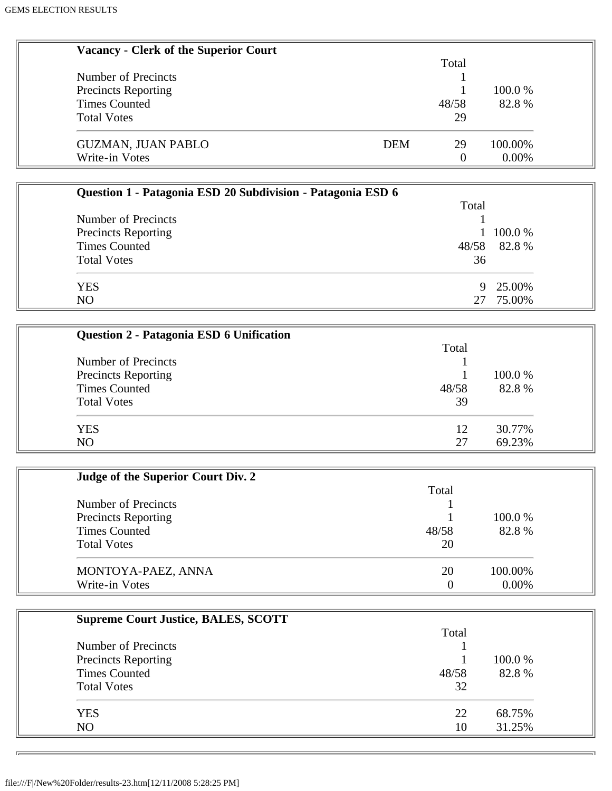| <b>Vacancy - Clerk of the Superior Court</b>                |            |                  |         |  |
|-------------------------------------------------------------|------------|------------------|---------|--|
|                                                             |            | Total            |         |  |
| Number of Precincts                                         |            |                  |         |  |
| <b>Precincts Reporting</b>                                  |            |                  | 100.0%  |  |
| <b>Times Counted</b>                                        |            | 48/58            | 82.8%   |  |
| <b>Total Votes</b>                                          |            | 29               |         |  |
|                                                             |            |                  |         |  |
| <b>GUZMAN, JUAN PABLO</b>                                   | <b>DEM</b> | 29               | 100.00% |  |
| Write-in Votes                                              |            | $\overline{0}$   | 0.00%   |  |
|                                                             |            |                  |         |  |
| Question 1 - Patagonia ESD 20 Subdivision - Patagonia ESD 6 |            |                  |         |  |
|                                                             |            | Total            |         |  |
| Number of Precincts                                         |            |                  |         |  |
| <b>Precincts Reporting</b>                                  |            | 1                | 100.0%  |  |
| <b>Times Counted</b>                                        |            | 48/58            | 82.8%   |  |
| <b>Total Votes</b>                                          |            | 36               |         |  |
|                                                             |            |                  |         |  |
| <b>YES</b>                                                  |            | 9                | 25.00%  |  |
| NO                                                          |            | 27               | 75.00%  |  |
|                                                             |            |                  |         |  |
| Question 2 - Patagonia ESD 6 Unification                    |            |                  |         |  |
|                                                             |            | Total            |         |  |
| Number of Precincts                                         |            |                  |         |  |
|                                                             |            |                  | 100.0%  |  |
| <b>Precincts Reporting</b><br><b>Times Counted</b>          |            | 48/58            | 82.8%   |  |
| <b>Total Votes</b>                                          |            | 39               |         |  |
|                                                             |            |                  |         |  |
| <b>YES</b>                                                  |            | 12               | 30.77%  |  |
| N <sub>O</sub>                                              |            | 27               | 69.23%  |  |
|                                                             |            |                  |         |  |
|                                                             |            |                  |         |  |
| Judge of the Superior Court Div. 2                          |            |                  |         |  |
|                                                             |            | Total            |         |  |
| Number of Precincts                                         |            |                  |         |  |
| Precincts Reporting                                         |            |                  | 100.0%  |  |
| <b>Times Counted</b>                                        |            | 48/58            | 82.8%   |  |
| <b>Total Votes</b>                                          |            | 20               |         |  |
|                                                             |            |                  |         |  |
| MONTOYA-PAEZ, ANNA                                          |            | 20               | 100.00% |  |
| Write-in Votes                                              |            | $\boldsymbol{0}$ | 0.00%   |  |
|                                                             |            |                  |         |  |
| <b>Supreme Court Justice, BALES, SCOTT</b>                  |            |                  |         |  |
|                                                             |            | Total            |         |  |
| Number of Precincts                                         |            |                  |         |  |
| <b>Precincts Reporting</b>                                  |            |                  | 100.0%  |  |
| <b>Times Counted</b>                                        |            | 48/58            | 82.8%   |  |
| <b>Total Votes</b>                                          |            | 32               |         |  |
|                                                             |            |                  |         |  |
| <b>YES</b>                                                  |            | 22               | 68.75%  |  |
| NO                                                          |            | 10               | 31.25%  |  |
|                                                             |            |                  |         |  |
|                                                             |            |                  |         |  |

 $\overline{D}$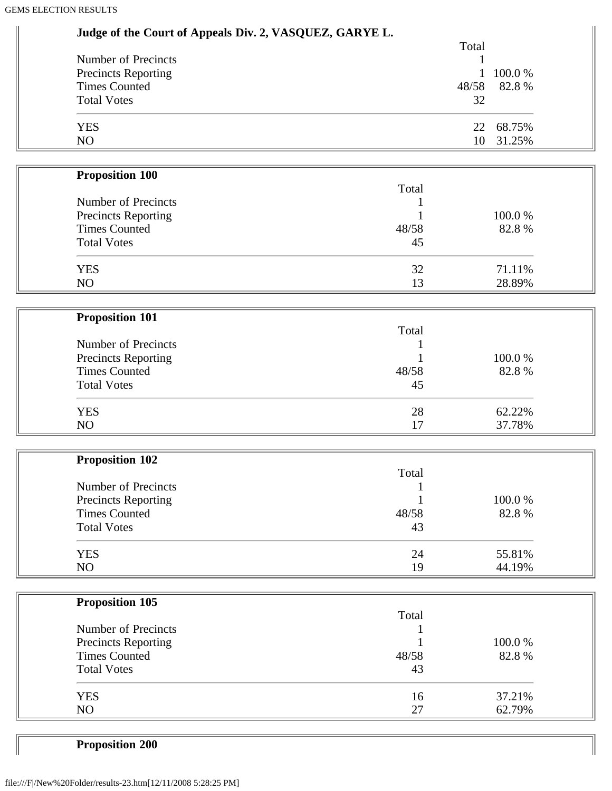| Judge of the Court of Appeals Div. 2, VASQUEZ, GARYE L. |        |        |
|---------------------------------------------------------|--------|--------|
|                                                         | Total  |        |
| Number of Precincts                                     |        |        |
| <b>Precincts Reporting</b>                              | 1      | 100.0% |
| <b>Times Counted</b>                                    | 48/58  | 82.8%  |
| <b>Total Votes</b>                                      | 32     |        |
| <b>YES</b>                                              | 22     | 68.75% |
| NO                                                      | 10     | 31.25% |
|                                                         |        |        |
| <b>Proposition 100</b>                                  |        |        |
|                                                         | Total  |        |
| Number of Precincts                                     |        |        |
| <b>Precincts Reporting</b>                              |        | 100.0% |
| <b>Times Counted</b>                                    | 48/58  | 82.8%  |
| <b>Total Votes</b>                                      | 45     |        |
|                                                         |        |        |
| <b>YES</b>                                              | 32     | 71.11% |
| N <sub>O</sub>                                          | 13     | 28.89% |
|                                                         |        |        |
| <b>Proposition 101</b>                                  |        |        |
|                                                         | Total  |        |
| Number of Precincts                                     | 1      |        |
| <b>Precincts Reporting</b>                              |        | 100.0% |
| <b>Times Counted</b>                                    | 48/58  | 82.8%  |
| <b>Total Votes</b>                                      | 45     |        |
|                                                         |        |        |
| <b>YES</b>                                              | 28     | 62.22% |
| N <sub>O</sub>                                          | 17     | 37.78% |
|                                                         |        |        |
| <b>Proposition 102</b>                                  |        |        |
|                                                         | Total  |        |
| Number of Precincts                                     |        |        |
| <b>Precincts Reporting</b>                              | 1      | 100.0% |
| <b>Times Counted</b>                                    | 48/58  | 82.8%  |
| <b>Total Votes</b>                                      | 43     |        |
| <b>YES</b>                                              | 24     | 55.81% |
| NO                                                      | 19     | 44.19% |
|                                                         |        |        |
| <b>Proposition 105</b>                                  |        |        |
|                                                         | Total  |        |
| Number of Precincts                                     | 1      |        |
| Precincts Reporting                                     |        | 100.0% |
| <b>Times Counted</b>                                    | 48/58  | 82.8%  |
| <b>Total Votes</b>                                      | 43     |        |
|                                                         |        |        |
| <b>YES</b>                                              | 16     | 37.21% |
| NO                                                      | $27\,$ | 62.79% |
|                                                         |        |        |

Ш

**Proposition 200**

 $\sqrt{2}$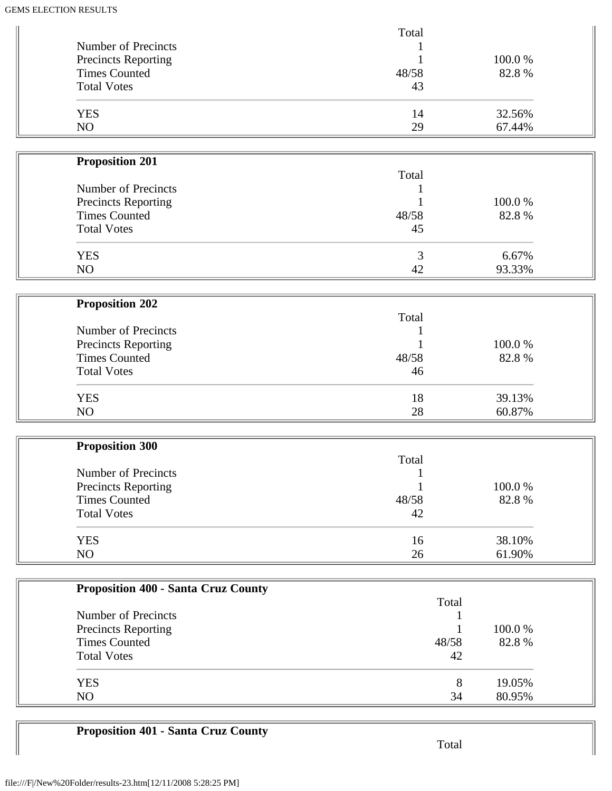|                                            | Total |                |  |
|--------------------------------------------|-------|----------------|--|
| Number of Precincts                        |       |                |  |
| Precincts Reporting                        |       | 100.0%         |  |
| <b>Times Counted</b>                       | 48/58 | 82.8%          |  |
| <b>Total Votes</b>                         | 43    |                |  |
|                                            |       |                |  |
| <b>YES</b>                                 | 14    | 32.56%         |  |
| NO                                         | 29    | 67.44%         |  |
|                                            |       |                |  |
|                                            |       |                |  |
| <b>Proposition 201</b>                     |       |                |  |
|                                            | Total |                |  |
| Number of Precincts                        |       |                |  |
| Precincts Reporting                        |       | 100.0%         |  |
| <b>Times Counted</b>                       | 48/58 | 82.8%          |  |
| <b>Total Votes</b>                         | 45    |                |  |
|                                            |       |                |  |
| <b>YES</b>                                 | 3     | 6.67%          |  |
| NO                                         | 42    | 93.33%         |  |
|                                            |       |                |  |
| <b>Proposition 202</b>                     |       |                |  |
|                                            | Total |                |  |
|                                            |       |                |  |
| Number of Precincts                        |       |                |  |
| Precincts Reporting                        |       | 100.0%         |  |
| <b>Times Counted</b>                       | 48/58 | 82.8%          |  |
| <b>Total Votes</b>                         | 46    |                |  |
|                                            |       |                |  |
| <b>YES</b>                                 | 18    | 39.13%         |  |
| NO                                         | 28    | 60.87%         |  |
|                                            |       |                |  |
| <b>Proposition 300</b>                     |       |                |  |
|                                            | Total |                |  |
| Number of Precincts                        |       |                |  |
| <b>Precincts Reporting</b>                 |       | 100.0%         |  |
| <b>Times Counted</b>                       | 48/58 | 82.8%          |  |
| <b>Total Votes</b>                         | 42    |                |  |
|                                            |       |                |  |
| <b>YES</b>                                 | 16    | 38.10%         |  |
| NO                                         | 26    | 61.90%         |  |
|                                            |       |                |  |
|                                            |       |                |  |
| <b>Proposition 400 - Santa Cruz County</b> |       |                |  |
|                                            |       | Total          |  |
| Number of Precincts                        |       |                |  |
| Precincts Reporting                        |       | 100.0%         |  |
| <b>Times Counted</b>                       |       | 48/58<br>82.8% |  |
| <b>Total Votes</b>                         |       | 42             |  |
|                                            |       |                |  |
| <b>YES</b>                                 |       | 19.05%<br>8    |  |
| NO                                         |       | 34<br>80.95%   |  |
|                                            |       |                |  |

# **Proposition 401 - Santa Cruz County**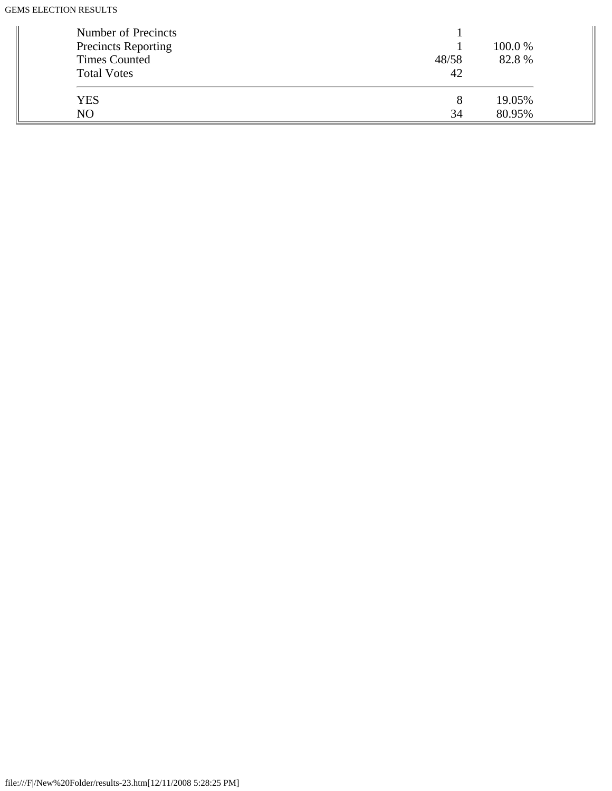| Number of Precincts<br>Precincts Reporting<br><b>Times Counted</b><br><b>Total Votes</b> | 48/58<br>42 | 100.0 %<br>82.8% |
|------------------------------------------------------------------------------------------|-------------|------------------|
| <b>YES</b>                                                                               |             | 19.05%           |
| NO.                                                                                      | 34          | 80.95%           |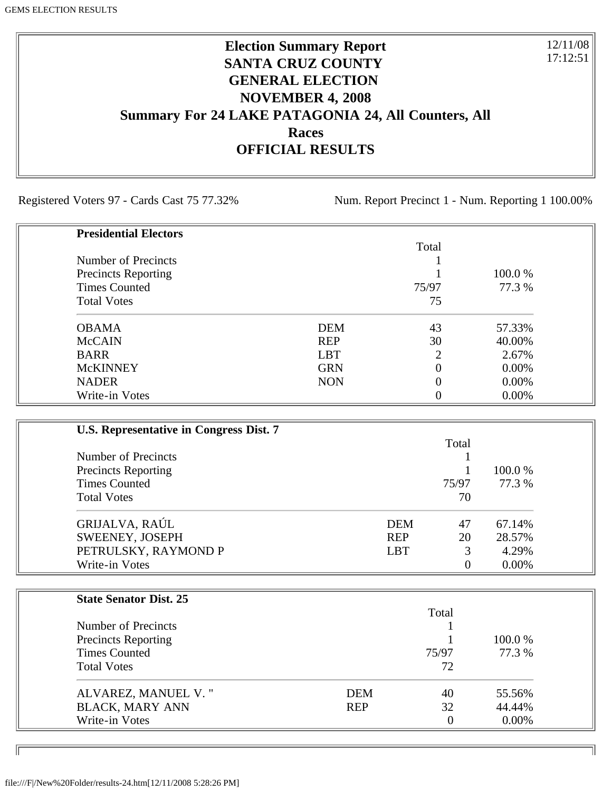## **Election Summary Report SANTA CRUZ COUNTY GENERAL ELECTION NOVEMBER 4, 2008 Summary For 24 LAKE PATAGONIA 24, All Counters, All Races OFFICIAL RESULTS**

Registered Voters 97 - Cards Cast 75 77.32% Num. Report Precinct 1 - Num. Reporting 1 100.00%

12/11/08 17:12:51

| <b>Presidential Electors</b> |            |       |          |
|------------------------------|------------|-------|----------|
|                              |            | Total |          |
| Number of Precincts          |            |       |          |
| <b>Precincts Reporting</b>   |            |       | 100.0 %  |
| <b>Times Counted</b>         |            | 75/97 | 77.3 %   |
| <b>Total Votes</b>           |            | 75    |          |
| <b>OBAMA</b>                 | <b>DEM</b> | 43    | 57.33%   |
| <b>McCAIN</b>                | <b>REP</b> | 30    | 40.00%   |
| <b>BARR</b>                  | <b>LBT</b> | ာ     | 2.67%    |
| <b>McKINNEY</b>              | <b>GRN</b> |       | $0.00\%$ |
| <b>NADER</b>                 | <b>NON</b> |       | $0.00\%$ |
| Write-in Votes               |            |       | $0.00\%$ |

| U.S. Representative in Congress Dist. 7 |            |       |          |
|-----------------------------------------|------------|-------|----------|
|                                         |            | Total |          |
| Number of Precincts                     |            |       |          |
| <b>Precincts Reporting</b>              |            |       | 100.0 %  |
| <b>Times Counted</b>                    |            | 75/97 | 77.3 %   |
| <b>Total Votes</b>                      |            | 70    |          |
| GRIJALVA, RAÚL                          | <b>DEM</b> | 47    | 67.14%   |
| SWEENEY, JOSEPH                         | <b>REP</b> | 20    | 28.57%   |
| PETRULSKY, RAYMOND P                    | <b>LBT</b> | 3     | 4.29%    |
| Write-in Votes                          |            | 0     | $0.00\%$ |

| <b>State Senator Dist. 25</b> |            |       |          |
|-------------------------------|------------|-------|----------|
|                               |            | Total |          |
| Number of Precincts           |            |       |          |
| <b>Precincts Reporting</b>    |            |       | 100.0 %  |
| <b>Times Counted</b>          |            | 75/97 | 77.3 %   |
| <b>Total Votes</b>            |            | 72    |          |
| ALVAREZ, MANUEL V."           | <b>DEM</b> | 40    | 55.56%   |
| <b>BLACK, MARY ANN</b>        | <b>REP</b> | 32    | 44.44%   |
| Write-in Votes                |            | 0     | $0.00\%$ |

ID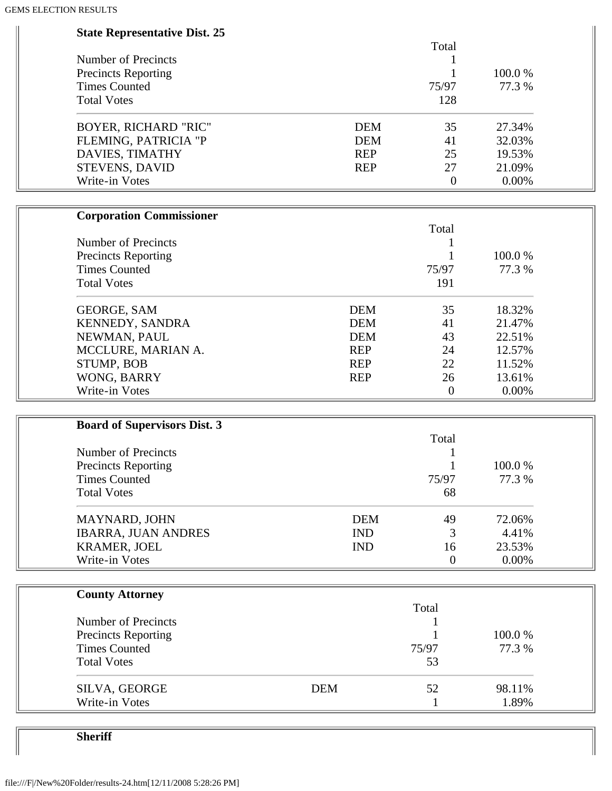| <b>State Representative Dist. 25</b> |            |            |                  |        |  |
|--------------------------------------|------------|------------|------------------|--------|--|
|                                      |            |            | Total            |        |  |
| Number of Precincts                  |            |            | 1                |        |  |
| <b>Precincts Reporting</b>           |            |            |                  | 100.0% |  |
| <b>Times Counted</b>                 |            |            | 75/97            | 77.3 % |  |
| <b>Total Votes</b>                   |            |            | 128              |        |  |
| <b>BOYER, RICHARD "RIC"</b>          |            | <b>DEM</b> | 35               | 27.34% |  |
| FLEMING, PATRICIA "P                 |            | <b>DEM</b> | 41               | 32.03% |  |
| DAVIES, TIMATHY                      |            | <b>REP</b> | 25               | 19.53% |  |
| STEVENS, DAVID                       |            | <b>REP</b> | 27               | 21.09% |  |
| Write-in Votes                       |            |            | $\boldsymbol{0}$ | 0.00%  |  |
| <b>Corporation Commissioner</b>      |            |            |                  |        |  |
|                                      |            |            | Total            |        |  |
| Number of Precincts                  |            |            |                  |        |  |
| <b>Precincts Reporting</b>           |            |            |                  | 100.0% |  |
| <b>Times Counted</b>                 |            |            | 75/97            | 77.3 % |  |
| <b>Total Votes</b>                   |            |            | 191              |        |  |
|                                      |            |            |                  |        |  |
| <b>GEORGE, SAM</b>                   |            | <b>DEM</b> | 35               | 18.32% |  |
| KENNEDY, SANDRA                      |            | <b>DEM</b> | 41               | 21.47% |  |
| NEWMAN, PAUL                         |            | <b>DEM</b> | 43               | 22.51% |  |
| MCCLURE, MARIAN A.                   |            | <b>REP</b> | 24               | 12.57% |  |
| STUMP, BOB                           |            | <b>REP</b> | 22               | 11.52% |  |
| WONG, BARRY                          |            | <b>REP</b> | 26               | 13.61% |  |
| Write-in Votes                       |            |            | $\boldsymbol{0}$ | 0.00%  |  |
|                                      |            |            |                  |        |  |
| <b>Board of Supervisors Dist. 3</b>  |            |            |                  |        |  |
|                                      |            |            | Total            |        |  |
| Number of Precincts                  |            |            |                  |        |  |
| <b>Precincts Reporting</b>           |            |            |                  | 100.0% |  |
| <b>Times Counted</b>                 |            |            | 75/97            | 77.3 % |  |
| <b>Total Votes</b>                   |            |            | 68               |        |  |
| MAYNARD, JOHN                        |            | <b>DEM</b> | 49               | 72.06% |  |
| <b>IBARRA, JUAN ANDRES</b>           |            | <b>IND</b> | 3                | 4.41%  |  |
| KRAMER, JOEL                         |            | <b>IND</b> | 16               | 23.53% |  |
| Write-in Votes                       |            |            | $\overline{0}$   | 0.00%  |  |
| <b>County Attorney</b>               |            |            |                  |        |  |
|                                      |            |            | Total            |        |  |
| Number of Precincts                  |            |            |                  |        |  |
| <b>Precincts Reporting</b>           |            |            |                  | 100.0% |  |
| <b>Times Counted</b>                 |            |            | 75/97            | 77.3 % |  |
| <b>Total Votes</b>                   |            |            | 53               |        |  |
|                                      | <b>DEM</b> |            | 52               | 98.11% |  |
| SILVA, GEORGE<br>Write-in Votes      |            |            |                  | 1.89%  |  |
|                                      |            |            |                  |        |  |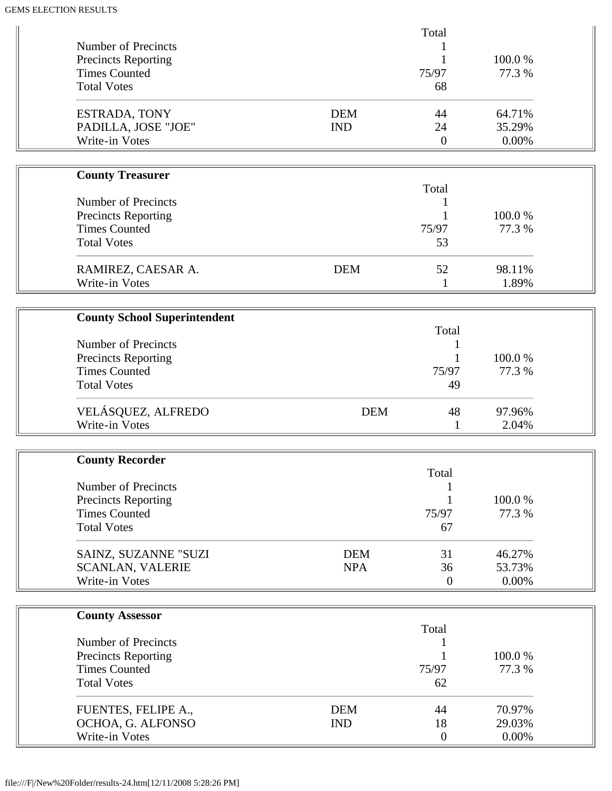|                                             |            | Total            |        |  |
|---------------------------------------------|------------|------------------|--------|--|
| Number of Precincts                         |            |                  |        |  |
| Precincts Reporting<br><b>Times Counted</b> |            | 1                | 100.0% |  |
| <b>Total Votes</b>                          |            | 75/97<br>68      | 77.3 % |  |
|                                             |            |                  |        |  |
| ESTRADA, TONY                               | <b>DEM</b> | 44               | 64.71% |  |
| PADILLA, JOSE "JOE"                         | <b>IND</b> | 24               | 35.29% |  |
| Write-in Votes                              |            | $\boldsymbol{0}$ | 0.00%  |  |
|                                             |            |                  |        |  |
| <b>County Treasurer</b>                     |            |                  |        |  |
|                                             |            | Total            |        |  |
| Number of Precincts                         |            |                  |        |  |
| <b>Precincts Reporting</b>                  |            |                  | 100.0% |  |
| <b>Times Counted</b>                        |            | 75/97            | 77.3 % |  |
| <b>Total Votes</b>                          |            | 53               |        |  |
|                                             |            |                  |        |  |
| RAMIREZ, CAESAR A.                          | <b>DEM</b> | 52               | 98.11% |  |
| Write-in Votes                              |            | 1                | 1.89%  |  |
|                                             |            |                  |        |  |
| <b>County School Superintendent</b>         |            | Total            |        |  |
| Number of Precincts                         |            |                  |        |  |
| <b>Precincts Reporting</b>                  |            | 1<br>1           | 100.0% |  |
| <b>Times Counted</b>                        |            | 75/97            | 77.3 % |  |
| <b>Total Votes</b>                          |            | 49               |        |  |
|                                             |            |                  |        |  |
| VELÁSQUEZ, ALFREDO                          | <b>DEM</b> | 48               | 97.96% |  |
| Write-in Votes                              |            | $\mathbf{1}$     | 2.04%  |  |
|                                             |            |                  |        |  |
| <b>County Recorder</b>                      |            |                  |        |  |
|                                             |            | Total            |        |  |
| Number of Precincts                         |            |                  |        |  |
| <b>Precincts Reporting</b>                  |            | 1                | 100.0% |  |
| <b>Times Counted</b>                        |            | 75/97            | 77.3 % |  |
| <b>Total Votes</b>                          |            | 67               |        |  |
| SAINZ, SUZANNE "SUZI                        | <b>DEM</b> | 31               | 46.27% |  |
| <b>SCANLAN, VALERIE</b>                     | <b>NPA</b> | 36               | 53.73% |  |
| Write-in Votes                              |            | $\boldsymbol{0}$ | 0.00%  |  |
|                                             |            |                  |        |  |
|                                             |            |                  |        |  |
| <b>County Assessor</b>                      |            | Total            |        |  |
| Number of Precincts                         |            |                  |        |  |
| <b>Precincts Reporting</b>                  |            |                  | 100.0% |  |
| <b>Times Counted</b>                        |            | 75/97            | 77.3 % |  |
| <b>Total Votes</b>                          |            | 62               |        |  |
|                                             |            |                  |        |  |
| FUENTES, FELIPE A.,                         | <b>DEM</b> | 44               | 70.97% |  |
| OCHOA, G. ALFONSO                           | <b>IND</b> | 18               | 29.03% |  |
| Write-in Votes                              |            | $\mathbf{0}$     | 0.00%  |  |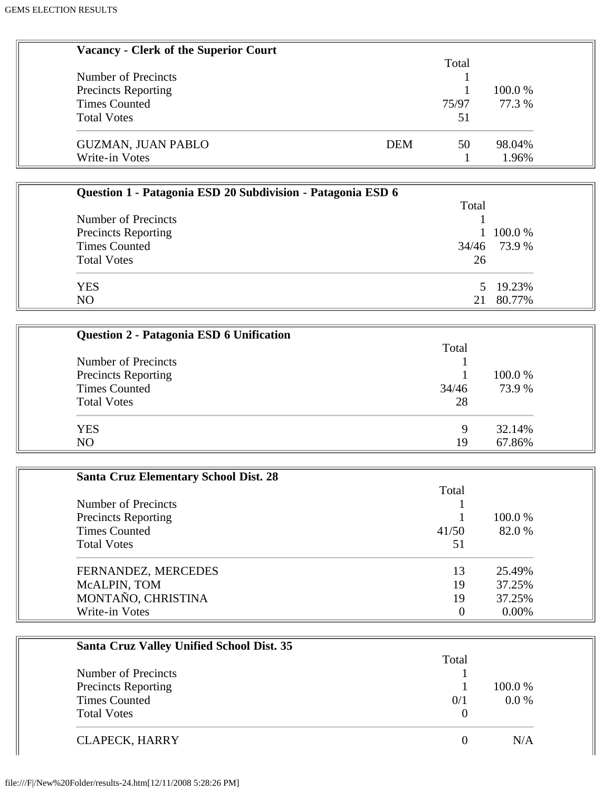| <b>Vacancy - Clerk of the Superior Court</b>                |                            |
|-------------------------------------------------------------|----------------------------|
|                                                             | Total                      |
| Number of Precincts                                         | 1                          |
| <b>Precincts Reporting</b>                                  | 100.0%<br>1                |
| <b>Times Counted</b>                                        | 75/97<br>77.3 %            |
| <b>Total Votes</b>                                          | 51                         |
| <b>GUZMAN, JUAN PABLO</b>                                   | <b>DEM</b><br>98.04%<br>50 |
| Write-in Votes                                              | 1.96%<br>$\mathbf{1}$      |
|                                                             |                            |
| Question 1 - Patagonia ESD 20 Subdivision - Patagonia ESD 6 |                            |
|                                                             | Total                      |
| Number of Precincts                                         |                            |
| <b>Precincts Reporting</b>                                  | 100.0%                     |
| <b>Times Counted</b>                                        | 73.9%<br>34/46             |
| <b>Total Votes</b>                                          | 26                         |
| <b>YES</b>                                                  | 19.23%<br>5                |
| NO                                                          | 80.77%<br>21               |
|                                                             |                            |
| Question 2 - Patagonia ESD 6 Unification                    |                            |
|                                                             | Total                      |
| Number of Precincts                                         | 1                          |
| <b>Precincts Reporting</b>                                  | 100.0%<br>1                |
| <b>Times Counted</b>                                        | 34/46<br>73.9 %            |
| <b>Total Votes</b>                                          | 28                         |
| <b>YES</b>                                                  | 32.14%<br>9                |
| NO                                                          | 67.86%<br>19               |
|                                                             |                            |
| <b>Santa Cruz Elementary School Dist. 28</b>                |                            |
|                                                             | Total                      |
| Number of Precincts                                         |                            |
| <b>Precincts Reporting</b>                                  | 100.0%                     |
| <b>Times Counted</b>                                        | 82.0%<br>41/50             |
| <b>Total Votes</b>                                          | 51                         |
| FERNANDEZ, MERCEDES                                         | 25.49%<br>13               |
| McALPIN, TOM                                                | 19<br>37.25%               |
| MONTAÑO, CHRISTINA                                          | 19<br>37.25%               |
| Write-in Votes                                              | $0.00\%$<br>$\overline{0}$ |
|                                                             |                            |
| Santa Cruz Valley Unified School Dist. 35                   |                            |
|                                                             | Total                      |

| Number of Precincts        |     |         |
|----------------------------|-----|---------|
|                            |     |         |
| <b>Precincts Reporting</b> |     | 100.0 % |
| <b>Times Counted</b>       | 0/1 | $0.0\%$ |
| <b>Total Votes</b>         |     |         |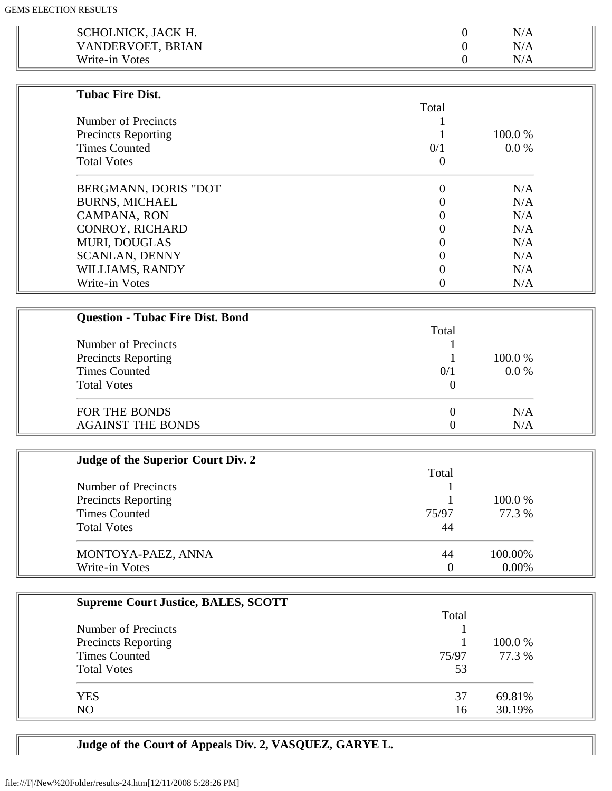| SCHOLNICK, JACK H. | N/A       |  |
|--------------------|-----------|--|
| VANDERVOET, BRIAN  | N/A       |  |
| Write-in Votes     | $\rm N/A$ |  |

| <b>Tubac Fire Dist.</b>    |       |         |
|----------------------------|-------|---------|
|                            | Total |         |
| Number of Precincts        |       |         |
| <b>Precincts Reporting</b> |       | 100.0 % |
| <b>Times Counted</b>       | 0/1   | 0.0 %   |
| <b>Total Votes</b>         | U     |         |
| BERGMANN, DORIS "DOT       |       | N/A     |
| <b>BURNS, MICHAEL</b>      |       | N/A     |
| <b>CAMPANA, RON</b>        |       | N/A     |
| <b>CONROY, RICHARD</b>     |       | N/A     |
| <b>MURI, DOUGLAS</b>       |       | N/A     |
| <b>SCANLAN, DENNY</b>      |       | N/A     |
| WILLIAMS, RANDY            |       | N/A     |
| Write-in Votes             |       | N/A     |

| <b>Question - Tubac Fire Dist. Bond</b> |          |         |
|-----------------------------------------|----------|---------|
|                                         | Total    |         |
| Number of Precincts                     |          |         |
| <b>Precincts Reporting</b>              |          | 100.0 % |
| <b>Times Counted</b>                    | 0/1      | $0.0\%$ |
| <b>Total Votes</b>                      | $\theta$ |         |
| FOR THE BONDS                           | $\theta$ | N/A     |
| <b>AGAINST THE BONDS</b>                |          | N/A     |

| Judge of the Superior Court Div. 2 |       |          |  |
|------------------------------------|-------|----------|--|
|                                    | Total |          |  |
| Number of Precincts                |       |          |  |
| <b>Precincts Reporting</b>         |       | 100.0 %  |  |
| <b>Times Counted</b>               | 75/97 | 77.3 %   |  |
| <b>Total Votes</b>                 | 44    |          |  |
| MONTOYA-PAEZ, ANNA                 | 44    | 100.00%  |  |
| Write-in Votes                     |       | $0.00\%$ |  |

| <b>Supreme Court Justice, BALES, SCOTT</b> |       |         |
|--------------------------------------------|-------|---------|
|                                            | Total |         |
| Number of Precincts                        |       |         |
| <b>Precincts Reporting</b>                 |       | 100.0 % |
| <b>Times Counted</b>                       | 75/97 | 77.3 %  |
| <b>Total Votes</b>                         | 53    |         |
| <b>YES</b>                                 | 37    | 69.81%  |
| NO.                                        | 16    | 30.19%  |

**Judge of the Court of Appeals Div. 2, VASQUEZ, GARYE L.**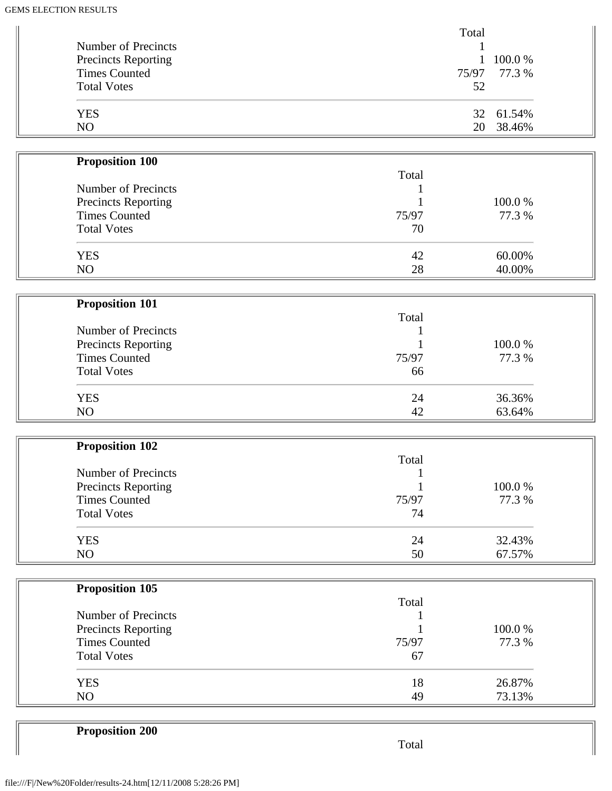|                            | Total |              |
|----------------------------|-------|--------------|
| Number of Precincts        |       |              |
| <b>Precincts Reporting</b> |       | 100.0%       |
| <b>Times Counted</b>       |       | 75/97 77.3 % |
| <b>Total Votes</b>         | 52    |              |
| <b>YES</b>                 |       | 32 61.54%    |
| N <sub>O</sub>             | 20    | 38.46%       |

| <b>Proposition 100</b> |       |        |
|------------------------|-------|--------|
|                        | Total |        |
| Number of Precincts    |       |        |
| Precincts Reporting    |       | 100.0% |
| <b>Times Counted</b>   | 75/97 | 77.3 % |
| <b>Total Votes</b>     | 70    |        |
| <b>YES</b>             | 42    | 60.00% |
| N <sub>O</sub>         | 28    | 40.00% |

| <b>Proposition 101</b> |       |         |  |
|------------------------|-------|---------|--|
|                        | Total |         |  |
| Number of Precincts    |       |         |  |
| Precincts Reporting    |       | 100.0 % |  |
| <b>Times Counted</b>   | 75/97 | 77.3 %  |  |
| <b>Total Votes</b>     | 66    |         |  |
| <b>YES</b>             | 24    | 36.36%  |  |
| NO                     | 42    | 63.64%  |  |

| <b>Proposition 102</b>     |       |        |
|----------------------------|-------|--------|
|                            | Total |        |
| Number of Precincts        |       |        |
| <b>Precincts Reporting</b> |       | 100.0% |
| <b>Times Counted</b>       | 75/97 | 77.3 % |
| <b>Total Votes</b>         | 74    |        |
| <b>YES</b>                 | 24    | 32.43% |
| NO                         | 50    | 67.57% |

| <b>Proposition 105</b> |       |         |
|------------------------|-------|---------|
|                        | Total |         |
| Number of Precincts    |       |         |
| Precincts Reporting    |       | 100.0 % |
| <b>Times Counted</b>   | 75/97 | 77.3 %  |
| <b>Total Votes</b>     | 67    |         |
| <b>YES</b>             | 18    | 26.87%  |
| N <sub>O</sub>         | 49    | 73.13%  |

**Proposition 200**

Total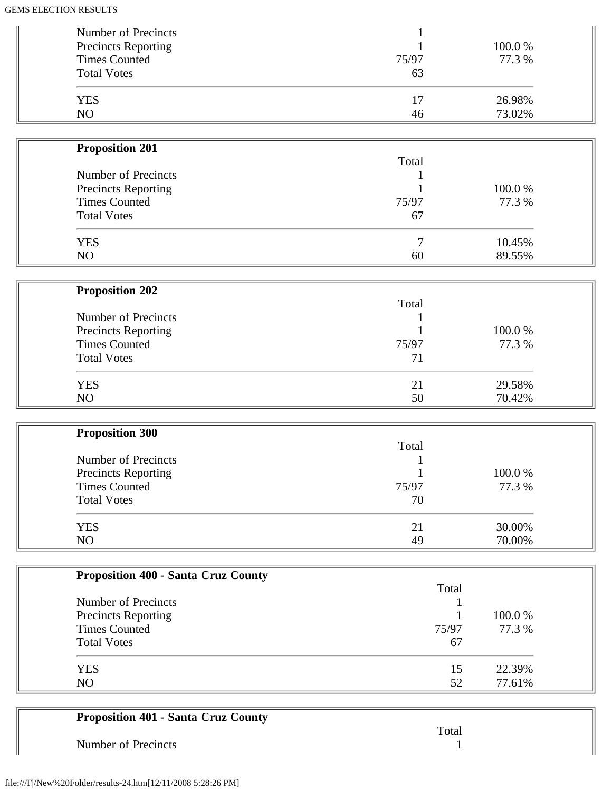| Number of Precincts<br><b>Precincts Reporting</b> |       | 100.0 % |
|---------------------------------------------------|-------|---------|
| <b>Times Counted</b>                              | 75/97 | 77.3 %  |
| <b>Total Votes</b>                                | 63    |         |
| <b>YES</b>                                        | 17    | 26.98%  |
| NO                                                | 46    | 73.02%  |

| <b>Proposition 201</b>     |       |         |
|----------------------------|-------|---------|
|                            | Total |         |
| Number of Precincts        |       |         |
| <b>Precincts Reporting</b> |       | 100.0 % |
| <b>Times Counted</b>       | 75/97 | 77.3 %  |
| <b>Total Votes</b>         | 67    |         |
| <b>YES</b>                 |       | 10.45%  |
| N <sub>O</sub>             | 60    | 89.55%  |

| <b>Proposition 202</b>                     |       |        |
|--------------------------------------------|-------|--------|
| Number of Precincts<br>Precincts Reporting | Total | 100.0% |
|                                            |       |        |
|                                            |       |        |
| <b>Total Votes</b>                         | 71    |        |
| <b>YES</b>                                 | 21    | 29.58% |
| NO                                         | 50    | 70.42% |

| <b>Proposition 300</b>     |       |        |
|----------------------------|-------|--------|
|                            | Total |        |
| Number of Precincts        |       |        |
| <b>Precincts Reporting</b> |       | 100.0% |
| <b>Times Counted</b>       | 75/97 | 77.3 % |
| <b>Total Votes</b>         | 70    |        |
| <b>YES</b>                 | 21    | 30.00% |
| N <sub>O</sub>             | 49    | 70.00% |

| <b>Proposition 400 - Santa Cruz County</b> |       |         |
|--------------------------------------------|-------|---------|
|                                            | Total |         |
| Number of Precincts                        |       |         |
| Precincts Reporting                        |       | 100.0 % |
| <b>Times Counted</b>                       | 75/97 | 77.3 %  |
| <b>Total Votes</b>                         | 67    |         |
| <b>YES</b>                                 | 15    | 22.39%  |
| NO.                                        | 52    | 77.61%  |

| <b>Proposition 401 - Santa Cruz County</b> |       |
|--------------------------------------------|-------|
|                                            | Total |
| Number of Precincts                        |       |